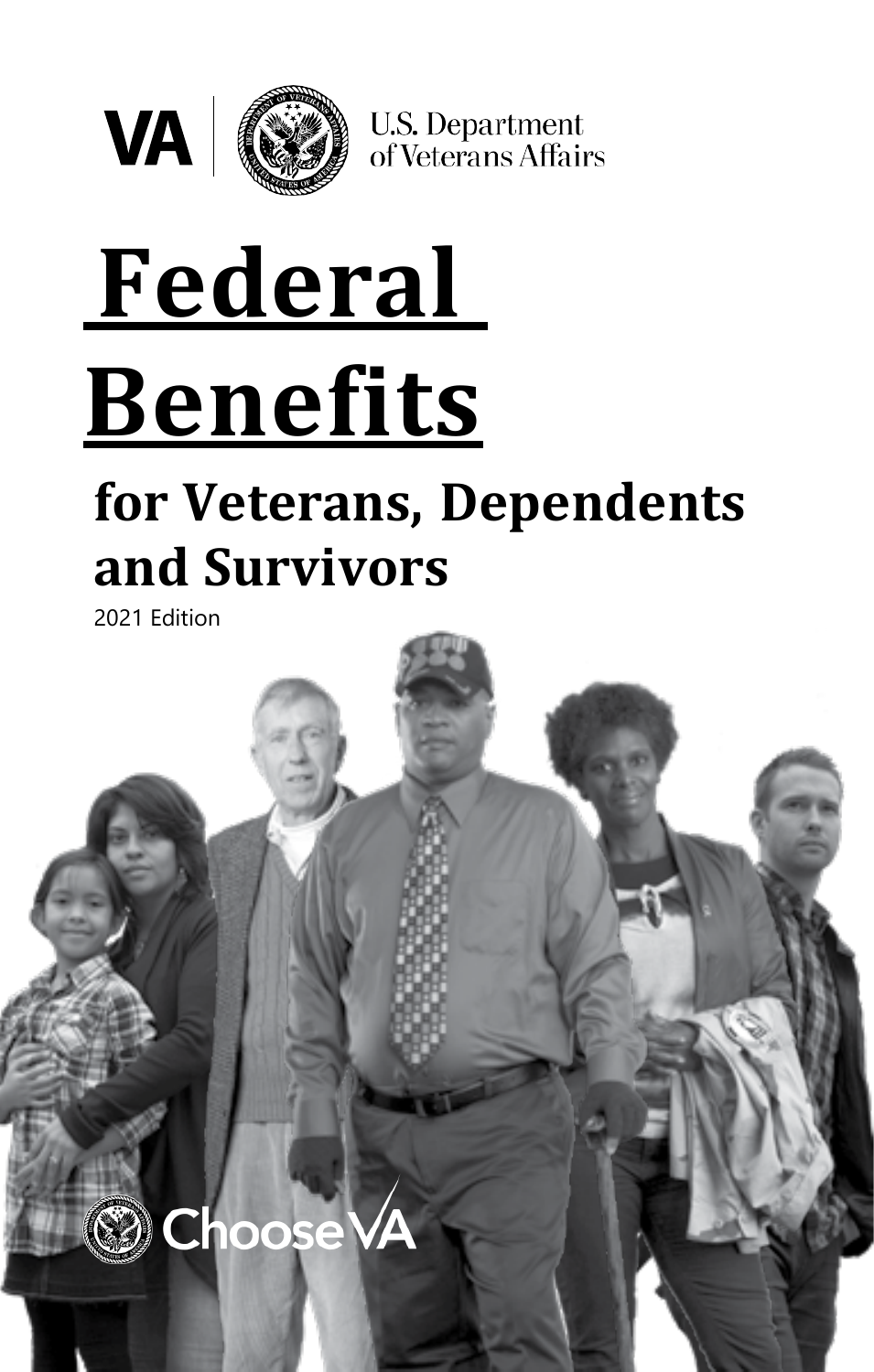

# **Federal Benefits**

## **for Veterans, Dependents and Survivors**

2021 Edition

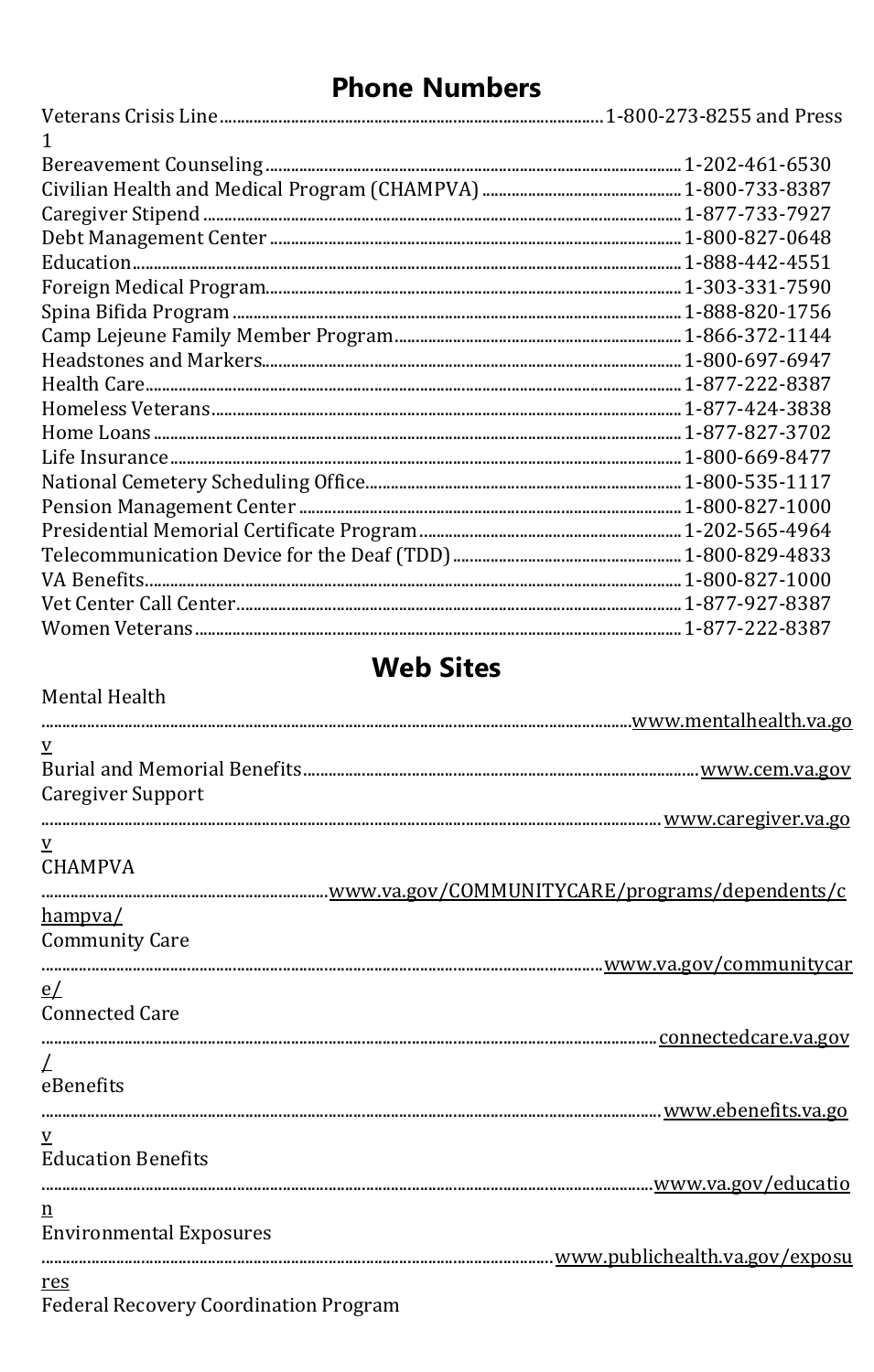## **Phone Numbers**

| 1                                                                                  |  |
|------------------------------------------------------------------------------------|--|
|                                                                                    |  |
|                                                                                    |  |
|                                                                                    |  |
|                                                                                    |  |
| $Education  \hfill \label{p:1} {\bf Education  \hfill \label{p:2} 1-888-442-4551}$ |  |
|                                                                                    |  |
|                                                                                    |  |
|                                                                                    |  |
|                                                                                    |  |
|                                                                                    |  |
|                                                                                    |  |
|                                                                                    |  |
|                                                                                    |  |
|                                                                                    |  |
|                                                                                    |  |
|                                                                                    |  |
|                                                                                    |  |
|                                                                                    |  |
|                                                                                    |  |
|                                                                                    |  |

## **Web Sites**

#### Mental Health

| V<br>Caregiver Support               |  |
|--------------------------------------|--|
|                                      |  |
| V<br><b>CHAMPVA</b>                  |  |
| hampya/                              |  |
| <b>Community Care</b>                |  |
| e/                                   |  |
| <b>Connected Care</b>                |  |
|                                      |  |
| eBenefits                            |  |
| V                                    |  |
| <b>Education Benefits</b>            |  |
|                                      |  |
| n<br><b>Environmental Exposures</b>  |  |
| res                                  |  |
| Eodaral Because Coordination Dreaman |  |

Federal Recovery Coordination Program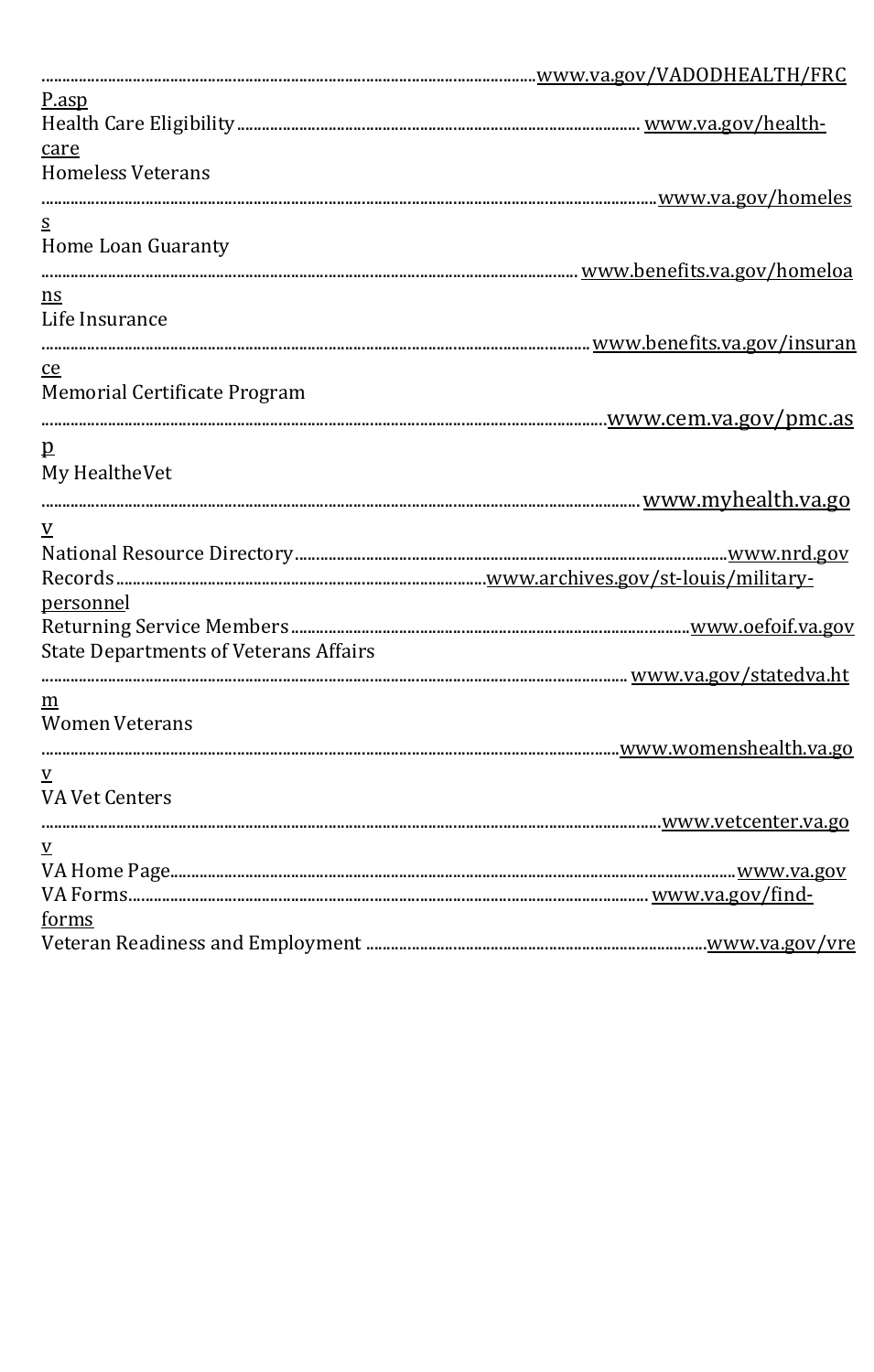| P.asp                                 |  |
|---------------------------------------|--|
| care<br><b>Homeless Veterans</b>      |  |
| $S_{\mathcal{L}}$                     |  |
| Home Loan Guaranty                    |  |
| ns                                    |  |
| Life Insurance                        |  |
| ce                                    |  |
| Memorial Certificate Program          |  |
|                                       |  |
| p<br>My HealtheVet                    |  |
| $\mathbf V$                           |  |
|                                       |  |
| personnel                             |  |
|                                       |  |
| State Departments of Veterans Affairs |  |
| m                                     |  |
| <b>Women Veterans</b>                 |  |
| $\overline{\mathbf{V}}$               |  |
| <b>VA Vet Centers</b>                 |  |
| V                                     |  |
|                                       |  |
| forms                                 |  |
|                                       |  |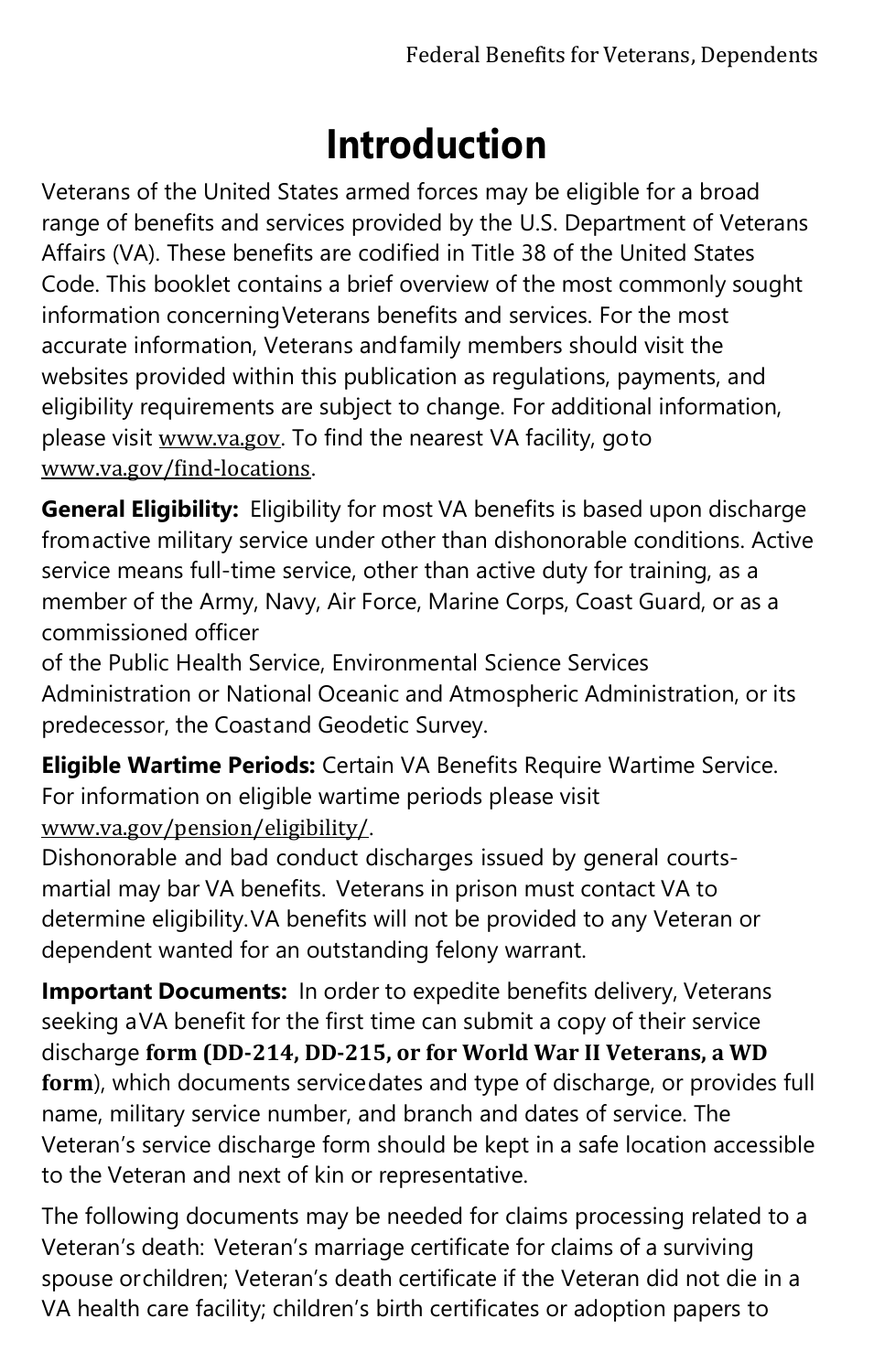## **Introduction**

Veterans of the United States armed forces may be eligible for a broad range of benefits and services provided by the U.S. Department of Veterans Affairs (VA). These benefits are codified in Title 38 of the United States Code. This booklet contains a brief overview of the most commonly sought information concerningVeterans benefits and services. For the most accurate information, Veterans andfamily members should visit the websites provided within this publication as regulations, payments, and eligibility requirements are subject to change. For additional information, please visit www.va.gov. To find the nearest VA facility, goto www.va.gov/find-locations.

**General Eligibility:** Eligibility for most VA benefits is based upon discharge fromactive military service under other than dishonorable conditions. Active service means full-time service, other than active duty for training, as a member of the Army, Navy, Air Force, Marine Corps, Coast Guard, or as a commissioned officer

of the Public Health Service, Environmental Science Services Administration or National Oceanic and Atmospheric Administration, or its predecessor, the Coastand Geodetic Survey.

**Eligible Wartime Periods:** Certain VA Benefits Require Wartime Service. For information on eligible wartime periods please visit www.va.gov/pension/eligibility/.

Dishonorable and bad conduct discharges issued by general courtsmartial may bar VA benefits. Veterans in prison must contact VA to determine eligibility.VA benefits will not be provided to any Veteran or dependent wanted for an outstanding felony warrant.

**Important Documents:** In order to expedite benefits delivery, Veterans seeking aVA benefit for the first time can submit a copy of their service discharge **form (DD-214, DD-215, or for World War II Veterans, a WD form**), which documents servicedates and type of discharge, or provides full name, military service number, and branch and dates of service. The Veteran's service discharge form should be kept in a safe location accessible to the Veteran and next of kin or representative.

The following documents may be needed for claims processing related to a Veteran's death: Veteran's marriage certificate for claims of a surviving spouse orchildren; Veteran's death certificate if the Veteran did not die in a VA health care facility; children's birth certificates or adoption papers to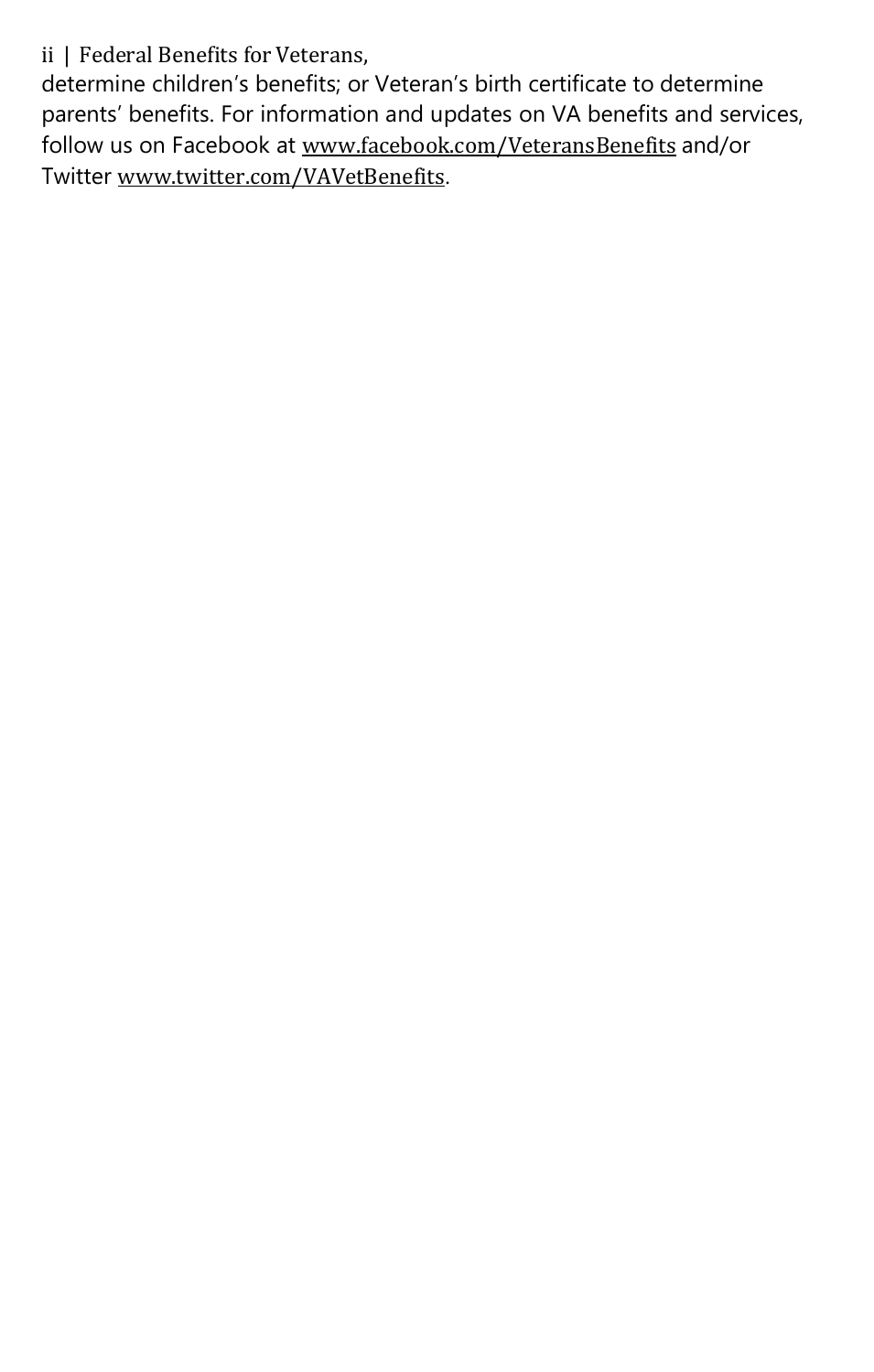## ii | Federal Benefits for Veterans,

determine children's benefits; or Veteran's birth certificate to determine parents' benefits. For information and updates on VA benefits and services, follow us on Facebook at www.facebook.com/VeteransBenefits and/or Twitter www.twitter.com/VAVetBenefits.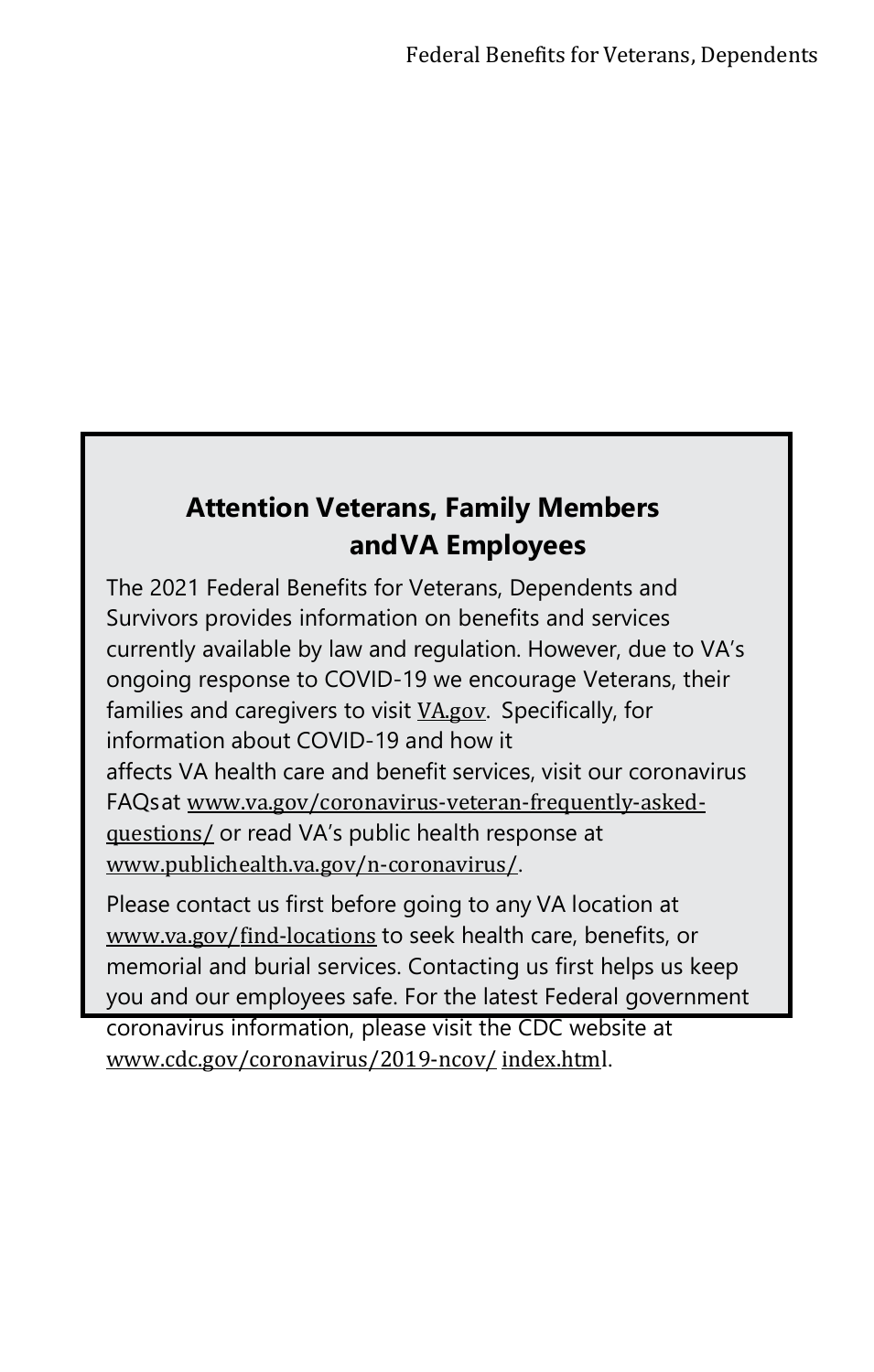## **Attention Veterans, Family Members and VA Employees**

The 2021 Federal Benefits for Veterans, Dependents and Survivors provides information on benefits and services currently available by law and regulation. However, due to VA's ongoing response to COVID-19 we encourage Veterans, their families and caregivers to visit VA.gov. Specifically, for information about COVID-19 and how it affects VA health care and benefit services, visit our coronavirus FAQsat www.va.gov/coronavirus-veteran-frequently-askedquestions/ or read VA's public health response at www.publichealth.va.gov/n-coronavirus/.

Please contact us first before going to any VA location at www.va.gov/find-locations to seek health care, benefits, or memorial and burial services. Contacting us first helps us keep you and our employees safe. For the latest Federal government

coronavirus information, please visit the CDC website at www.cdc.gov/coronavirus/2019-ncov/ index.html.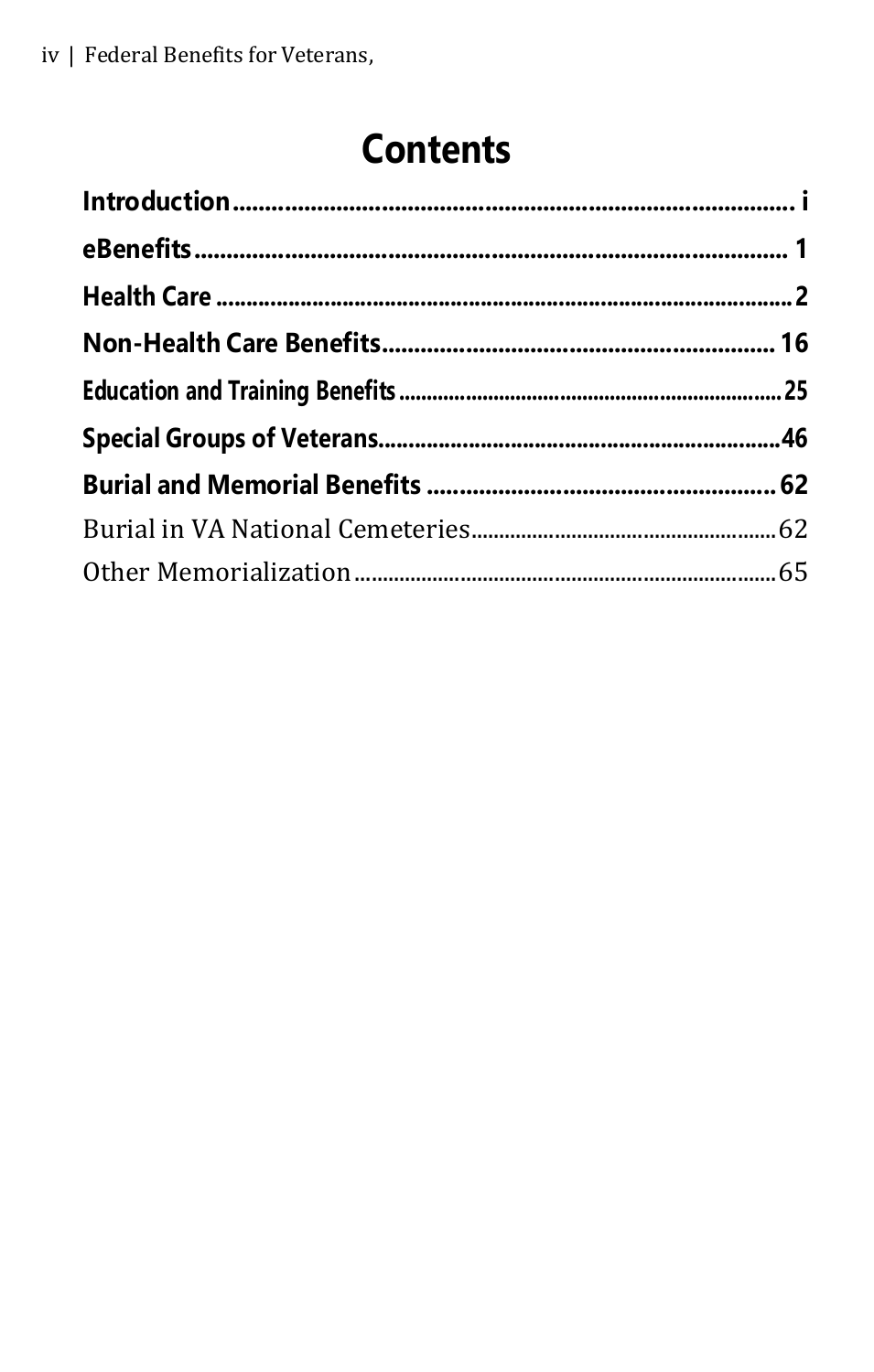## **Contents**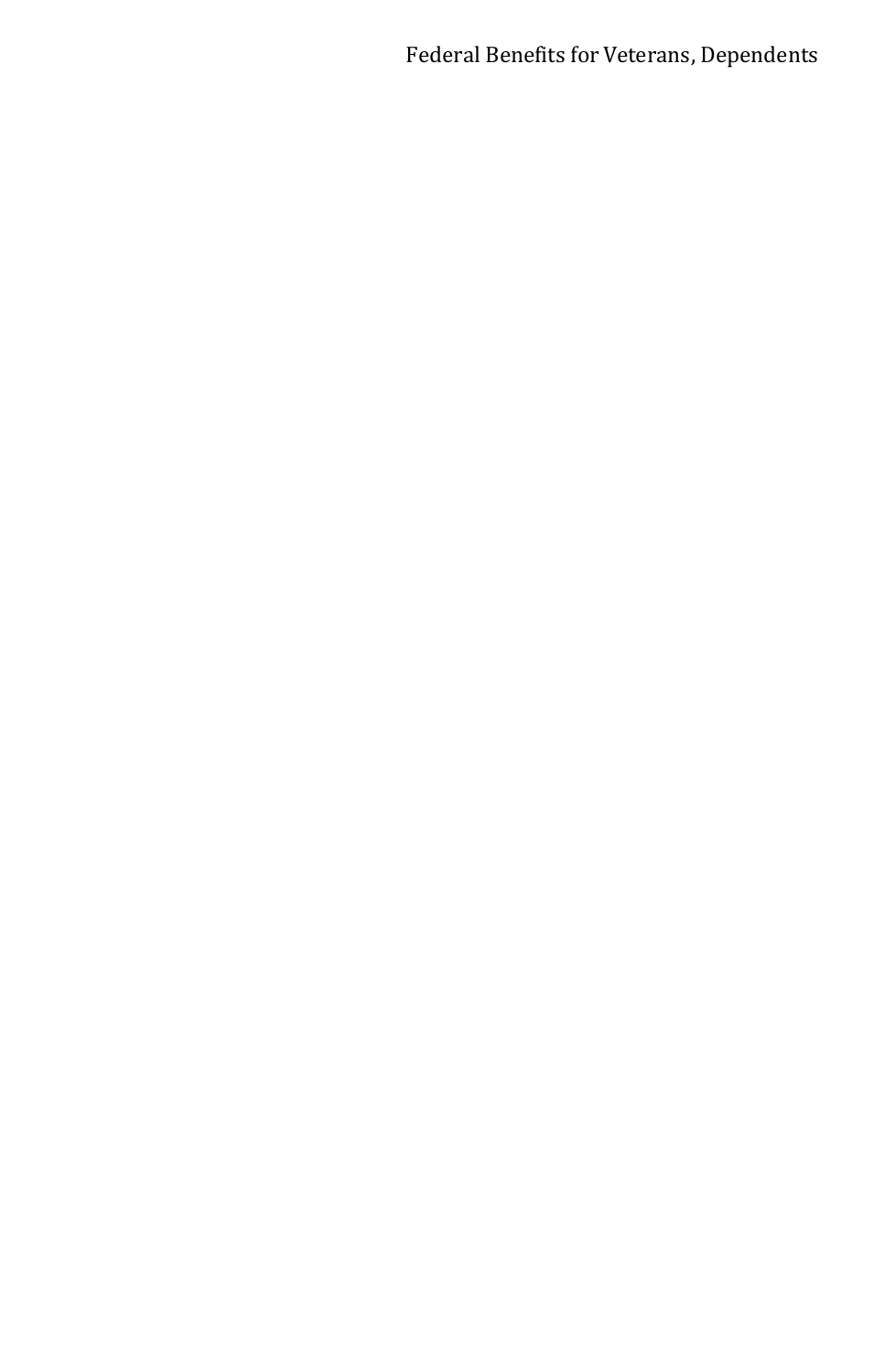Federal Benefits for Veterans, Dependents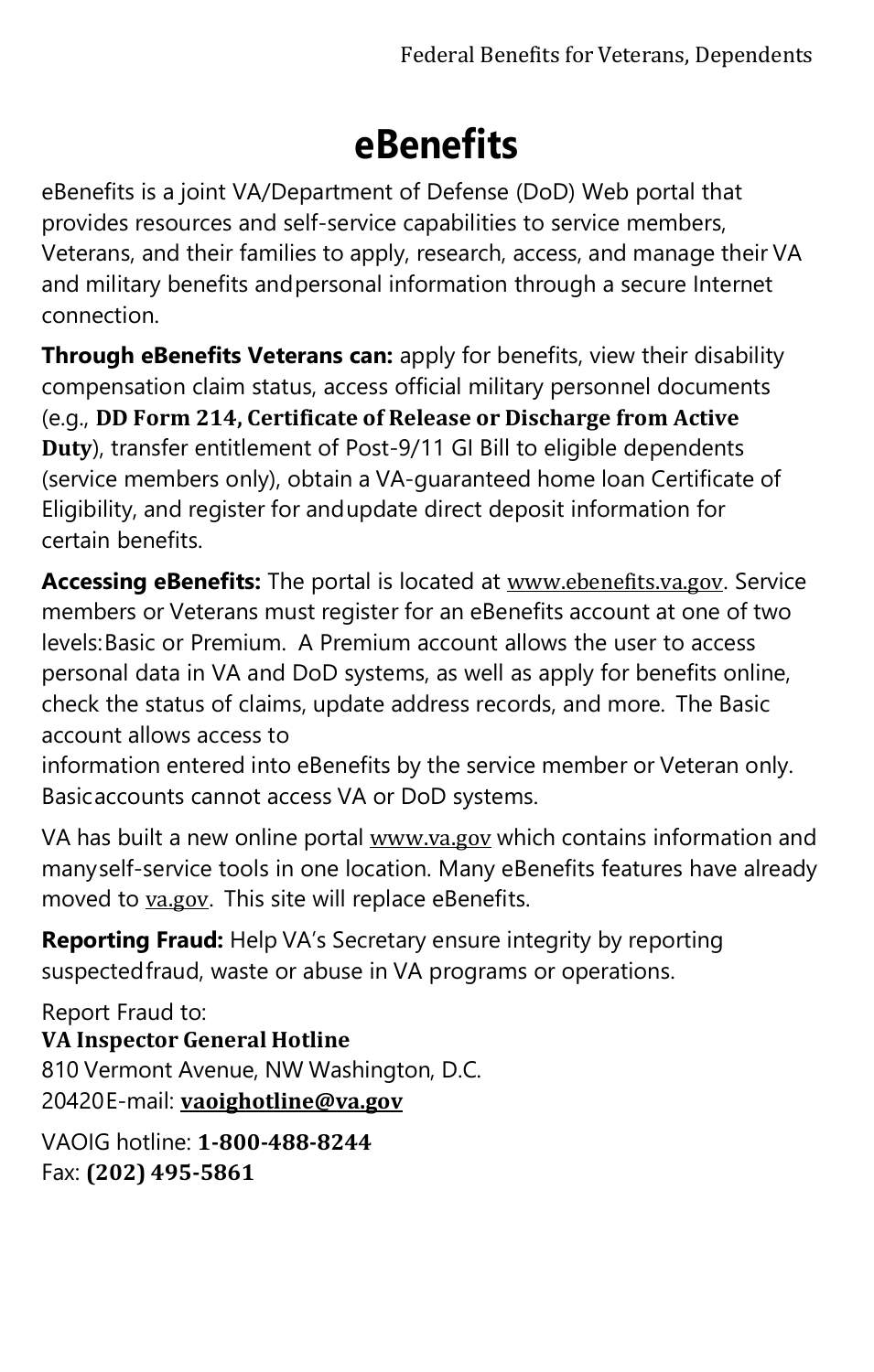## **eBenefits**

eBenefits is a joint VA/Department of Defense (DoD) Web portal that provides resources and self-service capabilities to service members, Veterans, and their families to apply, research, access, and manage their VA and military benefits andpersonal information through a secure Internet connection.

**Through eBenefits Veterans can:** apply for benefits, view their disability compensation claim status, access official military personnel documents (e.g., **DD Form 214, Certificate of Release or Discharge from Active Duty**), transfer entitlement of Post-9/11 GI Bill to eligible dependents (service members only), obtain a VA-guaranteed home loan Certificate of Eligibility, and register for andupdate direct deposit information for certain benefits.

**Accessing eBenefits:** The portal is located at www.ebenefits.va.gov. Service members or Veterans must register for an eBenefits account at one of two levels:Basic or Premium. A Premium account allows the user to access personal data in VA and DoD systems, as well as apply for benefits online, check the status of claims, update address records, and more. The Basic account allows access to

information entered into eBenefits by the service member or Veteran only. Basicaccounts cannot access VA or DoD systems.

VA has built a new online portal www.va.gov which contains information and manyself-service tools in one location. Many eBenefits features have already moved to va.gov. This site will replace eBenefits.

**Reporting Fraud:** Help VA's Secretary ensure integrity by reporting suspectedfraud, waste or abuse in VA programs or operations.

Report Fraud to: **VA Inspector General Hotline** 810 Vermont Avenue, NW Washington, D.C. 20420 E-mail: **vaoighotline@va.gov**

VAOIG hotline: **1-800-488-8244** Fax: **(202) 495-5861**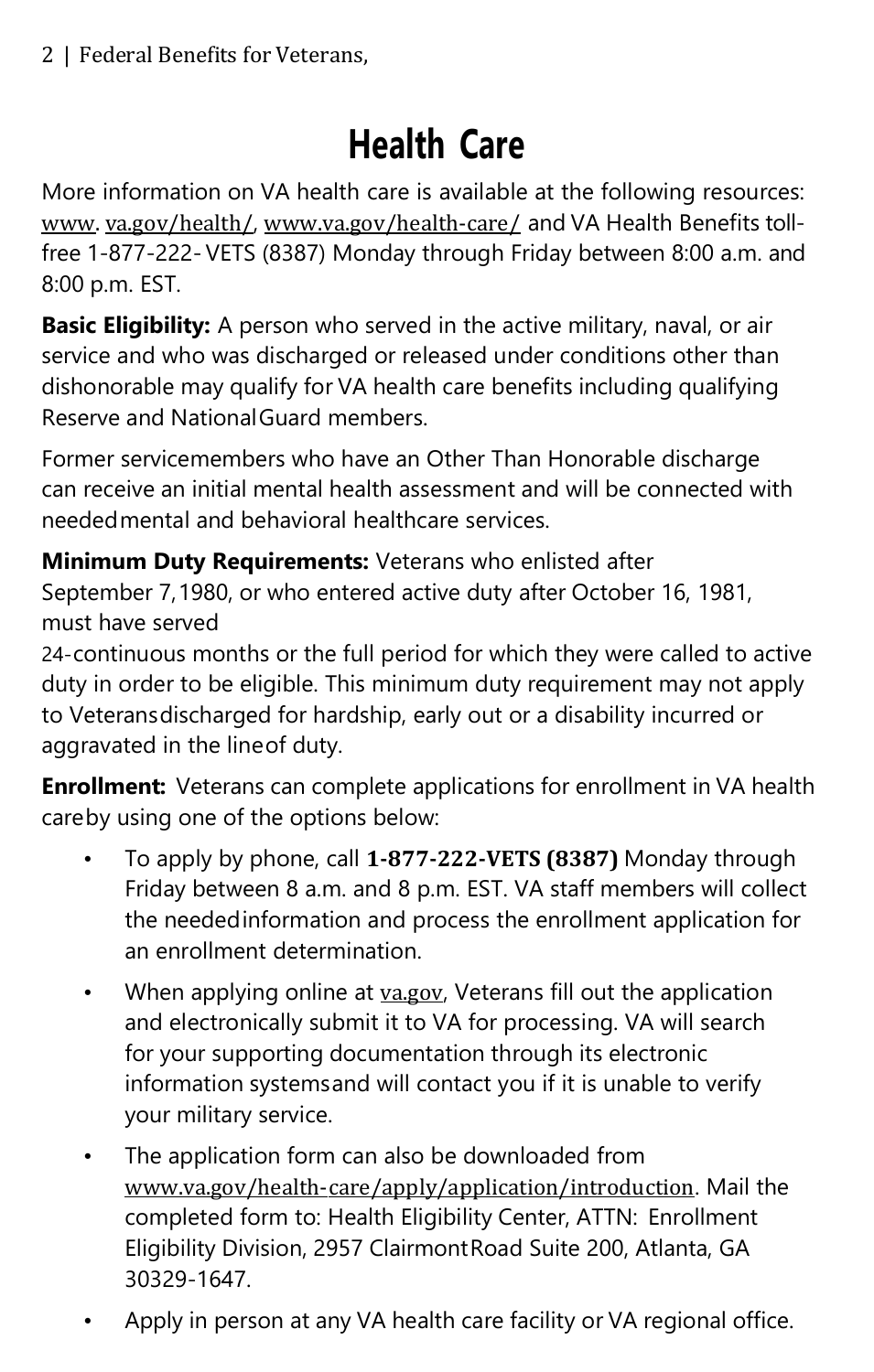## **Health Care**

More information on VA health care is available at the following resources: www. va.gov/health/, www.va.gov/health-care/ and VA Health Benefits tollfree 1-877-222- VETS (8387) Monday through Friday between 8:00 a.m. and 8:00 p.m. EST.

**Basic Eligibility:** A person who served in the active military, naval, or air service and who was discharged or released under conditions other than dishonorable may qualify for VA health care benefits including qualifying Reserve and NationalGuard members.

Former servicemembers who have an Other Than Honorable discharge can receive an initial mental health assessment and will be connected with neededmental and behavioral healthcare services.

**Minimum Duty Requirements:** Veterans who enlisted after September 7,1980, or who entered active duty after October 16, 1981, must have served

24-continuous months or the full period for which they were called to active duty in order to be eligible. This minimum duty requirement may not apply to Veteransdischarged for hardship, early out or a disability incurred or aggravated in the lineof duty.

**Enrollment:** Veterans can complete applications for enrollment in VA health careby using one of the options below:

- To apply by phone, call **1-877-222-VETS (8387)** Monday through Friday between 8 a.m. and 8 p.m. EST. VA staff members will collect the neededinformation and process the enrollment application for an enrollment determination.
- When applying online at valled Veterans fill out the application and electronically submit it to VA for processing. VA will search for your supporting documentation through its electronic information systemsand will contact you if it is unable to verify your military service.
- The application form can also be downloaded from www.va.gov/health-care/apply/application/introduction. Mail the completed form to: Health Eligibility Center, ATTN: Enrollment Eligibility Division, 2957 ClairmontRoad Suite 200, Atlanta, GA 30329-1647.
- Apply in person at any VA health care facility or VA regional office.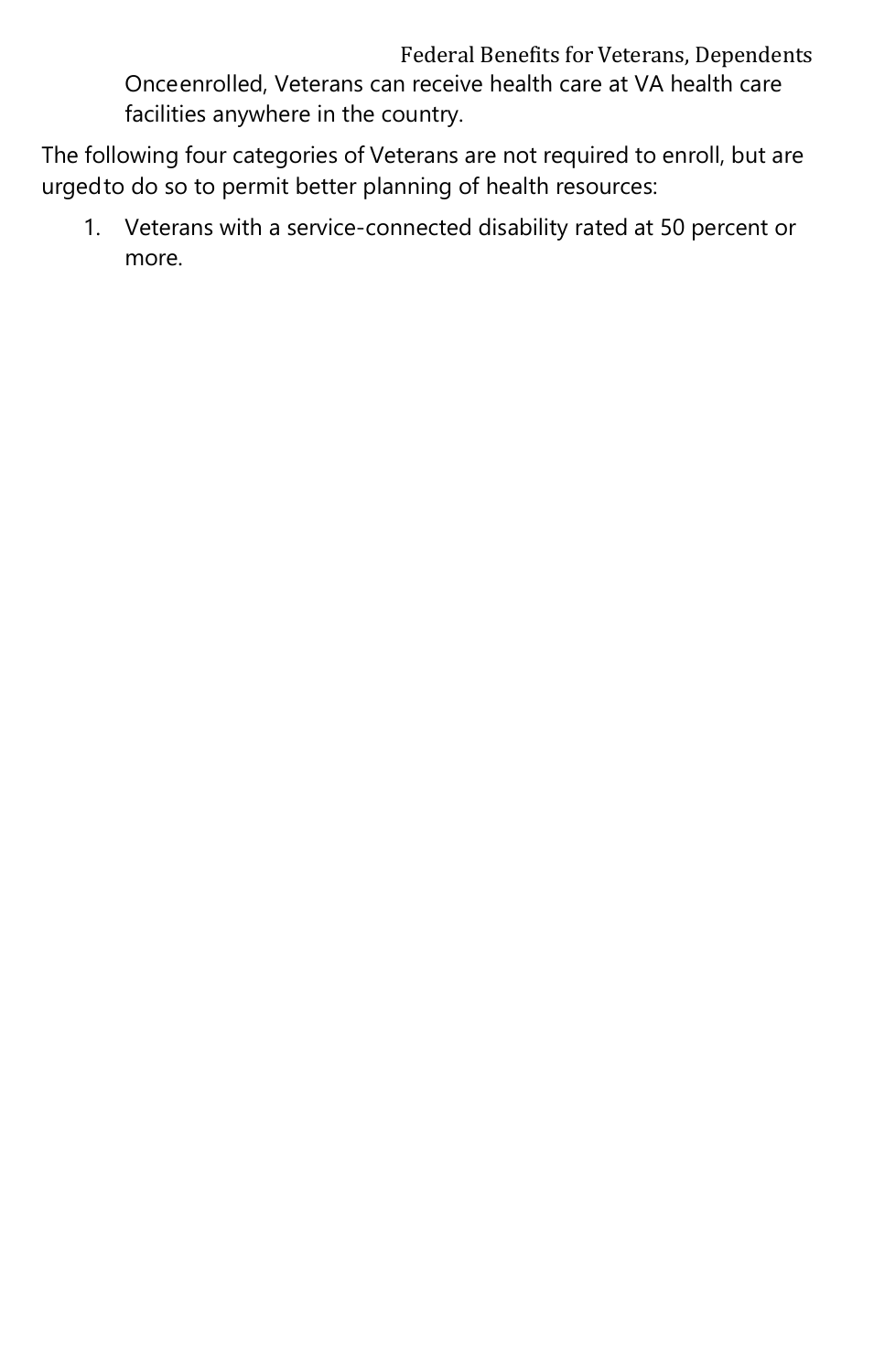Federal Benefits for Veterans, Dependents Onceenrolled, Veterans can receive health care at VA health care facilities anywhere in the country.

The following four categories of Veterans are not required to enroll, but are urgedto do so to permit better planning of health resources:

1. Veterans with a service-connected disability rated at 50 percent or more.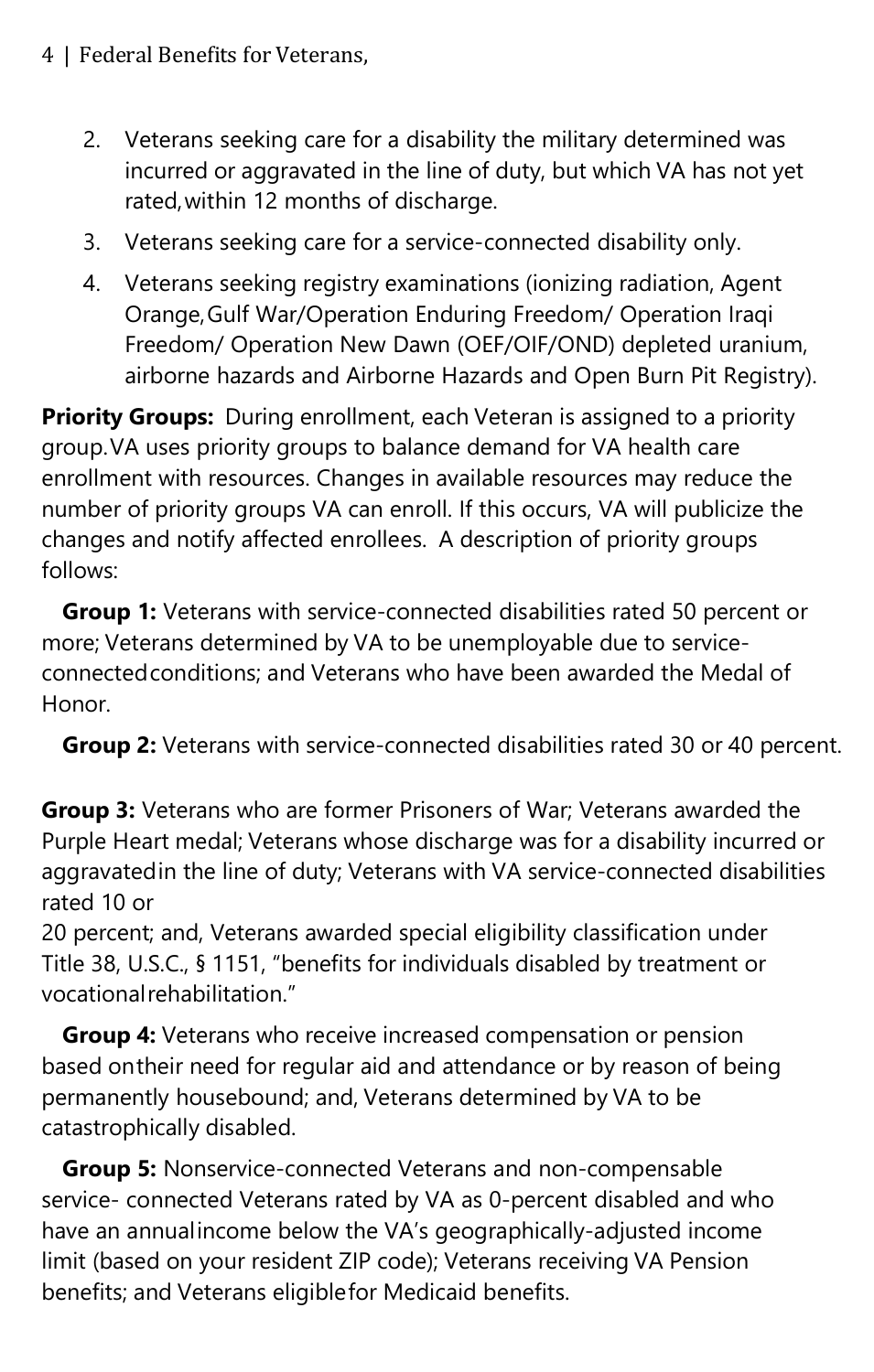- 2. Veterans seeking care for a disability the military determined was incurred or aggravated in the line of duty, but which VA has not yet rated,within 12 months of discharge.
- 3. Veterans seeking care for a service-connected disability only.
- 4. Veterans seeking registry examinations (ionizing radiation, Agent Orange,Gulf War/Operation Enduring Freedom/ Operation Iraqi Freedom/ Operation New Dawn (OEF/OIF/OND) depleted uranium, airborne hazards and Airborne Hazards and Open Burn Pit Registry).

**Priority Groups:** During enrollment, each Veteran is assigned to a priority group.VA uses priority groups to balance demand for VA health care enrollment with resources. Changes in available resources may reduce the number of priority groups VA can enroll. If this occurs, VA will publicize the changes and notify affected enrollees. A description of priority groups follows:

**Group 1:** Veterans with service-connected disabilities rated 50 percent or more; Veterans determined by VA to be unemployable due to serviceconnectedconditions; and Veterans who have been awarded the Medal of Honor.

**Group 2:** Veterans with service-connected disabilities rated 30 or 40 percent.

**Group 3:** Veterans who are former Prisoners of War; Veterans awarded the Purple Heart medal; Veterans whose discharge was for a disability incurred or aggravatedin the line of duty; Veterans with VA service-connected disabilities rated 10 or

20 percent; and, Veterans awarded special eligibility classification under Title 38, U.S.C., § 1151, "benefits for individuals disabled by treatment or vocationalrehabilitation."

**Group 4:** Veterans who receive increased compensation or pension based ontheir need for regular aid and attendance or by reason of being permanently housebound; and, Veterans determined by VA to be catastrophically disabled.

**Group 5:** Nonservice-connected Veterans and non-compensable service- connected Veterans rated by VA as 0-percent disabled and who have an annualincome below the VA's geographically-adjusted income limit (based on your resident ZIP code); Veterans receiving VA Pension benefits; and Veterans eligiblefor Medicaid benefits.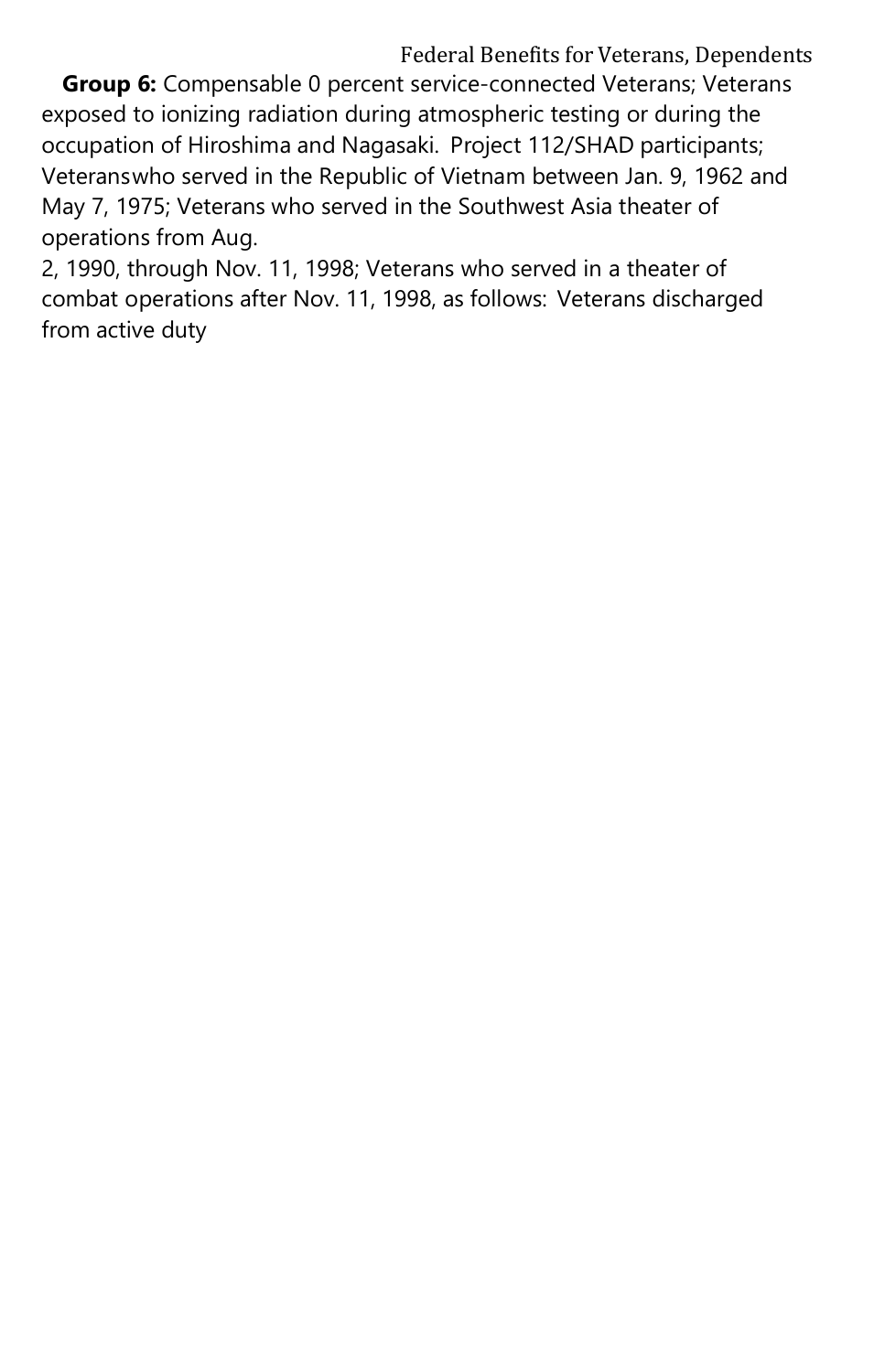Federal Benefits for Veterans, Dependents **Group 6:** Compensable 0 percent service -connected Veterans; Veterans exposed to ionizing radiation during atmospheric testing or during the occupation of Hiroshima and Nagasaki. Project 112/SHAD participants; Veteranswho served in the Republic of Vietnam between Jan. 9, 1962 and May 7, 1975; Veterans who served in the Southwest Asia theater of operations from Aug.

2, 1990, through Nov. 11, 1998; Veterans who served in a theater of combat operations after Nov. 11, 1998, as follows: Veterans discharged from active duty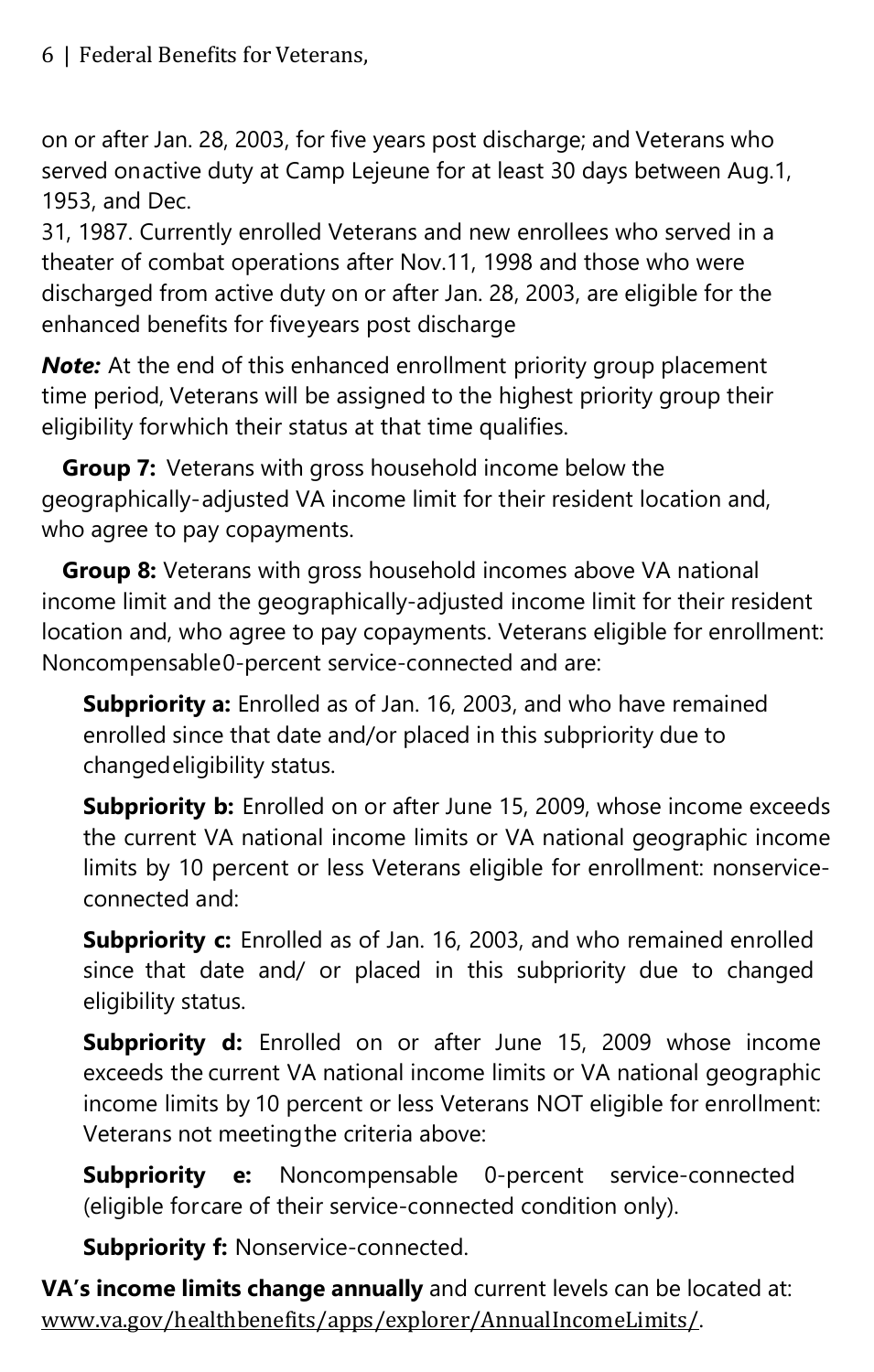## 6 | Federal Benefits for Veterans,

on or after Jan. 28, 2003, for five years post discharge; and Veterans who served onactive duty at Camp Lejeune for at least 30 days between Aug.1, 1953, and Dec.

31, 1987. Currently enrolled Veterans and new enrollees who served in a theater of combat operations after Nov.11, 1998 and those who were discharged from active duty on or after Jan. 28, 2003, are eligible for the enhanced benefits for fiveyears post discharge

**Note:** At the end of this enhanced enrollment priority group placement time period, Veterans will be assigned to the highest priority group their eligibility forwhich their status at that time qualifies.

**Group 7:** Veterans with gross household income below the geographically-adjusted VA income limit for their resident location and, who agree to pay copayments.

**Group 8:** Veterans with gross household incomes above VA national income limit and the geographically-adjusted income limit for their resident location and, who agree to pay copayments. Veterans eligible for enrollment: Noncompensable0-percent service-connected and are:

**Subpriority a:** Enrolled as of Jan. 16, 2003, and who have remained enrolled since that date and/or placed in this subpriority due to changedeligibility status.

**Subpriority b:** Enrolled on or after June 15, 2009, whose income exceeds the current VA national income limits or VA national geographic income limits by 10 percent or less Veterans eligible for enrollment: nonserviceconnected and:

**Subpriority c:** Enrolled as of Jan. 16, 2003, and who remained enrolled since that date and/ or placed in this subpriority due to changed eligibility status.

**Subpriority d:** Enrolled on or after June 15, 2009 whose income exceeds the current VA national income limits or VA national geographic income limits by 10 percent or less Veterans NOT eligible for enrollment: Veterans not meetingthe criteria above:

**Subpriority e:** Noncompensable 0-percent service-connected (eligible forcare of their service-connected condition only).

**Subpriority f:** Nonservice-connected.

**VA's income limits change annually** and current levels can be located at: www.va.gov/healthbenefits/apps/explorer/AnnualIncomeLimits/.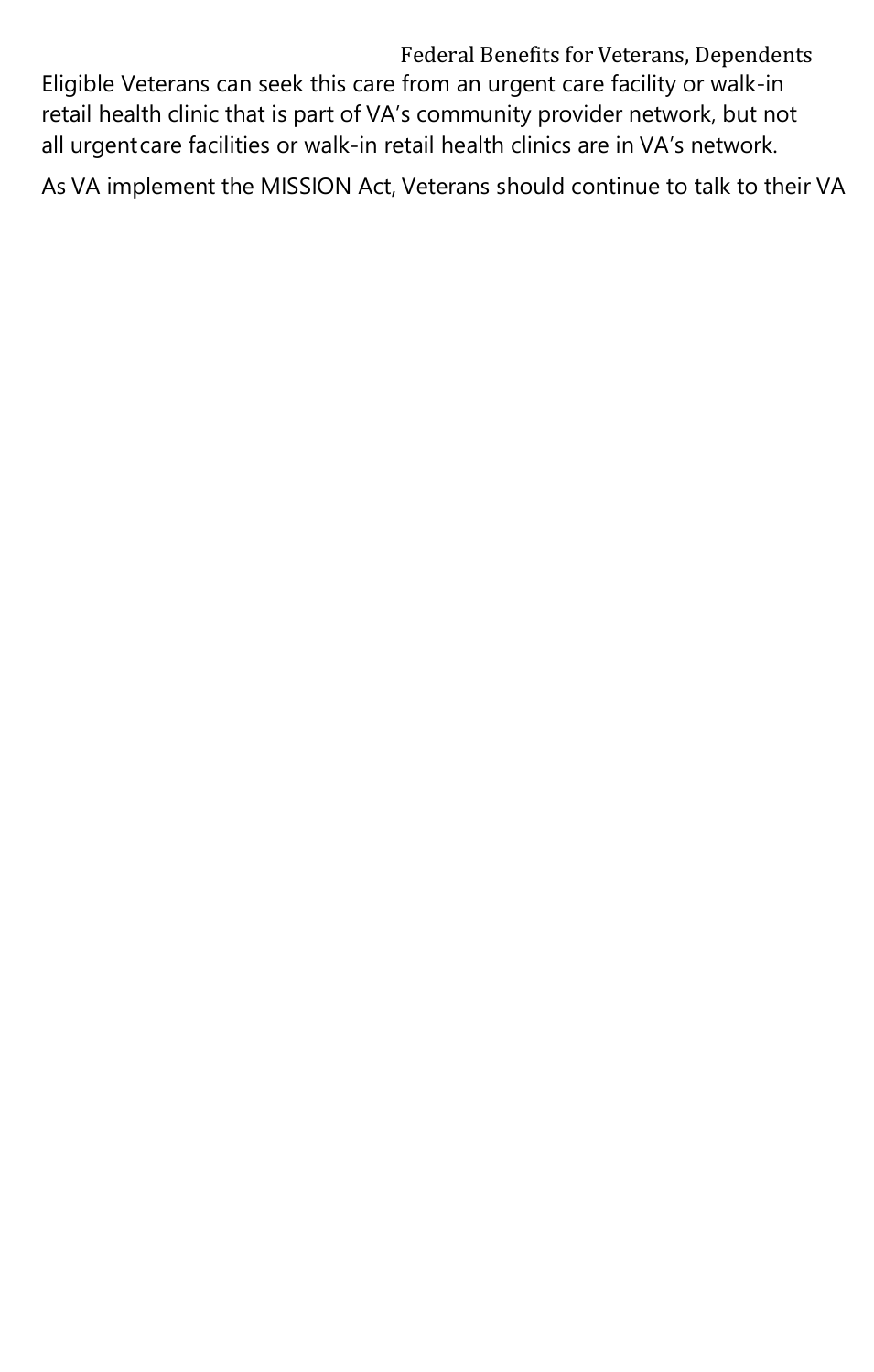Federal Benefits for Veterans, Dependents Eligible Veterans can seek this care from an urgent care facility or walk -in retail health clinic that is part of VA's community provider network, but not all urgentcare facilities or walk-in retail health clinics are in VA's network.

As VA implement the MISSION Act, Veterans should continue to talk to their VA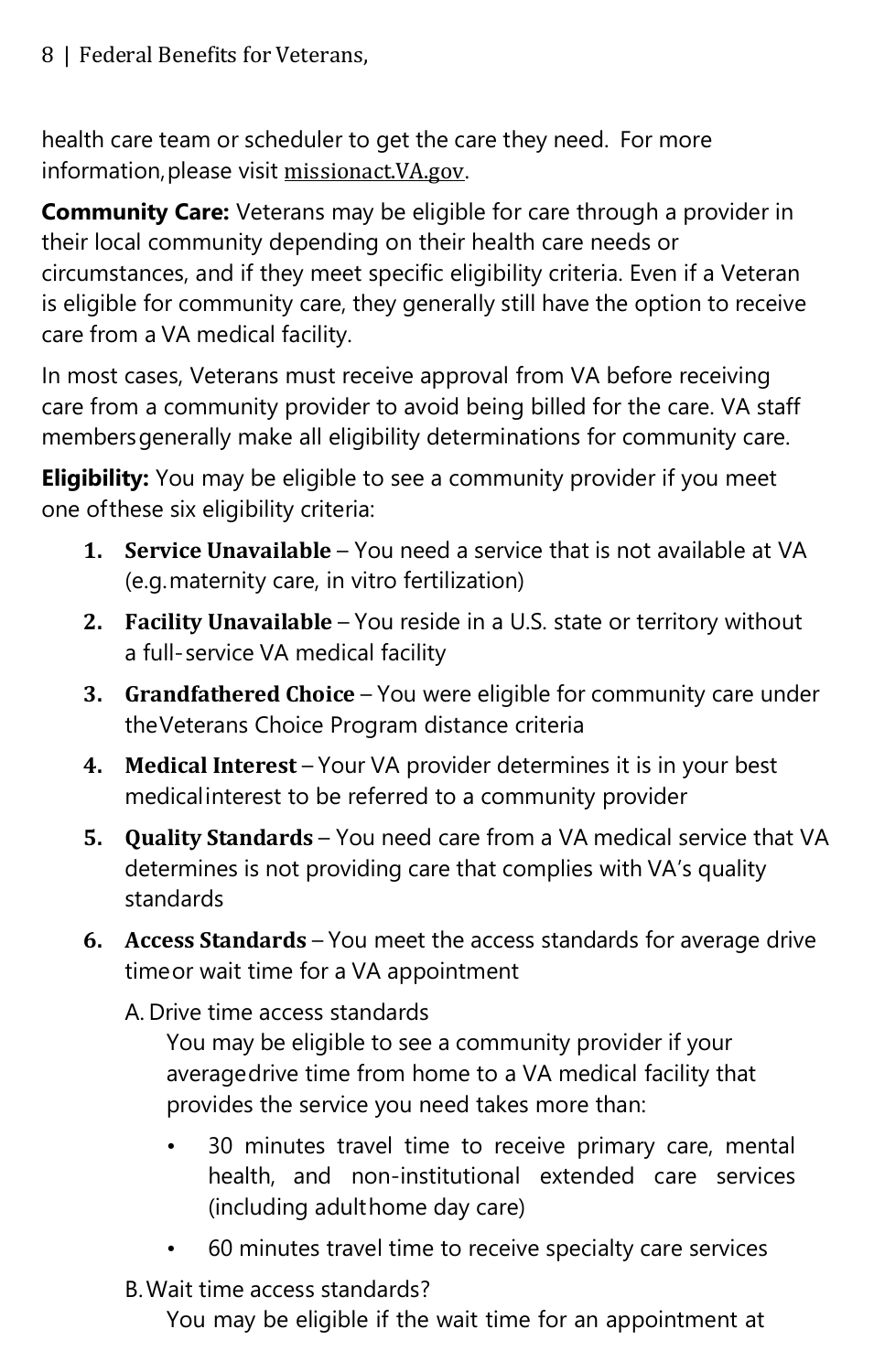## 8 | Federal Benefits for Veterans,

health care team or scheduler to get the care they need. For more information,please visit missionact.VA.gov.

**Community Care:** Veterans may be eligible for care through a provider in their local community depending on their health care needs or circumstances, and if they meet specific eligibility criteria. Even if a Veteran is eligible for community care, they generally still have the option to receive care from a VA medical facility.

In most cases, Veterans must receive approval from VA before receiving care from a community provider to avoid being billed for the care. VA staff membersgenerally make all eligibility determinations for community care.

**Eligibility:** You may be eligible to see a community provider if you meet one ofthese six eligibility criteria:

- **1. Service Unavailable**  You need a service that is not available at VA (e.g.maternity care, in vitro fertilization)
- **2. Facility Unavailable** You reside in a U.S. state or territory without a full-service VA medical facility
- **3. Grandfathered Choice** You were eligible for community care under theVeterans Choice Program distance criteria
- **4. Medical Interest** Your VA provider determines it is in your best medicalinterest to be referred to a community provider
- **5. Quality Standards**  You need care from a VA medical service that VA determines is not providing care that complies with VA's quality standards
- **6. Access Standards** You meet the access standards for average drive timeor wait time for a VA appointment

A. Drive time access standards

You may be eligible to see a community provider if your averagedrive time from home to a VA medical facility that provides the service you need takes more than:

- 30 minutes travel time to receive primary care, mental health, and non-institutional extended care services (including adulthome day care)
- 60 minutes travel time to receive specialty care services

B.Wait time access standards?

You may be eligible if the wait time for an appointment at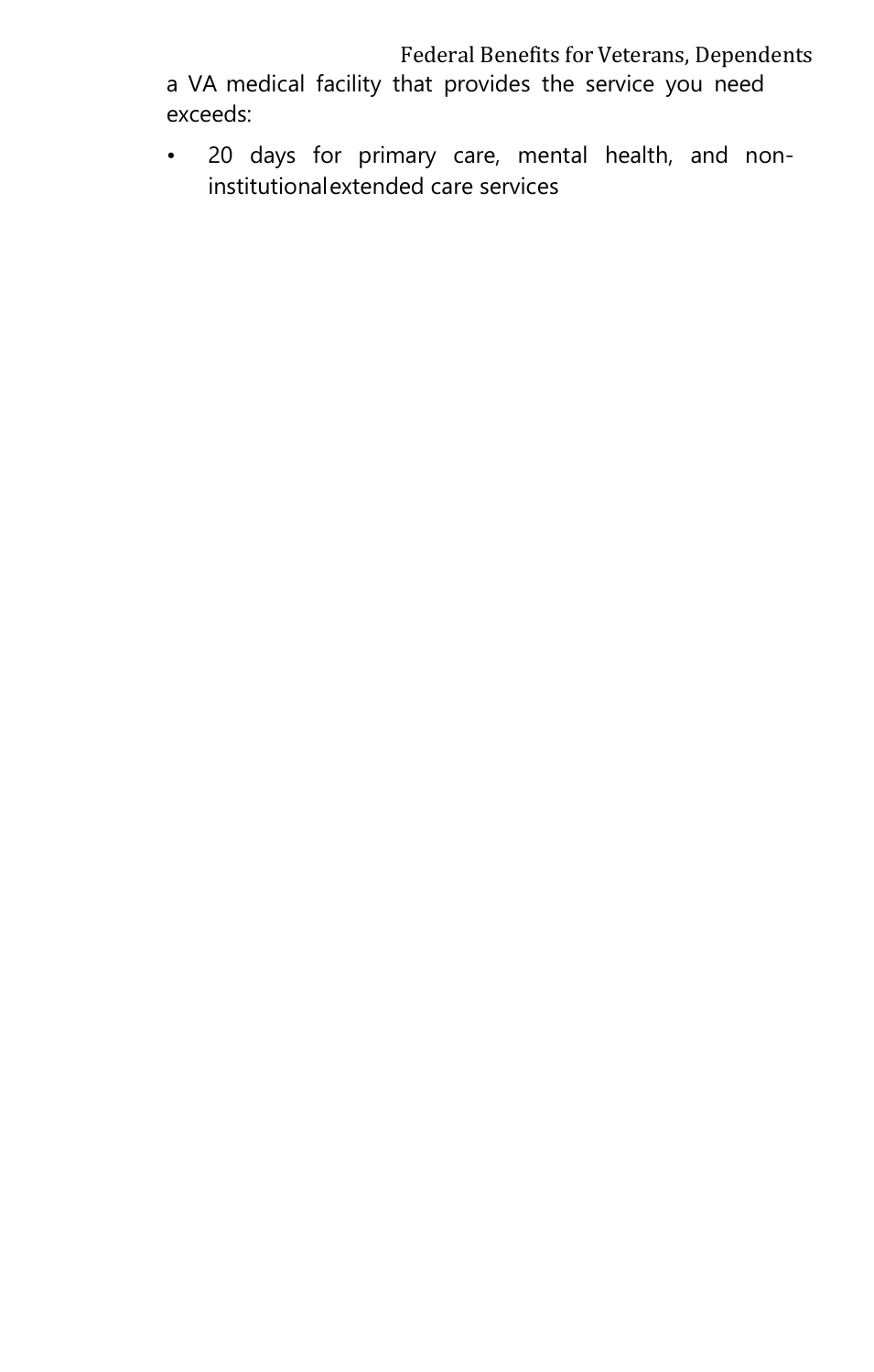Federal Benefits for Veterans, Dependents a VA medical facility that provides the service you need exceeds:

• 20 days for primary care, mental health, and noninstitutionalextended care services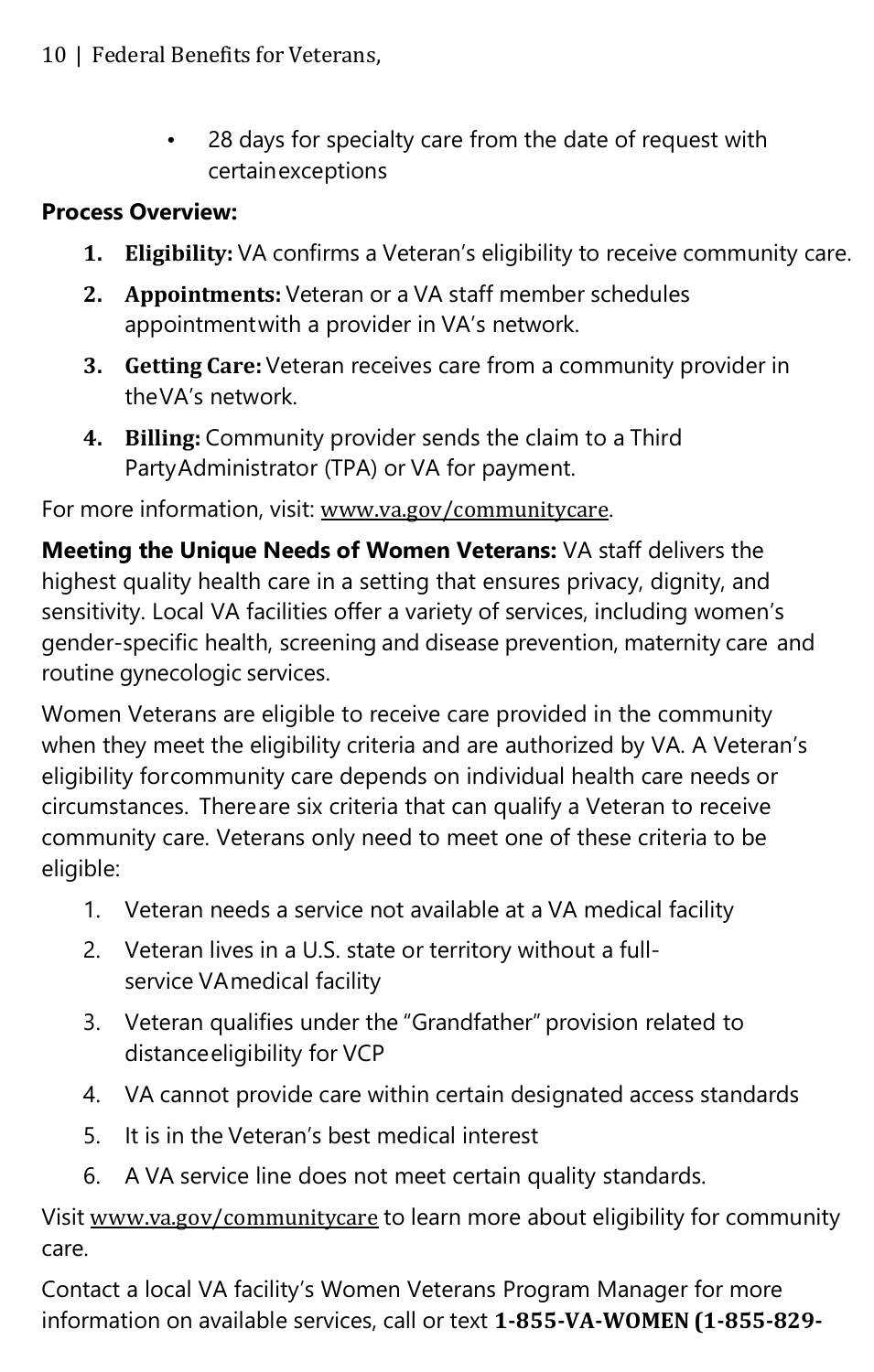• 28 days for specialty care from the date of request with certainexceptions

## **Process Overview:**

- **1. Eligibility:** VA confirms a Veteran's eligibility to receive community care.
- **2. Appointments:** Veteran or a VA staff member schedules appointmentwith a provider in VA's network.
- **3. Getting Care:** Veteran receives care from a community provider in theVA's network.
- **4. Billing:** Community provider sends the claim to a Third PartyAdministrator (TPA) or VA for payment.

For more information, visit: www.va.gov/communitycare.

**Meeting the Unique Needs of Women Veterans:** VA staff delivers the highest quality health care in a setting that ensures privacy, dignity, and sensitivity. Local VA facilities offer a variety of services, including women's gender-specific health, screening and disease prevention, maternity care and routine gynecologic services.

Women Veterans are eligible to receive care provided in the community when they meet the eligibility criteria and are authorized by VA. A Veteran's eligibility forcommunity care depends on individual health care needs or circumstances. Thereare six criteria that can qualify a Veteran to receive community care. Veterans only need to meet one of these criteria to be eligible:

- 1. Veteran needs a service not available at a VA medical facility
- 2. Veteran lives in a U.S. state or territory without a fullservice VAmedical facility
- 3. Veteran qualifies under the "Grandfather" provision related to distanceeligibility for VCP
- 4. VA cannot provide care within certain designated access standards
- 5. It is in the Veteran's best medical interest
- 6. A VA service line does not meet certain quality standards.

Visit www.va.gov/communitycare to learn more about eligibility for community care.

Contact a local VA facility's Women Veterans Program Manager for more information on available services, call or text **1-855-VA-WOMEN (1-855-829-**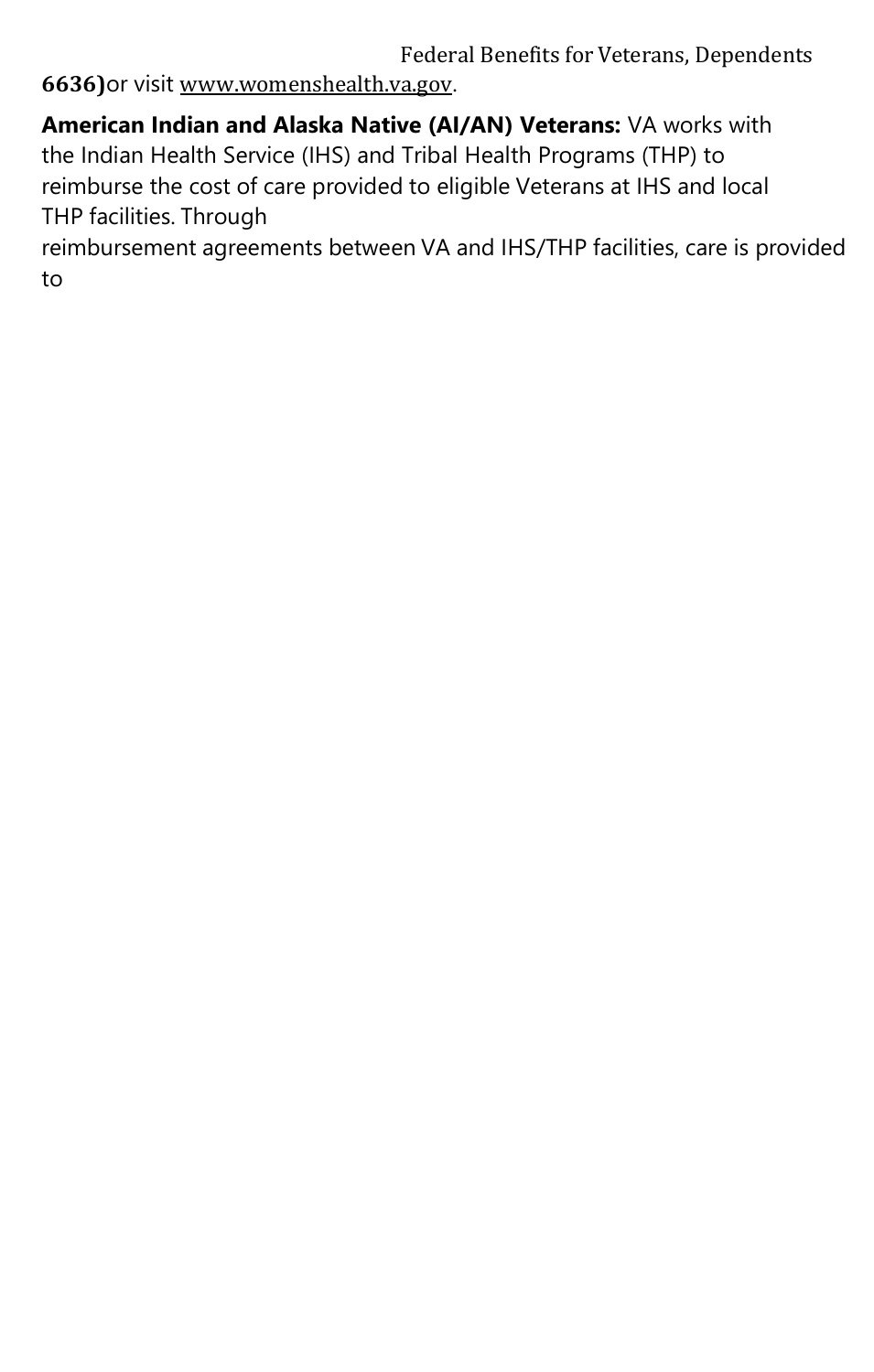Federal Benefits for Veterans, Dependents

6636) or visit www.womenshealth.va.gov.

**American Indian and Alaska Native (AI/AN) Veterans:** VA works with the Indian Health Service (IHS) and Tribal Health Programs (THP) to reimburse the cost of care provided to eligible Veterans at IHS and local THP facilities. Through

reimbursement agreements between VA and IHS/THP facilities, care is provided to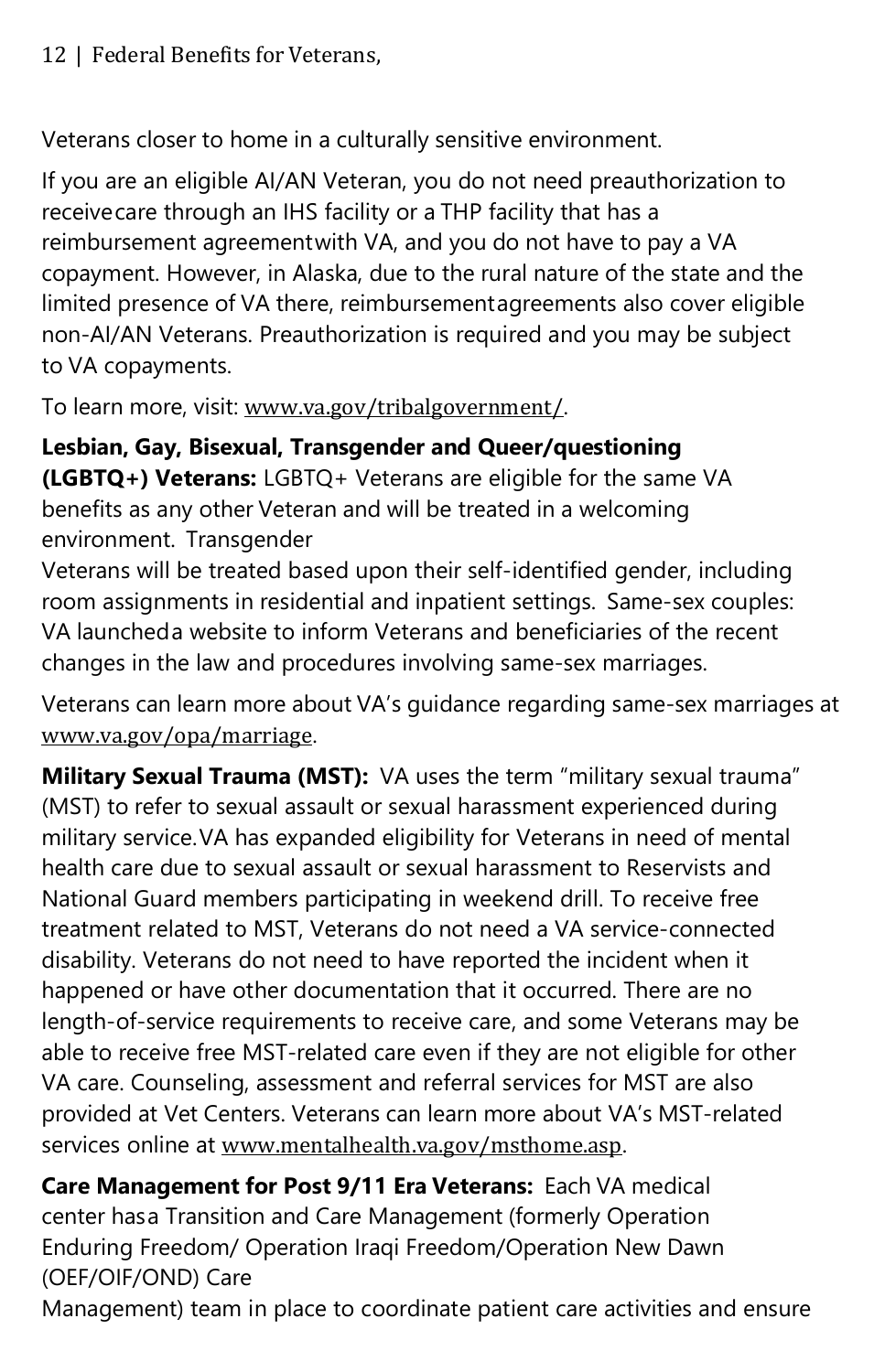## 12 | Federal Benefits for Veterans,

Veterans closer to home in a culturally sensitive environment.

If you are an eligible AI/AN Veteran, you do not need preauthorization to receivecare through an IHS facility or a THP facility that has a reimbursement agreementwith VA, and you do not have to pay a VA copayment. However, in Alaska, due to the rural nature of the state and the limited presence of VA there, reimbursementagreements also cover eligible non-AI/AN Veterans. Preauthorization is required and you may be subject to VA copayments.

To learn more, visit: www.va.gov/tribalgovernment/.

**Lesbian, Gay, Bisexual, Transgender and Queer/questioning** 

**(LGBTQ+) Veterans:** LGBTQ+ Veterans are eligible for the same VA benefits as any other Veteran and will be treated in a welcoming environment. Transgender

Veterans will be treated based upon their self-identified gender, including room assignments in residential and inpatient settings. Same-sex couples: VA launcheda website to inform Veterans and beneficiaries of the recent changes in the law and procedures involving same-sex marriages.

Veterans can learn more about VA's guidance regarding same-sex marriages at www.va.gov/opa/marriage.

**Military Sexual Trauma (MST):** VA uses the term "military sexual trauma" (MST) to refer to sexual assault or sexual harassment experienced during military service.VA has expanded eligibility for Veterans in need of mental health care due to sexual assault or sexual harassment to Reservists and National Guard members participating in weekend drill. To receive free treatment related to MST, Veterans do not need a VA service-connected disability. Veterans do not need to have reported the incident when it happened or have other documentation that it occurred. There are no length-of-service requirements to receive care, and some Veterans may be able to receive free MST-related care even if they are not eligible for other VA care. Counseling, assessment and referral services for MST are also provided at Vet Centers. Veterans can learn more about VA's MST-related services online at www.mentalhealth.va.gov/msthome.asp.

**Care Management for Post 9/11 Era Veterans:** Each VA medical center hasa Transition and Care Management (formerly Operation Enduring Freedom/ Operation Iraqi Freedom/Operation New Dawn (OEF/OIF/OND) Care

Management) team in place to coordinate patient care activities and ensure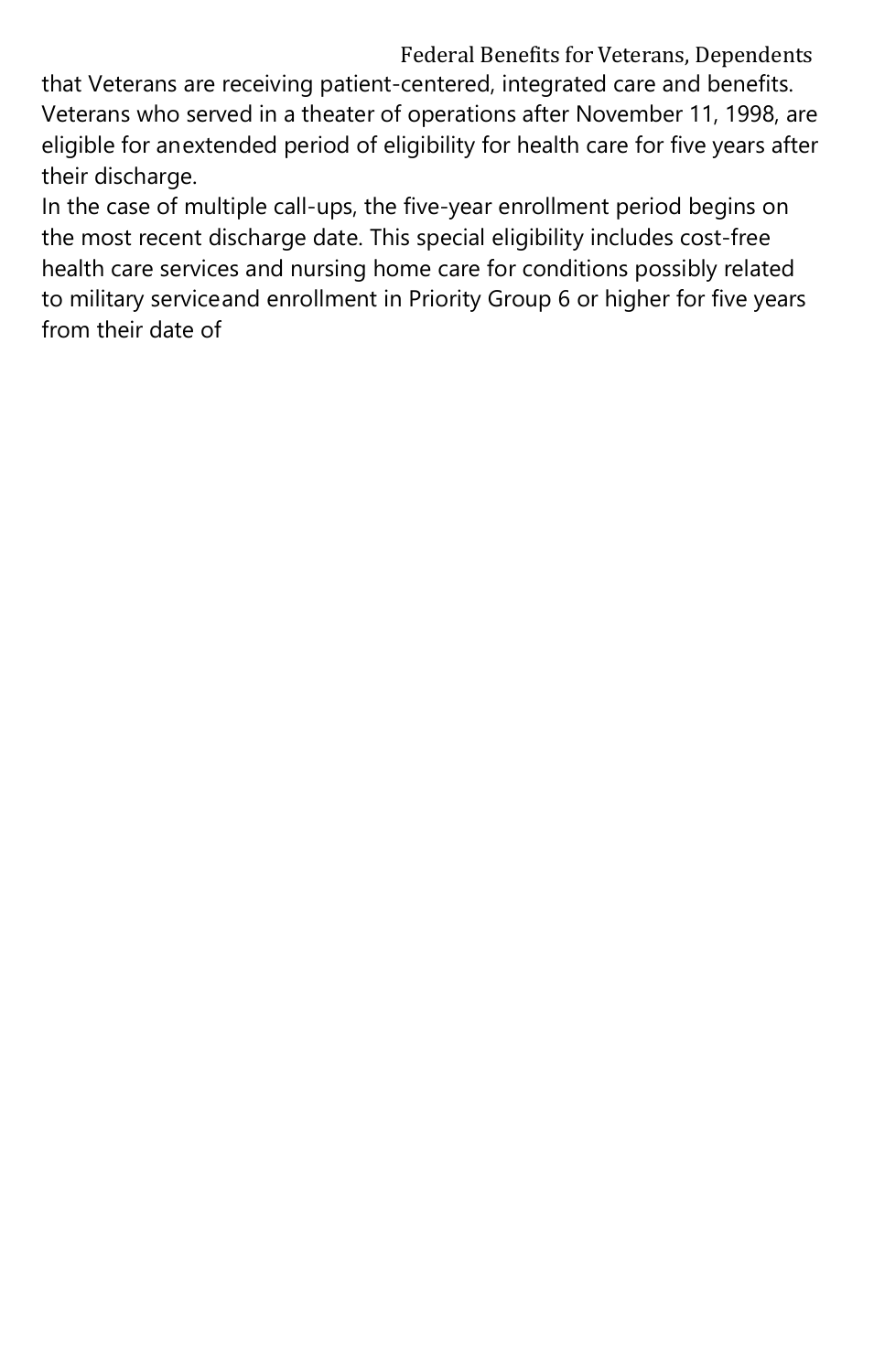Federal Benefits for Veterans, Dependents that Veterans are receiving patient-centered, integrated care and benefits. Veterans who served in a theater of operations after November 11, 1998, are eligible for anextended period of eligibility for health care for five years after their discharge.

In the case of multiple call-ups, the five-year enrollment period begins on the most recent discharge date. This special eligibility includes cost-free health care services and nursing home care for conditions possibly related to military serviceand enrollment in Priority Group 6 or higher for five years from their date of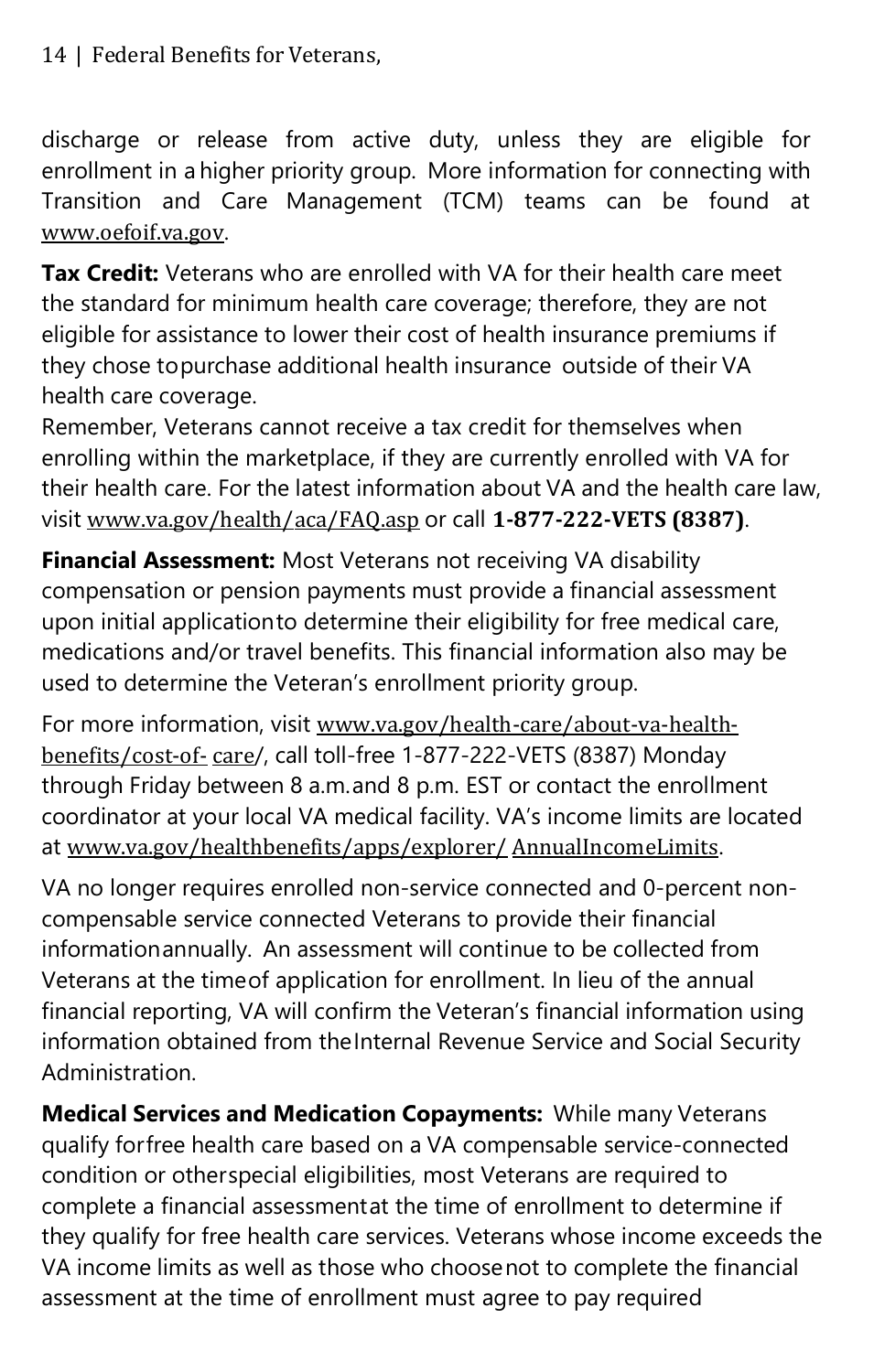## 14 | Federal Benefits for Veterans,

discharge or release from active duty, unless they are eligible for enrollment in a higher priority group. More information for connecting with Transition and Care Management (TCM) teams can be found at www.oefoif.va.gov.

**Tax Credit:** Veterans who are enrolled with VA for their health care meet the standard for minimum health care coverage; therefore, they are not eligible for assistance to lower their cost of health insurance premiums if they chose topurchase additional health insurance outside of their VA health care coverage.

Remember, Veterans cannot receive a tax credit for themselves when enrolling within the marketplace, if they are currently enrolled with VA for their health care. For the latest information about VA and the health care law, visit www.va.gov/health/aca/FAQ.asp or call **1-877-222-VETS (8387)**.

**Financial Assessment:** Most Veterans not receiving VA disability compensation or pension payments must provide a financial assessment upon initial applicationto determine their eligibility for free medical care, medications and/or travel benefits. This financial information also may be used to determine the Veteran's enrollment priority group.

For more information, visit www.va.gov/health-care/about-va-healthbenefits/cost-of- care/, call toll-free 1-877-222-VETS (8387) Monday through Friday between 8 a.m.and 8 p.m. EST or contact the enrollment coordinator at your local VA medical facility. VA's income limits are located at www.va.gov/healthbenefits/apps/explorer/ AnnualIncomeLimits.

VA no longer requires enrolled non-service connected and 0-percent noncompensable service connected Veterans to provide their financial informationannually. An assessment will continue to be collected from Veterans at the timeof application for enrollment. In lieu of the annual financial reporting, VA will confirm the Veteran's financial information using information obtained from theInternal Revenue Service and Social Security Administration.

**Medical Services and Medication Copayments:** While many Veterans qualify forfree health care based on a VA compensable service-connected condition or otherspecial eligibilities, most Veterans are required to complete a financial assessmentat the time of enrollment to determine if they qualify for free health care services. Veterans whose income exceeds the VA income limits as well as those who choosenot to complete the financial assessment at the time of enrollment must agree to pay required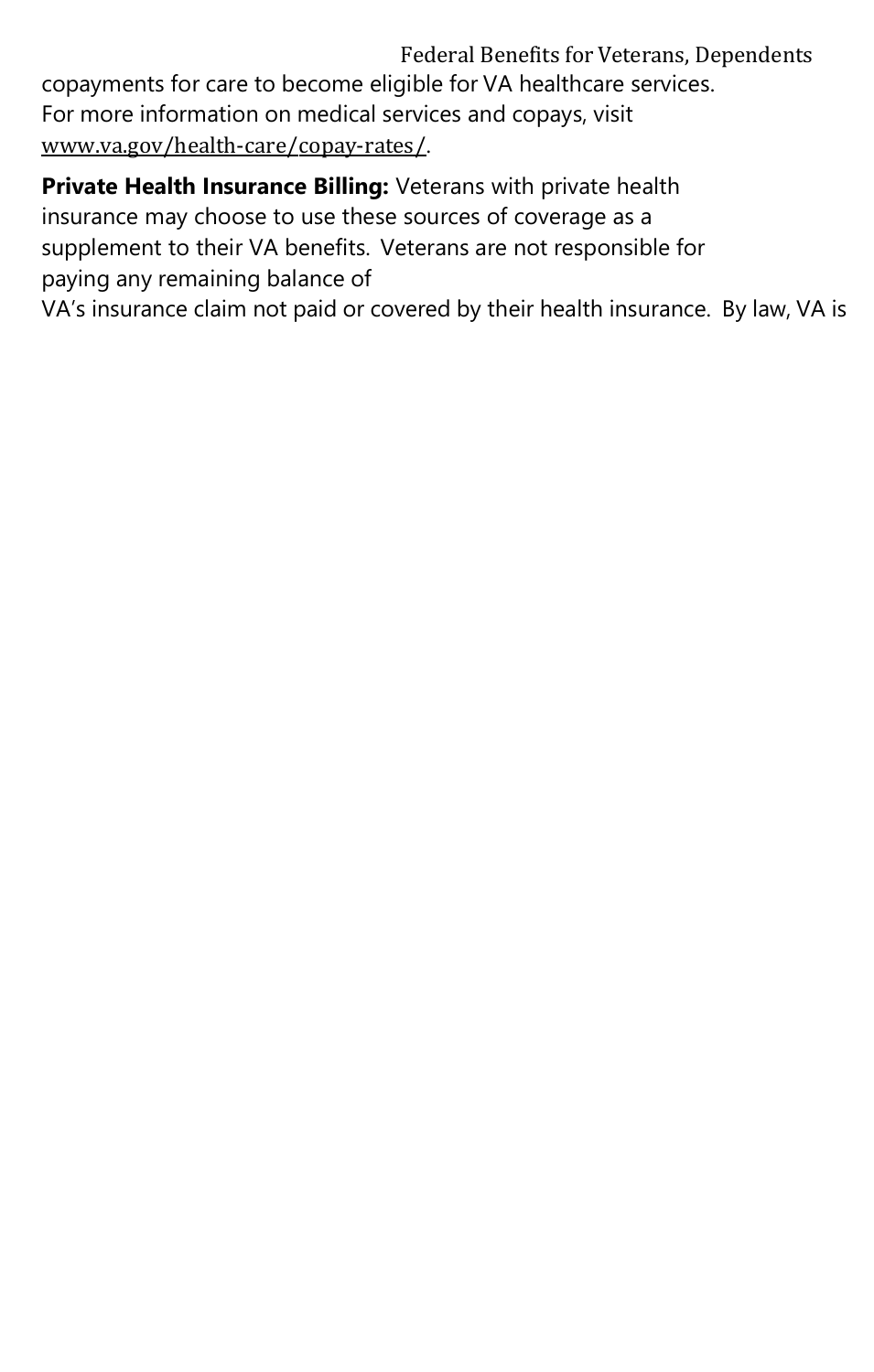Federal Benefits for Veterans, Dependents copayments for care to become eligible for VA healthcare services. For more information on medical services and copays, visit www.va.gov/health-care/copay-rates/.

**Private Health Insurance Billing:** Veterans with private health insurance may choose to use these sources of coverage as a supplement to their VA benefits. Veterans are not responsible for paying any remaining balance of

VA's insurance claim not paid or covered by their health insurance. By law, VA is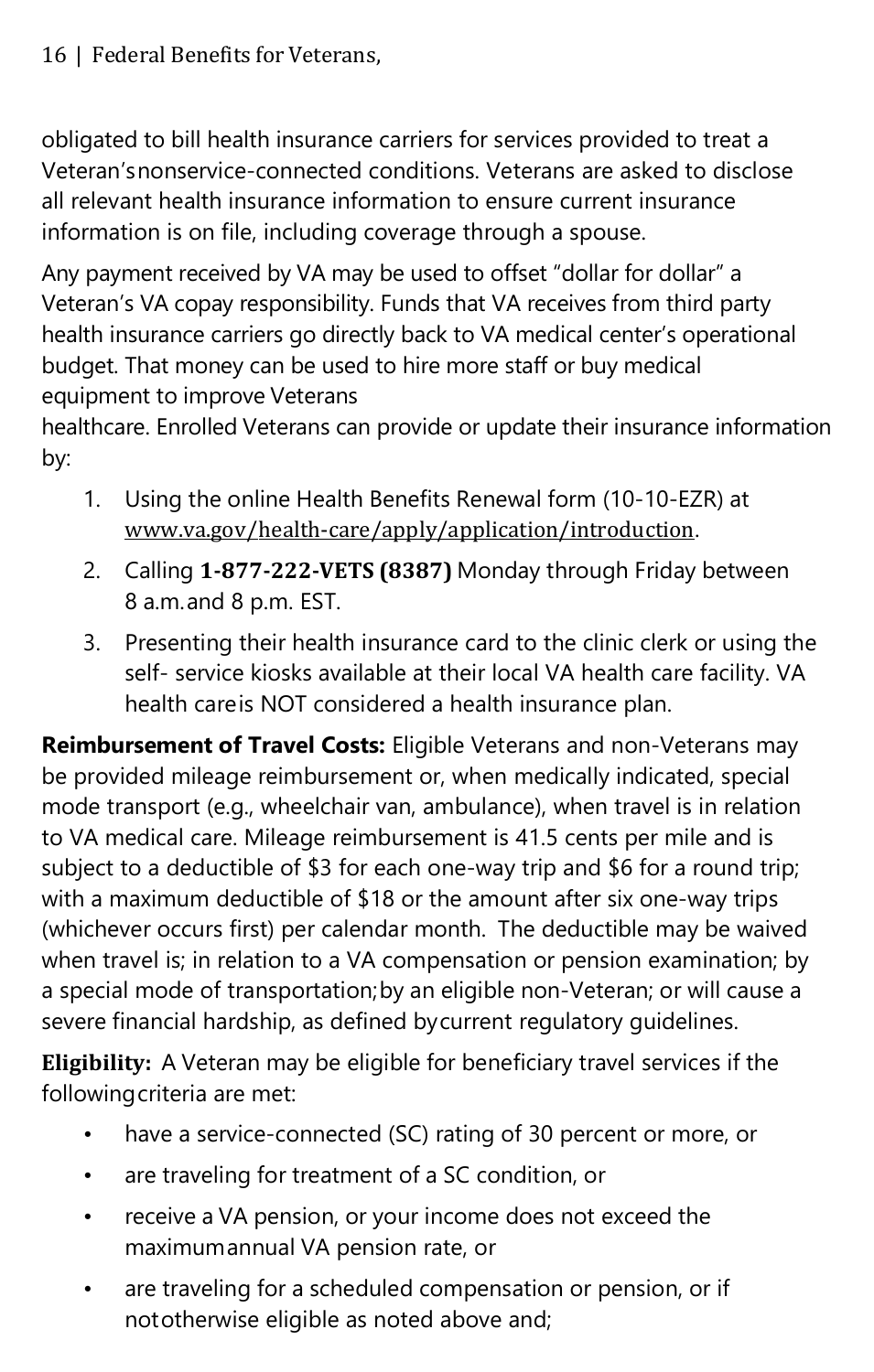obligated to bill health insurance carriers for services provided to treat a Veteran'snonservice-connected conditions. Veterans are asked to disclose all relevant health insurance information to ensure current insurance information is on file, including coverage through a spouse.

Any payment received by VA may be used to offset "dollar for dollar" a Veteran's VA copay responsibility. Funds that VA receives from third party health insurance carriers go directly back to VA medical center's operational budget. That money can be used to hire more staff or buy medical equipment to improve Veterans

healthcare. Enrolled Veterans can provide or update their insurance information by:

- 1. Using the online Health Benefits Renewal form (10-10-EZR) at www.va.gov/health-care/apply/application/introduction.
- 2. Calling **1-877-222-VETS (8387)** Monday through Friday between 8 a.m.and 8 p.m. EST.
- 3. Presenting their health insurance card to the clinic clerk or using the self- service kiosks available at their local VA health care facility. VA health careis NOT considered a health insurance plan.

**Reimbursement of Travel Costs:** Eligible Veterans and non-Veterans may be provided mileage reimbursement or, when medically indicated, special mode transport (e.g., wheelchair van, ambulance), when travel is in relation to VA medical care. Mileage reimbursement is 41.5 cents per mile and is subject to a deductible of \$3 for each one-way trip and \$6 for a round trip; with a maximum deductible of \$18 or the amount after six one-way trips (whichever occurs first) per calendar month. The deductible may be waived when travel is; in relation to a VA compensation or pension examination; by a special mode of transportation;by an eligible non-Veteran; or will cause a severe financial hardship, as defined bycurrent regulatory guidelines.

**Eligibility:** A Veteran may be eligible for beneficiary travel services if the followingcriteria are met:

- have a service-connected (SC) rating of 30 percent or more, or
- are traveling for treatment of a SC condition, or
- receive a VA pension, or your income does not exceed the maximumannual VA pension rate, or
- are traveling for a scheduled compensation or pension, or if nototherwise eligible as noted above and;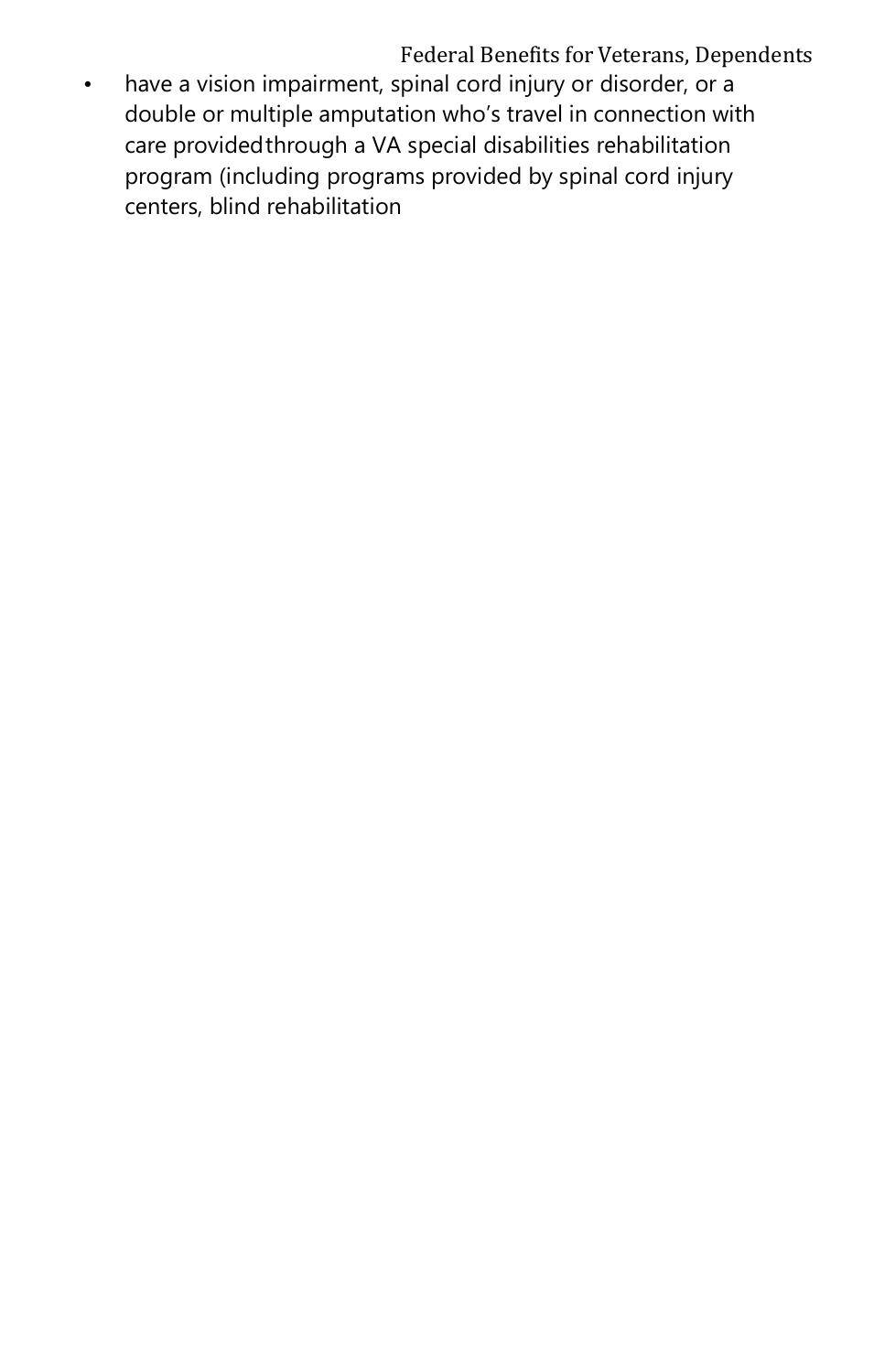Federal Benefits for Veterans, Dependents • have a vision impairment, spinal cord injury or disorder, or a double or multiple amputation who's travel in connection with care providedthrough a VA special disabilities rehabilitation program (including programs provided by spinal cord injury centers, blind rehabilitation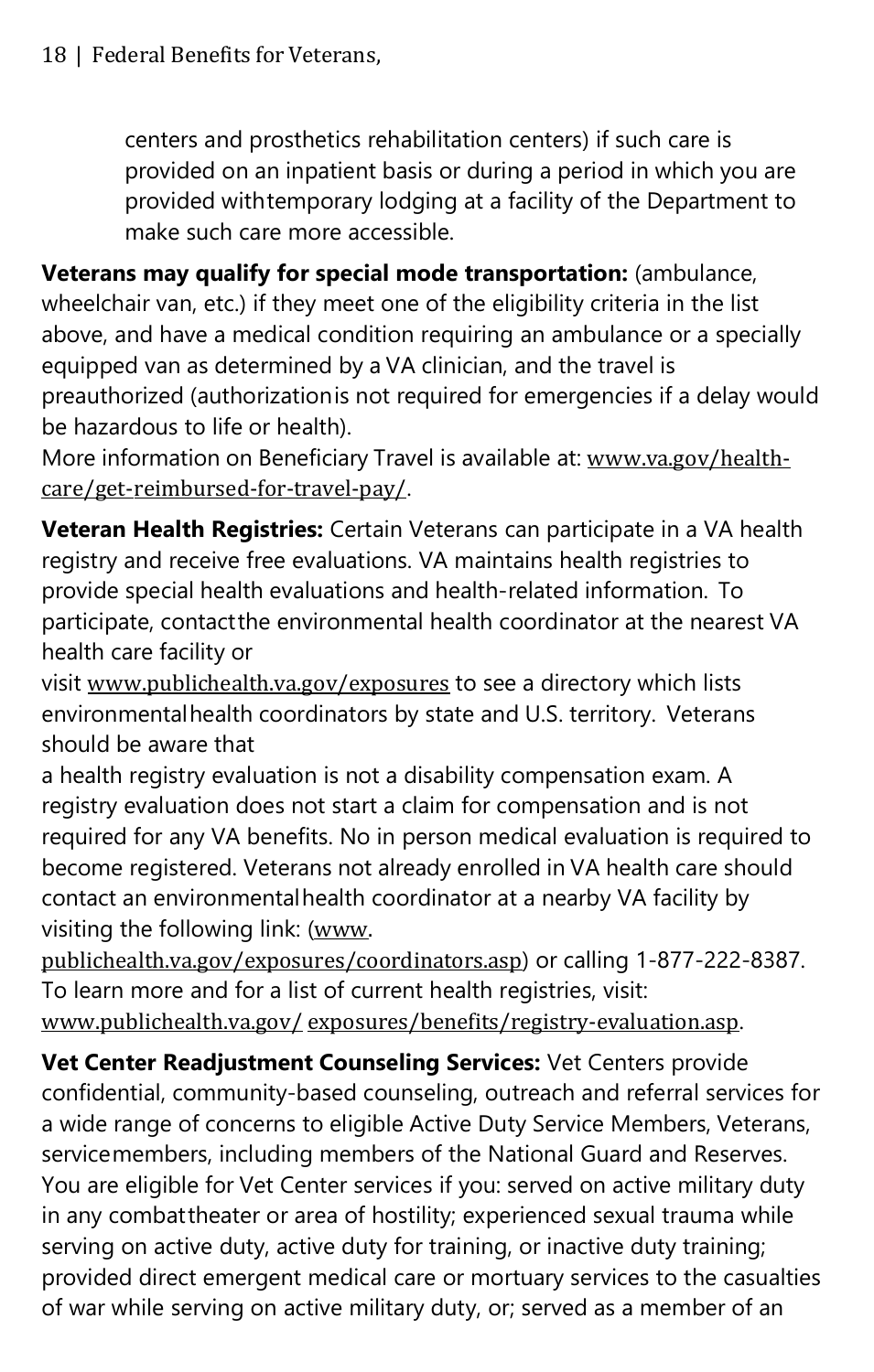centers and prosthetics rehabilitation centers) if such care is provided on an inpatient basis or during a period in which you are provided withtemporary lodging at a facility of the Department to make such care more accessible.

**Veterans may qualify for special mode transportation:** (ambulance, wheelchair van, etc.) if they meet one of the eligibility criteria in the list above, and have a medical condition requiring an ambulance or a specially equipped van as determined by a VA clinician, and the travel is preauthorized (authorizationis not required for emergencies if a delay would be hazardous to life or health).

More information on Beneficiary Travel is available at: www.va.gov/healthcare/get-reimbursed-for-travel-pay/.

**Veteran Health Registries:** Certain Veterans can participate in a VA health registry and receive free evaluations. VA maintains health registries to provide special health evaluations and health-related information. To participate, contactthe environmental health coordinator at the nearest VA health care facility or

visit www.publichealth.va.gov/exposures to see a directory which lists environmentalhealth coordinators by state and U.S. territory. Veterans should be aware that

a health registry evaluation is not a disability compensation exam. A registry evaluation does not start a claim for compensation and is not required for any VA benefits. No in person medical evaluation is required to become registered. Veterans not already enrolled in VA health care should contact an environmentalhealth coordinator at a nearby VA facility by visiting the following link: (www.

publichealth.va.gov/exposures/coordinators.asp) or calling 1-877-222-8387. To learn more and for a list of current health registries, visit: www.publichealth.va.gov/ exposures/benefits/registry-evaluation.asp.

**Vet Center Readjustment Counseling Services:** Vet Centers provide confidential, community-based counseling, outreach and referral services for a wide range of concerns to eligible Active Duty Service Members, Veterans, servicemembers, including members of the National Guard and Reserves. You are eligible for Vet Center services if you: served on active military duty in any combattheater or area of hostility; experienced sexual trauma while serving on active duty, active duty for training, or inactive duty training; provided direct emergent medical care or mortuary services to the casualties of war while serving on active military duty, or; served as a member of an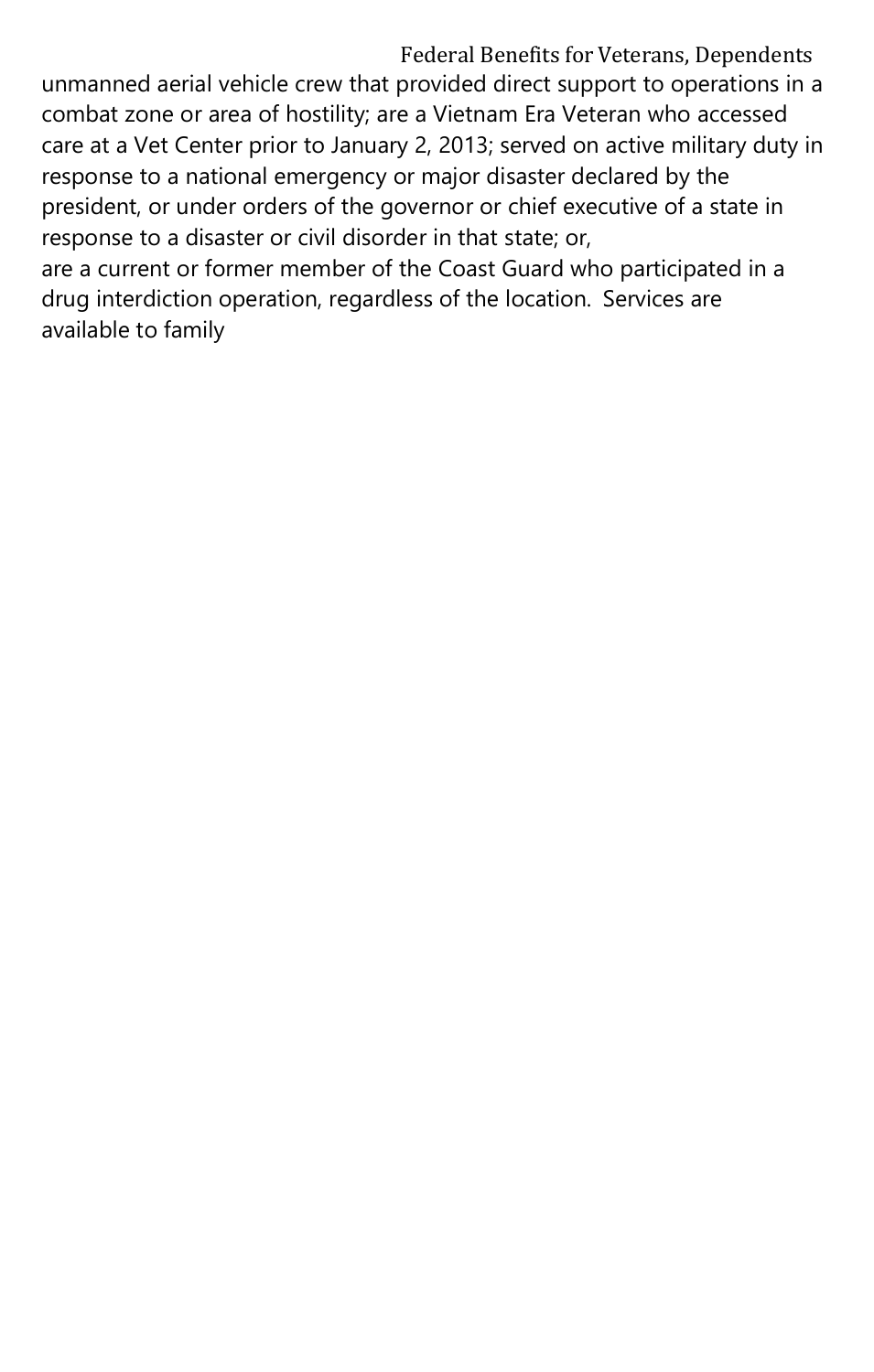Federal Benefits for Veterans, Dependents unmanned aerial vehicle crew that provided direct support to operations in a combat zone or area of hostility; are a Vietnam Era Veteran who accessed care at a Vet Center prior to January 2, 2013; served on active military duty in response to a national emergency or major disaster declared by the president, or under orders of the governor or chief executive of a state in response to a disaster or civil disorder in that state; or,

are a current or former member of the Coast Guard who participated in a drug interdiction operation, regardless of the location. Services are available to family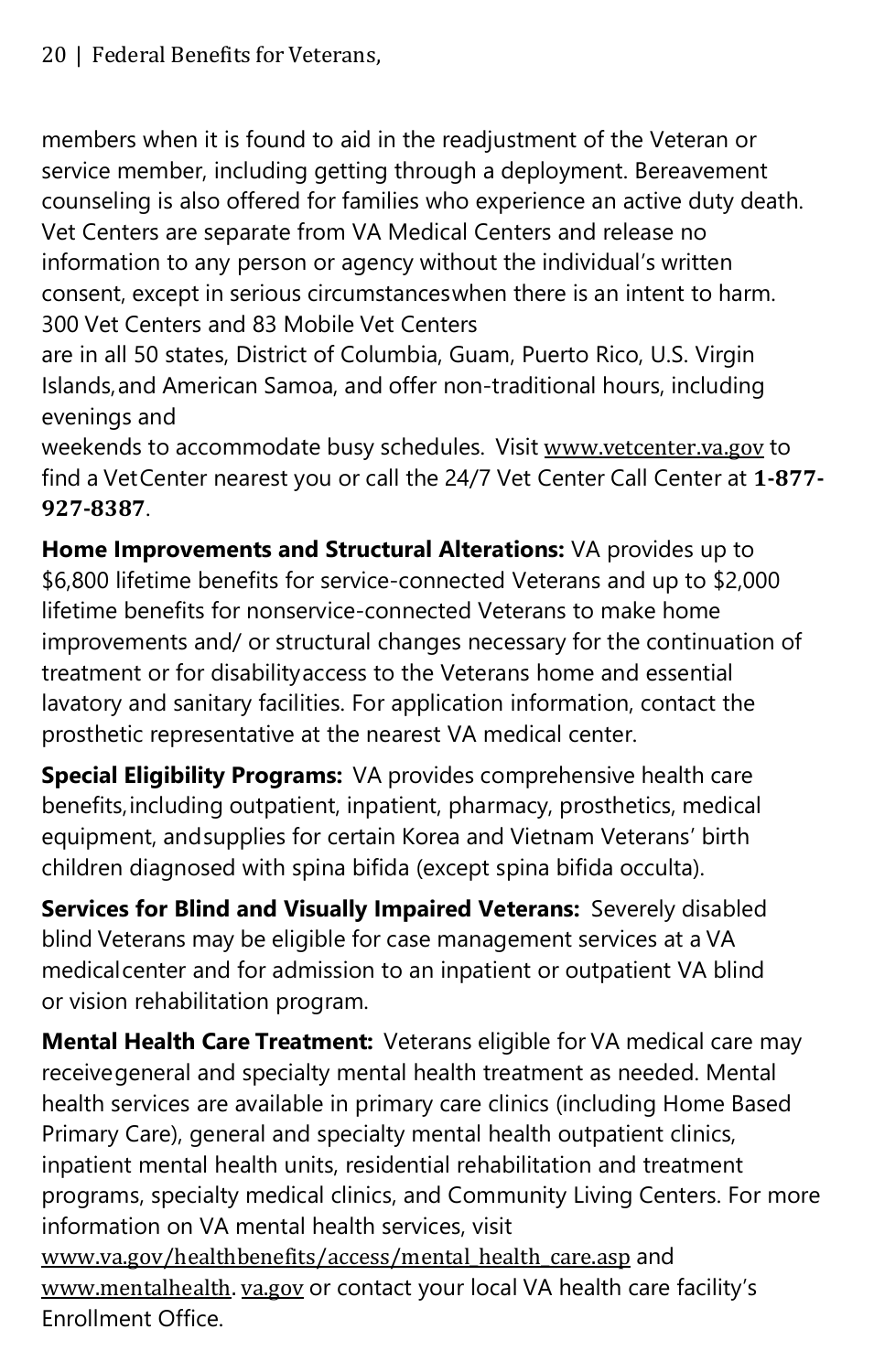## 20 | Federal Benefits for Veterans,

members when it is found to aid in the readjustment of the Veteran or service member, including getting through a deployment. Bereavement counseling is also offered for families who experience an active duty death. Vet Centers are separate from VA Medical Centers and release no information to any person or agency without the individual's written consent, except in serious circumstanceswhen there is an intent to harm. 300 Vet Centers and 83 Mobile Vet Centers

are in all 50 states, District of Columbia, Guam, Puerto Rico, U.S. Virgin Islands,and American Samoa, and offer non-traditional hours, including evenings and

weekends to accommodate busy schedules. Visit www.vetcenter.va.gov to find a VetCenter nearest you or call the 24/7 Vet Center Call Center at **1-877- 927-8387**.

**Home Improvements and Structural Alterations:** VA provides up to \$6,800 lifetime benefits for service-connected Veterans and up to \$2,000 lifetime benefits for nonservice-connected Veterans to make home improvements and/ or structural changes necessary for the continuation of treatment or for disabilityaccess to the Veterans home and essential lavatory and sanitary facilities. For application information, contact the prosthetic representative at the nearest VA medical center.

**Special Eligibility Programs:** VA provides comprehensive health care benefits,including outpatient, inpatient, pharmacy, prosthetics, medical equipment, andsupplies for certain Korea and Vietnam Veterans' birth children diagnosed with spina bifida (except spina bifida occulta).

**Services for Blind and Visually Impaired Veterans:** Severely disabled blind Veterans may be eligible for case management services at a VA medicalcenter and for admission to an inpatient or outpatient VA blind or vision rehabilitation program.

**Mental Health Care Treatment:** Veterans eligible for VA medical care may receivegeneral and specialty mental health treatment as needed. Mental health services are available in primary care clinics (including Home Based Primary Care), general and specialty mental health outpatient clinics, inpatient mental health units, residential rehabilitation and treatment programs, specialty medical clinics, and Community Living Centers. For more information on VA mental health services, visit www.va.gov/healthbenefits/access/mental\_health\_care.asp and www.mentalhealth. va.gov or contact your local VA health care facility's

Enrollment Office.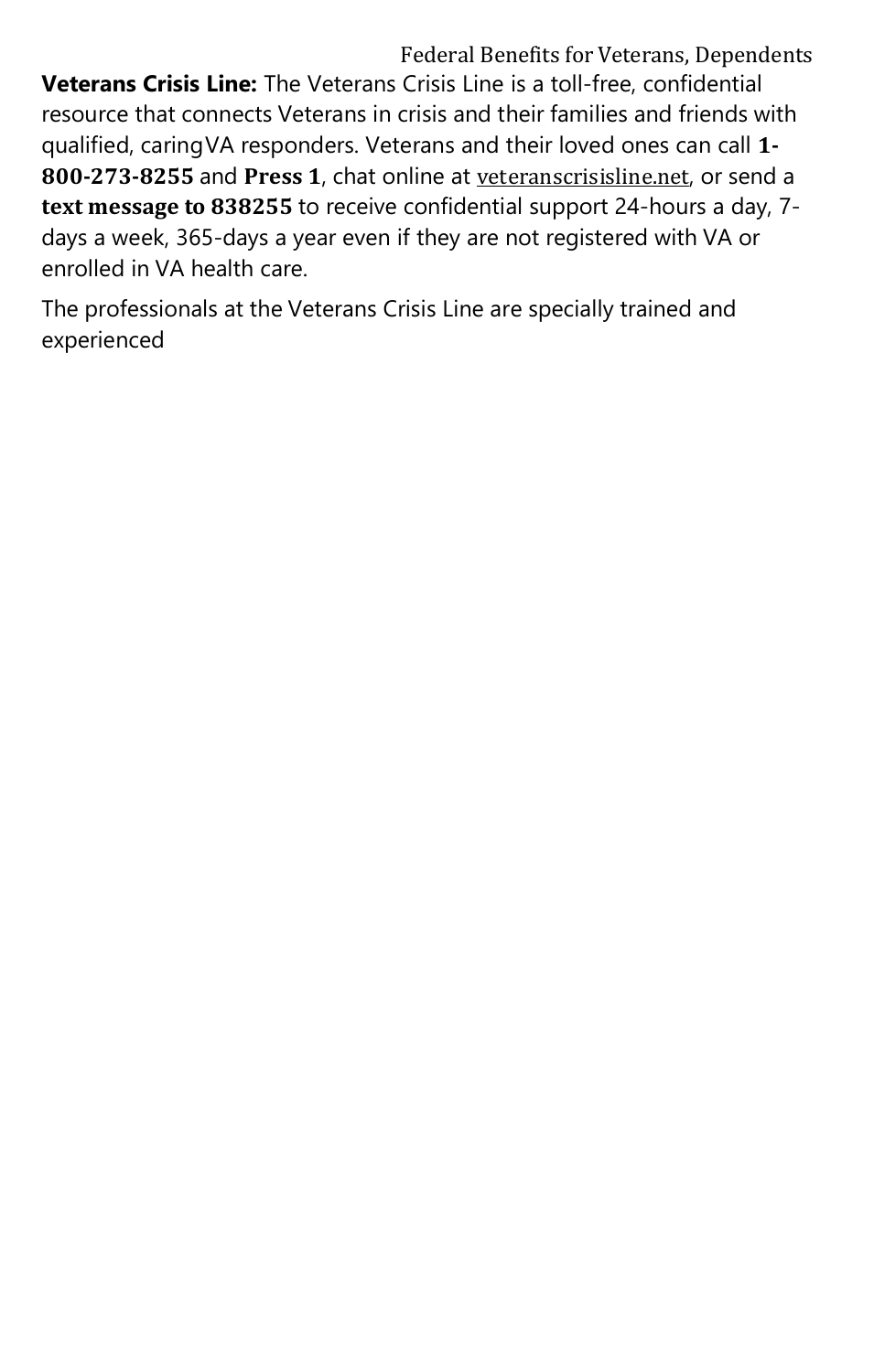Federal Benefits for Veterans, Dependents **Veterans Crisis Line:** The Veterans Crisis Line is a toll -free, confidential resource that connects Veterans in crisis and their families and friends with qualified, caringVA responders. Veterans and their loved ones can call **1- 800-273-8255** and **Press 1**, chat online at veteranscrisisline.net, or send a **text message to 838255** to receive confidential support 24-hours a day, 7 days a week, 365-days a year even if they are not registered with VA or enrolled in VA health care.

The professionals at the Veterans Crisis Line are specially trained and experienced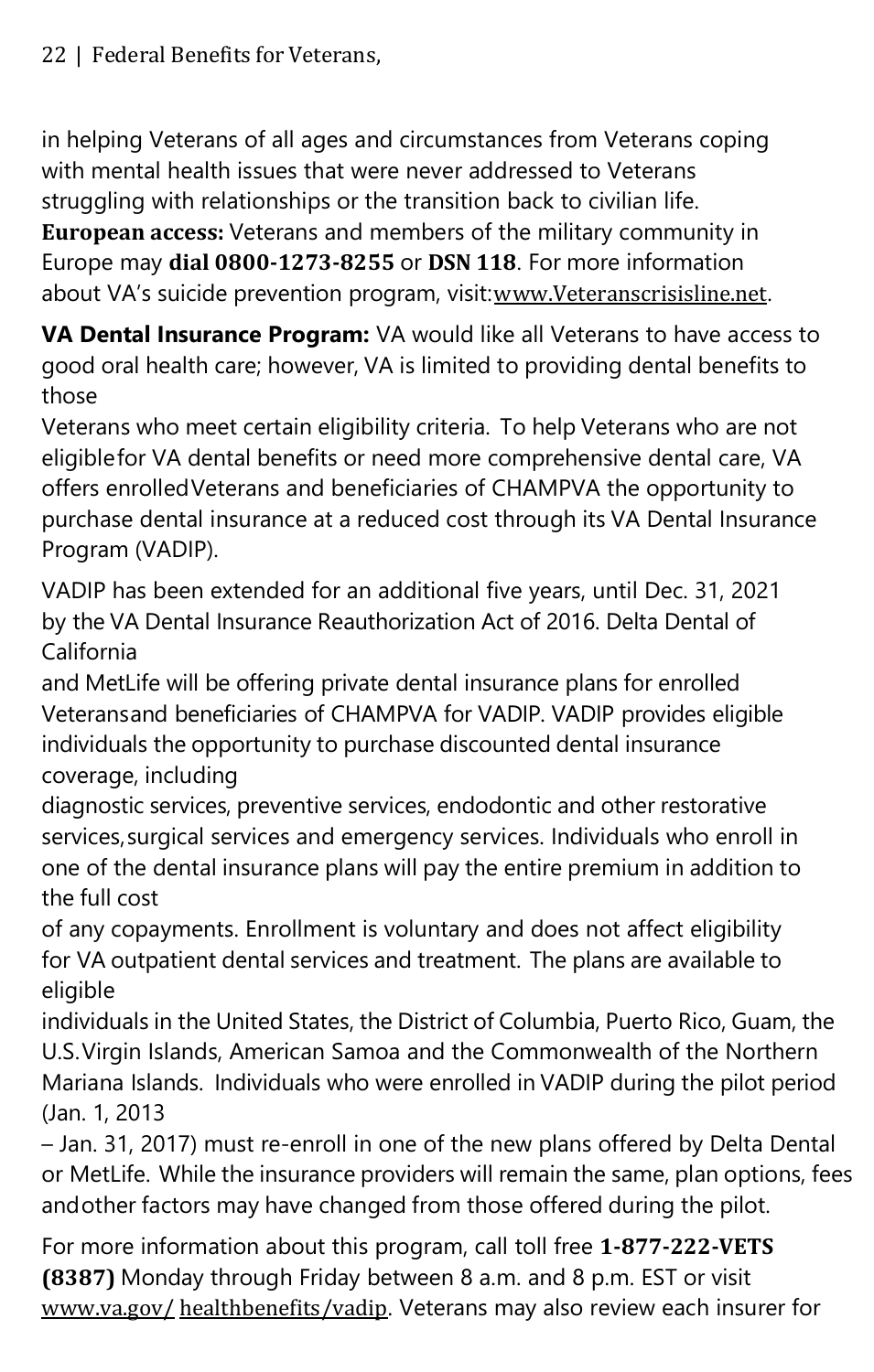in helping Veterans of all ages and circumstances from Veterans coping with mental health issues that were never addressed to Veterans struggling with relationships or the transition back to civilian life.

**European access:** Veterans and members of the military community in Europe may **dial 0800-1273-8255** or **DSN 118**. For more information about VA's suicide prevention program, visit: www. Veteranscrisisline.net.

**VA Dental Insurance Program:** VA would like all Veterans to have access to good oral health care; however, VA is limited to providing dental benefits to those

Veterans who meet certain eligibility criteria. To help Veterans who are not eligiblefor VA dental benefits or need more comprehensive dental care, VA offers enrolledVeterans and beneficiaries of CHAMPVA the opportunity to purchase dental insurance at a reduced cost through its VA Dental Insurance Program (VADIP).

VADIP has been extended for an additional five years, until Dec. 31, 2021 by the VA Dental Insurance Reauthorization Act of 2016. Delta Dental of California

and MetLife will be offering private dental insurance plans for enrolled Veteransand beneficiaries of CHAMPVA for VADIP. VADIP provides eligible individuals the opportunity to purchase discounted dental insurance coverage, including

diagnostic services, preventive services, endodontic and other restorative services,surgical services and emergency services. Individuals who enroll in one of the dental insurance plans will pay the entire premium in addition to the full cost

of any copayments. Enrollment is voluntary and does not affect eligibility for VA outpatient dental services and treatment. The plans are available to eligible

individuals in the United States, the District of Columbia, Puerto Rico, Guam, the U.S.Virgin Islands, American Samoa and the Commonwealth of the Northern Mariana Islands. Individuals who were enrolled in VADIP during the pilot period (Jan. 1, 2013

– Jan. 31, 2017) must re-enroll in one of the new plans offered by Delta Dental or MetLife. While the insurance providers will remain the same, plan options, fees andother factors may have changed from those offered during the pilot.

For more information about this program, call toll free **1-877-222-VETS (8387)** Monday through Friday between 8 a.m. and 8 p.m. EST or visit www.va.gov/ healthbenefits/vadip. Veterans may also review each insurer for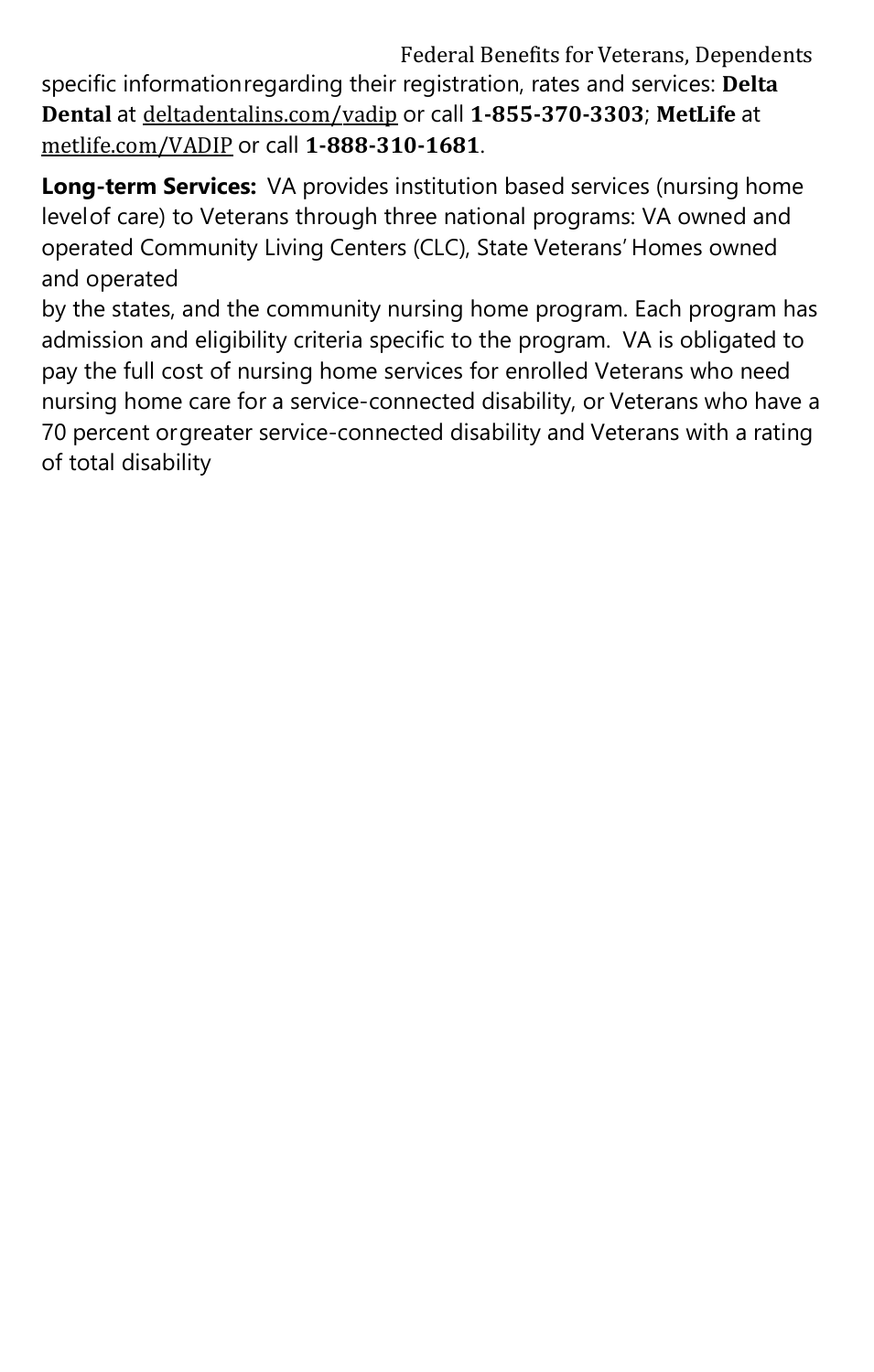Federal Benefits for Veterans, Dependents specific informationregarding their registration, rates and services: **Delta Dental** at deltadentalins.com/vadip or call **1-855-370-3303**; **MetLife** at metlife.com/VADIP or call **1-888-310-1681**.

**Long-term Services:** VA provides institution based services (nursing home levelof care) to Veterans through three national programs: VA owned and operated Community Living Centers (CLC), State Veterans' Homes owned and operated

by the states, and the community nursing home program. Each program has admission and eligibility criteria specific to the program. VA is obligated to pay the full cost of nursing home services for enrolled Veterans who need nursing home care for a service-connected disability, or Veterans who have a 70 percent orgreater service-connected disability and Veterans with a rating of total disability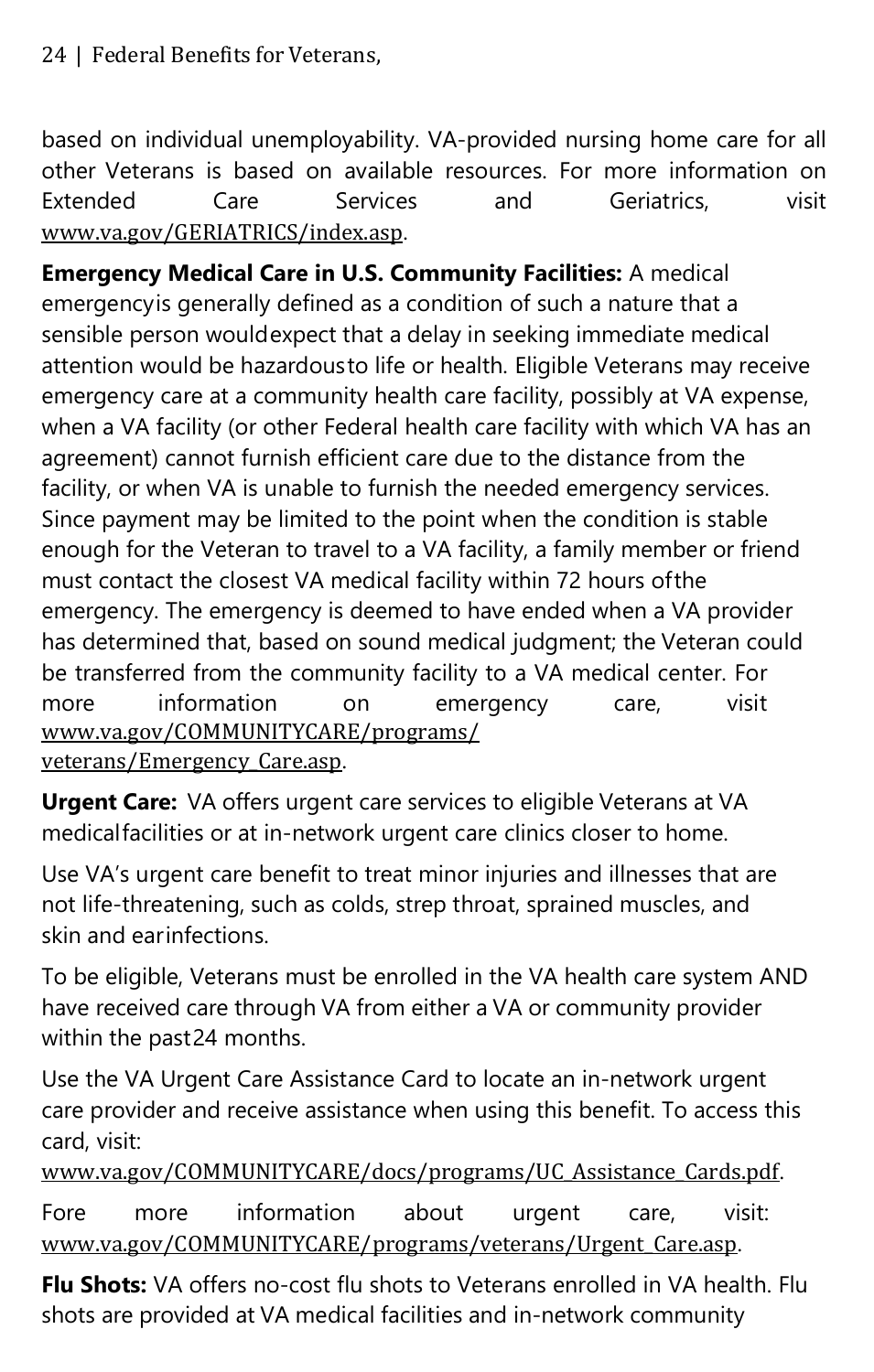## 24 | Federal Benefits for Veterans,

based on individual unemployability. VA-provided nursing home care for all other Veterans is based on available resources. For more information on Extended Care Services and Geriatrics, visit www.va.gov/GERIATRICS/index.asp.

**Emergency Medical Care in U.S. Community Facilities:** A medical emergencyis generally defined as a condition of such a nature that a sensible person wouldexpect that a delay in seeking immediate medical attention would be hazardousto life or health. Eligible Veterans may receive emergency care at a community health care facility, possibly at VA expense, when a VA facility (or other Federal health care facility with which VA has an agreement) cannot furnish efficient care due to the distance from the facility, or when VA is unable to furnish the needed emergency services. Since payment may be limited to the point when the condition is stable enough for the Veteran to travel to a VA facility, a family member or friend must contact the closest VA medical facility within 72 hours ofthe emergency. The emergency is deemed to have ended when a VA provider has determined that, based on sound medical judgment; the Veteran could be transferred from the community facility to a VA medical center. For more information on emergency care, visit www.va.gov/COMMUNITYCARE/programs/ veterans/Emergency\_Care.asp.

**Urgent Care:** VA offers urgent care services to eligible Veterans at VA medicalfacilities or at in-network urgent care clinics closer to home.

Use VA's urgent care benefit to treat minor injuries and illnesses that are not life-threatening, such as colds, strep throat, sprained muscles, and skin and earinfections.

To be eligible, Veterans must be enrolled in the VA health care system AND have received care through VA from either a VA or community provider within the past24 months.

Use the VA Urgent Care Assistance Card to locate an in-network urgent care provider and receive assistance when using this benefit. To access this card, visit:

www.va.gov/COMMUNITYCARE/docs/programs/UC\_Assistance\_Cards.pdf.

Fore more information about urgent care, visit: www.va.gov/COMMUNITYCARE/programs/veterans/Urgent\_Care.asp.

**Flu Shots:** VA offers no-cost flu shots to Veterans enrolled in VA health. Flu shots are provided at VA medical facilities and in-network community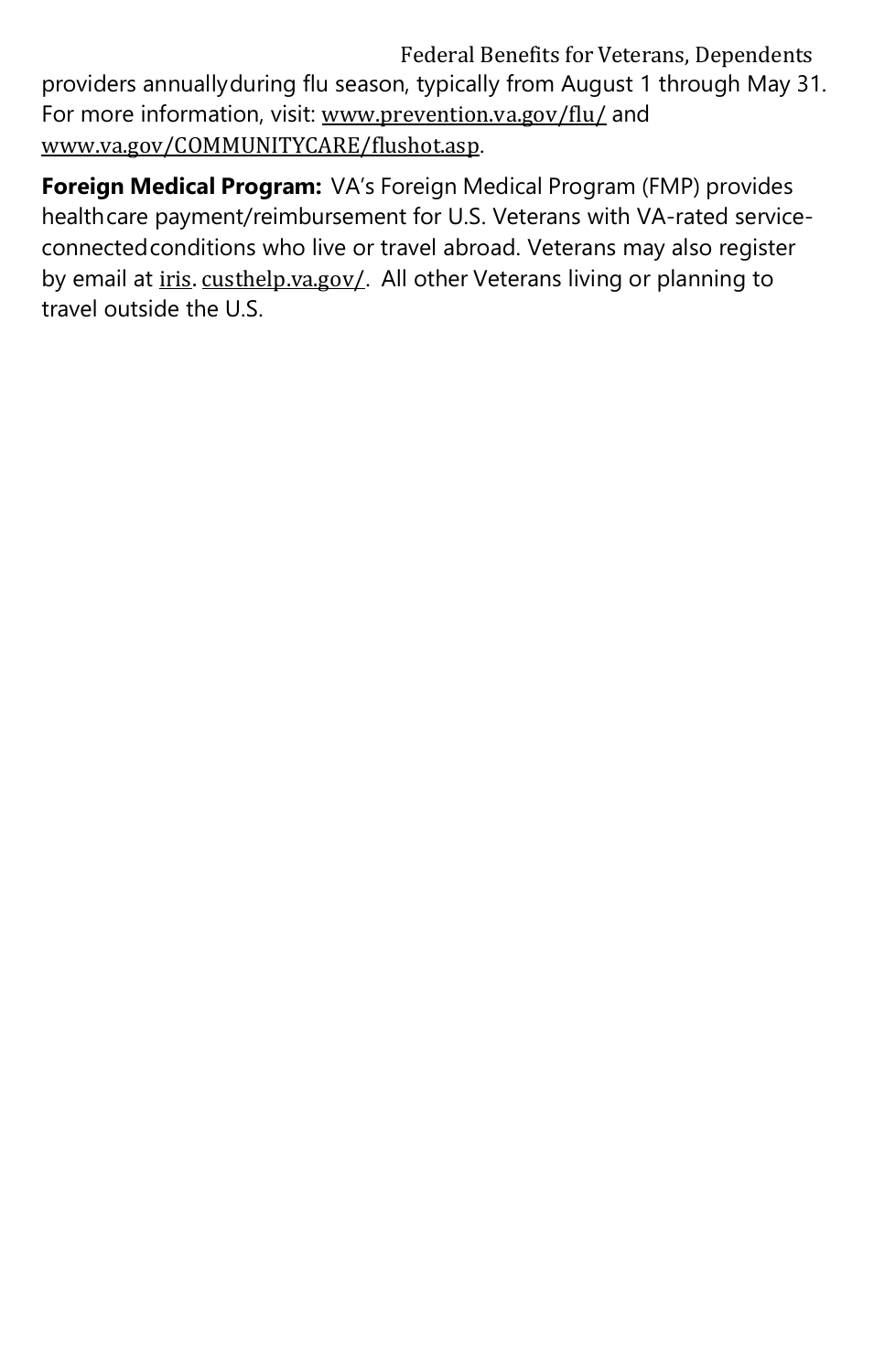Federal Benefits for Veterans, Dependents providers annuallyduring flu season, typically from August 1 through May 31. For more information, visit: www.prevention.va.gov/flu/ and www.va.gov/COMMUNITYCARE/flushot.asp.

**Foreign Medical Program:** VA's Foreign Medical Program (FMP) provides healthcare payment/reimbursement for U.S. Veterans with VA-rated serviceconnectedconditions who live or travel abroad. Veterans may also register by email at iris. custhelp.va.gov/. All other Veterans living or planning to travel outside the U.S.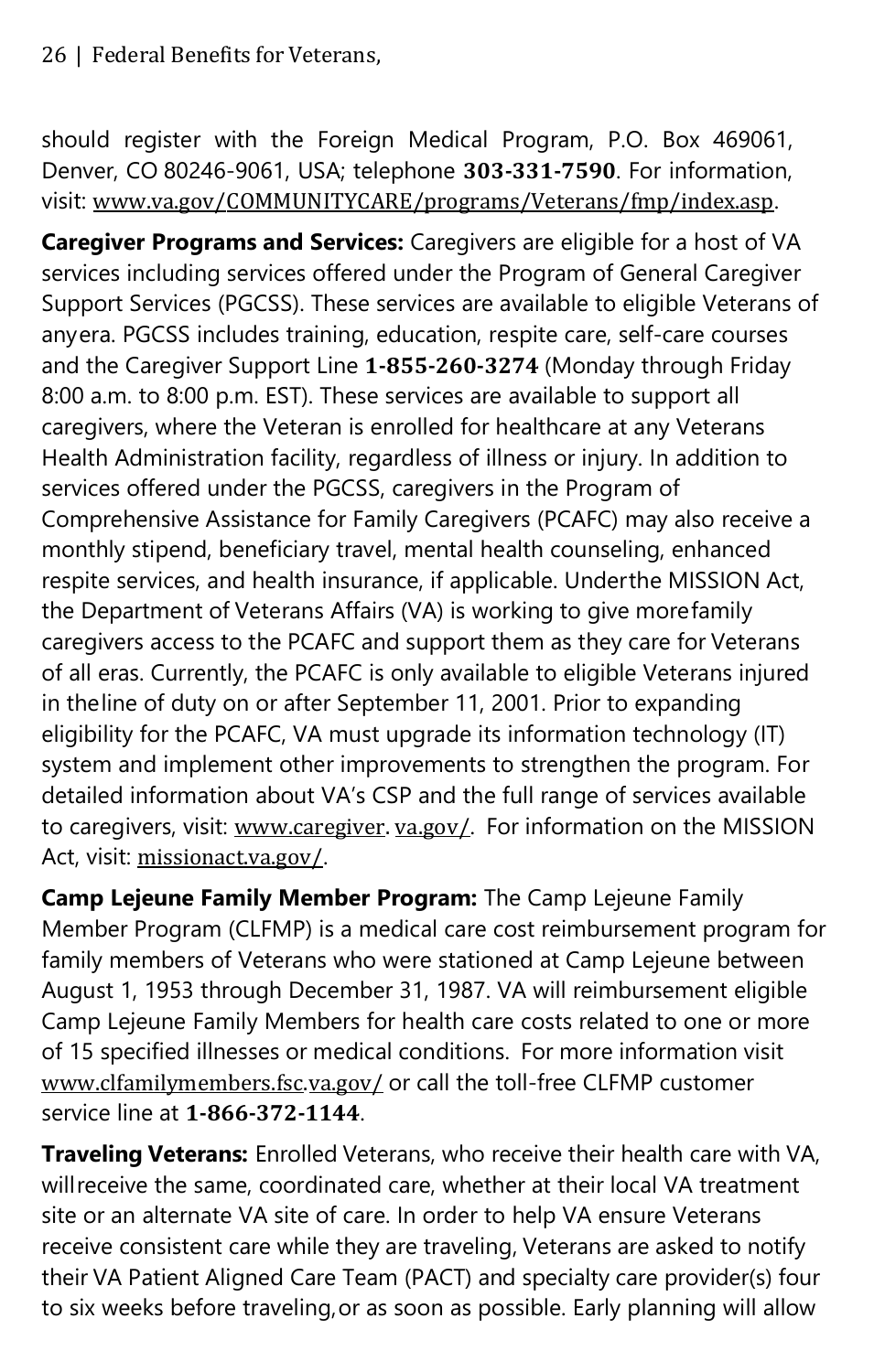should register with the Foreign Medical Program, P.O. Box 469061, Denver, CO 80246-9061, USA; telephone **303-331-7590**. For information, visit: www.va.gov/COMMUNITYCARE/programs/Veterans/fmp/index.asp.

**Caregiver Programs and Services:** Caregivers are eligible for a host of VA services including services offered under the Program of General Caregiver Support Services (PGCSS). These services are available to eligible Veterans of anyera. PGCSS includes training, education, respite care, self-care courses and the Caregiver Support Line **1-855-260-3274** (Monday through Friday 8:00 a.m. to 8:00 p.m. EST). These services are available to support all caregivers, where the Veteran is enrolled for healthcare at any Veterans Health Administration facility, regardless of illness or injury. In addition to services offered under the PGCSS, caregivers in the Program of Comprehensive Assistance for Family Caregivers (PCAFC) may also receive a monthly stipend, beneficiary travel, mental health counseling, enhanced respite services, and health insurance, if applicable. Underthe MISSION Act, the Department of Veterans Affairs (VA) is working to give morefamily caregivers access to the PCAFC and support them as they care for Veterans of all eras. Currently, the PCAFC is only available to eligible Veterans injured in theline of duty on or after September 11, 2001. Prior to expanding eligibility for the PCAFC, VA must upgrade its information technology (IT) system and implement other improvements to strengthen the program. For detailed information about VA's CSP and the full range of services available to caregivers, visit: www.caregiver. va.gov/. For information on the MISSION Act, visit: missionact.va.gov/.

**Camp Lejeune Family Member Program:** The Camp Lejeune Family Member Program (CLFMP) is a medical care cost reimbursement program for family members of Veterans who were stationed at Camp Lejeune between August 1, 1953 through December 31, 1987. VA will reimbursement eligible Camp Lejeune Family Members for health care costs related to one or more of 15 specified illnesses or medical conditions. For more information visit www.clfamilymembers.fsc.va.gov/ or call the toll-free CLFMP customer service line at **1-866-372-1144**.

**Traveling Veterans:** Enrolled Veterans, who receive their health care with VA, willreceive the same, coordinated care, whether at their local VA treatment site or an alternate VA site of care. In order to help VA ensure Veterans receive consistent care while they are traveling, Veterans are asked to notify their VA Patient Aligned Care Team (PACT) and specialty care provider(s) four to six weeks before traveling,or as soon as possible. Early planning will allow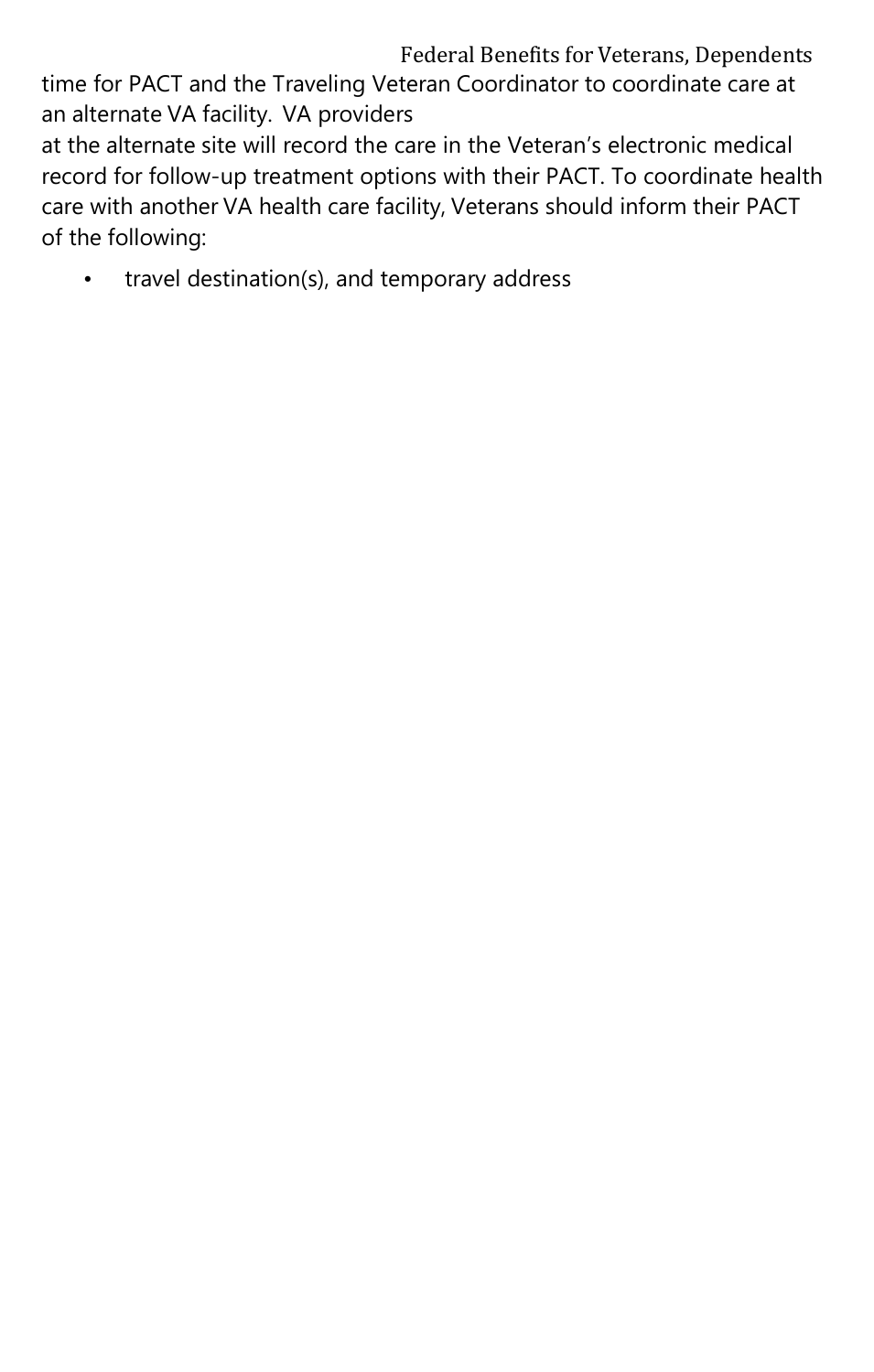Federal Benefits for Veterans, Dependents time for PACT and the Traveling Veteran Coordinator to coordinate care at an alternate VA facility. VA providers

at the alternate site will record the care in the Veteran's electronic medical record for follow-up treatment options with their PACT. To coordinate health care with another VA health care facility, Veterans should inform their PACT of the following:

• travel destination(s), and temporary address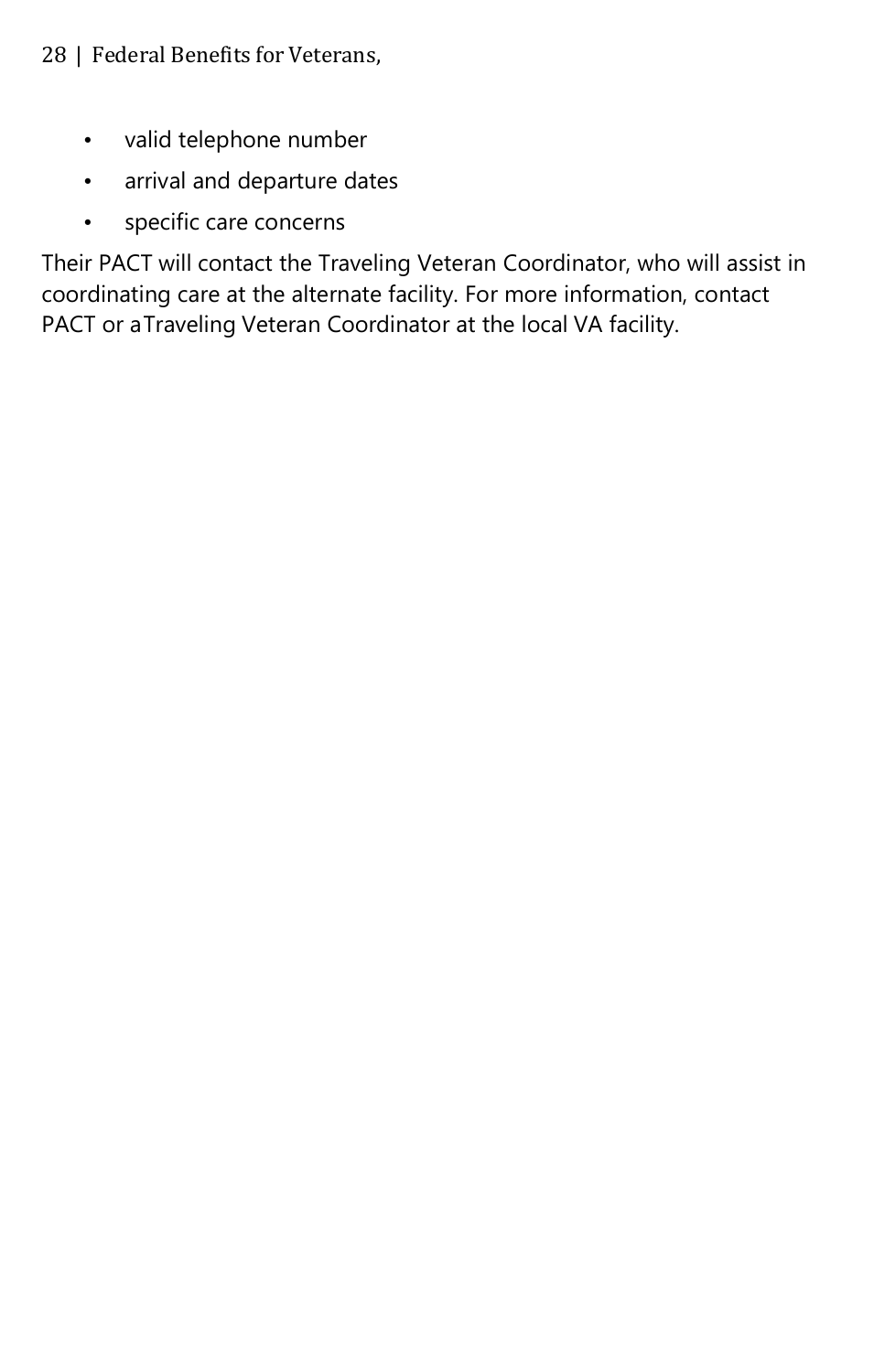- valid telephone number
- arrival and departure dates
- specific care concerns

Their PACT will contact the Traveling Veteran Coordinator, who will assist in coordinating care at the alternate facility. For more information, contact PACT or aTraveling Veteran Coordinator at the local VA facility.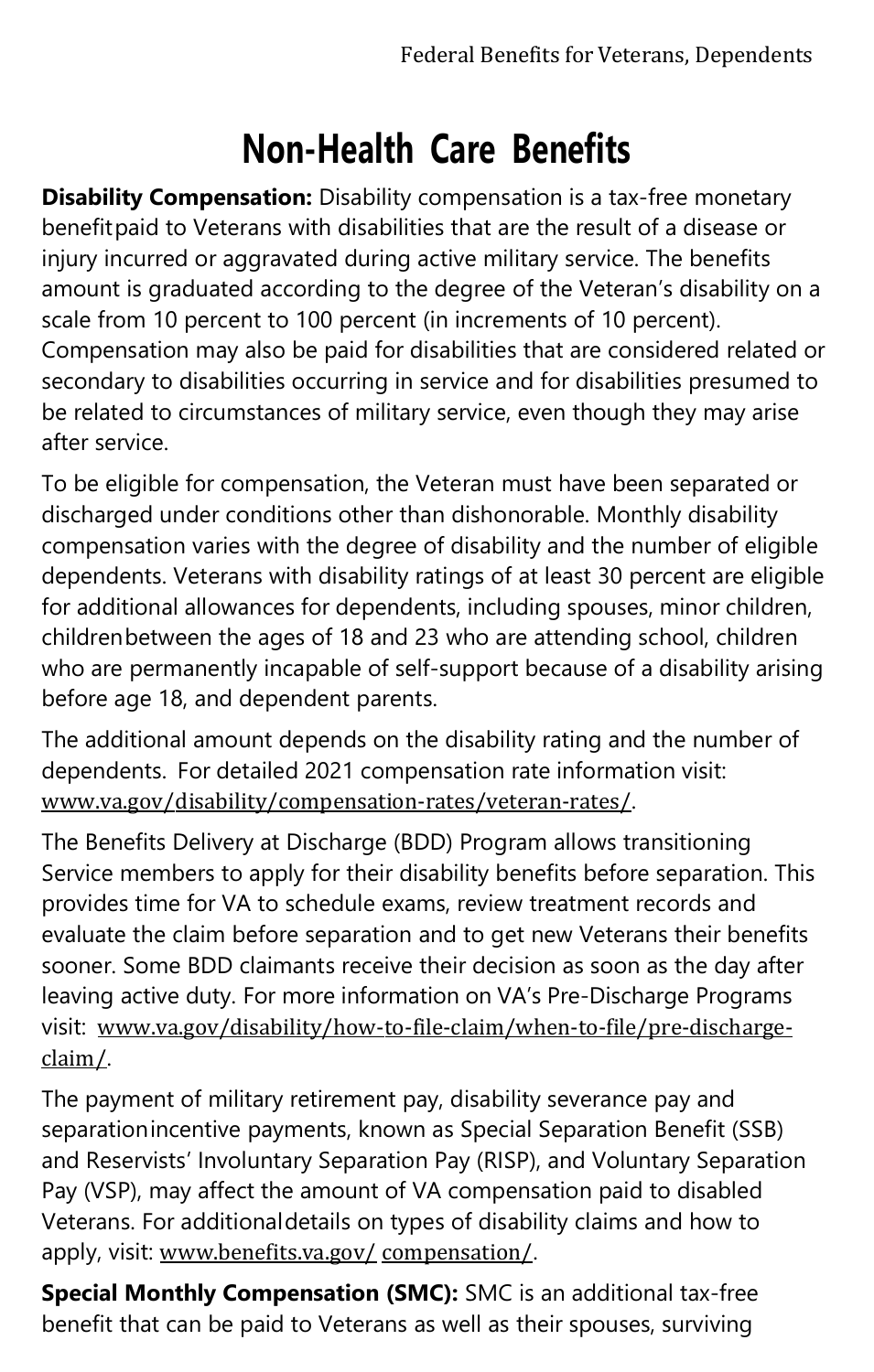## **Non-Health Care Benefits**

**Disability Compensation:** Disability compensation is a tax-free monetary benefitpaid to Veterans with disabilities that are the result of a disease or injury incurred or aggravated during active military service. The benefits amount is graduated according to the degree of the Veteran's disability on a scale from 10 percent to 100 percent (in increments of 10 percent). Compensation may also be paid for disabilities that are considered related or secondary to disabilities occurring in service and for disabilities presumed to be related to circumstances of military service, even though they may arise after service.

To be eligible for compensation, the Veteran must have been separated or discharged under conditions other than dishonorable. Monthly disability compensation varies with the degree of disability and the number of eligible dependents. Veterans with disability ratings of at least 30 percent are eligible for additional allowances for dependents, including spouses, minor children, childrenbetween the ages of 18 and 23 who are attending school, children who are permanently incapable of self-support because of a disability arising before age 18, and dependent parents.

The additional amount depends on the disability rating and the number of dependents. For detailed 2021 compensation rate information visit: www.va.gov/disability/compensation-rates/veteran-rates/.

The Benefits Delivery at Discharge (BDD) Program allows transitioning Service members to apply for their disability benefits before separation. This provides time for VA to schedule exams, review treatment records and evaluate the claim before separation and to get new Veterans their benefits sooner. Some BDD claimants receive their decision as soon as the day after leaving active duty. For more information on VA's Pre-Discharge Programs visit: www.va.gov/disability/how-to-file-claim/when-to-file/pre-dischargeclaim/.

The payment of military retirement pay, disability severance pay and separationincentive payments, known as Special Separation Benefit (SSB) and Reservists' Involuntary Separation Pay (RISP), and Voluntary Separation Pay (VSP), may affect the amount of VA compensation paid to disabled Veterans. For additionaldetails on types of disability claims and how to apply, visit: www.benefits.va.gov/ compensation/.

**Special Monthly Compensation (SMC):** SMC is an additional tax-free benefit that can be paid to Veterans as well as their spouses, surviving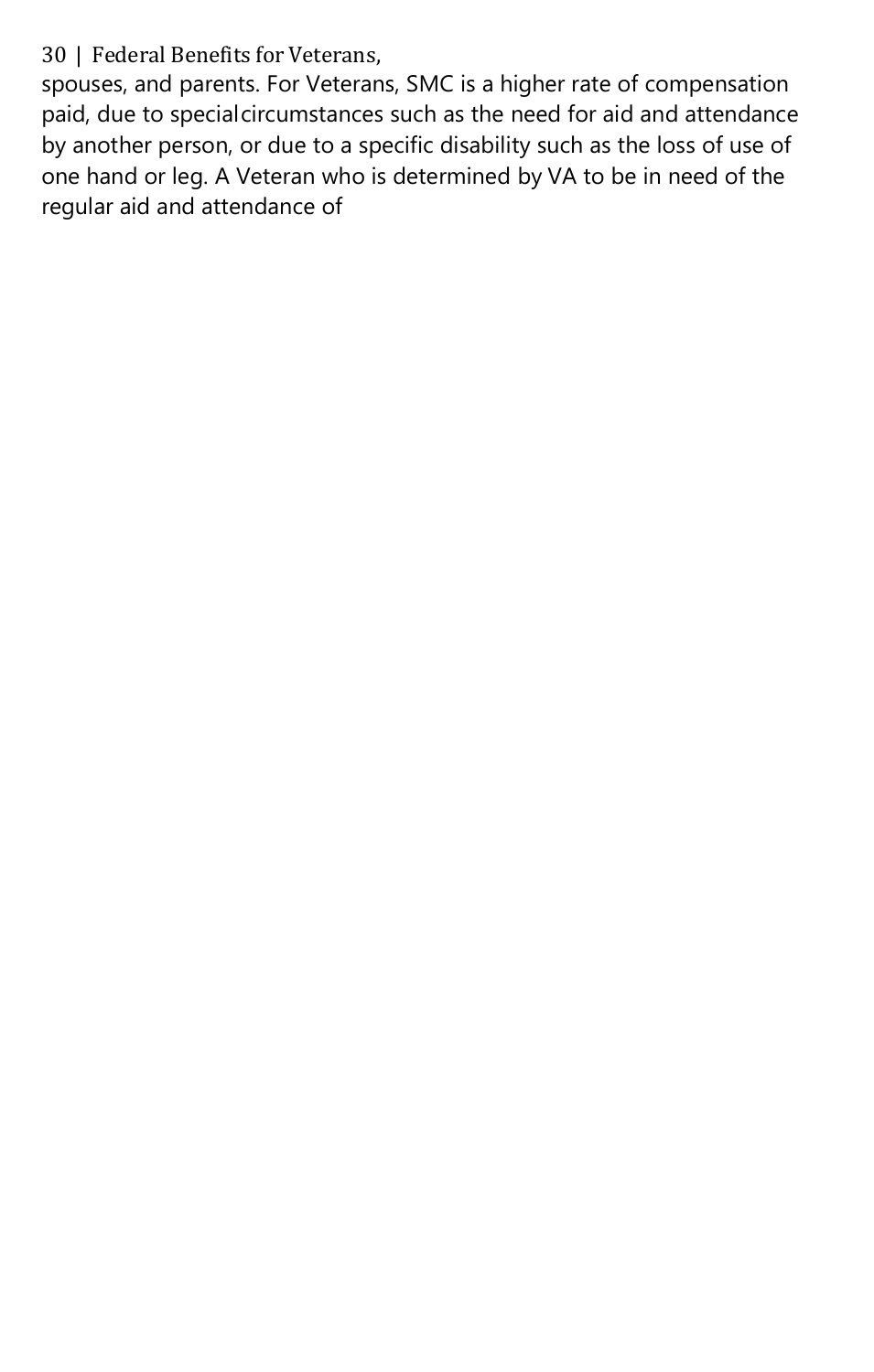spouses, and parents. For Veterans, SMC is a higher rate of compensation paid, due to specialcircumstances such as the need for aid and attendance by another person, or due to a specific disability such as the loss of use of one hand or leg. A Veteran who is determined by VA to be in need of the regular aid and attendance of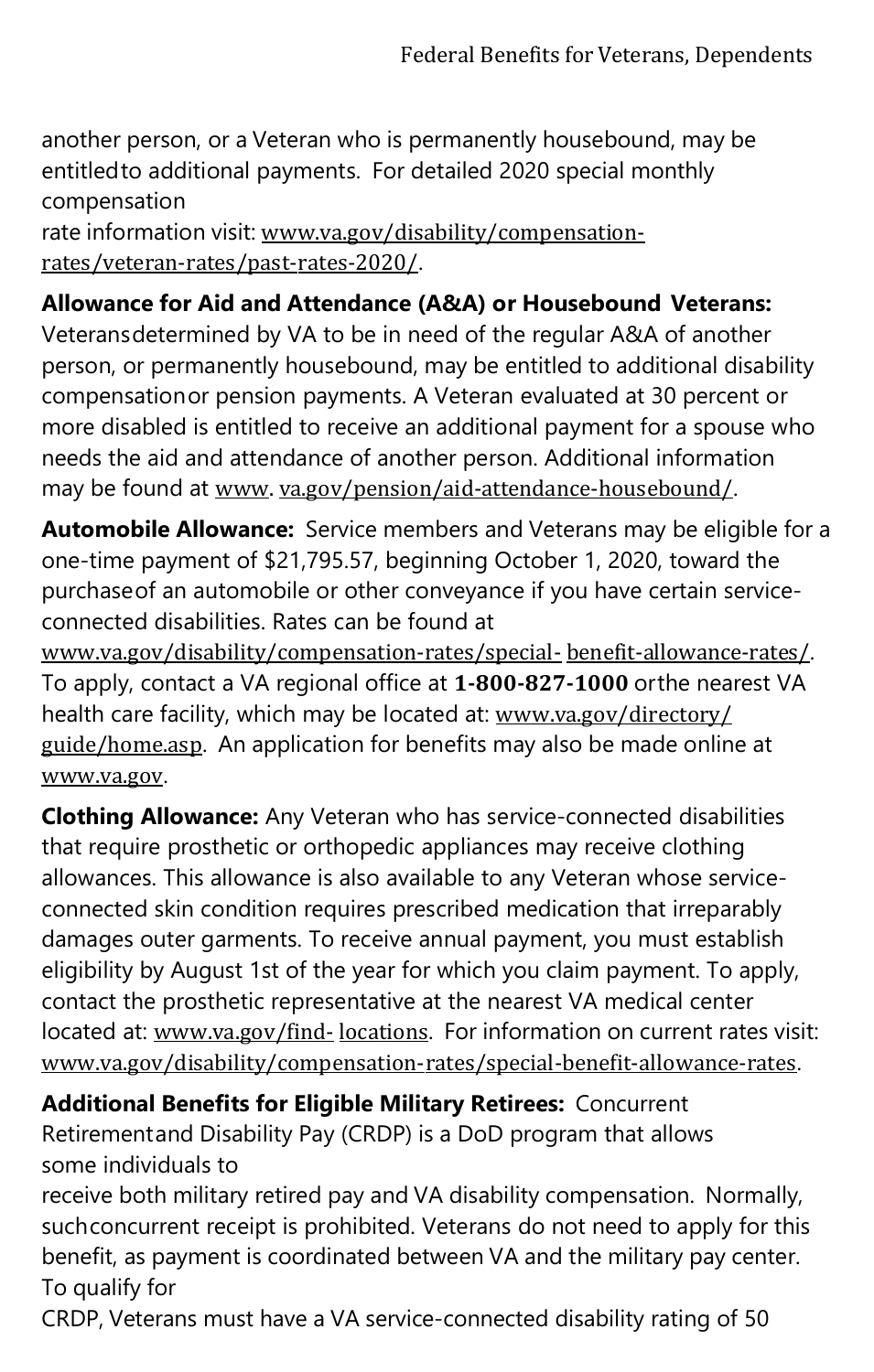another person, or a Veteran who is permanently housebound, may be entitledto additional payments. For detailed 2020 special monthly compensation

rate information visit: www.va.gov/disability/compensationrates/veteran-rates/past-rates-2020/.

#### **Allowance for Aid and Attendance (A&A) or Housebound Veterans:**

Veteransdetermined by VA to be in need of the regular A&A of another person, or permanently housebound, may be entitled to additional disability compensationor pension payments. A Veteran evaluated at 30 percent or more disabled is entitled to receive an additional payment for a spouse who needs the aid and attendance of another person. Additional information may be found at www. va.gov/pension/aid-attendance-housebound/.

**Automobile Allowance:** Service members and Veterans may be eligible for a one-time payment of \$21,795.57, beginning October 1, 2020, toward the purchaseof an automobile or other conveyance if you have certain serviceconnected disabilities. Rates can be found at

www.va.gov/disability/compensation-rates/special- benefit-allowance-rates/. To apply, contact a VA regional office at **1-800-827-1000** orthe nearest VA health care facility, which may be located at: www.va.gov/directory/ guide/home.asp. An application for benefits may also be made online at www.va.gov.

**Clothing Allowance:** Any Veteran who has service-connected disabilities that require prosthetic or orthopedic appliances may receive clothing allowances. This allowance is also available to any Veteran whose serviceconnected skin condition requires prescribed medication that irreparably damages outer garments. To receive annual payment, you must establish eligibility by August 1st of the year for which you claim payment. To apply, contact the prosthetic representative at the nearest VA medical center located at: www.va.gov/find-locations. For information on current rates visit: www.va.gov/disability/compensation-rates/special-benefit-allowance-rates.

**Additional Benefits for Eligible Military Retirees:** Concurrent Retirementand Disability Pay (CRDP) is a DoD program that allows some individuals to

receive both military retired pay and VA disability compensation. Normally, suchconcurrent receipt is prohibited. Veterans do not need to apply for this benefit, as payment is coordinated between VA and the military pay center. To qualify for

CRDP, Veterans must have a VA service-connected disability rating of 50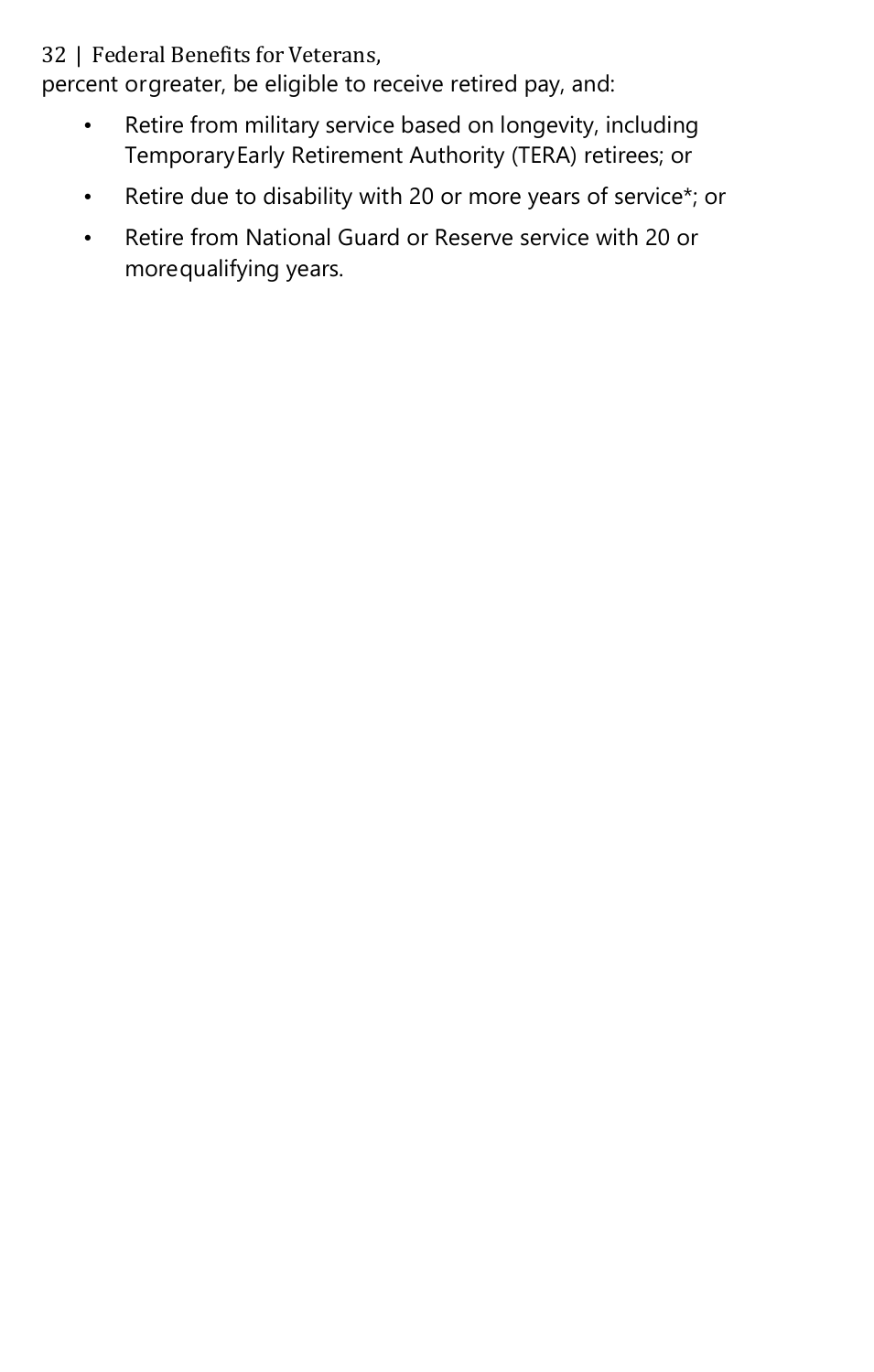percent orgreater, be eligible to receive retired pay, and:

- Retire from military service based on longevity, including TemporaryEarly Retirement Authority (TERA) retirees; or
- Retire due to disability with 20 or more years of service\*; or
- Retire from National Guard or Reserve service with 20 or morequalifying years.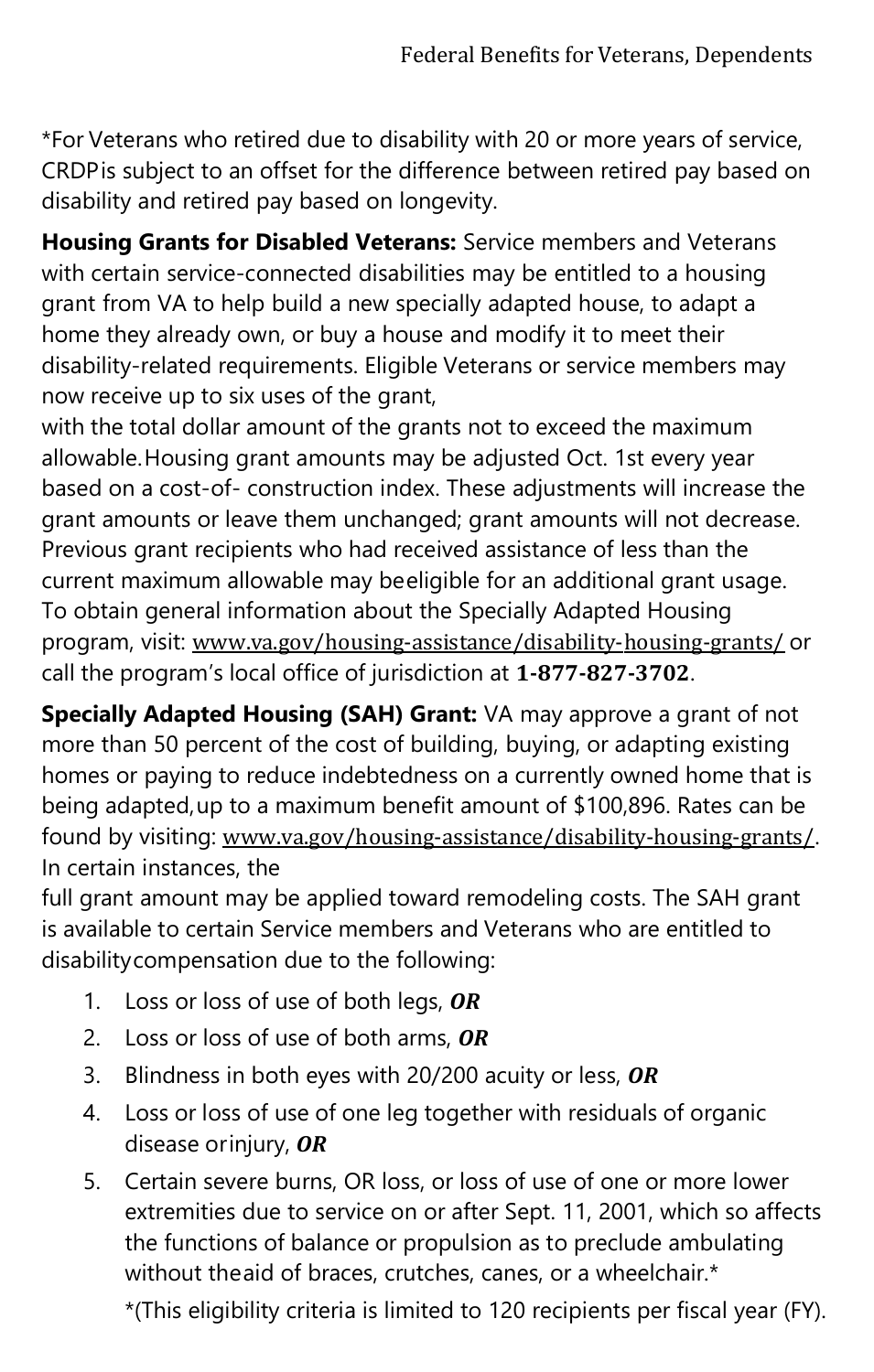\*For Veterans who retired due to disability with 20 or more years of service, CRDPis subject to an offset for the difference between retired pay based on disability and retired pay based on longevity.

**Housing Grants for Disabled Veterans:** Service members and Veterans with certain service-connected disabilities may be entitled to a housing grant from VA to help build a new specially adapted house, to adapt a home they already own, or buy a house and modify it to meet their disability-related requirements. Eligible Veterans or service members may now receive up to six uses of the grant,

with the total dollar amount of the grants not to exceed the maximum allowable.Housing grant amounts may be adjusted Oct. 1st every year based on a cost-of- construction index. These adjustments will increase the grant amounts or leave them unchanged; grant amounts will not decrease. Previous grant recipients who had received assistance of less than the current maximum allowable may beeligible for an additional grant usage. To obtain general information about the Specially Adapted Housing program, visit: www.va.gov/housing-assistance/disability-housing-grants/ or call the program's local office of jurisdiction at **1-877-827-3702**.

**Specially Adapted Housing (SAH) Grant:** VA may approve a grant of not more than 50 percent of the cost of building, buying, or adapting existing homes or paying to reduce indebtedness on a currently owned home that is being adapted,up to a maximum benefit amount of \$100,896. Rates can be found by visiting: www.va.gov/housing-assistance/disability-housing-grants/. In certain instances, the

full grant amount may be applied toward remodeling costs. The SAH grant is available to certain Service members and Veterans who are entitled to disabilitycompensation due to the following:

- 1. Loss or loss of use of both legs, *OR*
- 2. Loss or loss of use of both arms, *OR*
- 3. Blindness in both eyes with 20/200 acuity or less, *OR*
- 4. Loss or loss of use of one leg together with residuals of organic disease orinjury, *OR*
- 5. Certain severe burns, OR loss, or loss of use of one or more lower extremities due to service on or after Sept. 11, 2001, which so affects the functions of balance or propulsion as to preclude ambulating without theaid of braces, crutches, canes, or a wheelchair.\*

\*(This eligibility criteria is limited to 120 recipients per fiscal year (FY).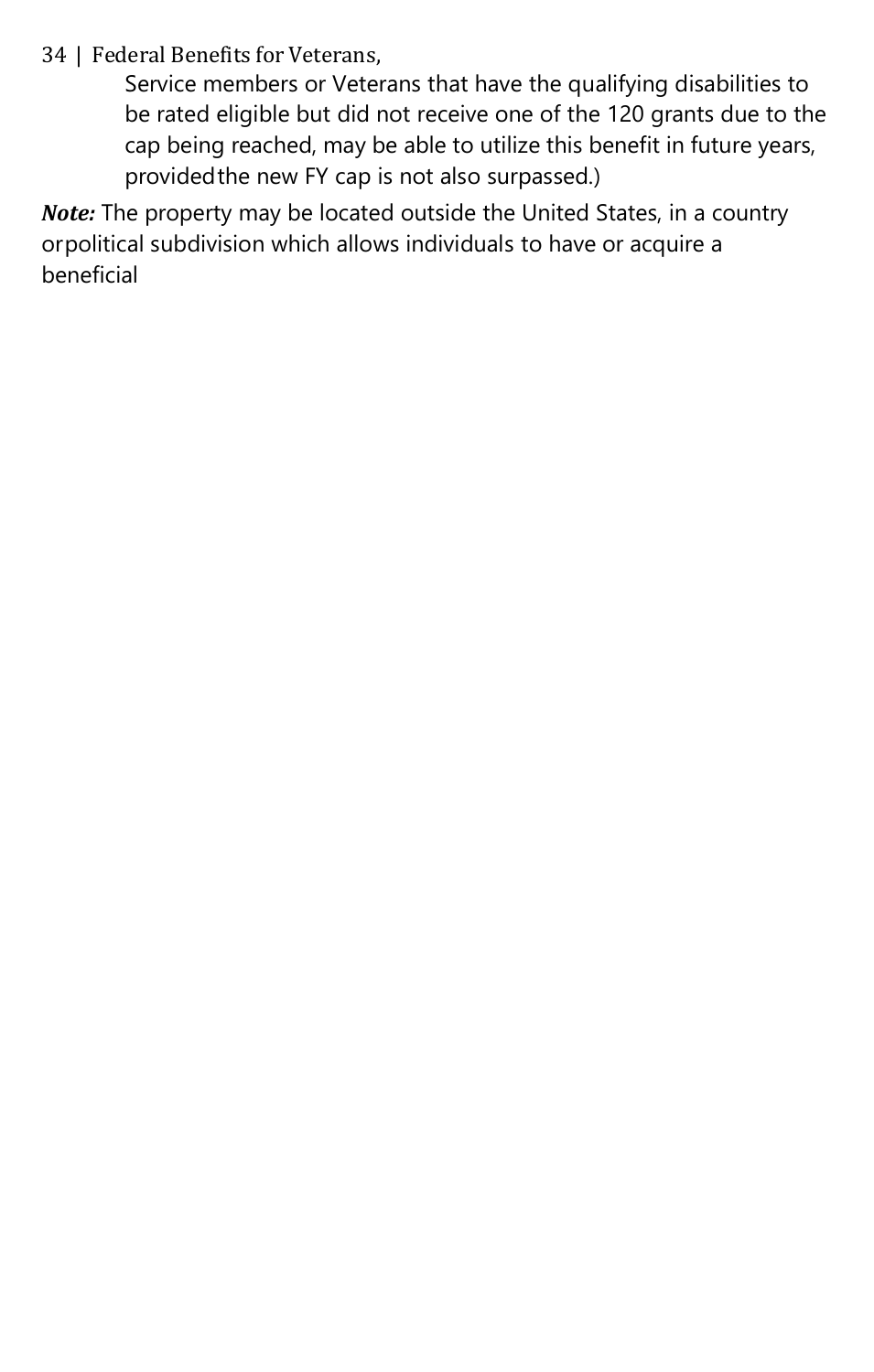Service members or Veterans that have the qualifying disabilities to be rated eligible but did not receive one of the 120 grants due to the cap being reached, may be able to utilize this benefit in future years, providedthe new FY cap is not also surpassed.)

*Note:* The property may be located outside the United States, in a country orpolitical subdivision which allows individuals to have or acquire a beneficial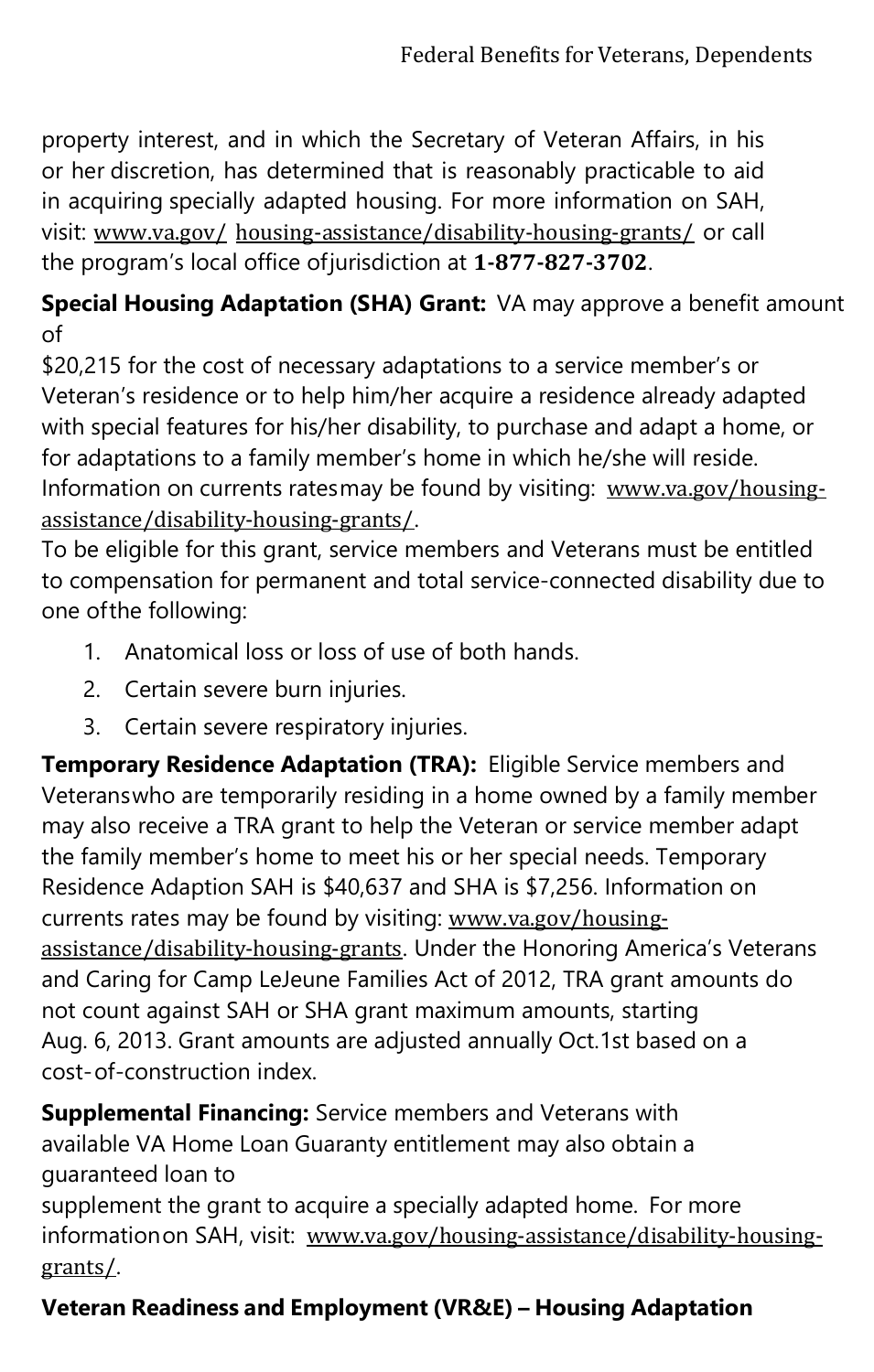property interest, and in which the Secretary of Veteran Affairs, in his or her discretion, has determined that is reasonably practicable to aid in acquiring specially adapted housing. For more information on SAH, visit: www.va.gov/ housing-assistance/disability-housing-grants/ or call the program's local office ofjurisdiction at **1-877-827-3702**.

#### **Special Housing Adaptation (SHA) Grant:** VA may approve a benefit amount of

\$20,215 for the cost of necessary adaptations to a service member's or Veteran's residence or to help him/her acquire a residence already adapted with special features for his/her disability, to purchase and adapt a home, or for adaptations to a family member's home in which he/she will reside. Information on currents ratesmay be found by visiting: www.va.gov/housingassistance/disability-housing-grants/.

To be eligible for this grant, service members and Veterans must be entitled to compensation for permanent and total service-connected disability due to one ofthe following:

- 1. Anatomical loss or loss of use of both hands.
- 2. Certain severe burn injuries.
- 3. Certain severe respiratory injuries.

**Temporary Residence Adaptation (TRA):** Eligible Service members and Veteranswho are temporarily residing in a home owned by a family member may also receive a TRA grant to help the Veteran or service member adapt the family member's home to meet his or her special needs. Temporary Residence Adaption SAH is \$40,637 and SHA is \$7,256. Information on currents rates may be found by visiting: www.va.gov/housingassistance/disability-housing-grants. Under the Honoring America's Veterans and Caring for Camp LeJeune Families Act of 2012, TRA grant amounts do not count against SAH or SHA grant maximum amounts, starting Aug. 6, 2013. Grant amounts are adjusted annually Oct.1st based on a cost- of-construction index.

**Supplemental Financing:** Service members and Veterans with available VA Home Loan Guaranty entitlement may also obtain a guaranteed loan to

supplement the grant to acquire a specially adapted home. For more informationon SAH, visit: www.va.gov/housing-assistance/disability-housinggrants/.

### **Veteran Readiness and Employment (VR&E) – Housing Adaptation**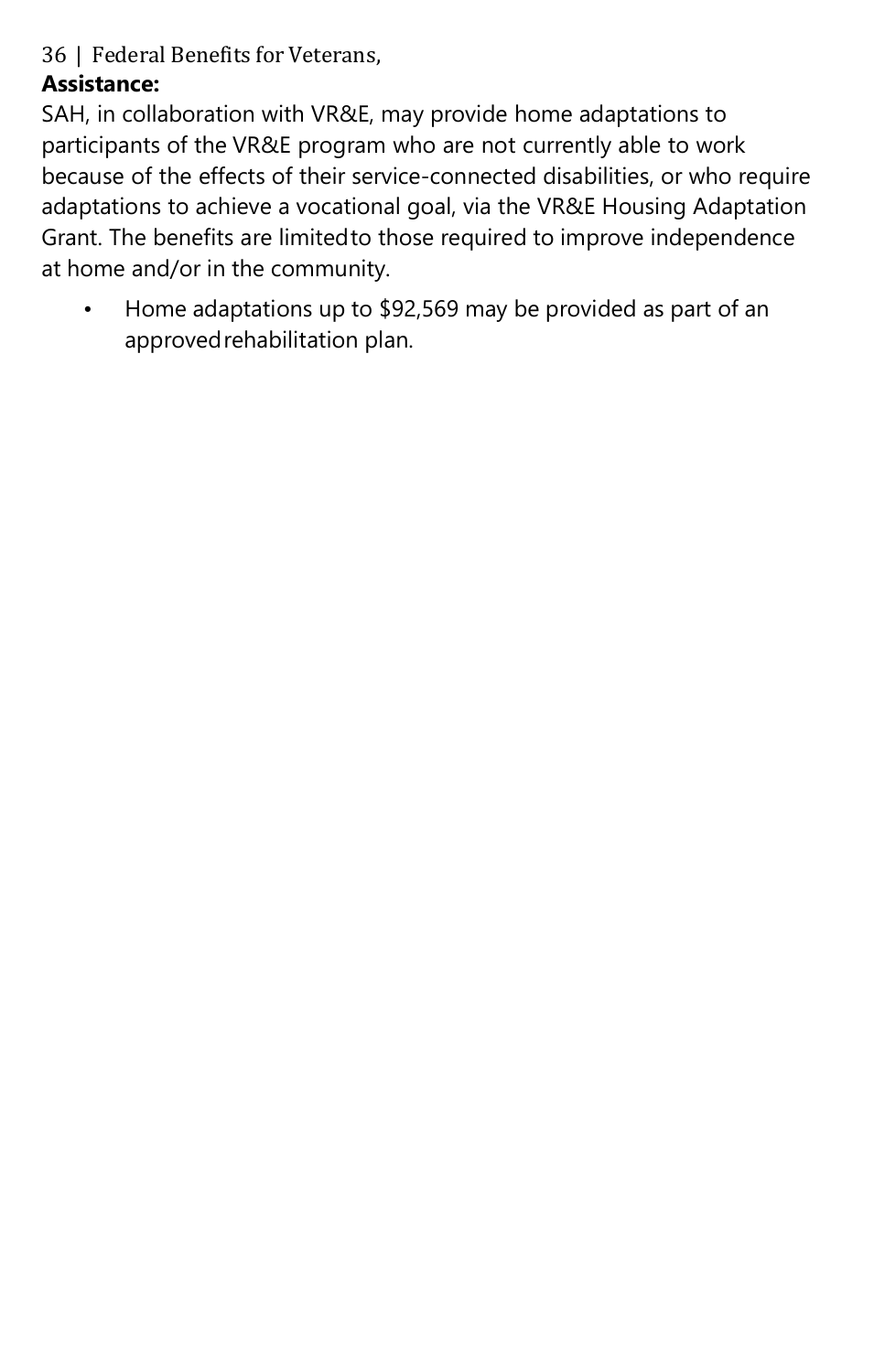#### **Assistance:**

SAH, in collaboration with VR&E, may provide home adaptations to participants of the VR&E program who are not currently able to work because of the effects of their service-connected disabilities, or who require adaptations to achieve a vocational goal, via the VR&E Housing Adaptation Grant. The benefits are limitedto those required to improve independence at home and/or in the community.

• Home adaptations up to \$92,569 may be provided as part of an approvedrehabilitation plan.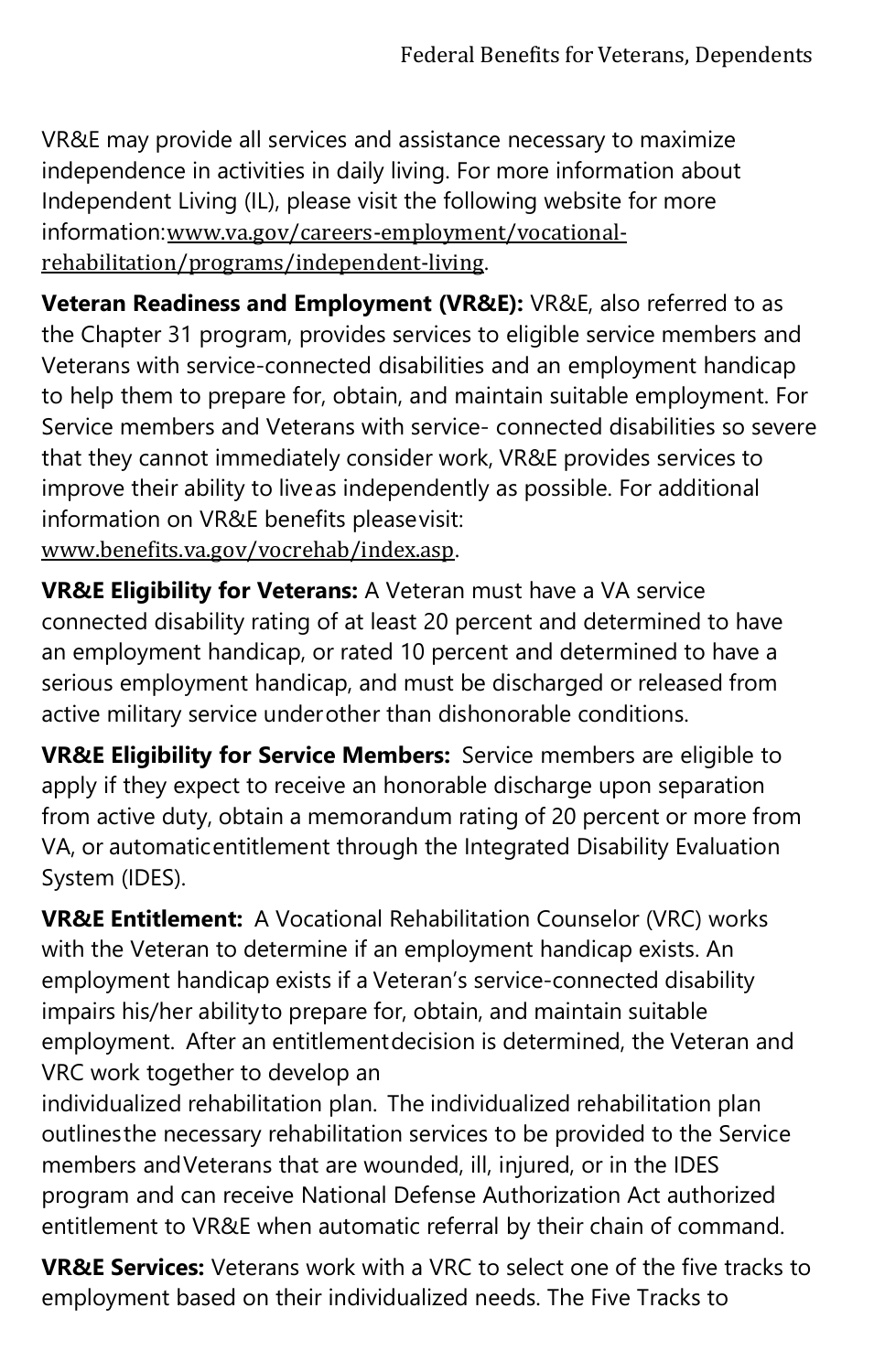VR&E may provide all services and assistance necessary to maximize independence in activities in daily living. For more information about Independent Living (IL), please visit the following website for more information:www.va.gov/careers-employment/vocationalrehabilitation/programs/independent-living.

**Veteran Readiness and Employment (VR&E):** VR&E, also referred to as the Chapter 31 program, provides services to eligible service members and Veterans with service-connected disabilities and an employment handicap to help them to prepare for, obtain, and maintain suitable employment. For Service members and Veterans with service- connected disabilities so severe that they cannot immediately consider work, VR&E provides services to improve their ability to liveas independently as possible. For additional information on VR&E benefits pleasevisit: www.benefits.va.gov/vocrehab/index.asp.

**VR&E Eligibility for Veterans:** A Veteran must have a VA service connected disability rating of at least 20 percent and determined to have an employment handicap, or rated 10 percent and determined to have a serious employment handicap, and must be discharged or released from active military service underother than dishonorable conditions.

**VR&E Eligibility for Service Members:** Service members are eligible to apply if they expect to receive an honorable discharge upon separation from active duty, obtain a memorandum rating of 20 percent or more from VA, or automaticentitlement through the Integrated Disability Evaluation System (IDES).

**VR&E Entitlement:** A Vocational Rehabilitation Counselor (VRC) works with the Veteran to determine if an employment handicap exists. An employment handicap exists if a Veteran's service-connected disability impairs his/her abilityto prepare for, obtain, and maintain suitable employment. After an entitlementdecision is determined, the Veteran and VRC work together to develop an

individualized rehabilitation plan. The individualized rehabilitation plan outlinesthe necessary rehabilitation services to be provided to the Service members andVeterans that are wounded, ill, injured, or in the IDES program and can receive National Defense Authorization Act authorized entitlement to VR&E when automatic referral by their chain of command.

**VR&E Services:** Veterans work with a VRC to select one of the five tracks to employment based on their individualized needs. The Five Tracks to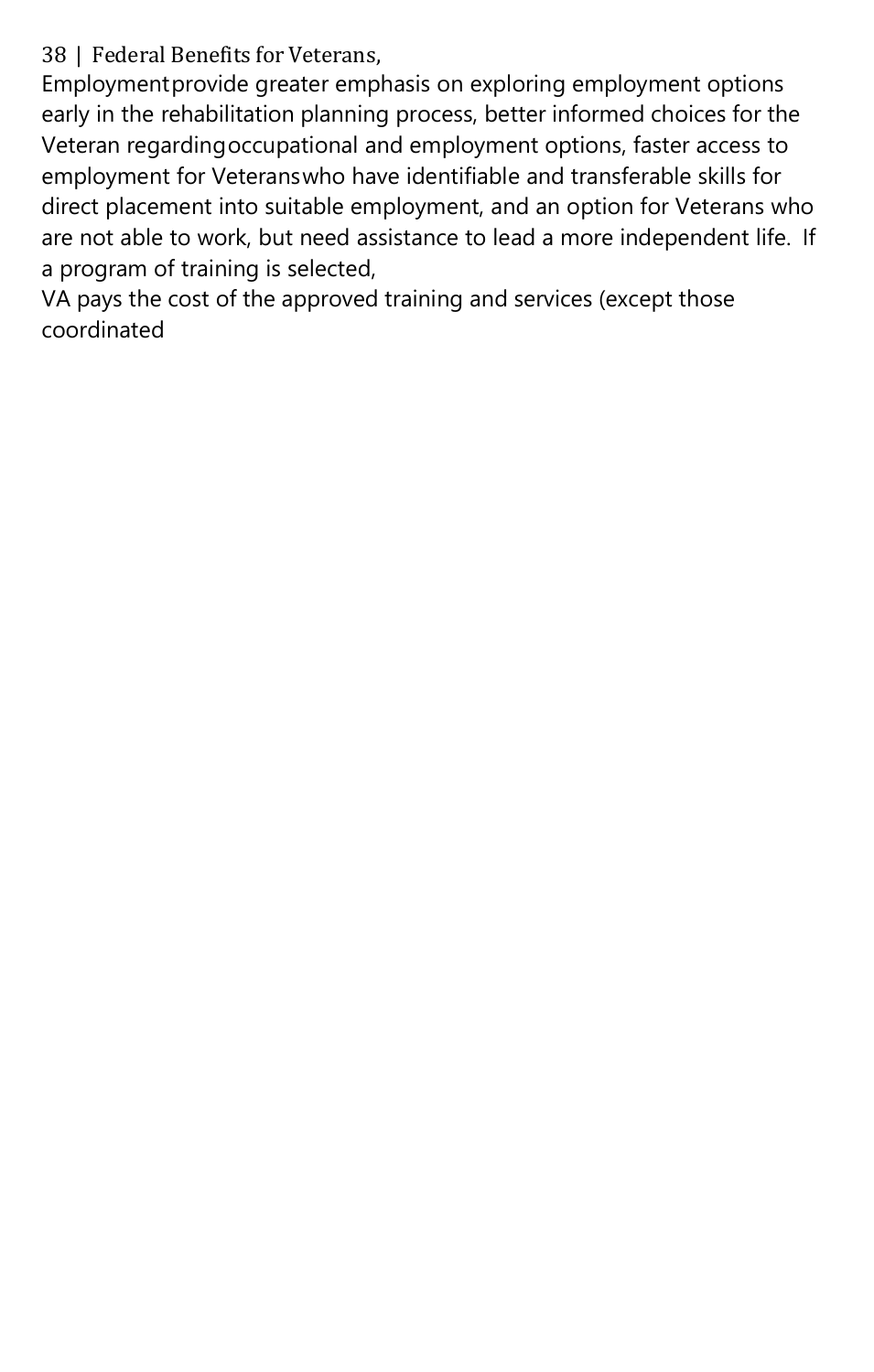Employment provide greater emphasis on exploring employment options early in the rehabilitation planning process, better informed choices for the Veteran regardingoccupational and employment options, faster access to employment for Veteranswho have identifiable and transferable skills for direct placement into suitable employment, and an option for Veterans who are not able to work, but need assistance to lead a more independent life. If a program of training is selected,

VA pays the cost of the approved training and services (except those coordinated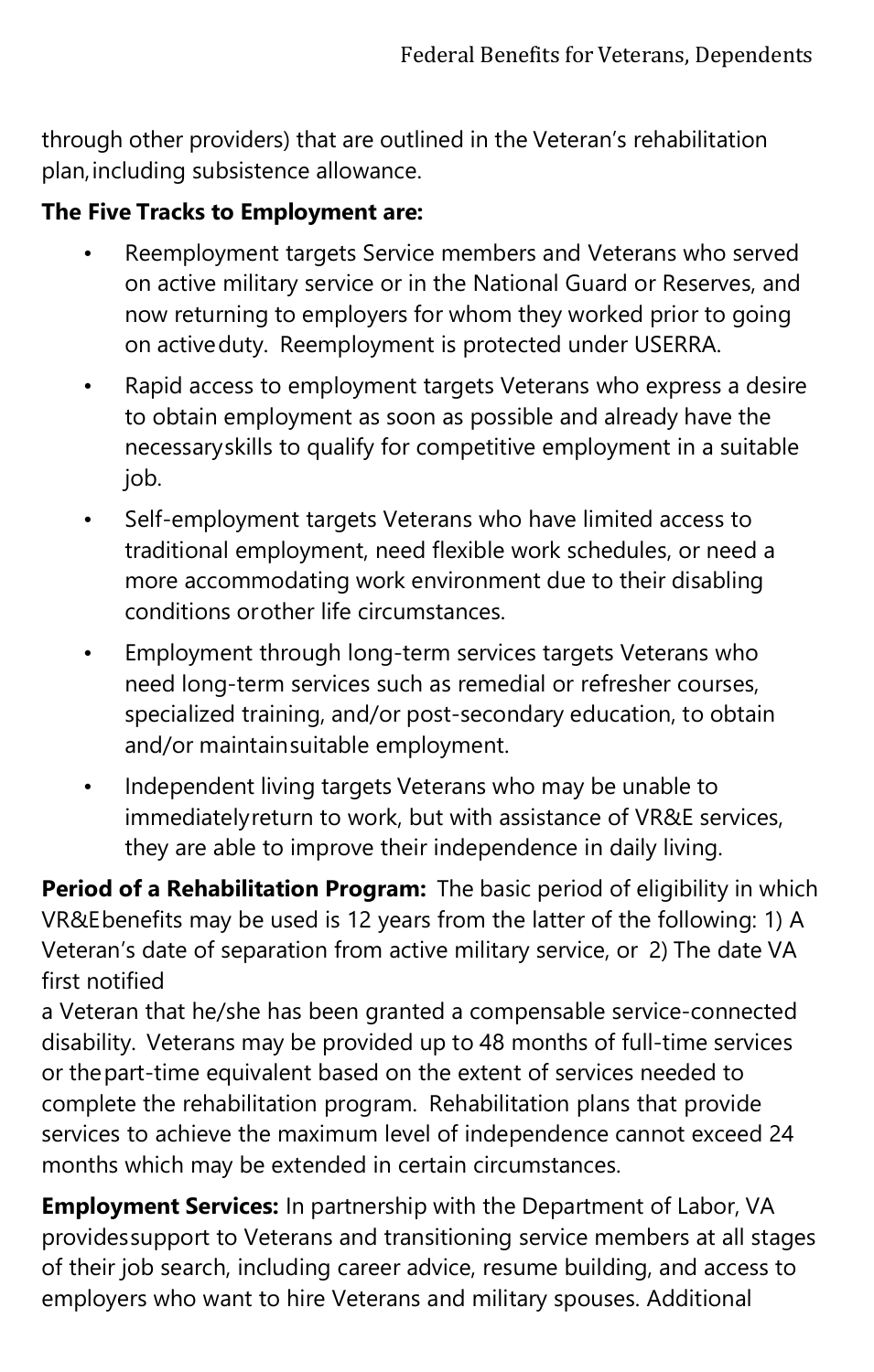through other providers) that are outlined in the Veteran's rehabilitation plan,including subsistence allowance.

#### **The Five Tracks to Employment are:**

- Reemployment targets Service members and Veterans who served on active military service or in the National Guard or Reserves, and now returning to employers for whom they worked prior to going on activeduty. Reemployment is protected under USERRA.
- Rapid access to employment targets Veterans who express a desire to obtain employment as soon as possible and already have the necessaryskills to qualify for competitive employment in a suitable job.
- Self-employment targets Veterans who have limited access to traditional employment, need flexible work schedules, or need a more accommodating work environment due to their disabling conditions orother life circumstances.
- Employment through long-term services targets Veterans who need long-term services such as remedial or refresher courses, specialized training, and/or post-secondary education, to obtain and/or maintainsuitable employment.
- Independent living targets Veterans who may be unable to immediatelyreturn to work, but with assistance of VR&E services, they are able to improve their independence in daily living.

**Period of a Rehabilitation Program:** The basic period of eligibility in which VR&Ebenefits may be used is 12 years from the latter of the following: 1) A Veteran's date of separation from active military service, or 2) The date VA first notified

a Veteran that he/she has been granted a compensable service-connected disability. Veterans may be provided up to 48 months of full-time services or thepart-time equivalent based on the extent of services needed to complete the rehabilitation program. Rehabilitation plans that provide services to achieve the maximum level of independence cannot exceed 24 months which may be extended in certain circumstances.

**Employment Services:** In partnership with the Department of Labor, VA providessupport to Veterans and transitioning service members at all stages of their job search, including career advice, resume building, and access to employers who want to hire Veterans and military spouses. Additional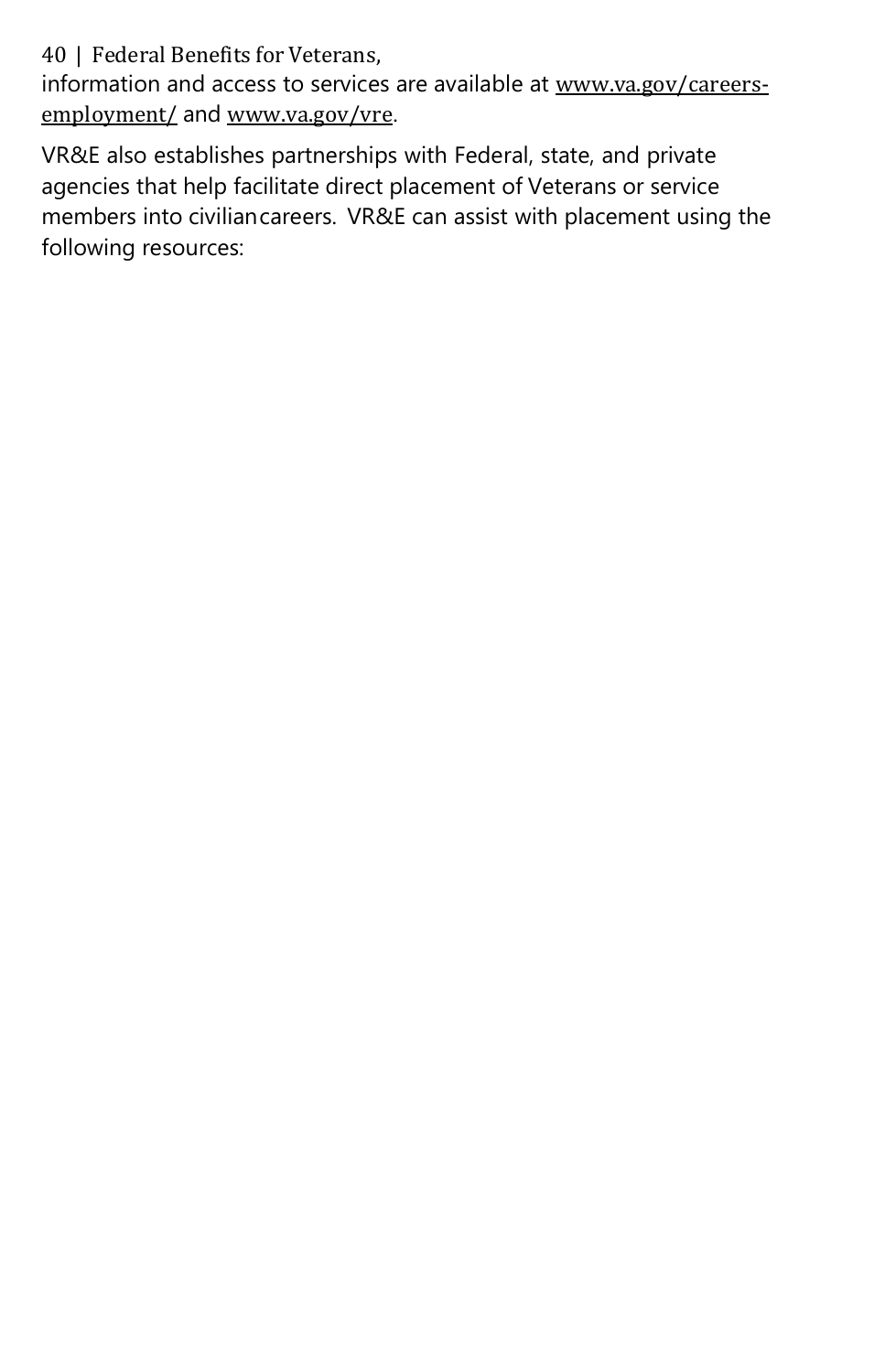information and access to services are available at www.va.gov/careersemployment/ and www.va.gov/vre.

VR&E also establishes partnerships with Federal, state, and private agencies that help facilitate direct placement of Veterans or service members into civiliancareers. VR&E can assist with placement using the following resources: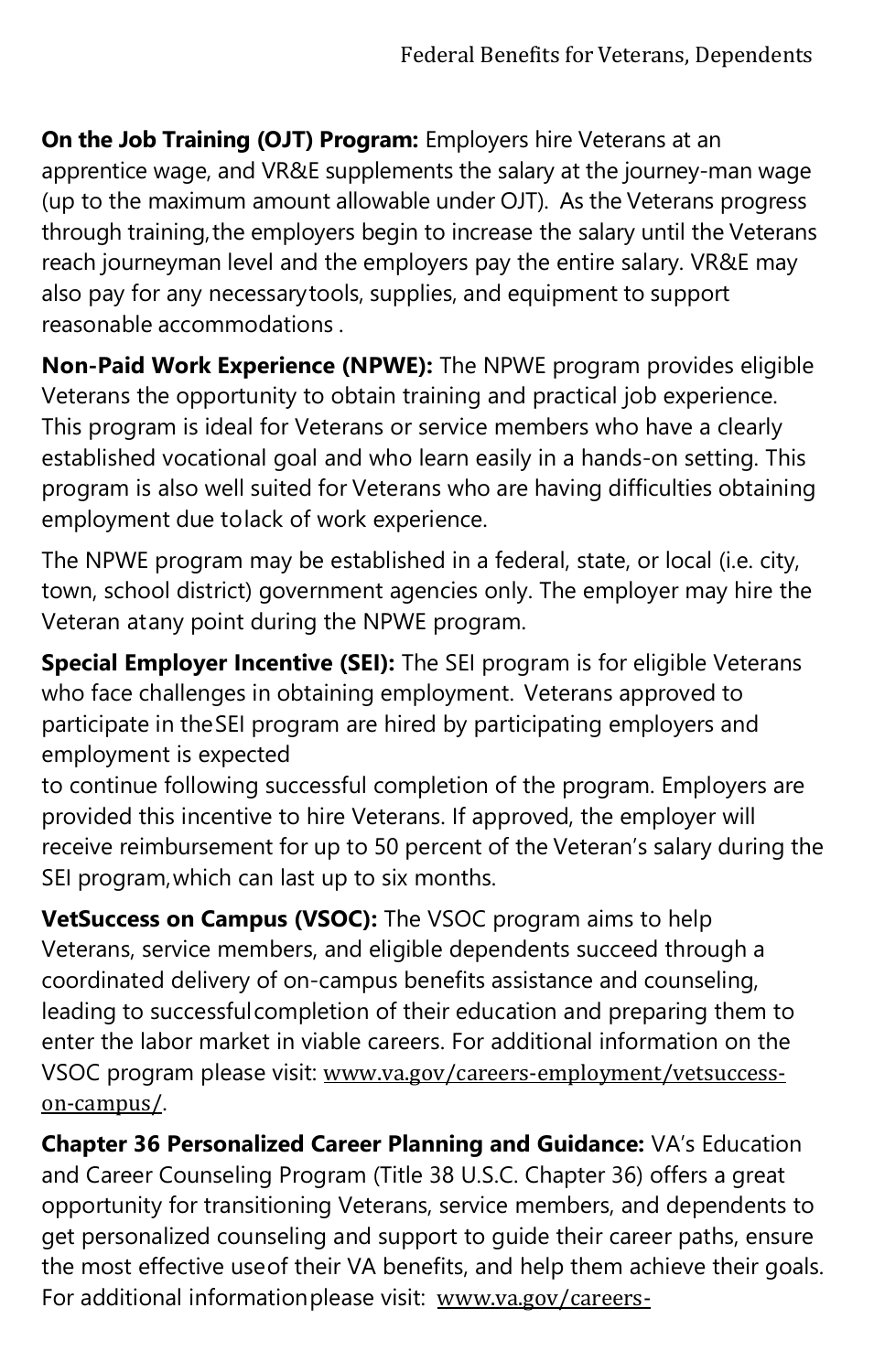**On the Job Training (OJT) Program:** Employers hire Veterans at an apprentice wage, and VR&E supplements the salary at the journey-man wage (up to the maximum amount allowable under OJT). As the Veterans progress through training, the employers begin to increase the salary until the Veterans reach journeyman level and the employers pay the entire salary. VR&E may also pay for any necessarytools, supplies, and equipment to support reasonable accommodations .

**Non-Paid Work Experience (NPWE):** The NPWE program provides eligible Veterans the opportunity to obtain training and practical job experience. This program is ideal for Veterans or service members who have a clearly established vocational goal and who learn easily in a hands-on setting. This program is also well suited for Veterans who are having difficulties obtaining employment due tolack of work experience.

The NPWE program may be established in a federal, state, or local (i.e. city, town, school district) government agencies only. The employer may hire the Veteran atany point during the NPWE program.

**Special Employer Incentive (SEI):** The SEI program is for eligible Veterans who face challenges in obtaining employment. Veterans approved to participate in theSEI program are hired by participating employers and employment is expected

to continue following successful completion of the program. Employers are provided this incentive to hire Veterans. If approved, the employer will receive reimbursement for up to 50 percent of the Veteran's salary during the SEI program,which can last up to six months.

**VetSuccess on Campus (VSOC):** The VSOC program aims to help Veterans, service members, and eligible dependents succeed through a coordinated delivery of on-campus benefits assistance and counseling, leading to successfulcompletion of their education and preparing them to enter the labor market in viable careers. For additional information on the VSOC program please visit: www.va.gov/careers-employment/vetsuccesson-campus/.

**Chapter 36 Personalized Career Planning and Guidance:** VA's Education and Career Counseling Program (Title 38 U.S.C. Chapter 36) offers a great opportunity for transitioning Veterans, service members, and dependents to get personalized counseling and support to guide their career paths, ensure the most effective useof their VA benefits, and help them achieve their goals. For additional information please visit: www.va.gov/careers-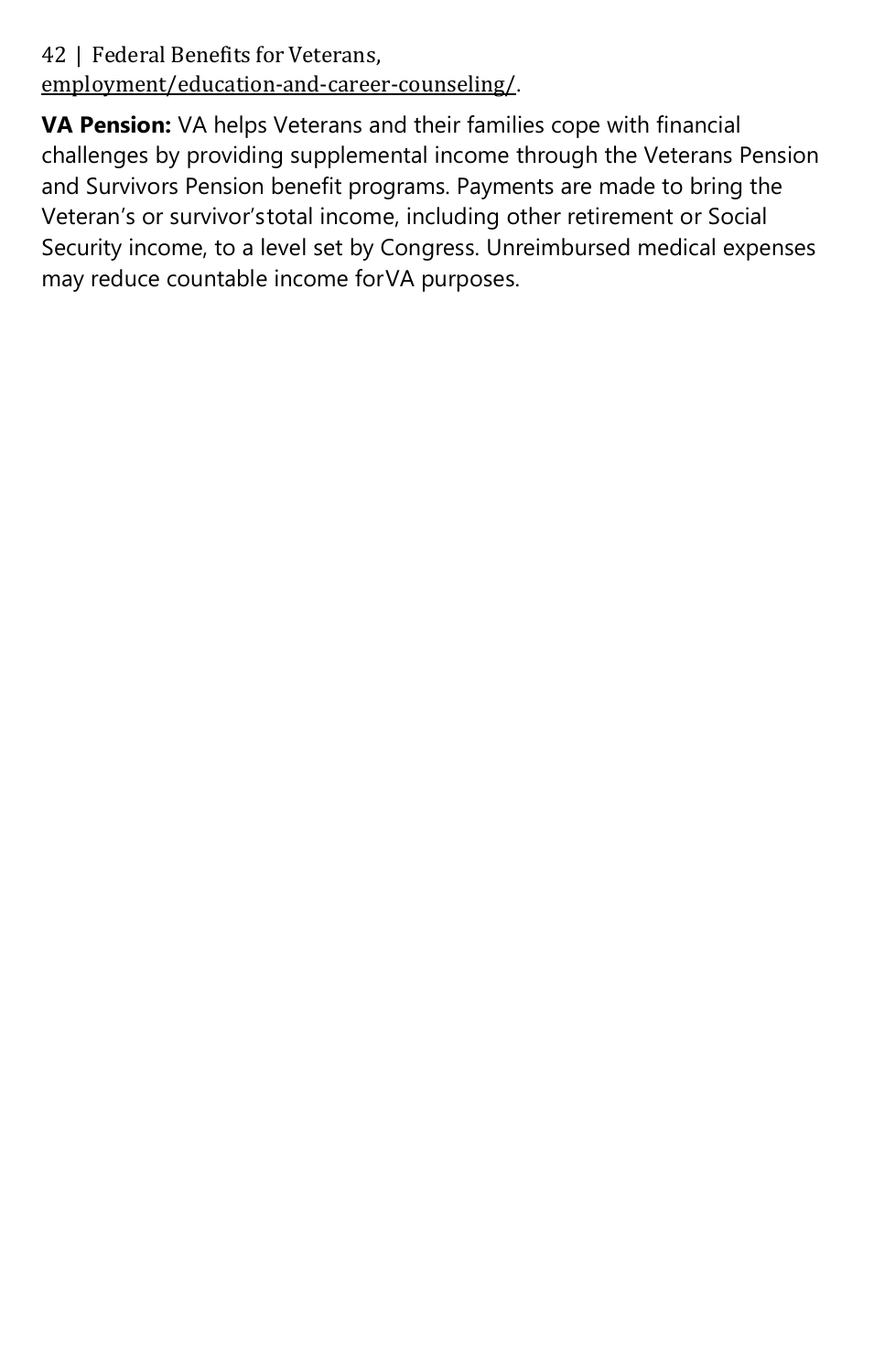employment/education -and-career-counseling/.

**VA Pension:** VA helps Veterans and their families cope with financial challenges by providing supplemental income through the Veterans Pension and Survivors Pension benefit programs. Payments are made to bring the Veteran's or survivor'stotal income, including other retirement or Social Security income, to a level set by Congress. Unreimbursed medical expenses may reduce countable income forVA purposes.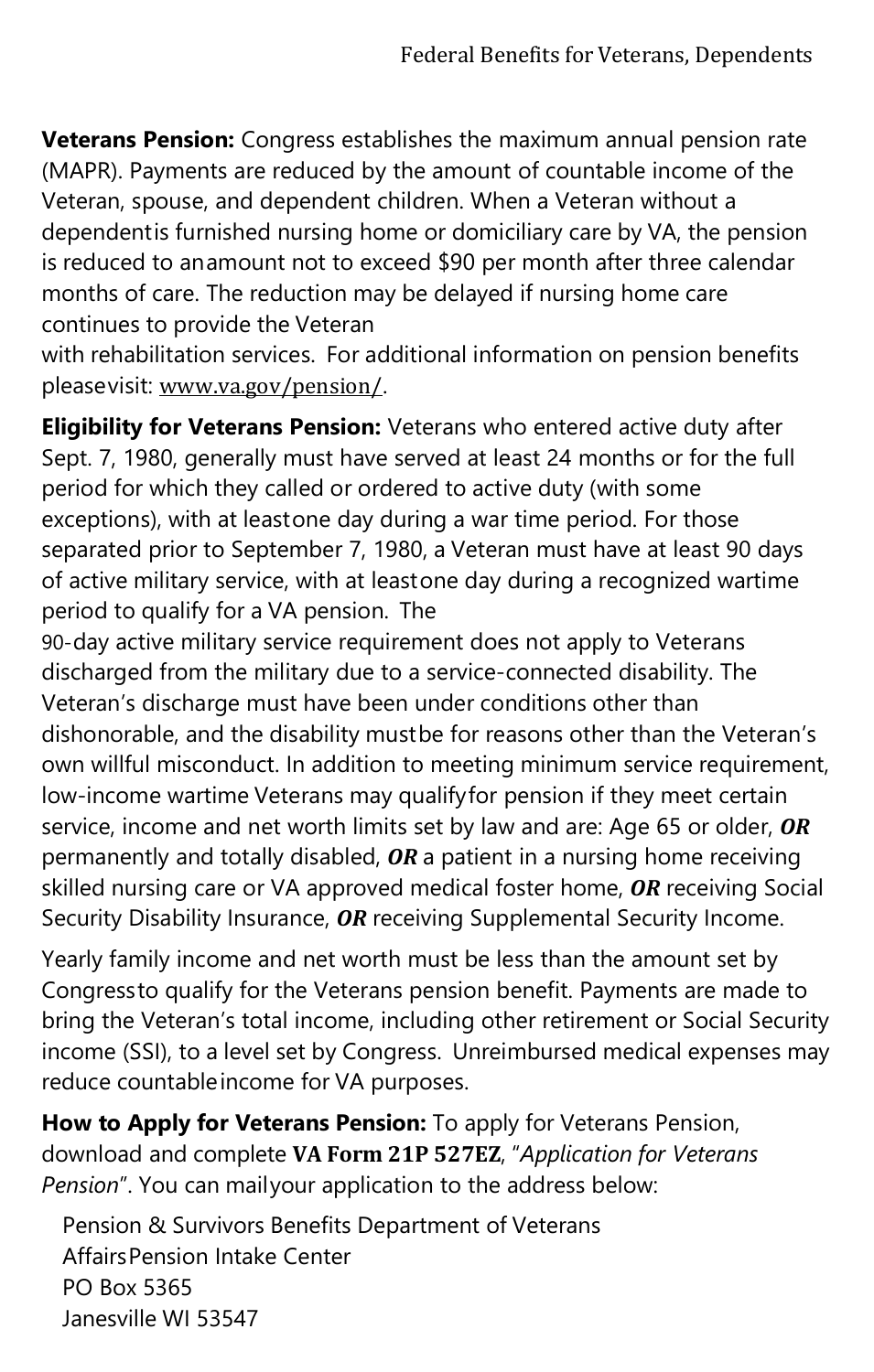**Veterans Pension:** Congress establishes the maximum annual pension rate (MAPR). Payments are reduced by the amount of countable income of the Veteran, spouse, and dependent children. When a Veteran without a dependentis furnished nursing home or domiciliary care by VA, the pension is reduced to anamount not to exceed \$90 per month after three calendar months of care. The reduction may be delayed if nursing home care continues to provide the Veteran

with rehabilitation services. For additional information on pension benefits pleasevisit: www.va.gov/pension/.

**Eligibility for Veterans Pension:** Veterans who entered active duty after Sept. 7, 1980, generally must have served at least 24 months or for the full period for which they called or ordered to active duty (with some exceptions), with at leastone day during a war time period. For those separated prior to September 7, 1980, a Veteran must have at least 90 days of active military service, with at leastone day during a recognized wartime period to qualify for a VA pension. The

90-day active military service requirement does not apply to Veterans discharged from the military due to a service-connected disability. The Veteran's discharge must have been under conditions other than dishonorable, and the disability mustbe for reasons other than the Veteran's own willful misconduct. In addition to meeting minimum service requirement, low-income wartime Veterans may qualifyfor pension if they meet certain service, income and net worth limits set by law and are: Age 65 or older, *OR*  permanently and totally disabled, *OR* a patient in a nursing home receiving skilled nursing care or VA approved medical foster home, *OR* receiving Social Security Disability Insurance, *OR* receiving Supplemental Security Income.

Yearly family income and net worth must be less than the amount set by Congressto qualify for the Veterans pension benefit. Payments are made to bring the Veteran's total income, including other retirement or Social Security income (SSI), to a level set by Congress. Unreimbursed medical expenses may reduce countableincome for VA purposes.

**How to Apply for Veterans Pension:** To apply for Veterans Pension, download and complete **VA Form 21P 527EZ**, "*Application for Veterans Pension*". You can mailyour application to the address below:

Pension & Survivors Benefits Department of Veterans AffairsPension Intake Center PO Box 5365 Janesville WI 53547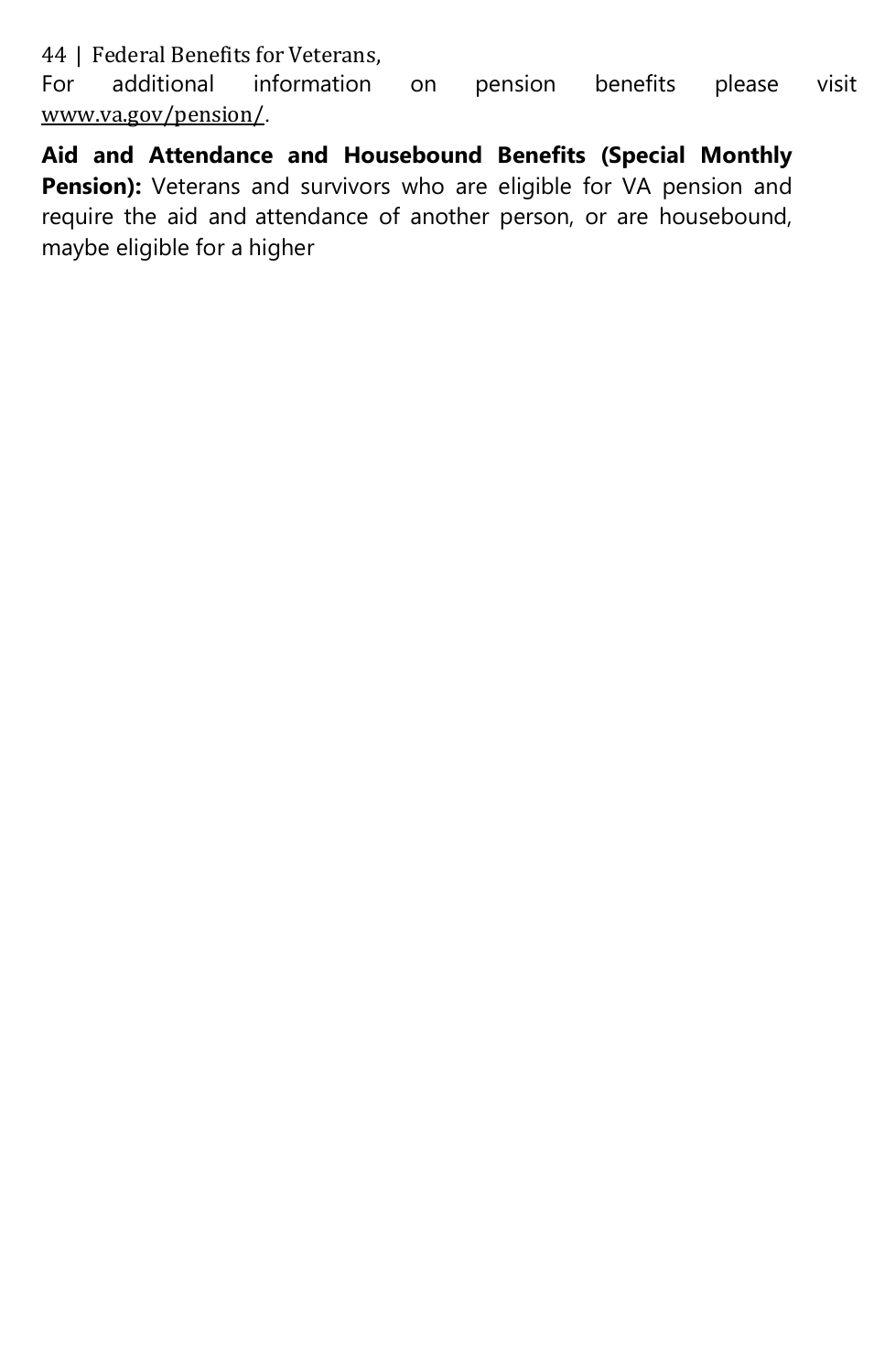44 | Federal Benefits for Veterans,<br>For additional information

information on pension benefits please visit www.va.gov/pension/.

**Aid and Attendance and Housebound Benefits (Special Monthly Pension):** Veterans and survivors who are eligible for VA pension and require the aid and attendance of another person, or are housebound, maybe eligible for a higher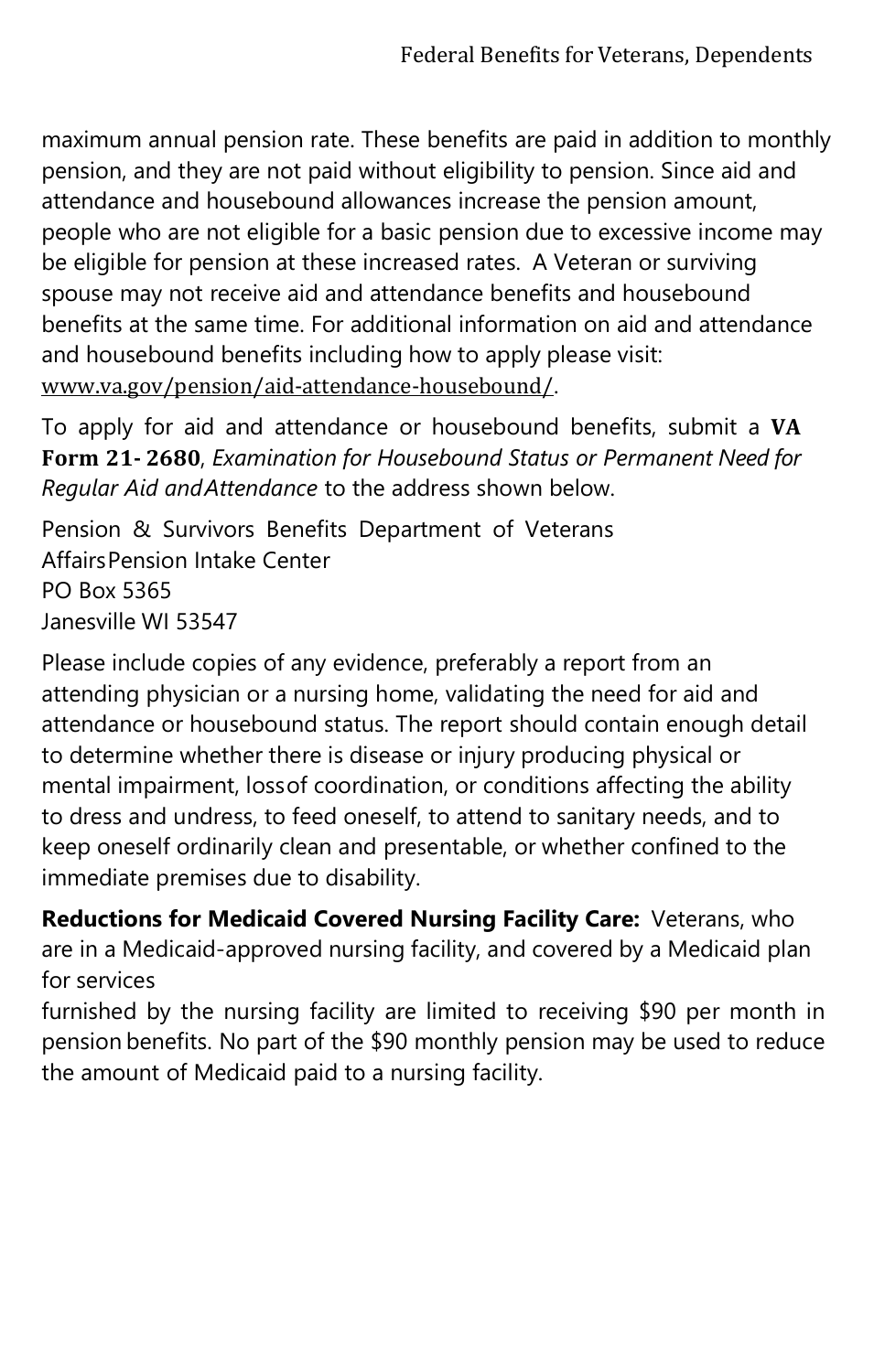maximum annual pension rate. These benefits are paid in addition to monthly pension, and they are not paid without eligibility to pension. Since aid and attendance and housebound allowances increase the pension amount, people who are not eligible for a basic pension due to excessive income may be eligible for pension at these increased rates. A Veteran or surviving spouse may not receive aid and attendance benefits and housebound benefits at the same time. For additional information on aid and attendance and housebound benefits including how to apply please visit: www.va.gov/pension/aid-attendance-housebound/.

To apply for aid and attendance or housebound benefits, submit a **VA Form 21- 2680**, *Examination for Housebound Status or Permanent Need for Regular Aid andAttendance* to the address shown below.

Pension & Survivors Benefits Department of Veterans AffairsPension Intake Center PO Box 5365 Janesville WI 53547

Please include copies of any evidence, preferably a report from an attending physician or a nursing home, validating the need for aid and attendance or housebound status. The report should contain enough detail to determine whether there is disease or injury producing physical or mental impairment, lossof coordination, or conditions affecting the ability to dress and undress, to feed oneself, to attend to sanitary needs, and to keep oneself ordinarily clean and presentable, or whether confined to the immediate premises due to disability.

**Reductions for Medicaid Covered Nursing Facility Care:** Veterans, who are in a Medicaid-approved nursing facility, and covered by a Medicaid plan for services

furnished by the nursing facility are limited to receiving \$90 per month in pension benefits. No part of the \$90 monthly pension may be used to reduce the amount of Medicaid paid to a nursing facility.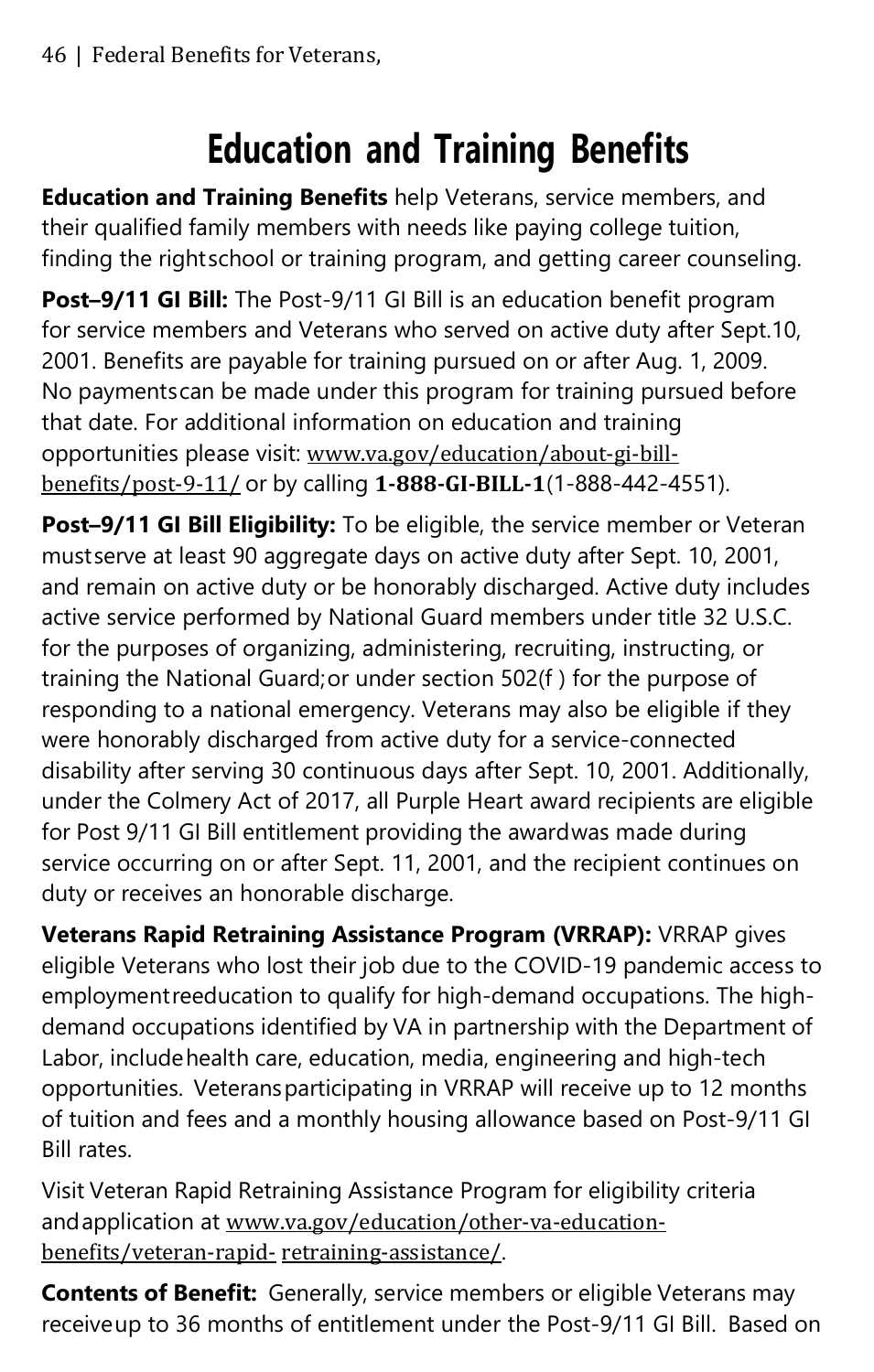# **Education and Training Benefits**

**Education and Training Benefits** help Veterans, service members, and their qualified family members with needs like paying college tuition, finding the rightschool or training program, and getting career counseling.

**Post–9/11 GI Bill:** The Post-9/11 GI Bill is an education benefit program for service members and Veterans who served on active duty after Sept.10, 2001. Benefits are payable for training pursued on or after Aug. 1, 2009. No paymentscan be made under this program for training pursued before that date. For additional information on education and training opportunities please visit: www.va.gov/education/about-gi-billbenefits/post-9-11/ or by calling **1-888-GI-BILL-1**(1-888-442-4551).

**Post–9/11 GI Bill Eligibility:** To be eligible, the service member or Veteran mustserve at least 90 aggregate days on active duty after Sept. 10, 2001, and remain on active duty or be honorably discharged. Active duty includes active service performed by National Guard members under title 32 U.S.C. for the purposes of organizing, administering, recruiting, instructing, or training the National Guard;or under section 502(f ) for the purpose of responding to a national emergency. Veterans may also be eligible if they were honorably discharged from active duty for a service-connected disability after serving 30 continuous days after Sept. 10, 2001. Additionally, under the Colmery Act of 2017, all Purple Heart award recipients are eligible for Post 9/11 GI Bill entitlement providing the awardwas made during service occurring on or after Sept. 11, 2001, and the recipient continues on duty or receives an honorable discharge.

**Veterans Rapid Retraining Assistance Program (VRRAP):** VRRAP gives eligible Veterans who lost their job due to the COVID-19 pandemic access to employmentreeducation to qualify for high-demand occupations. The highdemand occupations identified by VA in partnership with the Department of Labor, includehealth care, education, media, engineering and high-tech opportunities. Veteransparticipating in VRRAP will receive up to 12 months of tuition and fees and a monthly housing allowance based on Post-9/11 GI Bill rates.

Visit Veteran Rapid Retraining Assistance Program for eligibility criteria andapplication at www.va.gov/education/other-va-educationbenefits/veteran-rapid- retraining-assistance/.

**Contents of Benefit:** Generally, service members or eligible Veterans may receiveup to 36 months of entitlement under the Post-9/11 GI Bill. Based on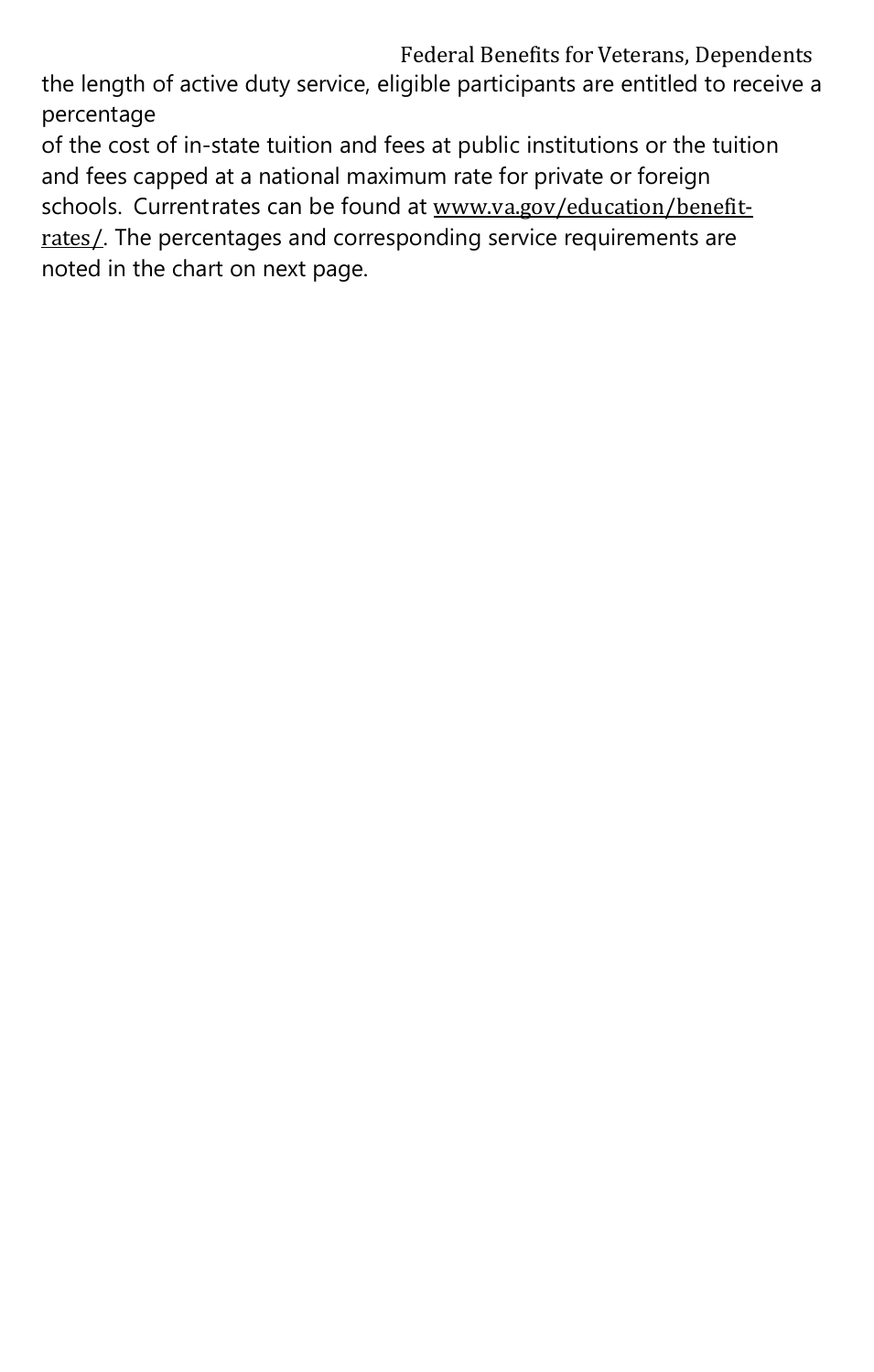Federal Benefits for Veterans, Dependents

the length of active duty service, eligible participants are entitled to receive a percentage

of the cost of in-state tuition and fees at public institutions or the tuition and fees capped at a national maximum rate for private or foreign schools. Currentrates can be found at www.va.gov/education/benefitrates/. The percentages and corresponding service requirements are noted in the chart on next page.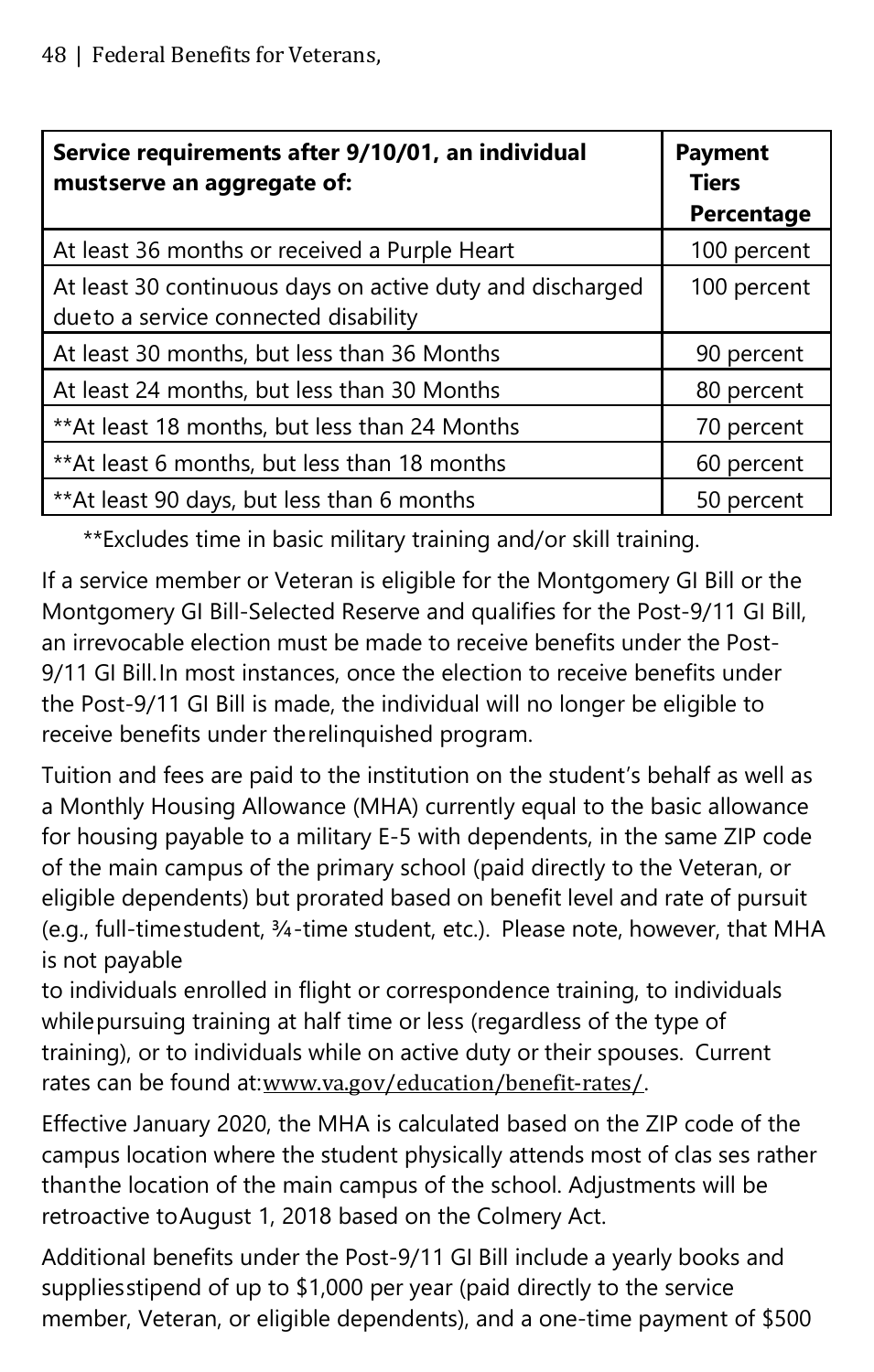| Service requirements after 9/10/01, an individual<br>mustserve an aggregate of:                   | <b>Payment</b><br><b>Tiers</b><br>Percentage |
|---------------------------------------------------------------------------------------------------|----------------------------------------------|
| At least 36 months or received a Purple Heart                                                     | 100 percent                                  |
| At least 30 continuous days on active duty and discharged<br>dueto a service connected disability | 100 percent                                  |
| At least 30 months, but less than 36 Months                                                       | 90 percent                                   |
| At least 24 months, but less than 30 Months                                                       | 80 percent                                   |
| ** At least 18 months, but less than 24 Months                                                    | 70 percent                                   |
| ** At least 6 months, but less than 18 months                                                     | 60 percent                                   |
| ** At least 90 days, but less than 6 months                                                       | 50 percent                                   |

\*\*Excludes time in basic military training and/or skill training.

If a service member or Veteran is eligible for the Montgomery GI Bill or the Montgomery GI Bill-Selected Reserve and qualifies for the Post-9/11 GI Bill, an irrevocable election must be made to receive benefits under the Post-9/11 GI Bill.In most instances, once the election to receive benefits under the Post-9/11 GI Bill is made, the individual will no longer be eligible to receive benefits under therelinquished program.

Tuition and fees are paid to the institution on the student's behalf as well as a Monthly Housing Allowance (MHA) currently equal to the basic allowance for housing payable to a military E-5 with dependents, in the same ZIP code of the main campus of the primary school (paid directly to the Veteran, or eligible dependents) but prorated based on benefit level and rate of pursuit (e.g., full-timestudent, ¾-time student, etc.). Please note, however, that MHA is not payable

to individuals enrolled in flight or correspondence training, to individuals whilepursuing training at half time or less (regardless of the type of training), or to individuals while on active duty or their spouses. Current rates can be found at:www.va.gov/education/benefit-rates/.

Effective January 2020, the MHA is calculated based on the ZIP code of the campus location where the student physically attends most of clas ses rather thanthe location of the main campus of the school. Adjustments will be retroactive toAugust 1, 2018 based on the Colmery Act.

Additional benefits under the Post-9/11 GI Bill include a yearly books and suppliesstipend of up to \$1,000 per year (paid directly to the service member, Veteran, or eligible dependents), and a one-time payment of \$500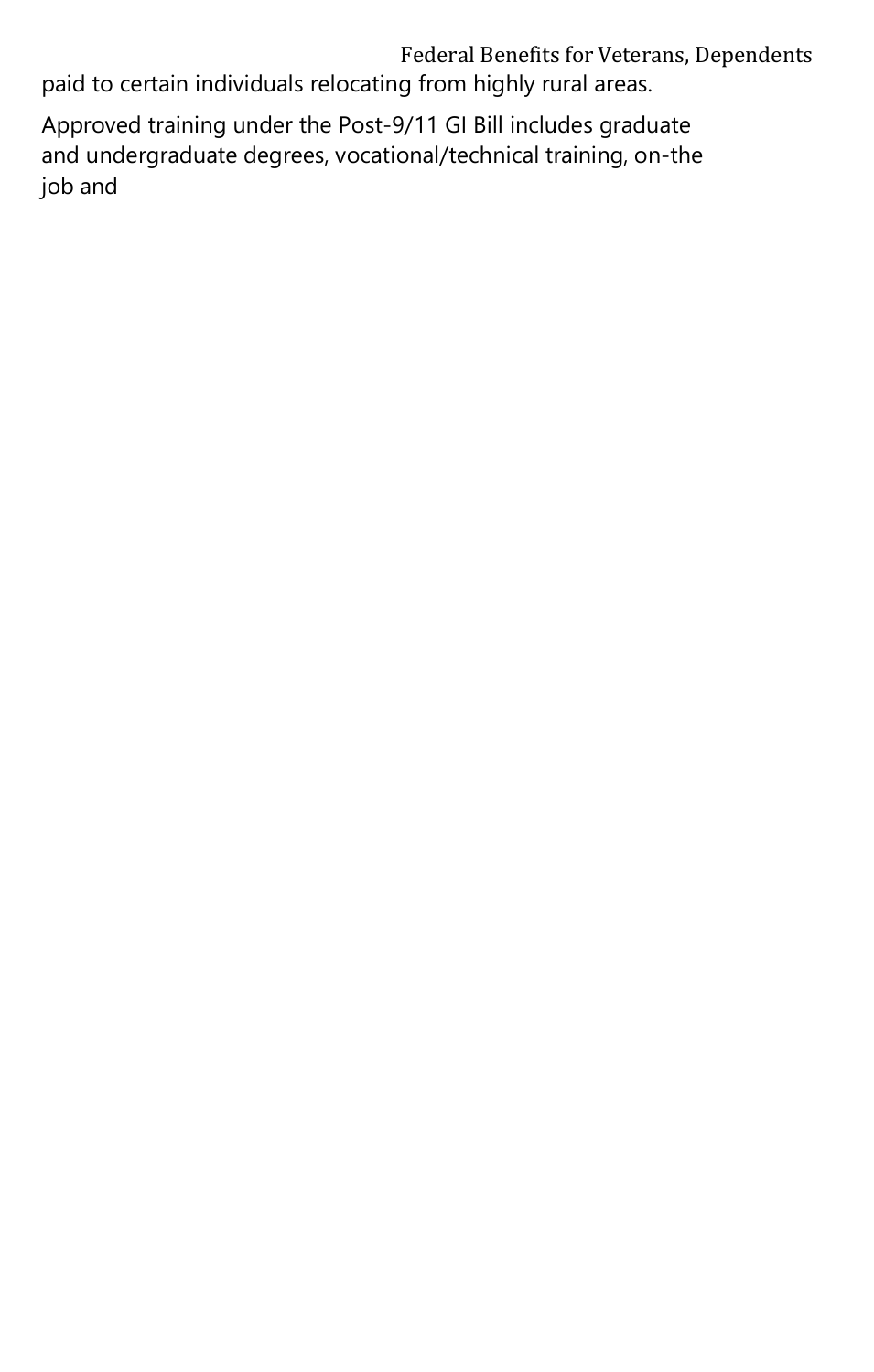Federal Benefits for Veterans, Dependents paid to certain individuals relocating from highly rural areas.

Approved training under the Post-9/11 GI Bill includes graduate and undergraduate degrees, vocational/technical training, on-the job and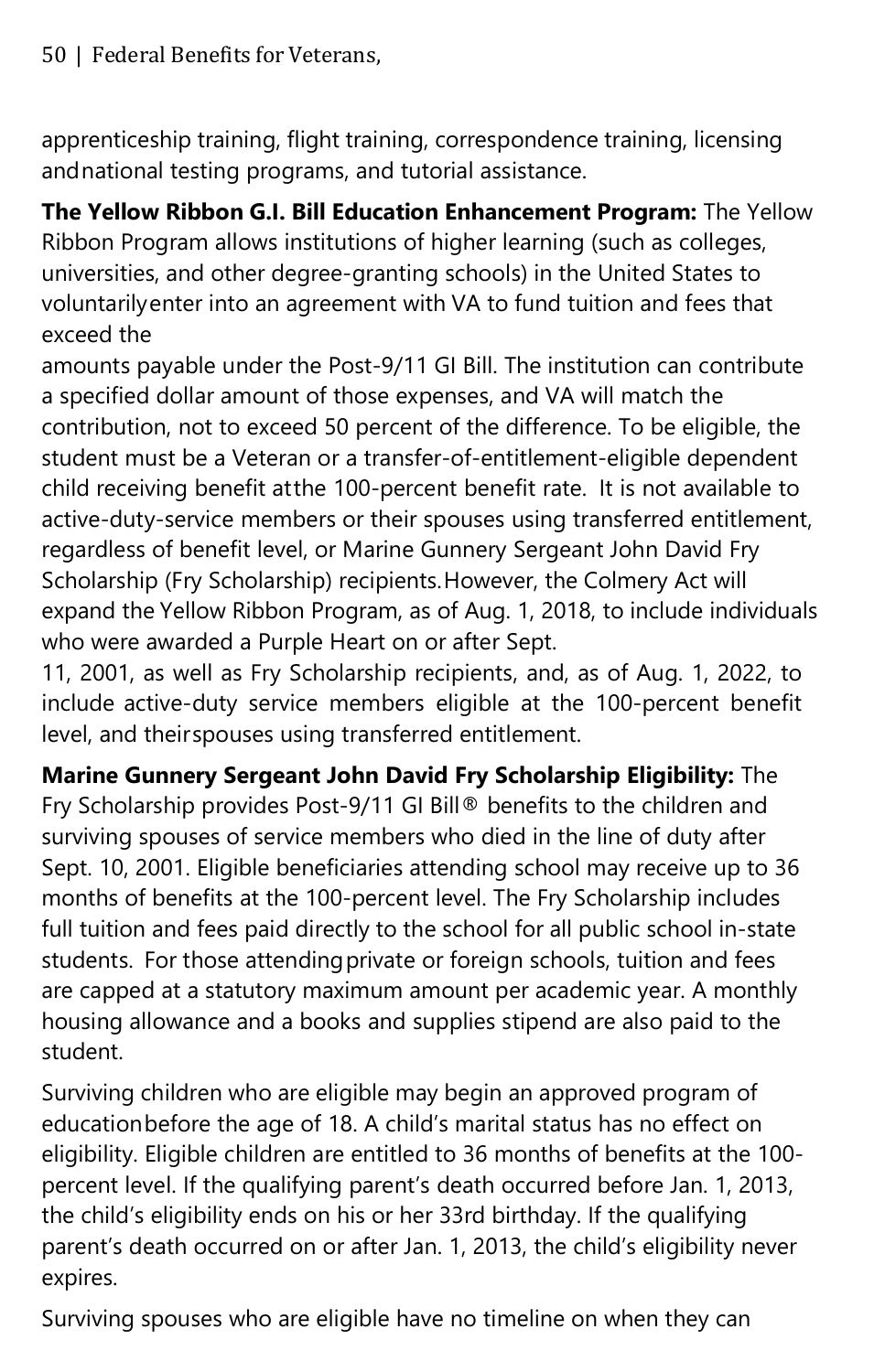apprenticeship training, flight training, correspondence training, licensing andnational testing programs, and tutorial assistance.

**The Yellow Ribbon G.I. Bill Education Enhancement Program:** The Yellow Ribbon Program allows institutions of higher learning (such as colleges, universities, and other degree-granting schools) in the United States to voluntarilyenter into an agreement with VA to fund tuition and fees that exceed the

amounts payable under the Post-9/11 GI Bill. The institution can contribute a specified dollar amount of those expenses, and VA will match the contribution, not to exceed 50 percent of the difference. To be eligible, the student must be a Veteran or a transfer-of-entitlement-eligible dependent child receiving benefit atthe 100-percent benefit rate. It is not available to active-duty-service members or their spouses using transferred entitlement, regardless of benefit level, or Marine Gunnery Sergeant John David Fry Scholarship (Fry Scholarship) recipients.However, the Colmery Act will expand the Yellow Ribbon Program, as of Aug. 1, 2018, to include individuals who were awarded a Purple Heart on or after Sept.

11, 2001, as well as Fry Scholarship recipients, and, as of Aug. 1, 2022, to include active-duty service members eligible at the 100-percent benefit level, and theirspouses using transferred entitlement.

**Marine Gunnery Sergeant John David Fry Scholarship Eligibility:** The Fry Scholarship provides Post-9/11 GI Bill® benefits to the children and surviving spouses of service members who died in the line of duty after Sept. 10, 2001. Eligible beneficiaries attending school may receive up to 36 months of benefits at the 100-percent level. The Fry Scholarship includes full tuition and fees paid directly to the school for all public school in-state students. For those attendingprivate or foreign schools, tuition and fees are capped at a statutory maximum amount per academic year. A monthly housing allowance and a books and supplies stipend are also paid to the student.

Surviving children who are eligible may begin an approved program of educationbefore the age of 18. A child's marital status has no effect on eligibility. Eligible children are entitled to 36 months of benefits at the 100 percent level. If the qualifying parent's death occurred before Jan. 1, 2013, the child's eligibility ends on his or her 33rd birthday. If the qualifying parent's death occurred on or after Jan. 1, 2013, the child's eligibility never expires.

Surviving spouses who are eligible have no timeline on when they can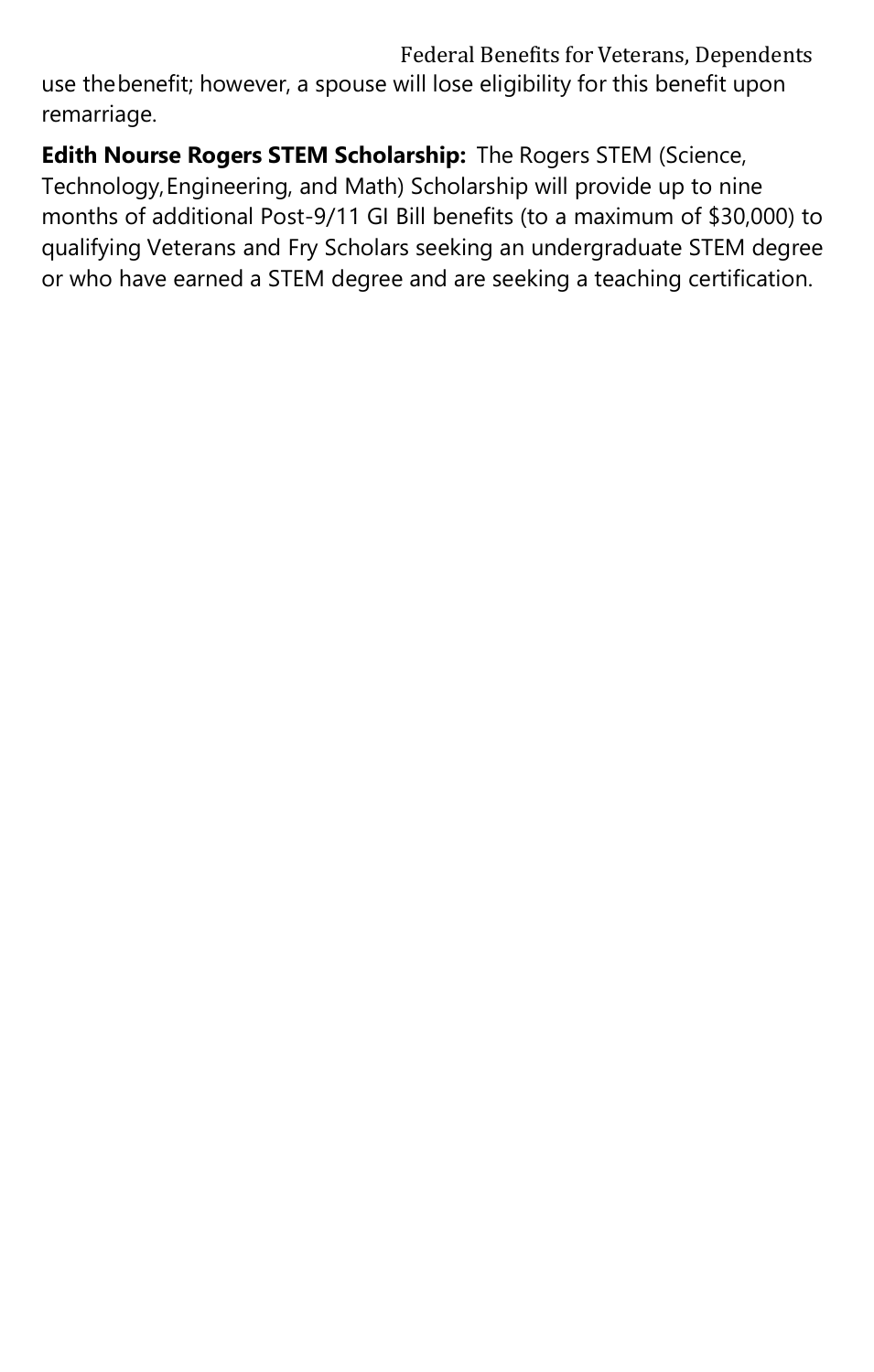Federal Benefits for Veterans, Dependents

use thebenefit; however, a spouse will lose eligibility for this benefit upon remarriage.

**Edith Nourse Rogers STEM Scholarship:** The Rogers STEM (Science, Technology,Engineering, and Math) Scholarship will provide up to nine months of additional Post-9/11 GI Bill benefits (to a maximum of \$30,000) to qualifying Veterans and Fry Scholars seeking an undergraduate STEM degree or who have earned a STEM degree and are seeking a teaching certification.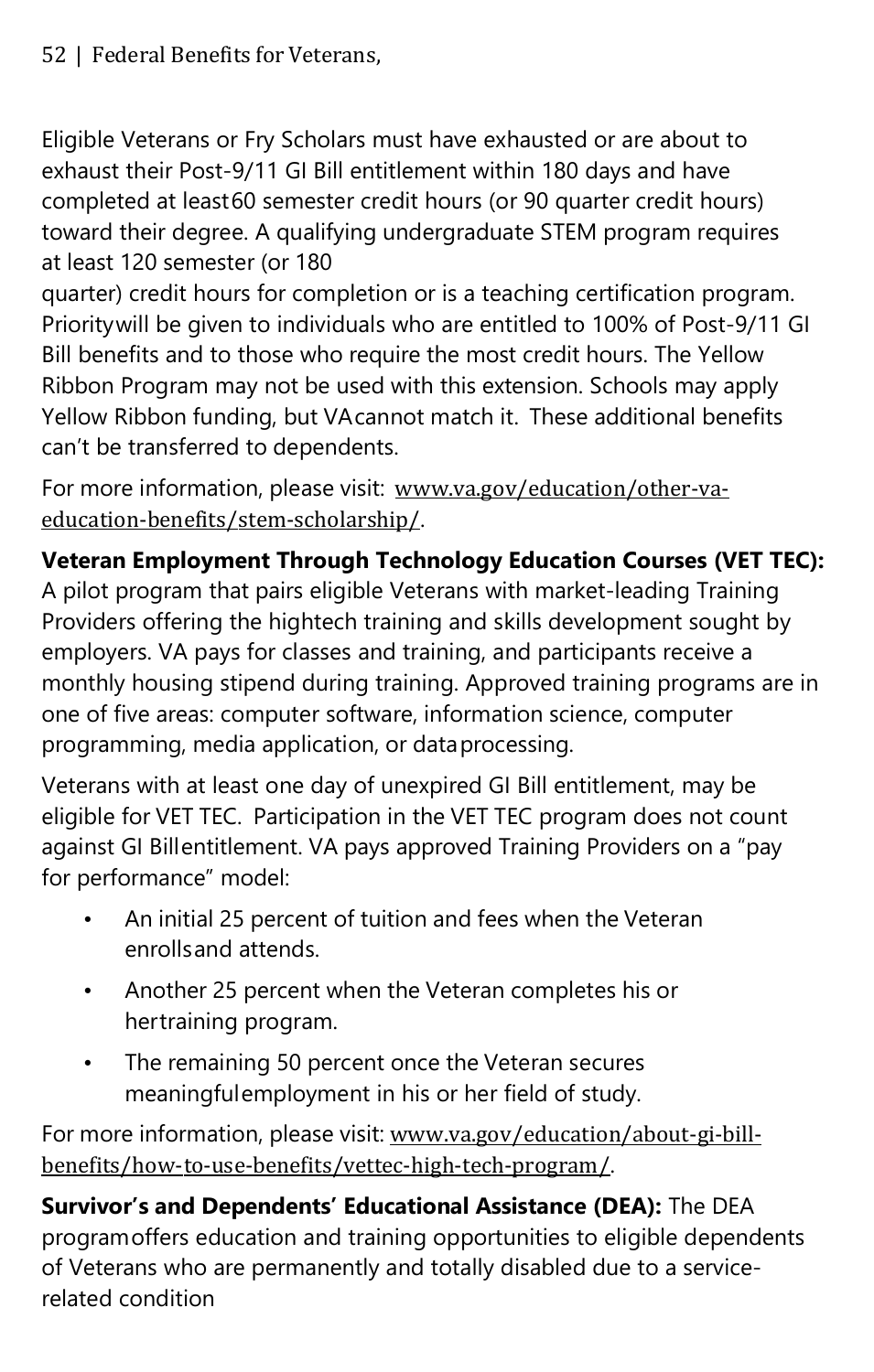Eligible Veterans or Fry Scholars must have exhausted or are about to exhaust their Post-9/11 GI Bill entitlement within 180 days and have completed at least60 semester credit hours (or 90 quarter credit hours) toward their degree. A qualifying undergraduate STEM program requires at least 120 semester (or 180

quarter) credit hours for completion or is a teaching certification program. Prioritywill be given to individuals who are entitled to 100% of Post-9/11 GI Bill benefits and to those who require the most credit hours. The Yellow Ribbon Program may not be used with this extension. Schools may apply Yellow Ribbon funding, but VAcannot match it. These additional benefits can't be transferred to dependents.

For more information, please visit: www.va.gov/education/other-vaeducation-benefits/stem-scholarship/.

#### **Veteran Employment Through Technology Education Courses (VET TEC):**

A pilot program that pairs eligible Veterans with market-leading Training Providers offering the hightech training and skills development sought by employers. VA pays for classes and training, and participants receive a monthly housing stipend during training. Approved training programs are in one of five areas: computer software, information science, computer programming, media application, or dataprocessing.

Veterans with at least one day of unexpired GI Bill entitlement, may be eligible for VET TEC. Participation in the VET TEC program does not count against GI Billentitlement. VA pays approved Training Providers on a "pay for performance" model:

- An initial 25 percent of tuition and fees when the Veteran enrollsand attends.
- Another 25 percent when the Veteran completes his or hertraining program.
- The remaining 50 percent once the Veteran secures meaningfulemployment in his or her field of study.

For more information, please visit: www.va.gov/education/about-gi-billbenefits/how-to-use-benefits/vettec-high-tech-program/.

**Survivor's and Dependents' Educational Assistance (DEA):** The DEA programoffers education and training opportunities to eligible dependents of Veterans who are permanently and totally disabled due to a servicerelated condition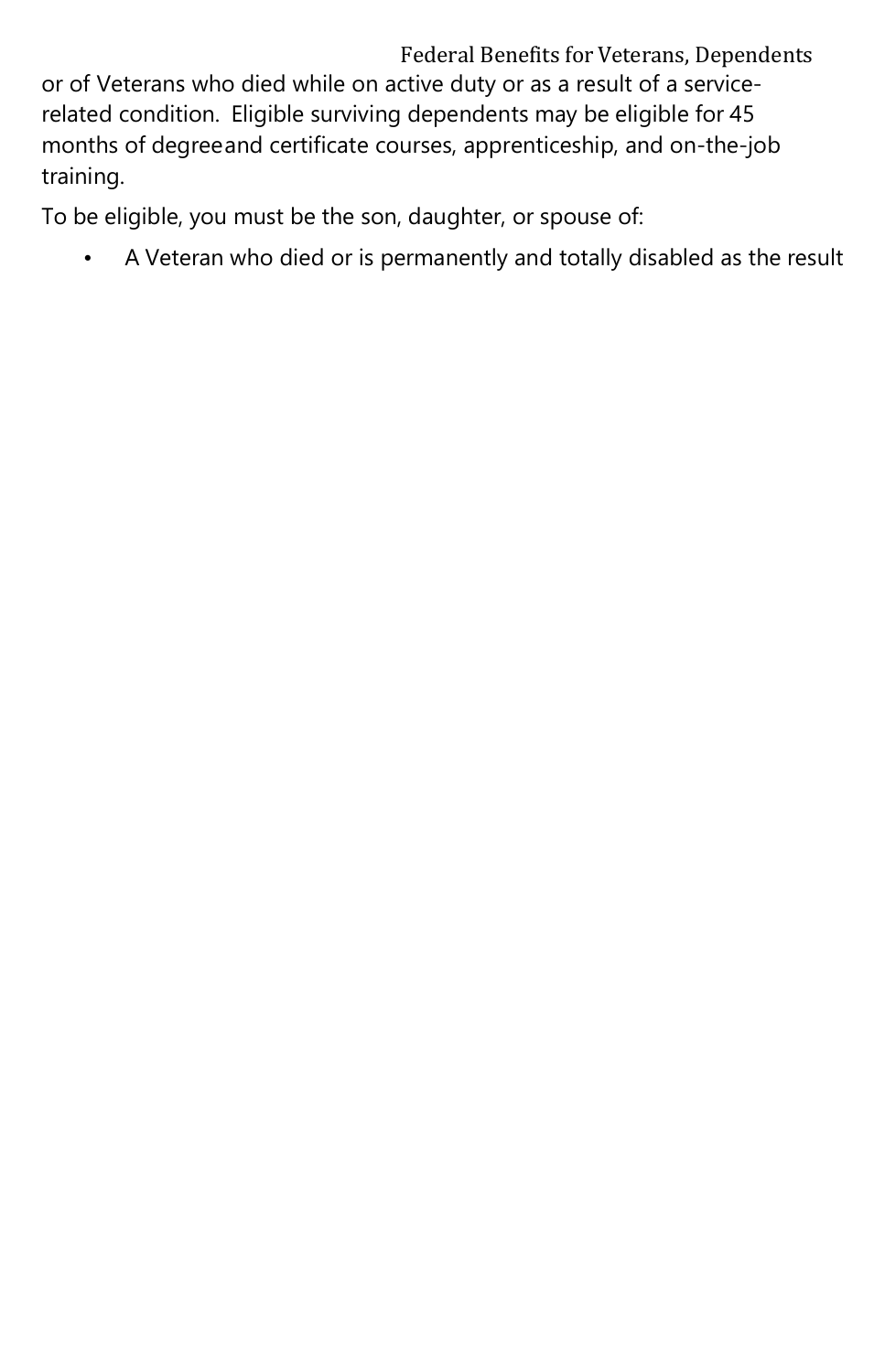Federal Benefits for Veterans, Dependents or of Veterans who died while on active duty or as a result of a service related condition. Eligible surviving dependents may be eligible for 45 months of degreeand certificate courses, apprenticeship, and on-the-job training.

To be eligible, you must be the son, daughter, or spouse of:

• A Veteran who died or is permanently and totally disabled as the result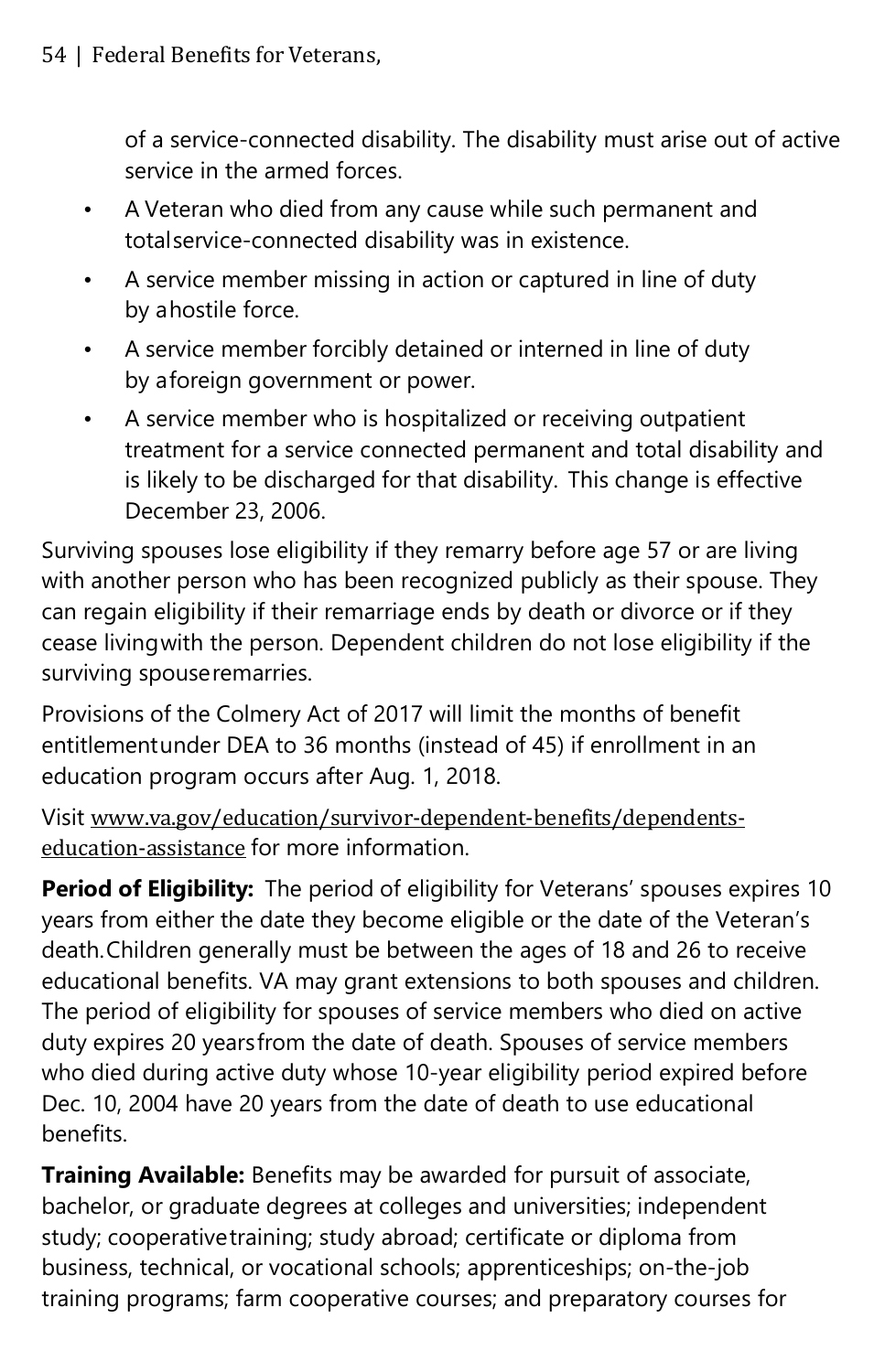of a service-connected disability. The disability must arise out of active service in the armed forces.

- A Veteran who died from any cause while such permanent and totalservice-connected disability was in existence.
- A service member missing in action or captured in line of duty by ahostile force.
- A service member forcibly detained or interned in line of duty by aforeign government or power.
- A service member who is hospitalized or receiving outpatient treatment for a service connected permanent and total disability and is likely to be discharged for that disability. This change is effective December 23, 2006.

Surviving spouses lose eligibility if they remarry before age 57 or are living with another person who has been recognized publicly as their spouse. They can regain eligibility if their remarriage ends by death or divorce or if they cease livingwith the person. Dependent children do not lose eligibility if the surviving spouseremarries.

Provisions of the Colmery Act of 2017 will limit the months of benefit entitlementunder DEA to 36 months (instead of 45) if enrollment in an education program occurs after Aug. 1, 2018.

Visit www.va.gov/education/survivor-dependent-benefits/dependentseducation-assistance for more information.

**Period of Eligibility:** The period of eligibility for Veterans' spouses expires 10 years from either the date they become eligible or the date of the Veteran's death.Children generally must be between the ages of 18 and 26 to receive educational benefits. VA may grant extensions to both spouses and children. The period of eligibility for spouses of service members who died on active duty expires 20 yearsfrom the date of death. Spouses of service members who died during active duty whose 10-year eligibility period expired before Dec. 10, 2004 have 20 years from the date of death to use educational benefits.

**Training Available:** Benefits may be awarded for pursuit of associate, bachelor, or graduate degrees at colleges and universities; independent study; cooperativetraining; study abroad; certificate or diploma from business, technical, or vocational schools; apprenticeships; on-the-job training programs; farm cooperative courses; and preparatory courses for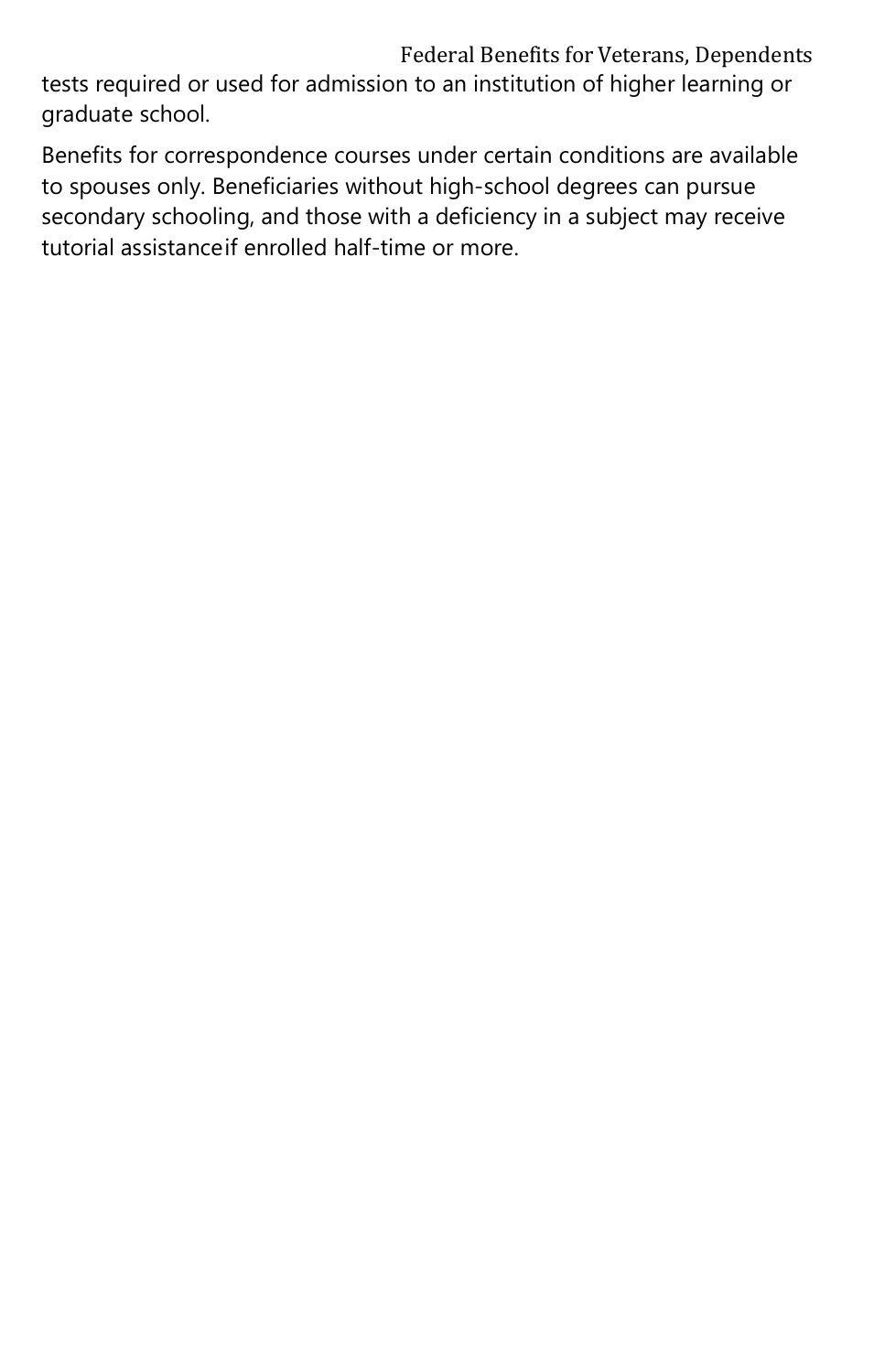Federal Benefits for Veterans, Dependents

tests required or used for admission to an institution of higher learning or graduate school.

Benefits for correspondence courses under certain conditions are available to spouses only. Beneficiaries without high-school degrees can pursue secondary schooling, and those with a deficiency in a subject may receive tutorial assistanceif enrolled half-time or more.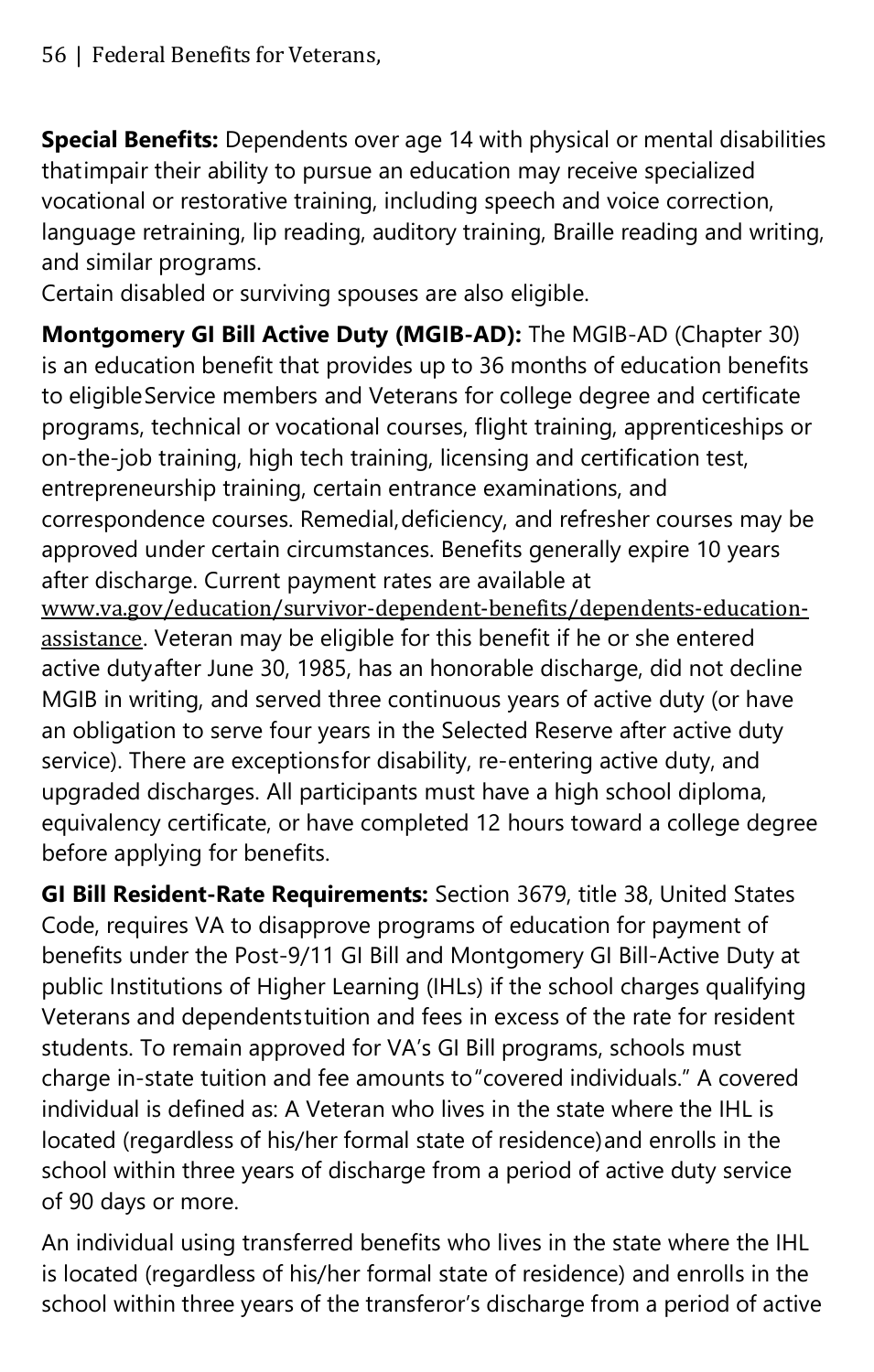**Special Benefits:** Dependents over age 14 with physical or mental disabilities thatimpair their ability to pursue an education may receive specialized vocational or restorative training, including speech and voice correction, language retraining, lip reading, auditory training, Braille reading and writing, and similar programs.

Certain disabled or surviving spouses are also eligible.

**Montgomery GI Bill Active Duty (MGIB-AD):** The MGIB-AD (Chapter 30) is an education benefit that provides up to 36 months of education benefits to eligibleService members and Veterans for college degree and certificate programs, technical or vocational courses, flight training, apprenticeships or on-the-job training, high tech training, licensing and certification test, entrepreneurship training, certain entrance examinations, and correspondence courses. Remedial,deficiency, and refresher courses may be approved under certain circumstances. Benefits generally expire 10 years after discharge. Current payment rates are available at www.va.gov/education/survivor-dependent-benefits/dependents-educationassistance. Veteran may be eligible for this benefit if he or she entered active dutyafter June 30, 1985, has an honorable discharge, did not decline MGIB in writing, and served three continuous years of active duty (or have an obligation to serve four years in the Selected Reserve after active duty service). There are exceptionsfor disability, re-entering active duty, and upgraded discharges. All participants must have a high school diploma, equivalency certificate, or have completed 12 hours toward a college degree before applying for benefits.

**GI Bill Resident-Rate Requirements:** Section 3679, title 38, United States Code, requires VA to disapprove programs of education for payment of benefits under the Post-9/11 GI Bill and Montgomery GI Bill-Active Duty at public Institutions of Higher Learning (IHLs) if the school charges qualifying Veterans and dependentstuition and fees in excess of the rate for resident students. To remain approved for VA's GI Bill programs, schools must charge in-state tuition and fee amounts to"covered individuals." A covered individual is defined as: A Veteran who lives in the state where the IHL is located (regardless of his/her formal state of residence)and enrolls in the school within three years of discharge from a period of active duty service of 90 days or more.

An individual using transferred benefits who lives in the state where the IHL is located (regardless of his/her formal state of residence) and enrolls in the school within three years of the transferor's discharge from a period of active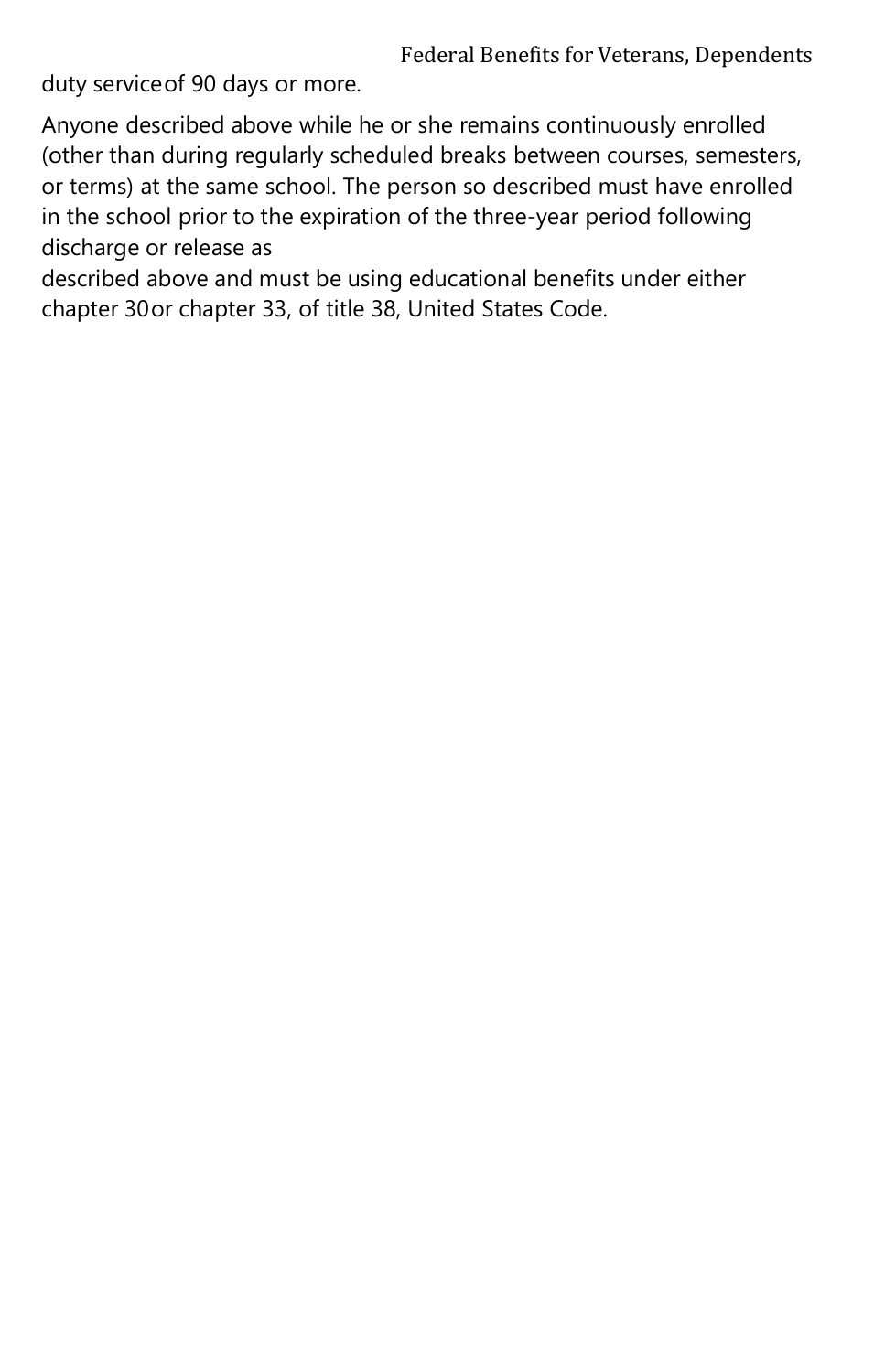duty serviceof 90 days or more.

Anyone described above while he or she remains continuously enrolled (other than during regularly scheduled breaks between courses, semesters, or terms) at the same school. The person so described must have enrolled in the school prior to the expiration of the three-year period following discharge or release as

described above and must be using educational benefits under either chapter 30or chapter 33, of title 38, United States Code.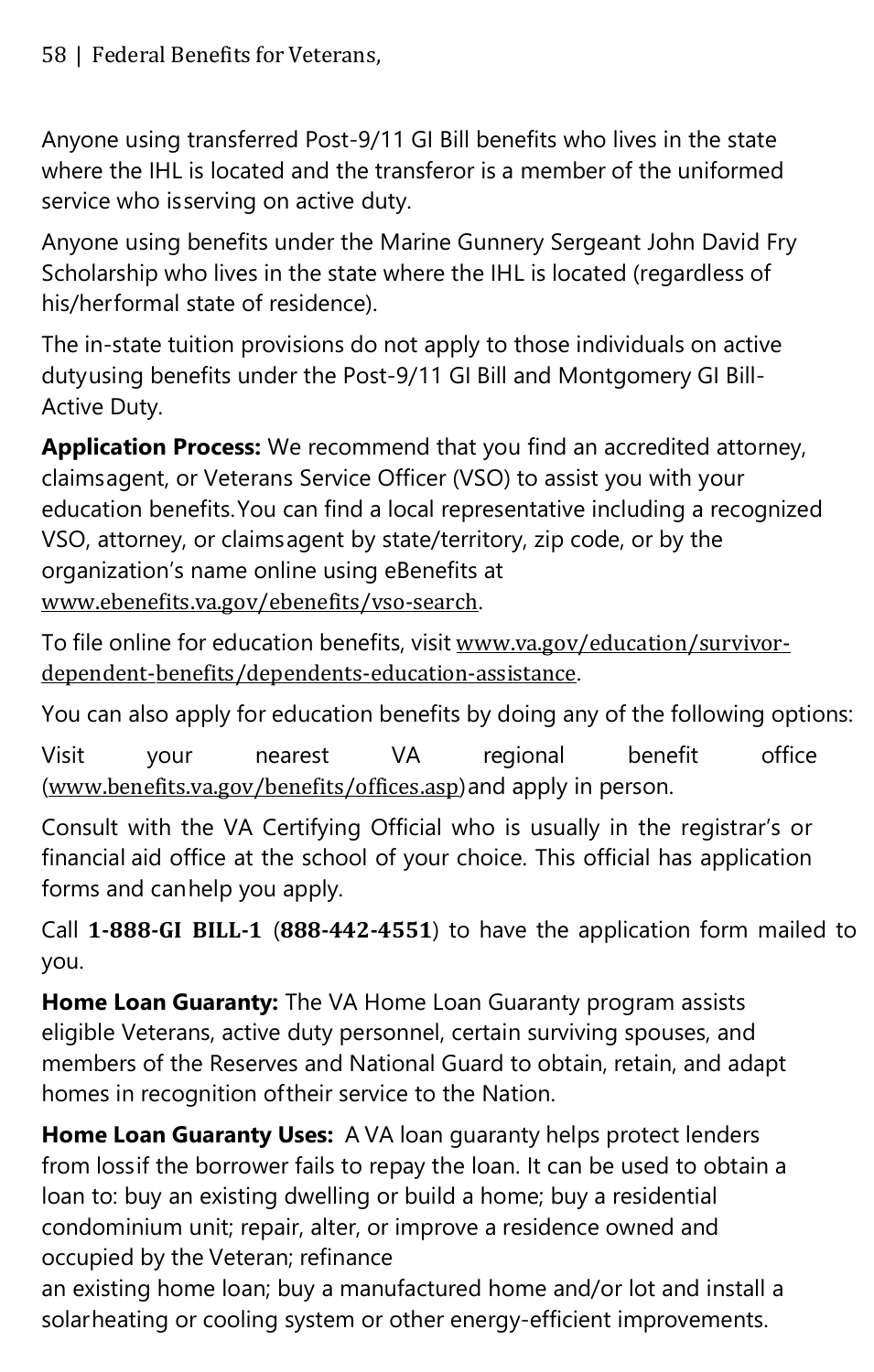Anyone using transferred Post-9/11 GI Bill benefits who lives in the state where the IHL is located and the transferor is a member of the uniformed service who isserving on active duty.

Anyone using benefits under the Marine Gunnery Sergeant John David Fry Scholarship who lives in the state where the IHL is located (regardless of his/herformal state of residence).

The in-state tuition provisions do not apply to those individuals on active dutyusing benefits under the Post-9/11 GI Bill and Montgomery GI Bill-Active Duty.

**Application Process:** We recommend that you find an accredited attorney, claimsagent, or Veterans Service Officer (VSO) to assist you with your education benefits.You can find a local representative including a recognized VSO, attorney, or claimsagent by state/territory, zip code, or by the organization's name online using eBenefits at www.ebenefits.va.gov/ebenefits/vso-search.

To file online for education benefits, visit www.va.gov/education/survivordependent-benefits/dependents-education-assistance.

You can also apply for education benefits by doing any of the following options:

Visit your nearest VA regional benefit office (www.benefits.va.gov/benefits/offices.asp)and apply in person.

Consult with the VA Certifying Official who is usually in the registrar's or financial aid office at the school of your choice. This official has application forms and canhelp you apply.

Call **1-888-GI BILL-1** (**888-442-4551**) to have the application form mailed to you.

**Home Loan Guaranty:** The VA Home Loan Guaranty program assists eligible Veterans, active duty personnel, certain surviving spouses, and members of the Reserves and National Guard to obtain, retain, and adapt homes in recognition oftheir service to the Nation.

**Home Loan Guaranty Uses:** A VA loan guaranty helps protect lenders from lossif the borrower fails to repay the loan. It can be used to obtain a loan to: buy an existing dwelling or build a home; buy a residential condominium unit; repair, alter, or improve a residence owned and occupied by the Veteran; refinance

an existing home loan; buy a manufactured home and/or lot and install a solarheating or cooling system or other energy-efficient improvements.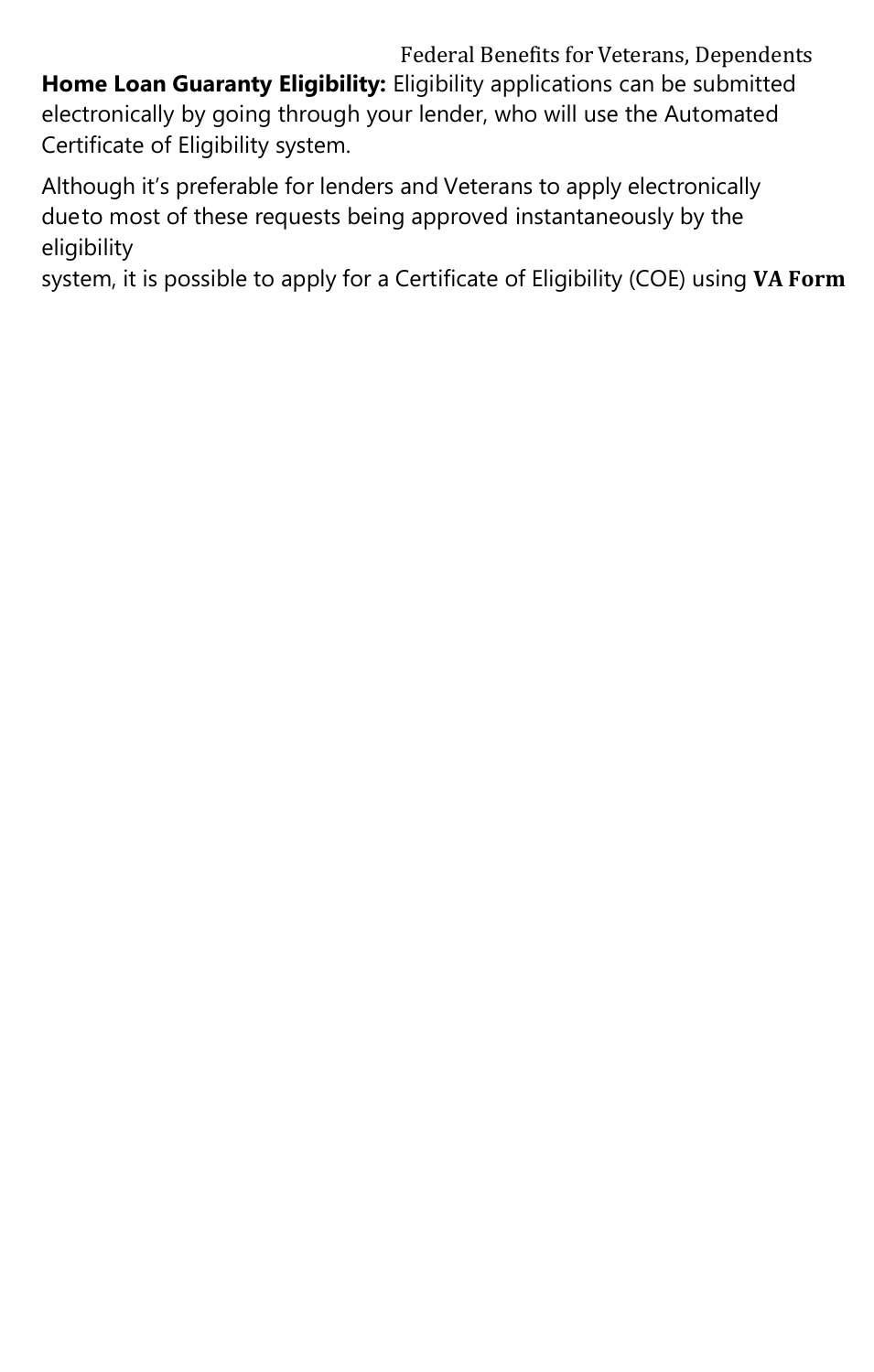Federal Benefits for Veterans, Dependents **Home Loan Guaranty Eligibility:** Eligibility applications can be submitted electronically by going through your lender, who will use the Automated Certificate of Eligibility system.

Although it's preferable for lenders and Veterans to apply electronically dueto most of these requests being approved instantaneously by the eligibility

system, it is possible to apply for a Certificate of Eligibility (COE) using **VA Form**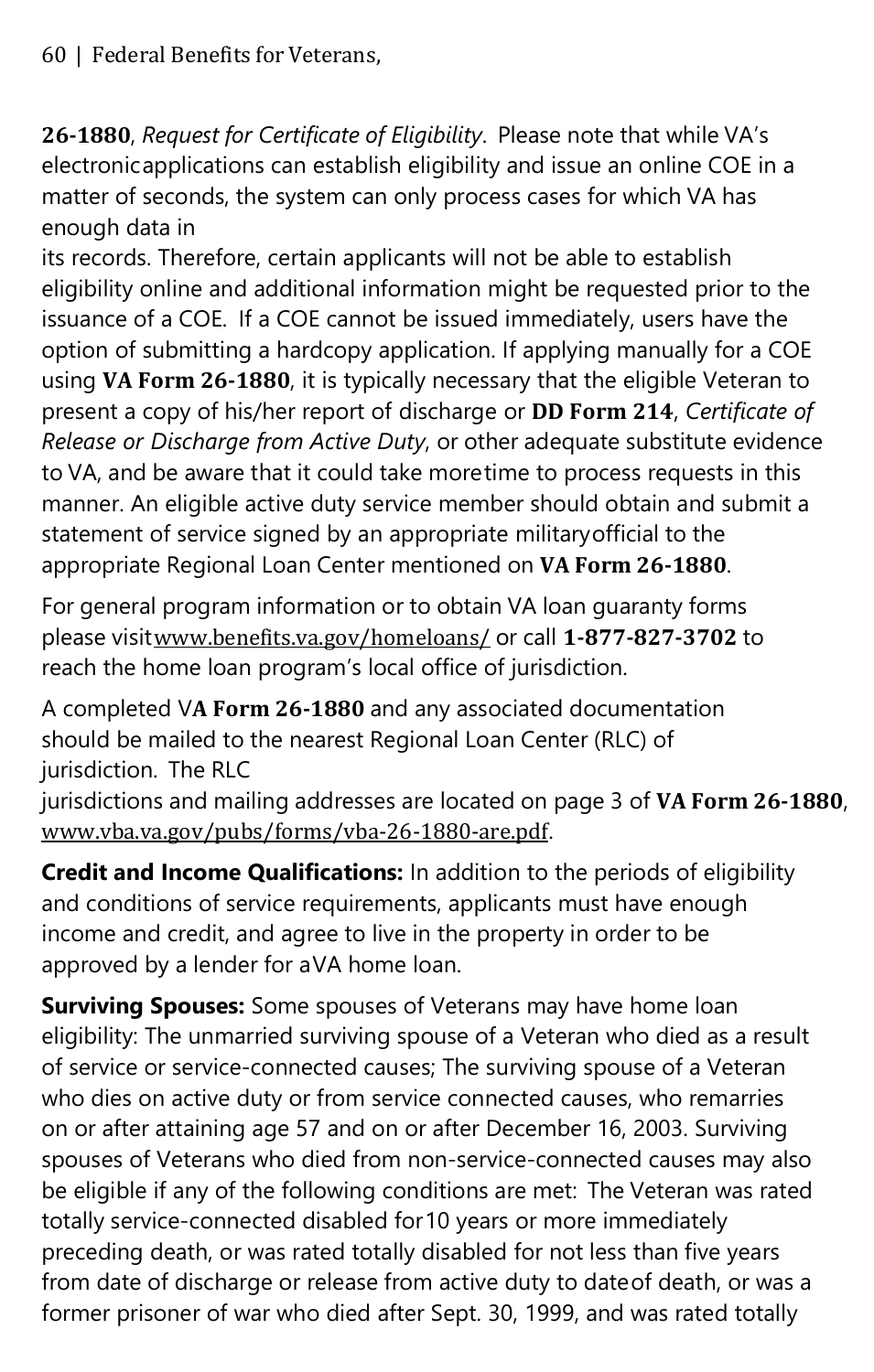**26-1880**, *Request for Certificate of Eligibility*. Please note that while VA's electronicapplications can establish eligibility and issue an online COE in a matter of seconds, the system can only process cases for which VA has enough data in

its records. Therefore, certain applicants will not be able to establish eligibility online and additional information might be requested prior to the issuance of a COE. If a COE cannot be issued immediately, users have the option of submitting a hardcopy application. If applying manually for a COE using **VA Form 26-1880**, it is typically necessary that the eligible Veteran to present a copy of his/her report of discharge or **DD Form 214**, *Certificate of Release or Discharge from Active Duty*, or other adequate substitute evidence to VA, and be aware that it could take moretime to process requests in this manner. An eligible active duty service member should obtain and submit a statement of service signed by an appropriate militaryofficial to the appropriate Regional Loan Center mentioned on **VA Form 26-1880**.

For general program information or to obtain VA loan guaranty forms please visitwww.benefits.va.gov/homeloans/ or call **1-877-827-3702** to reach the home loan program's local office of jurisdiction.

A completed V**A Form 26-1880** and any associated documentation should be mailed to the nearest Regional Loan Center (RLC) of jurisdiction. The RLC

jurisdictions and mailing addresses are located on page 3 of **VA Form 26-1880**, www.vba.va.gov/pubs/forms/vba-26-1880-are.pdf.

**Credit and Income Qualifications:** In addition to the periods of eligibility and conditions of service requirements, applicants must have enough income and credit, and agree to live in the property in order to be approved by a lender for aVA home loan.

**Surviving Spouses:** Some spouses of Veterans may have home loan eligibility: The unmarried surviving spouse of a Veteran who died as a result of service or service-connected causes; The surviving spouse of a Veteran who dies on active duty or from service connected causes, who remarries on or after attaining age 57 and on or after December 16, 2003. Surviving spouses of Veterans who died from non-service-connected causes may also be eligible if any of the following conditions are met: The Veteran was rated totally service-connected disabled for10 years or more immediately preceding death, or was rated totally disabled for not less than five years from date of discharge or release from active duty to dateof death, or was a former prisoner of war who died after Sept. 30, 1999, and was rated totally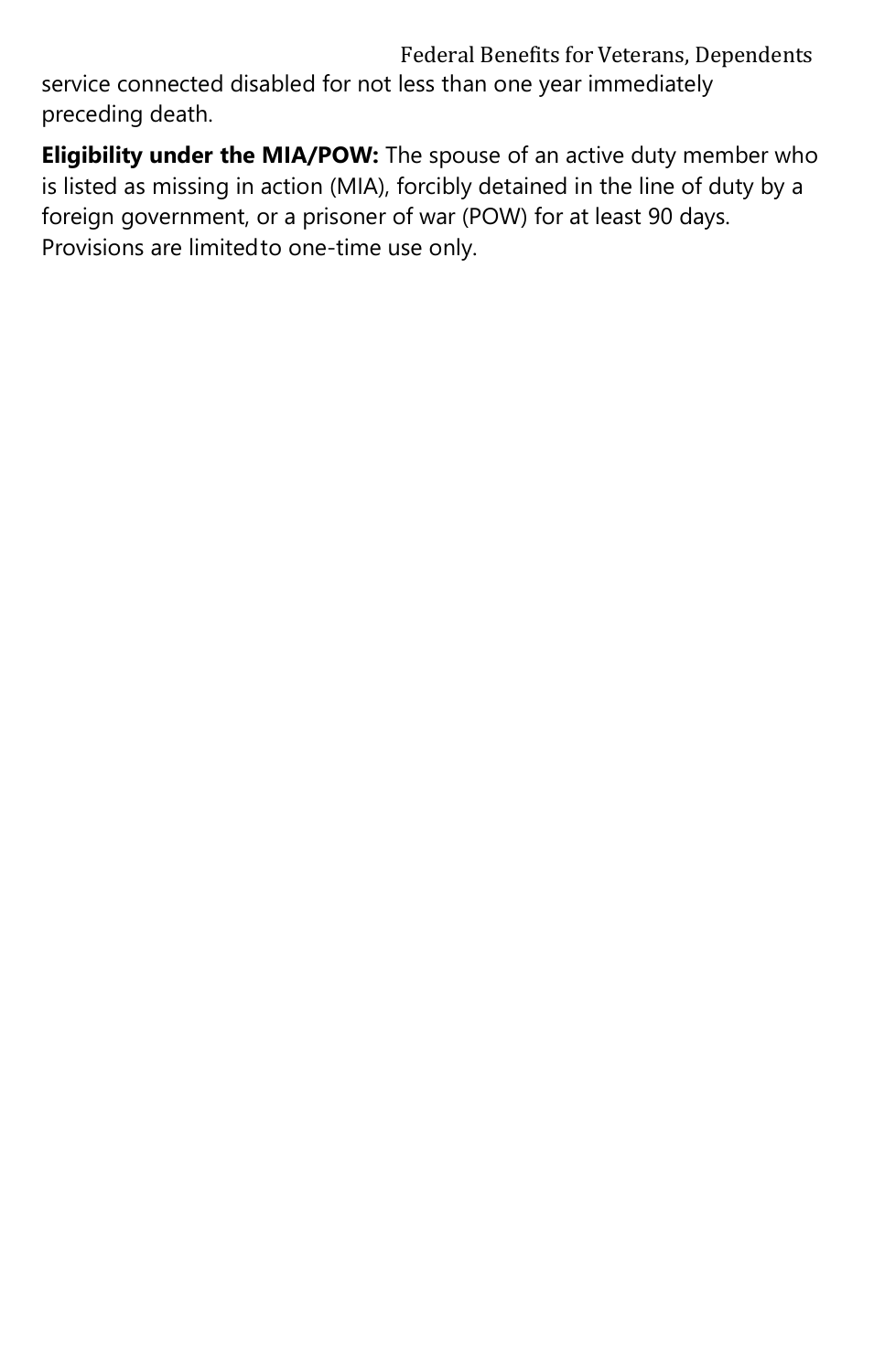Federal Benefits for Veterans, Dependents service connected disabled for not less than one year immediately preceding death.

**Eligibility under the MIA/POW:** The spouse of an active duty member who is listed as missing in action (MIA), forcibly detained in the line of duty by a foreign government, or a prisoner of war (POW) for at least 90 days. Provisions are limitedto one-time use only.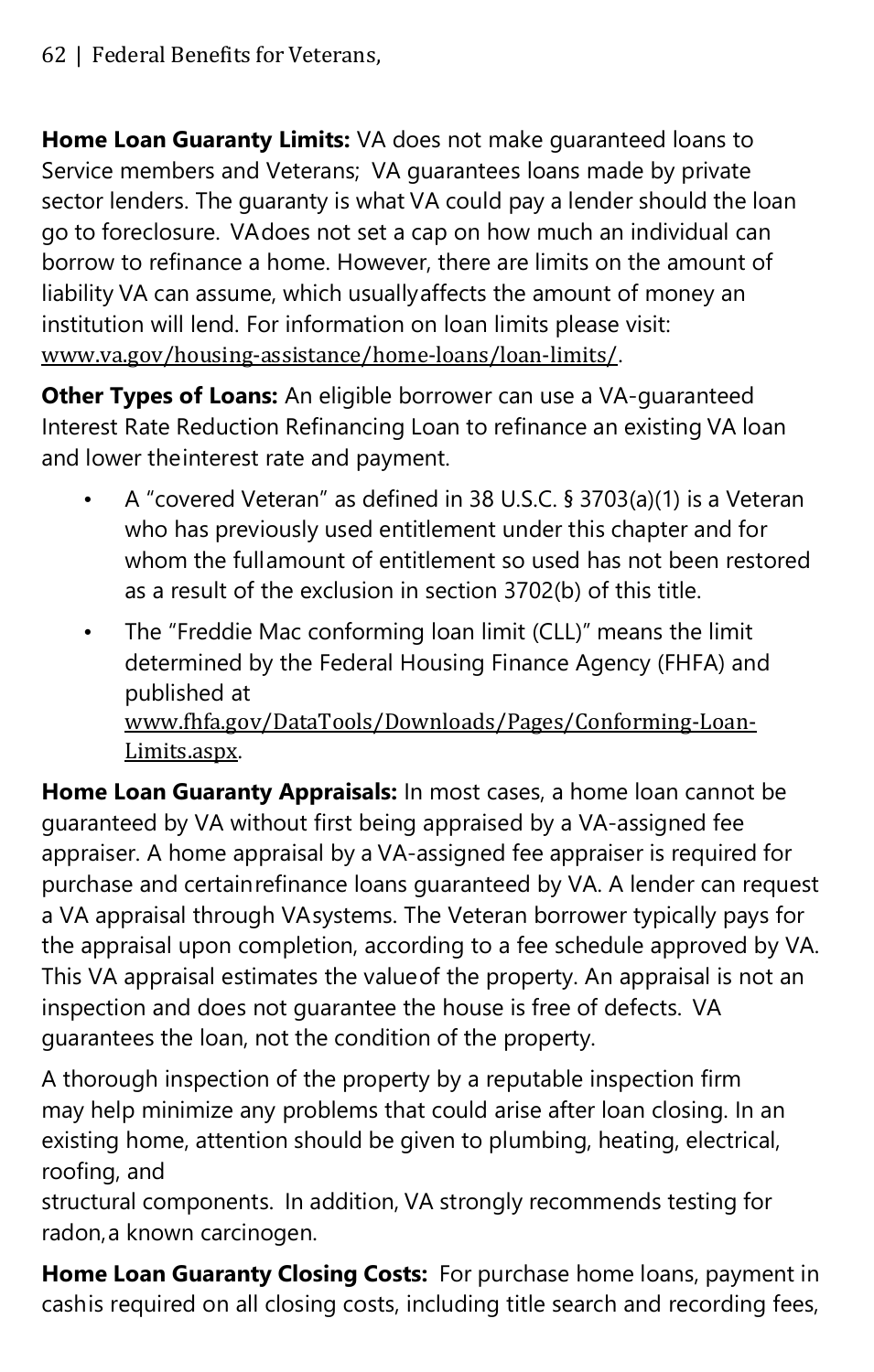**Home Loan Guaranty Limits:** VA does not make guaranteed loans to Service members and Veterans; VA guarantees loans made by private sector lenders. The guaranty is what VA could pay a lender should the loan go to foreclosure. VAdoes not set a cap on how much an individual can borrow to refinance a home. However, there are limits on the amount of liability VA can assume, which usuallyaffects the amount of money an institution will lend. For information on loan limits please visit: www.va.gov/housing-assistance/home-loans/loan-limits/.

**Other Types of Loans:** An eligible borrower can use a VA-quaranteed Interest Rate Reduction Refinancing Loan to refinance an existing VA loan and lower theinterest rate and payment.

- A "covered Veteran" as defined in 38 U.S.C. § 3703(a)(1) is a Veteran who has previously used entitlement under this chapter and for whom the fullamount of entitlement so used has not been restored as a result of the exclusion in section 3702(b) of this title.
- The "Freddie Mac conforming loan limit (CLL)" means the limit determined by the Federal Housing Finance Agency (FHFA) and published at www.fhfa.gov/DataTools/Downloads/Pages/Conforming-Loan-Limits.aspx.

**Home Loan Guaranty Appraisals:** In most cases, a home loan cannot be guaranteed by VA without first being appraised by a VA-assigned fee appraiser. A home appraisal by a VA-assigned fee appraiser is required for purchase and certainrefinance loans guaranteed by VA. A lender can request a VA appraisal through VAsystems. The Veteran borrower typically pays for the appraisal upon completion, according to a fee schedule approved by VA. This VA appraisal estimates the valueof the property. An appraisal is not an inspection and does not guarantee the house is free of defects. VA guarantees the loan, not the condition of the property.

A thorough inspection of the property by a reputable inspection firm may help minimize any problems that could arise after loan closing. In an existing home, attention should be given to plumbing, heating, electrical, roofing, and

structural components. In addition, VA strongly recommends testing for radon,a known carcinogen.

**Home Loan Guaranty Closing Costs:** For purchase home loans, payment in cashis required on all closing costs, including title search and recording fees,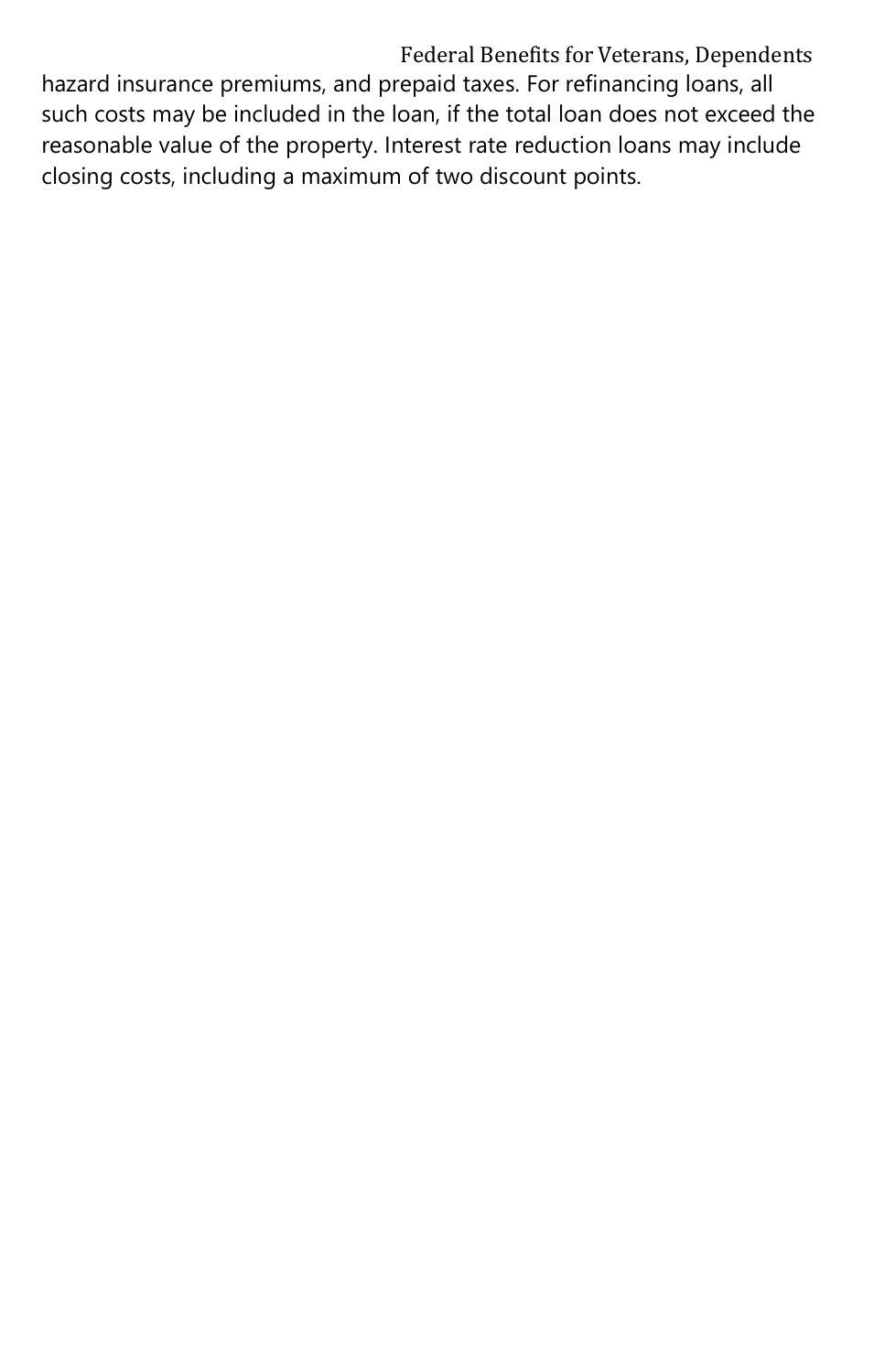Federal Benefits for Veterans, Dependents hazard insurance premiums, and prepaid taxes. For refinancing loans, all such costs may be included in the loan, if the total loan does not exceed the reasonable value of the property. Interest rate reduction loans may include closing costs, including a maximum of two discount points.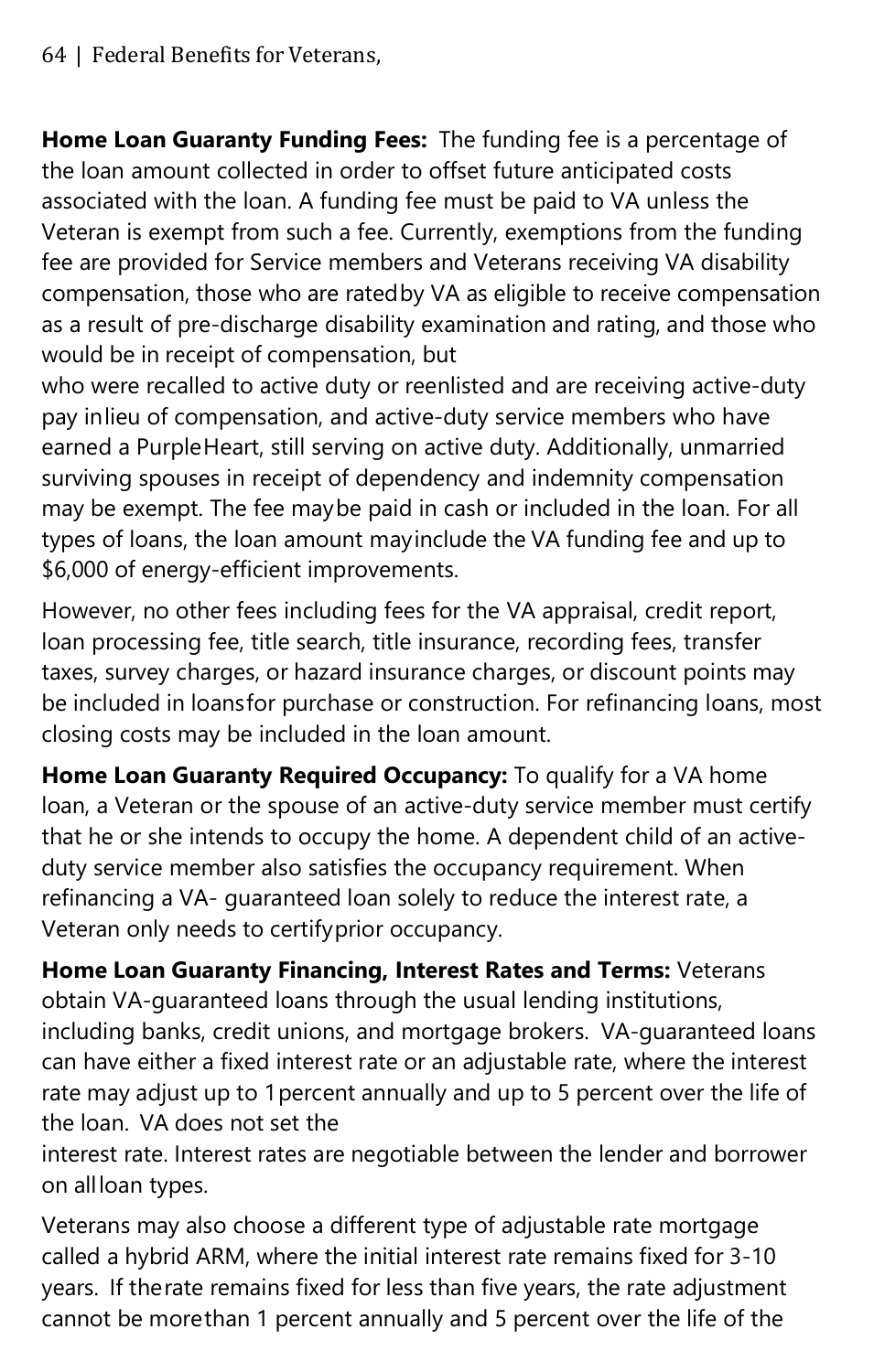**Home Loan Guaranty Funding Fees:** The funding fee is a percentage of the loan amount collected in order to offset future anticipated costs associated with the loan. A funding fee must be paid to VA unless the Veteran is exempt from such a fee. Currently, exemptions from the funding fee are provided for Service members and Veterans receiving VA disability compensation, those who are ratedby VA as eligible to receive compensation as a result of pre-discharge disability examination and rating, and those who would be in receipt of compensation, but

who were recalled to active duty or reenlisted and are receiving active-duty pay inlieu of compensation, and active-duty service members who have earned a PurpleHeart, still serving on active duty. Additionally, unmarried surviving spouses in receipt of dependency and indemnity compensation may be exempt. The fee maybe paid in cash or included in the loan. For all types of loans, the loan amount mayinclude the VA funding fee and up to \$6,000 of energy-efficient improvements.

However, no other fees including fees for the VA appraisal, credit report, loan processing fee, title search, title insurance, recording fees, transfer taxes, survey charges, or hazard insurance charges, or discount points may be included in loansfor purchase or construction. For refinancing loans, most closing costs may be included in the loan amount.

**Home Loan Guaranty Required Occupancy:** To qualify for a VA home loan, a Veteran or the spouse of an active-duty service member must certify that he or she intends to occupy the home. A dependent child of an activeduty service member also satisfies the occupancy requirement. When refinancing a VA- guaranteed loan solely to reduce the interest rate, a Veteran only needs to certifyprior occupancy.

**Home Loan Guaranty Financing, Interest Rates and Terms:** Veterans obtain VA-guaranteed loans through the usual lending institutions, including banks, credit unions, and mortgage brokers. VA-guaranteed loans can have either a fixed interest rate or an adjustable rate, where the interest rate may adjust up to 1percent annually and up to 5 percent over the life of the loan. VA does not set the

interest rate. Interest rates are negotiable between the lender and borrower on allloan types.

Veterans may also choose a different type of adjustable rate mortgage called a hybrid ARM, where the initial interest rate remains fixed for 3-10 years. If therate remains fixed for less than five years, the rate adjustment cannot be morethan 1 percent annually and 5 percent over the life of the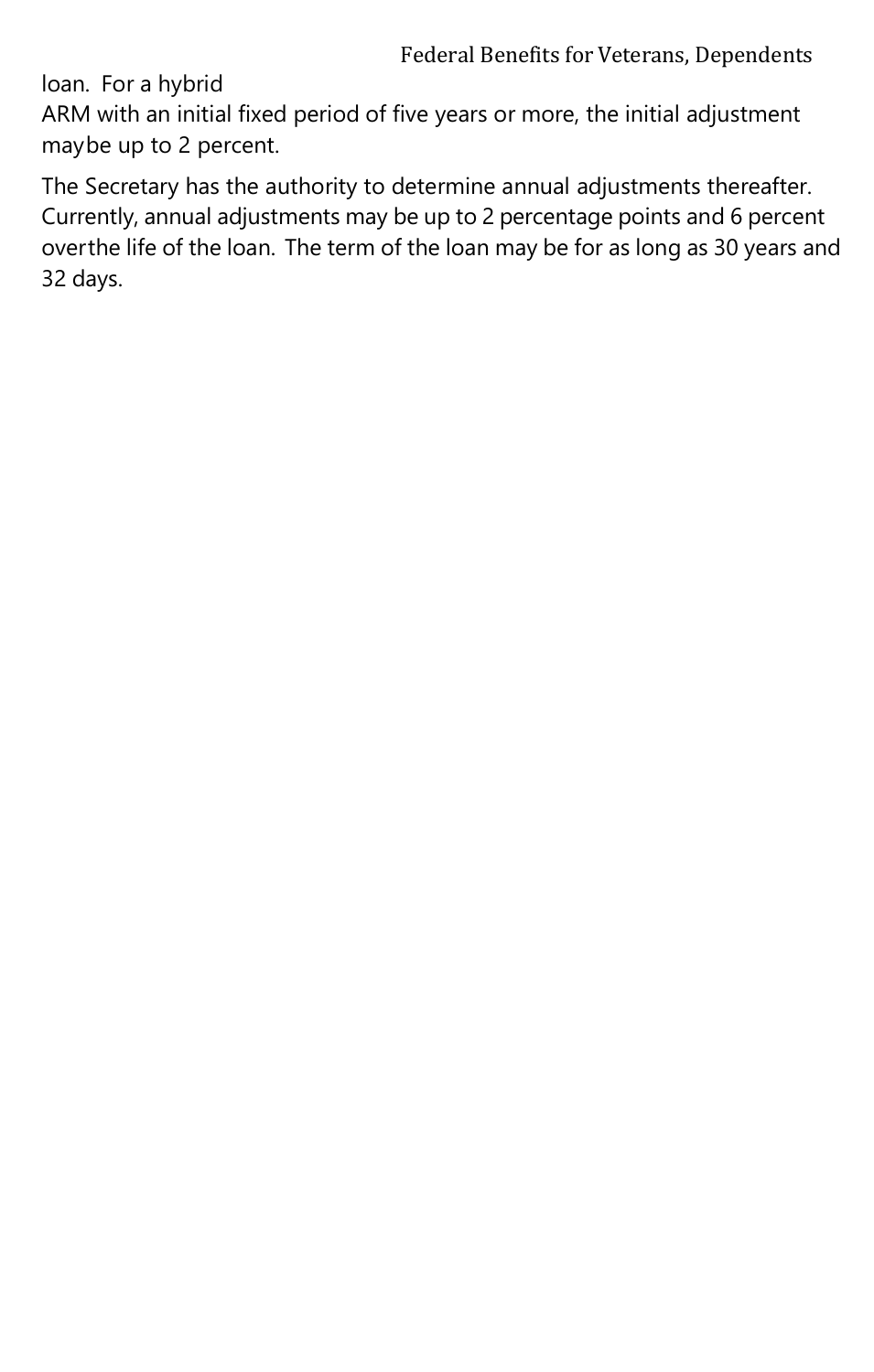loan. For a hybrid

ARM with an initial fixed period of five years or more, the initial adjustment maybe up to 2 percent.

The Secretary has the authority to determine annual adjustments thereafter. Currently, annual adjustments may be up to 2 percentage points and 6 percent overthe life of the loan. The term of the loan may be for as long as 30 years and 32 days.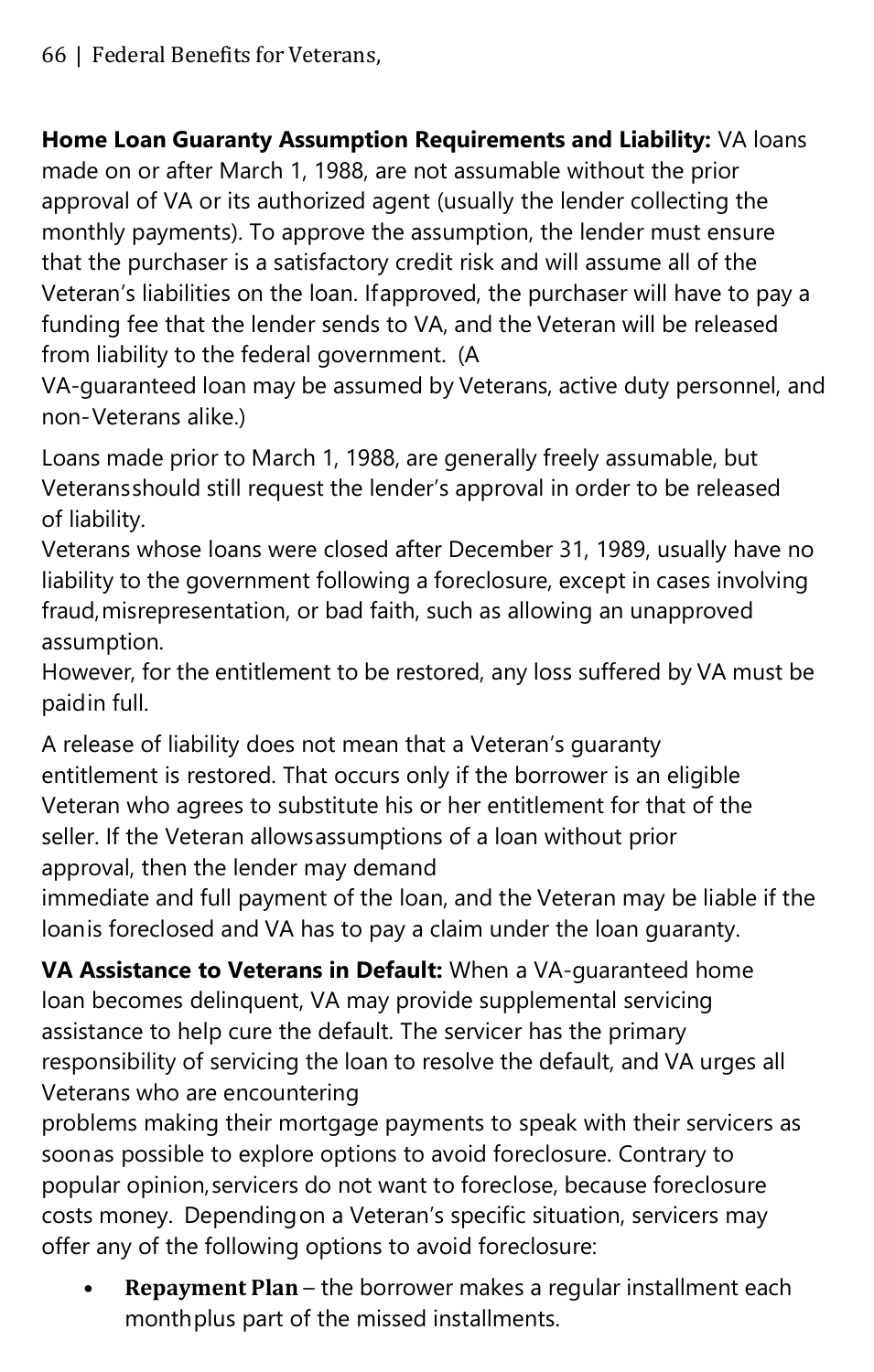**Home Loan Guaranty Assumption Requirements and Liability:** VA loans made on or after March 1, 1988, are not assumable without the prior approval of VA or its authorized agent (usually the lender collecting the monthly payments). To approve the assumption, the lender must ensure that the purchaser is a satisfactory credit risk and will assume all of the Veteran's liabilities on the loan. Ifapproved, the purchaser will have to pay a funding fee that the lender sends to VA, and the Veteran will be released from liability to the federal government. (A

VA-guaranteed loan may be assumed by Veterans, active duty personnel, and non-Veterans alike.)

Loans made prior to March 1, 1988, are generally freely assumable, but Veteransshould still request the lender's approval in order to be released of liability.

Veterans whose loans were closed after December 31, 1989, usually have no liability to the government following a foreclosure, except in cases involving fraud, misrepresentation, or bad faith, such as allowing an unapproved assumption.

However, for the entitlement to be restored, any loss suffered by VA must be paidin full.

A release of liability does not mean that a Veteran's guaranty entitlement is restored. That occurs only if the borrower is an eligible Veteran who agrees to substitute his or her entitlement for that of the seller. If the Veteran allowsassumptions of a loan without prior approval, then the lender may demand

immediate and full payment of the loan, and the Veteran may be liable if the loanis foreclosed and VA has to pay a claim under the loan guaranty.

**VA Assistance to Veterans in Default:** When a VA-guaranteed home loan becomes delinquent, VA may provide supplemental servicing assistance to help cure the default. The servicer has the primary responsibility of servicing the loan to resolve the default, and VA urges all Veterans who are encountering

problems making their mortgage payments to speak with their servicers as soonas possible to explore options to avoid foreclosure. Contrary to popular opinion,servicers do not want to foreclose, because foreclosure costs money. Dependingon a Veteran's specific situation, servicers may offer any of the following options to avoid foreclosure:

**• Repayment Plan** – the borrower makes a regular installment each monthplus part of the missed installments.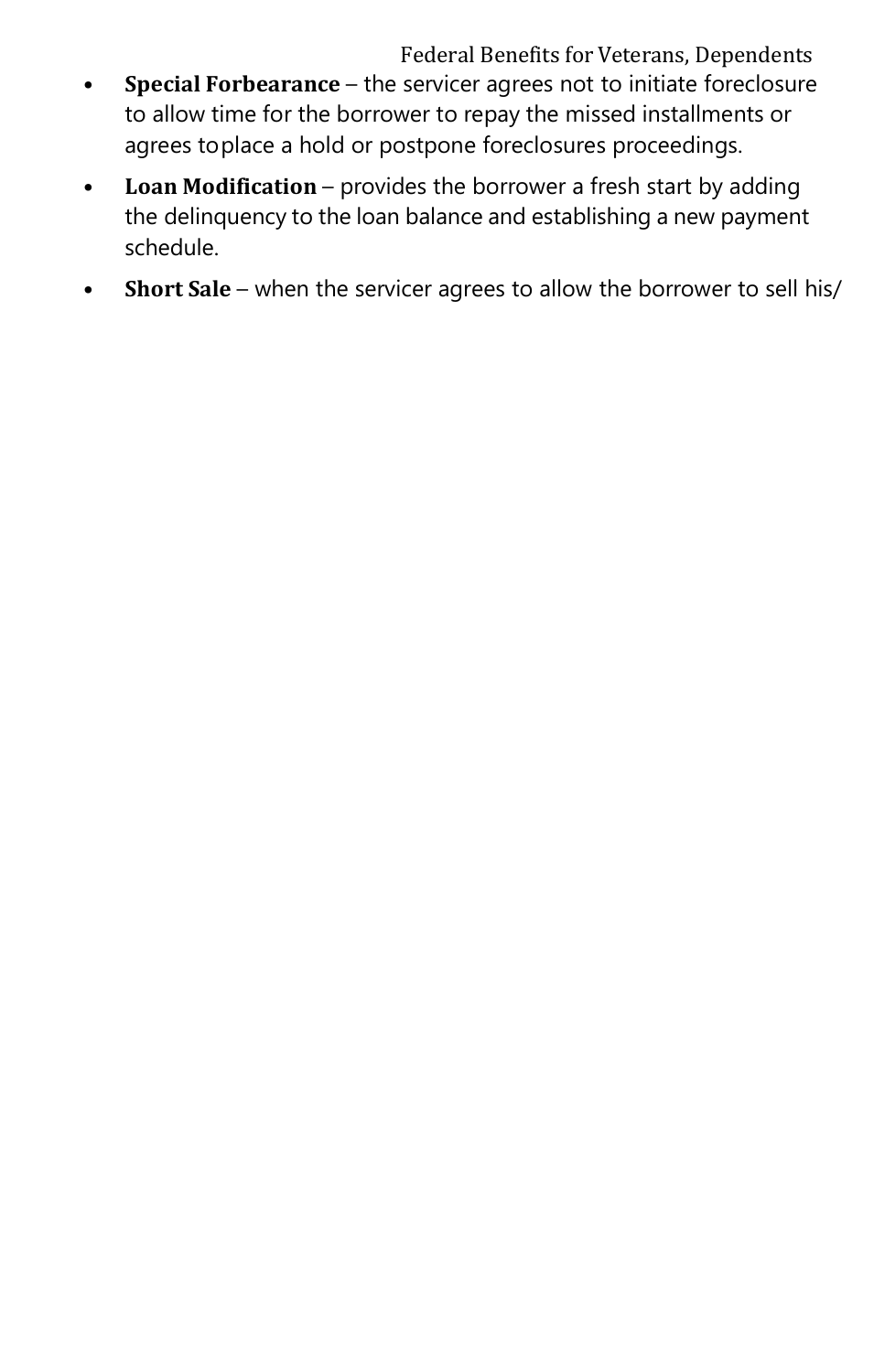Federal Benefits for Veterans, Dependents

- **• Special Forbearance**  the servicer agrees not to initiate foreclosure to allow time for the borrower to repay the missed installments or agrees toplace a hold or postpone foreclosures proceedings.
- Loan Modification provides the borrower a fresh start by adding the delinquency to the loan balance and establishing a new payment schedule.
- **Short Sale** when the servicer agrees to allow the borrower to sell his/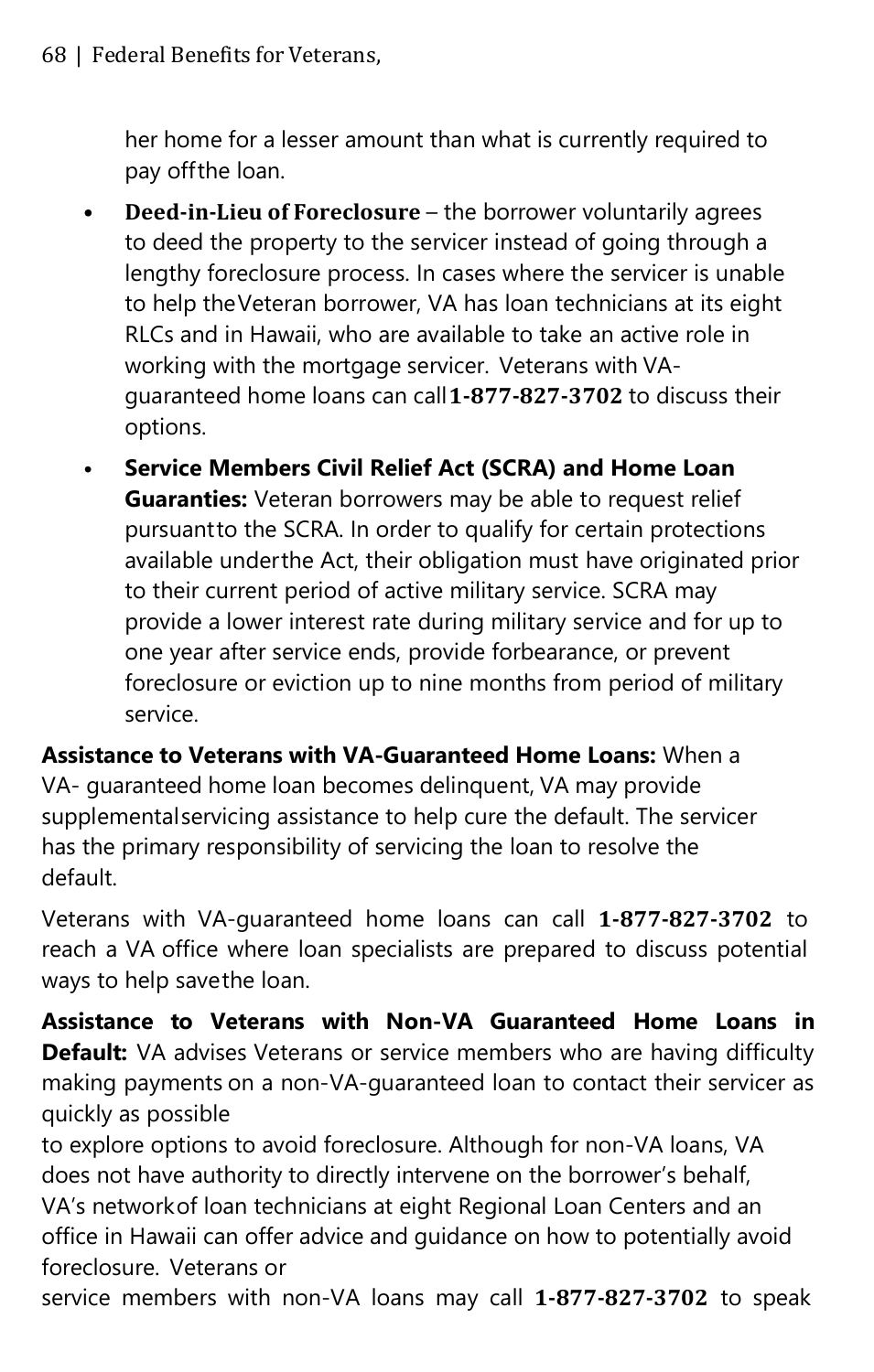her home for a lesser amount than what is currently required to pay offthe loan.

- **• Deed-in-Lieu of Foreclosure**  the borrower voluntarily agrees to deed the property to the servicer instead of going through a lengthy foreclosure process. In cases where the servicer is unable to help theVeteran borrower, VA has loan technicians at its eight RLCs and in Hawaii, who are available to take an active role in working with the mortgage servicer. Veterans with VAguaranteed home loans can call**1-877-827-3702** to discuss their options.
- **• Service Members Civil Relief Act (SCRA) and Home Loan Guaranties:** Veteran borrowers may be able to request relief pursuantto the SCRA. In order to qualify for certain protections available underthe Act, their obligation must have originated prior to their current period of active military service. SCRA may provide a lower interest rate during military service and for up to one year after service ends, provide forbearance, or prevent foreclosure or eviction up to nine months from period of military service.

**Assistance to Veterans with VA-Guaranteed Home Loans:** When a VA- guaranteed home loan becomes delinquent, VA may provide supplementalservicing assistance to help cure the default. The servicer has the primary responsibility of servicing the loan to resolve the default.

Veterans with VA-guaranteed home loans can call **1-877-827-3702** to reach a VA office where loan specialists are prepared to discuss potential ways to help savethe loan.

**Assistance to Veterans with Non-VA Guaranteed Home Loans in Default:** VA advises Veterans or service members who are having difficulty making payments on a non-VA-guaranteed loan to contact their servicer as quickly as possible

to explore options to avoid foreclosure. Although for non-VA loans, VA does not have authority to directly intervene on the borrower's behalf, VA's networkof loan technicians at eight Regional Loan Centers and an office in Hawaii can offer advice and guidance on how to potentially avoid foreclosure. Veterans or

service members with non-VA loans may call **1-877-827-3702** to speak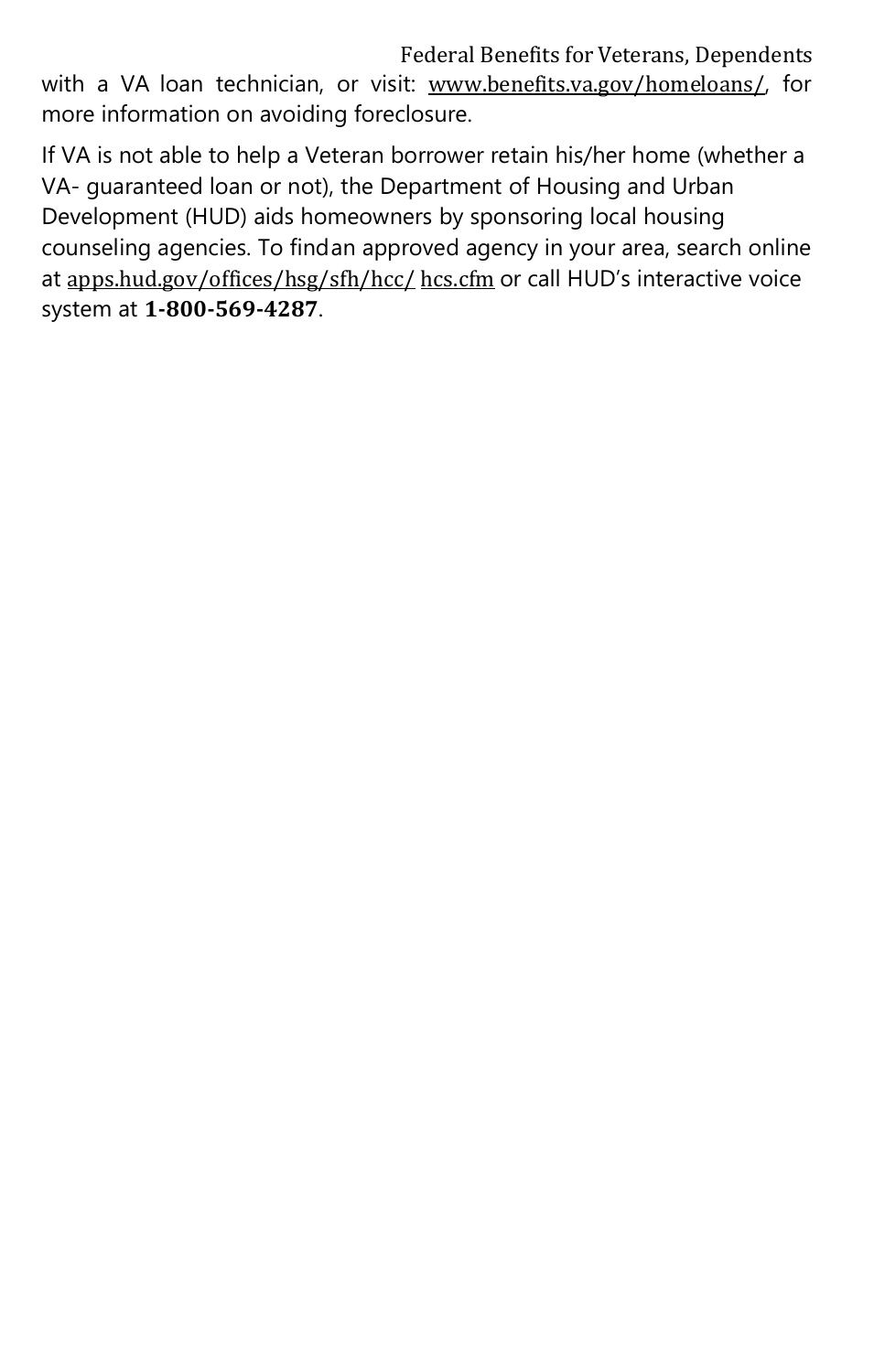Federal Benefits for Veterans, Dependents with a VA loan technician, or visit: www.benefits.va.gov/homeloans/, for more information on avoiding foreclosure.

If VA is not able to help a Veteran borrower retain his/her home (whether a VA- guaranteed loan or not), the Department of Housing and Urban Development (HUD) aids homeowners by sponsoring local housing counseling agencies. To findan approved agency in your area, search online at apps.hud.gov/offices/hsg/sfh/hcc/ hcs.cfm or call HUD's interactive voice system at **1-800-569-4287**.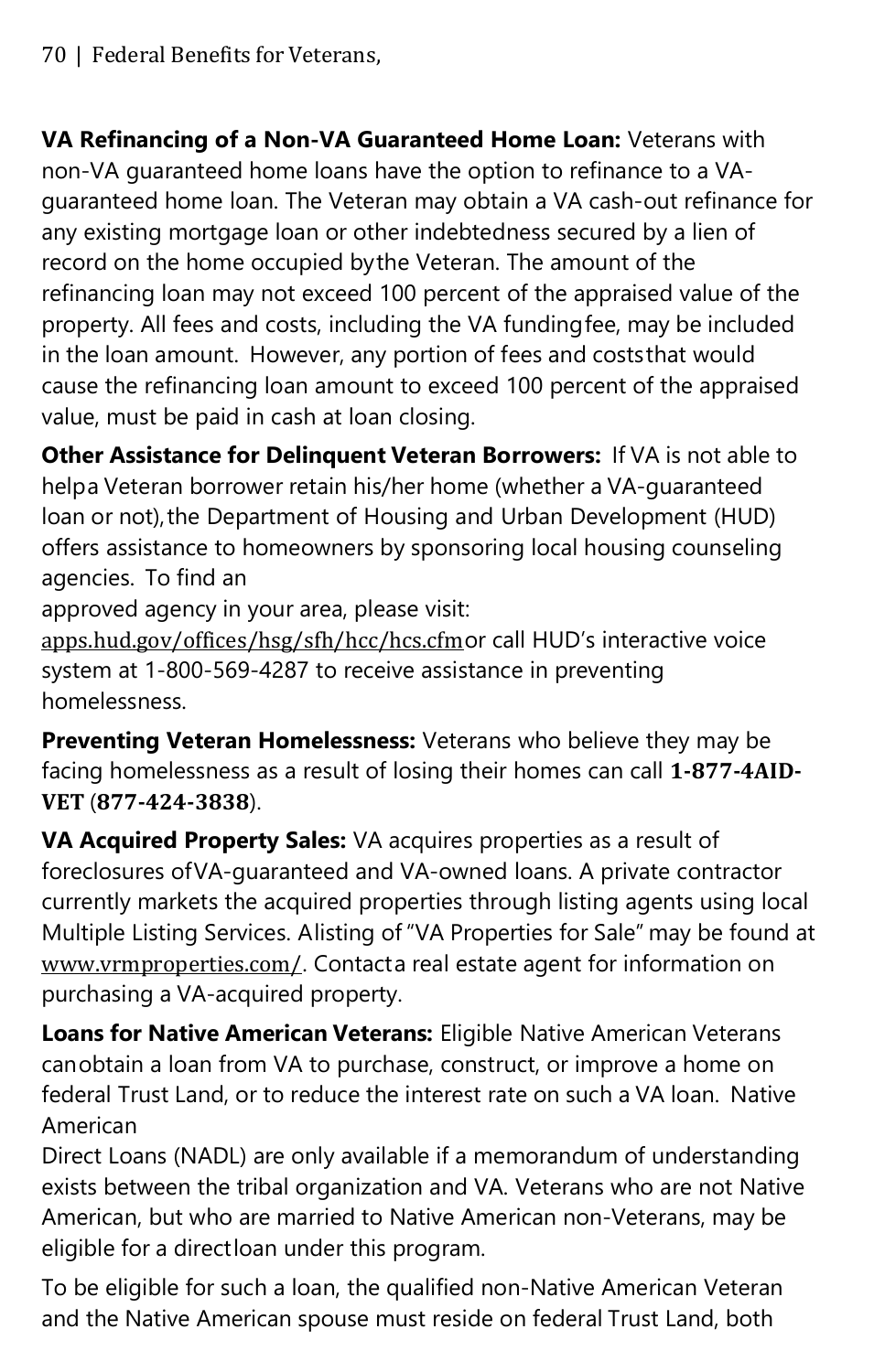**VA Refinancing of a Non-VA Guaranteed Home Loan:** Veterans with non-VA guaranteed home loans have the option to refinance to a VAguaranteed home loan. The Veteran may obtain a VA cash-out refinance for any existing mortgage loan or other indebtedness secured by a lien of record on the home occupied bythe Veteran. The amount of the refinancing loan may not exceed 100 percent of the appraised value of the property. All fees and costs, including the VA fundingfee, may be included in the loan amount. However, any portion of fees and coststhat would cause the refinancing loan amount to exceed 100 percent of the appraised value, must be paid in cash at loan closing.

**Other Assistance for Delinquent Veteran Borrowers:** If VA is not able to helpa Veteran borrower retain his/her home (whether a VA-guaranteed loan or not), the Department of Housing and Urban Development (HUD) offers assistance to homeowners by sponsoring local housing counseling agencies. To find an

approved agency in your area, please visit:

apps.hud.gov/offices/hsg/sfh/hcc/hcs.cfmor call HUD's interactive voice system at 1-800-569-4287 to receive assistance in preventing homelessness.

**Preventing Veteran Homelessness:** Veterans who believe they may be facing homelessness as a result of losing their homes can call **1-877-4AID-VET** (**877-424-3838**).

**VA Acquired Property Sales:** VA acquires properties as a result of foreclosures ofVA-guaranteed and VA-owned loans. A private contractor currently markets the acquired properties through listing agents using local Multiple Listing Services. Alisting of"VA Properties for Sale" may be found at www.vrmproperties.com/. Contacta real estate agent for information on purchasing a VA-acquired property.

**Loans for Native American Veterans:** Eligible Native American Veterans canobtain a loan from VA to purchase, construct, or improve a home on federal Trust Land, or to reduce the interest rate on such a VA loan. Native American

Direct Loans (NADL) are only available if a memorandum of understanding exists between the tribal organization and VA. Veterans who are not Native American, but who are married to Native American non-Veterans, may be eligible for a directloan under this program.

To be eligible for such a loan, the qualified non-Native American Veteran and the Native American spouse must reside on federal Trust Land, both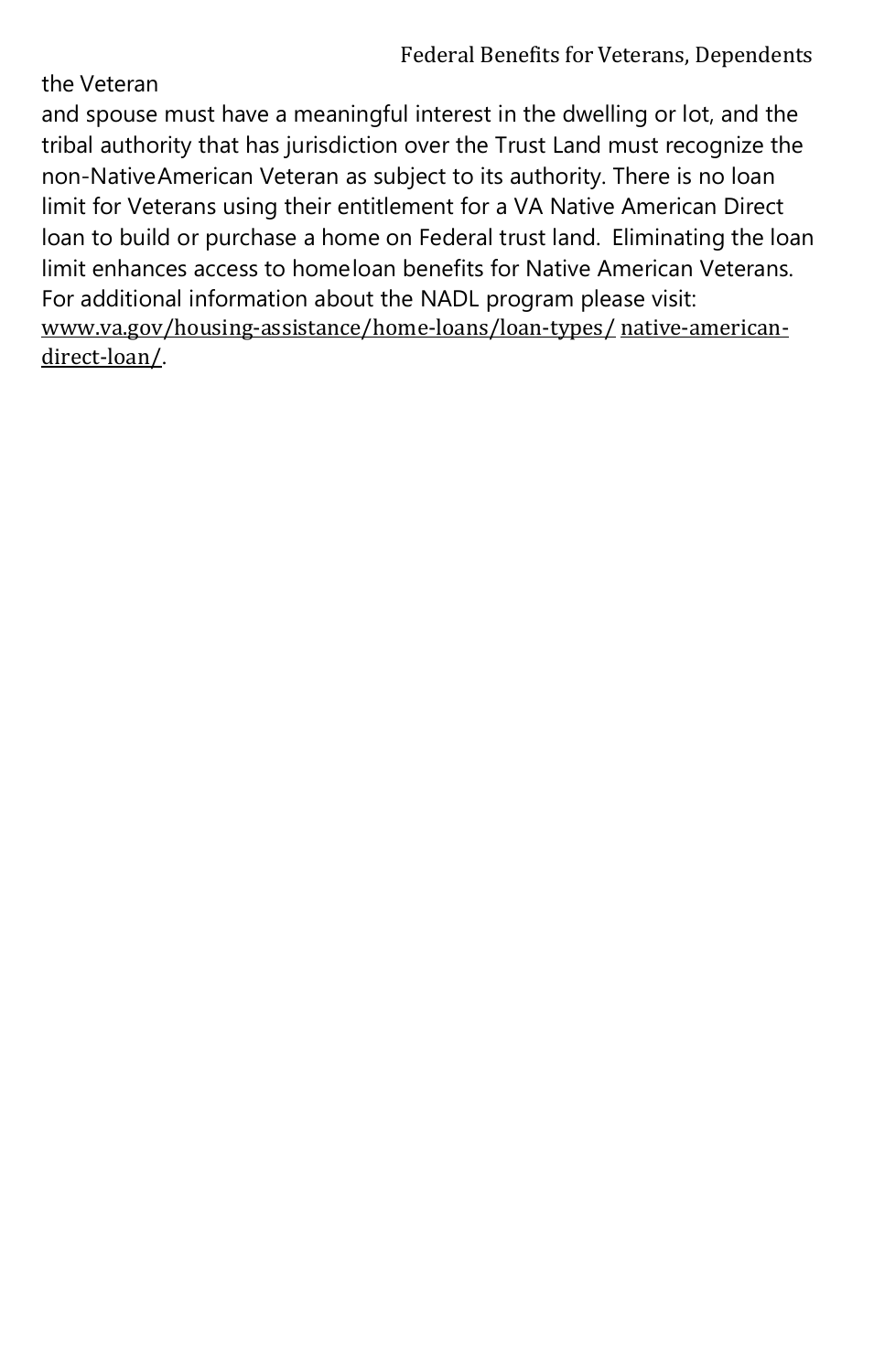#### the Veteran

and spouse must have a meaningful interest in the dwelling or lot, and the tribal authority that has jurisdiction over the Trust Land must recognize the non-NativeAmerican Veteran as subject to its authority. There is no loan limit for Veterans using their entitlement for a VA Native American Direct loan to build or purchase a home on Federal trust land. Eliminating the loan limit enhances access to homeloan benefits for Native American Veterans. For additional information about the NADL program please visit: www.va.gov/housing-assistance/home-loans/loan-types/ native-americandirect-loan/.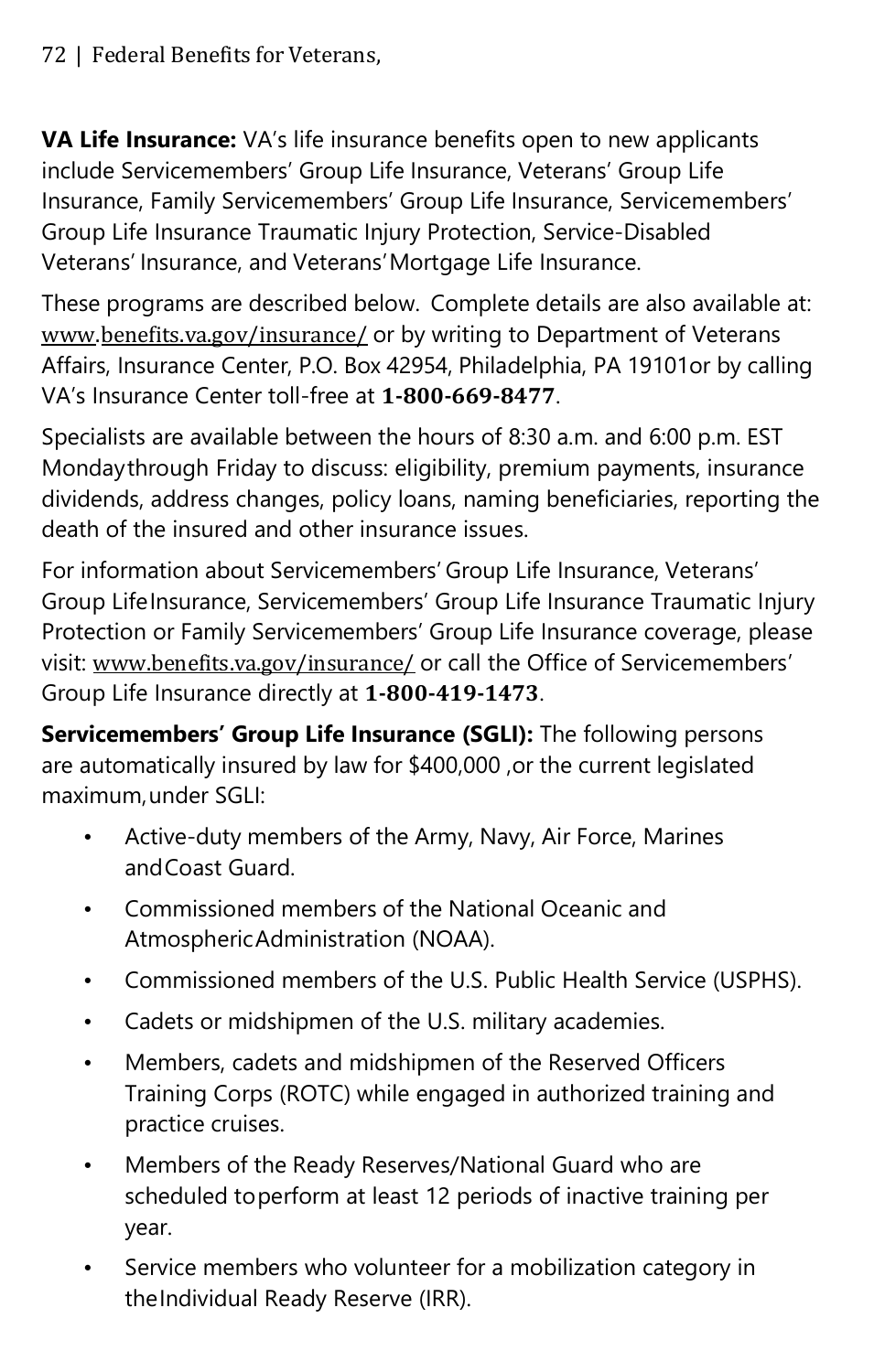### 72 | Federal Benefits for Veterans,

**VA Life Insurance:** VA's life insurance benefits open to new applicants include Servicemembers' Group Life Insurance, Veterans' Group Life Insurance, Family Servicemembers' Group Life Insurance, Servicemembers' Group Life Insurance Traumatic Injury Protection, Service-Disabled Veterans' Insurance, and Veterans'Mortgage Life Insurance.

These programs are described below. Complete details are also available at: www.benefits.va.gov/insurance/ or by writing to Department of Veterans Affairs, Insurance Center, P.O. Box 42954, Philadelphia, PA 19101or by calling VA's Insurance Center toll-free at **1-800-669-8477**.

Specialists are available between the hours of 8:30 a.m. and 6:00 p.m. EST Mondaythrough Friday to discuss: eligibility, premium payments, insurance dividends, address changes, policy loans, naming beneficiaries, reporting the death of the insured and other insurance issues.

For information about Servicemembers'Group Life Insurance, Veterans' Group LifeInsurance, Servicemembers' Group Life Insurance Traumatic Injury Protection or Family Servicemembers' Group Life Insurance coverage, please visit: www.benefits.va.gov/insurance/ or call the Office of Servicemembers' Group Life Insurance directly at **1-800-419-1473**.

**Servicemembers' Group Life Insurance (SGLI):** The following persons are automatically insured by law for \$400,000 ,or the current legislated maximum,under SGLI:

- Active-duty members of the Army, Navy, Air Force, Marines andCoast Guard.
- Commissioned members of the National Oceanic and AtmosphericAdministration (NOAA).
- Commissioned members of the U.S. Public Health Service (USPHS).
- Cadets or midshipmen of the U.S. military academies.
- Members, cadets and midshipmen of the Reserved Officers Training Corps (ROTC) while engaged in authorized training and practice cruises.
- Members of the Ready Reserves/National Guard who are scheduled toperform at least 12 periods of inactive training per year.
- Service members who volunteer for a mobilization category in the Individual Ready Reserve (IRR).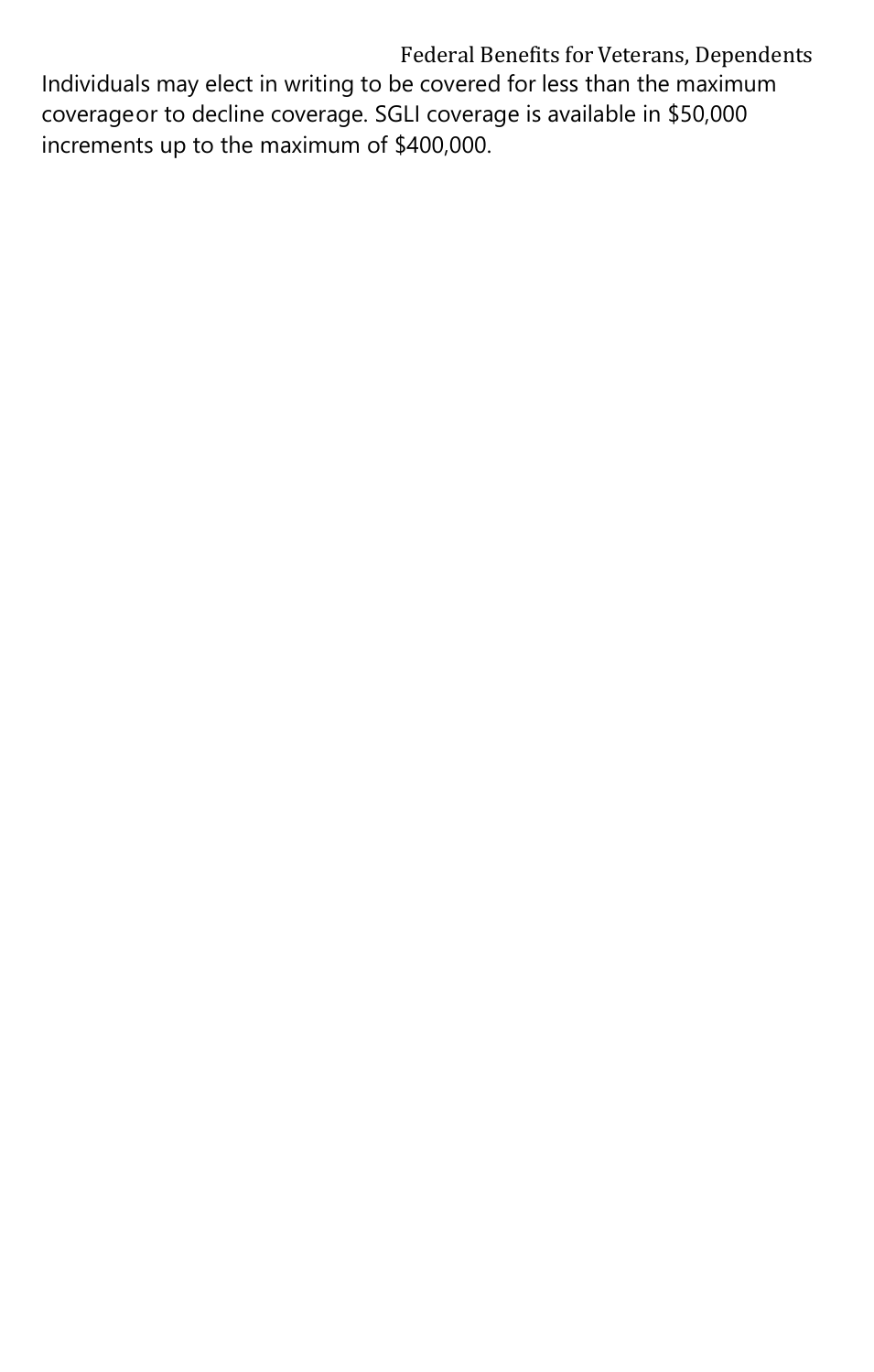Federal Benefits for Veterans, Dependents Individuals may elect in writing to be covered for less than the maximum coverageor to decline coverage. SGLI coverage is available in \$50,000 increments up to the maximum of \$400,000.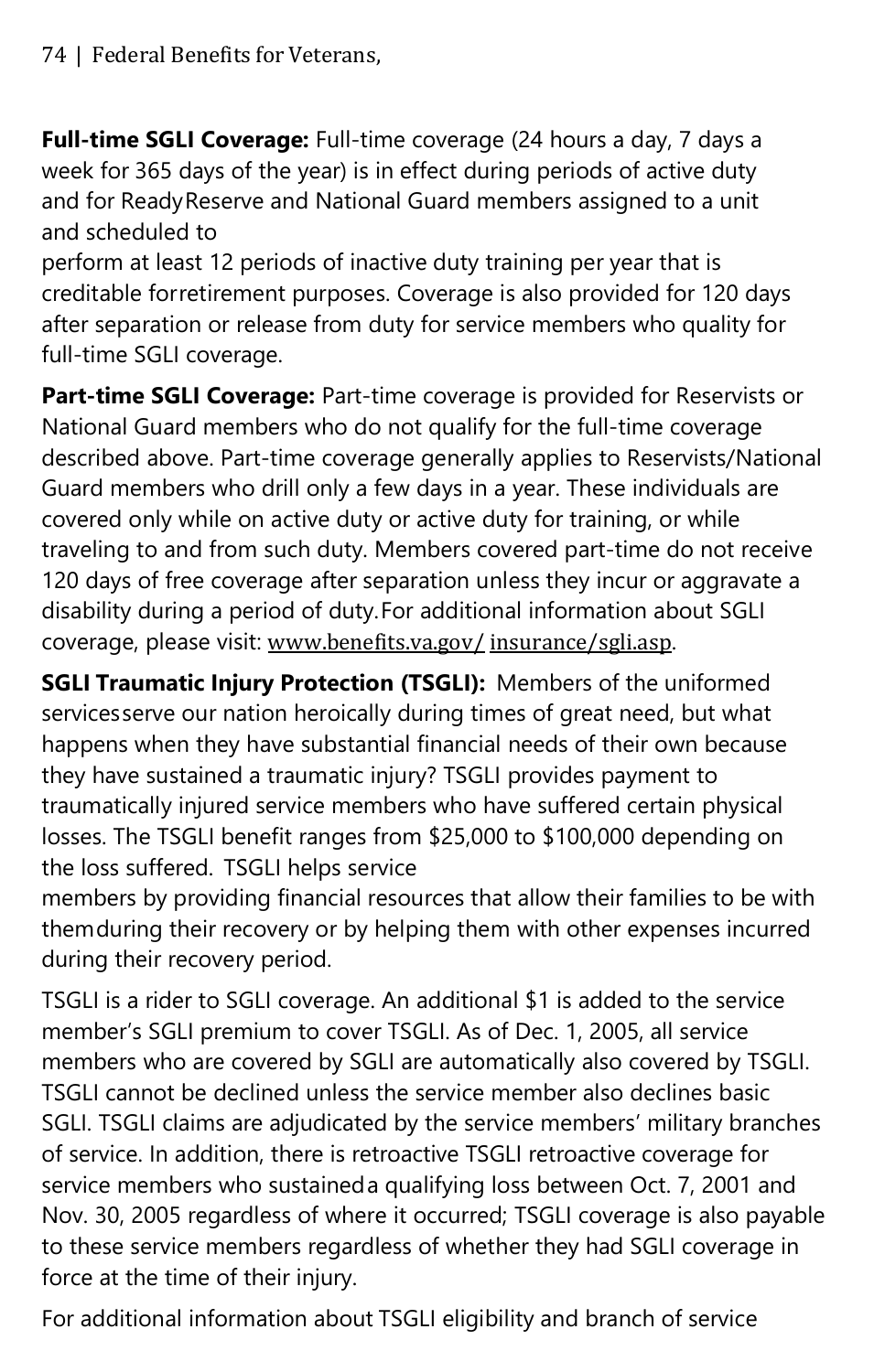**Full-time SGLI Coverage:** Full-time coverage (24 hours a day, 7 days a week for 365 days of the year) is in effect during periods of active duty and for ReadyReserve and National Guard members assigned to a unit and scheduled to

perform at least 12 periods of inactive duty training per year that is creditable forretirement purposes. Coverage is also provided for 120 days after separation or release from duty for service members who quality for full-time SGLI coverage.

**Part-time SGLI Coverage:** Part-time coverage is provided for Reservists or National Guard members who do not qualify for the full-time coverage described above. Part-time coverage generally applies to Reservists/National Guard members who drill only a few days in a year. These individuals are covered only while on active duty or active duty for training, or while traveling to and from such duty. Members covered part-time do not receive 120 days of free coverage after separation unless they incur or aggravate a disability during a period of duty.For additional information about SGLI coverage, please visit: www.benefits.va.gov/ insurance/sgli.asp.

**SGLI Traumatic Injury Protection (TSGLI):** Members of the uniformed servicesserve our nation heroically during times of great need, but what happens when they have substantial financial needs of their own because they have sustained a traumatic injury? TSGLI provides payment to traumatically injured service members who have suffered certain physical losses. The TSGLI benefit ranges from \$25,000 to \$100,000 depending on the loss suffered. TSGLI helps service

members by providing financial resources that allow their families to be with themduring their recovery or by helping them with other expenses incurred during their recovery period.

TSGLI is a rider to SGLI coverage. An additional \$1 is added to the service member's SGLI premium to cover TSGLI. As of Dec. 1, 2005, all service members who are covered by SGLI are automatically also covered by TSGLI. TSGLI cannot be declined unless the service member also declines basic SGLI. TSGLI claims are adjudicated by the service members' military branches of service. In addition, there is retroactive TSGLI retroactive coverage for service members who sustaineda qualifying loss between Oct. 7, 2001 and Nov. 30, 2005 regardless of where it occurred; TSGLI coverage is also payable to these service members regardless of whether they had SGLI coverage in force at the time of their injury.

For additional information about TSGLI eligibility and branch of service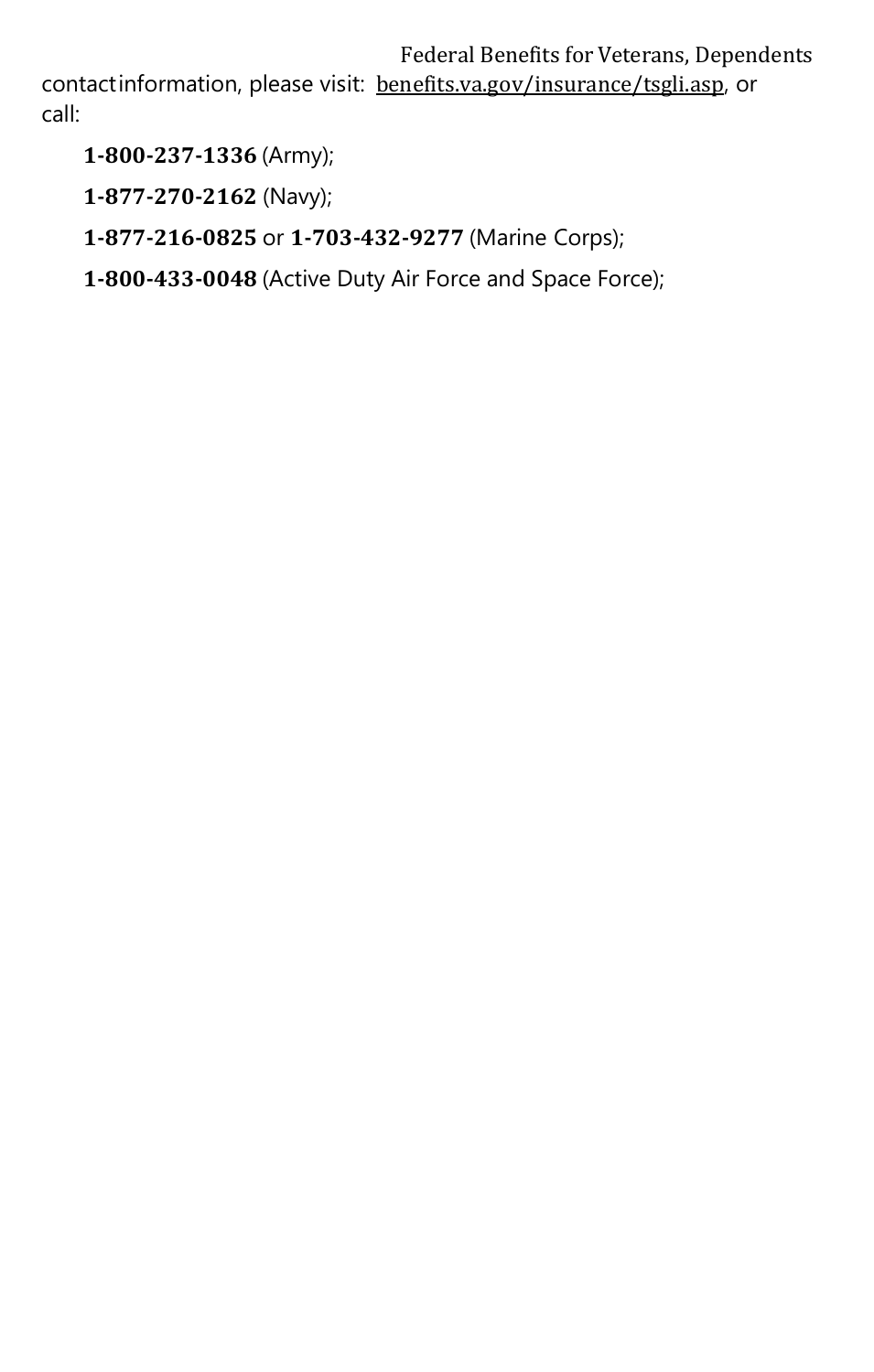Federal Benefits for Veterans, Dependents

contactinformation, please visit: benefits.va.gov/insurance/tsgli.asp, or call:

**1-800-237-1336** (Army);

**1-877-270-2162** (Navy);

**1-877-216-0825** or **1-703-432-9277** (Marine Corps);

**1-800-433-0048** (Active Duty Air Force and Space Force);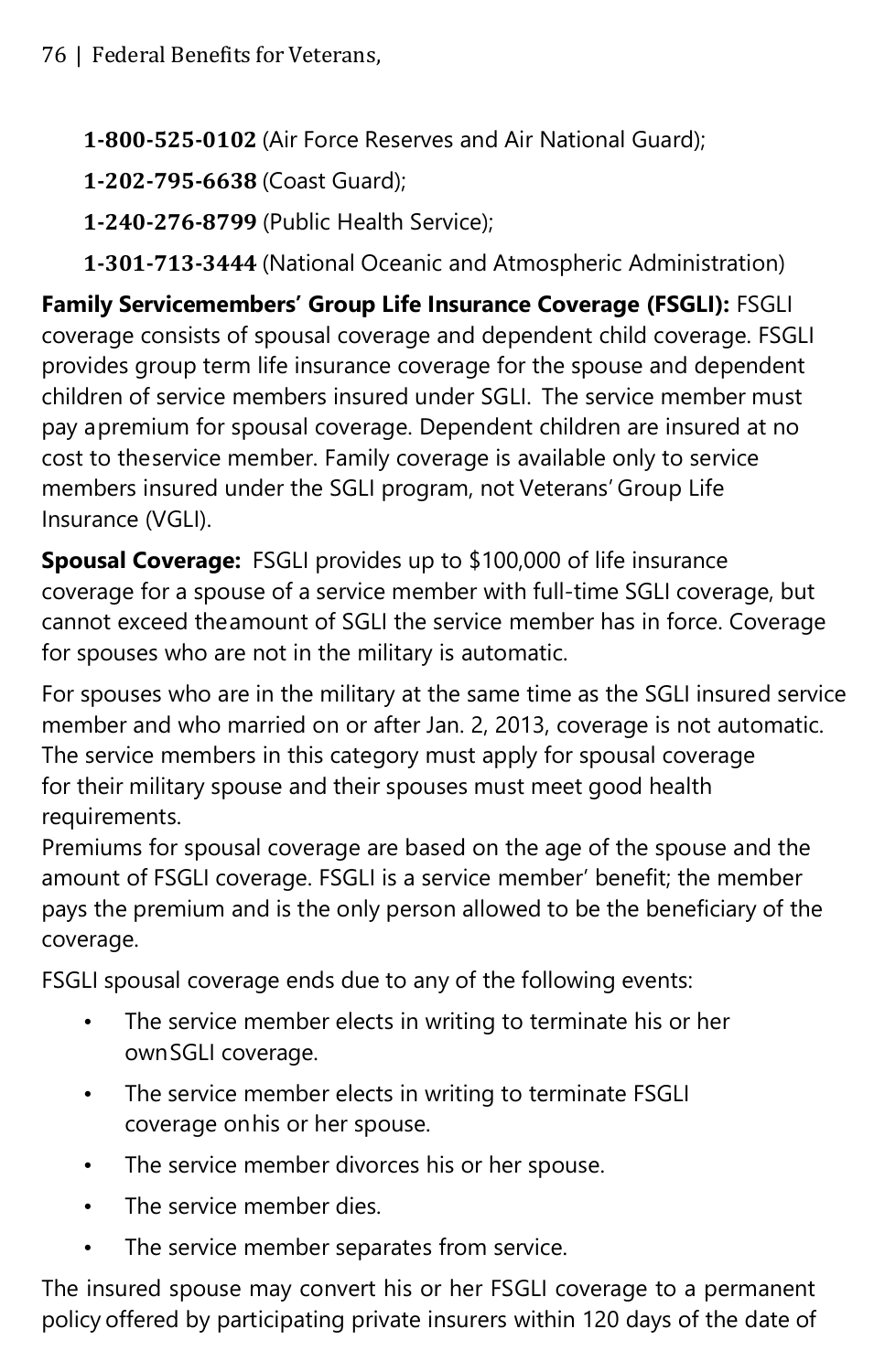**1-800-525-0102** (Air Force Reserves and Air National Guard);

**1-202-795-6638** (Coast Guard);

**1-240-276-8799** (Public Health Service);

**1-301-713-3444** (National Oceanic and Atmospheric Administration)

**Family Servicemembers' Group Life Insurance Coverage (FSGLI):** FSGLI coverage consists of spousal coverage and dependent child coverage. FSGLI provides group term life insurance coverage for the spouse and dependent children of service members insured under SGLI. The service member must pay apremium for spousal coverage. Dependent children are insured at no cost to theservice member. Family coverage is available only to service members insured under the SGLI program, not Veterans'Group Life Insurance (VGLI).

**Spousal Coverage:** FSGLI provides up to \$100,000 of life insurance coverage for a spouse of a service member with full-time SGLI coverage, but cannot exceed theamount of SGLI the service member has in force. Coverage for spouses who are not in the military is automatic.

For spouses who are in the military at the same time as the SGLI insured service member and who married on or after Jan. 2, 2013, coverage is not automatic. The service members in this category must apply for spousal coverage for their military spouse and their spouses must meet good health requirements.

Premiums for spousal coverage are based on the age of the spouse and the amount of FSGLI coverage. FSGLI is a service member' benefit; the member pays the premium and is the only person allowed to be the beneficiary of the coverage.

FSGLI spousal coverage ends due to any of the following events:

- The service member elects in writing to terminate his or her ownSGLI coverage.
- The service member elects in writing to terminate FSGLI coverage onhis or her spouse.
- The service member divorces his or her spouse.
- The service member dies.
- The service member separates from service.

The insured spouse may convert his or her FSGLI coverage to a permanent policy offered by participating private insurers within 120 days of the date of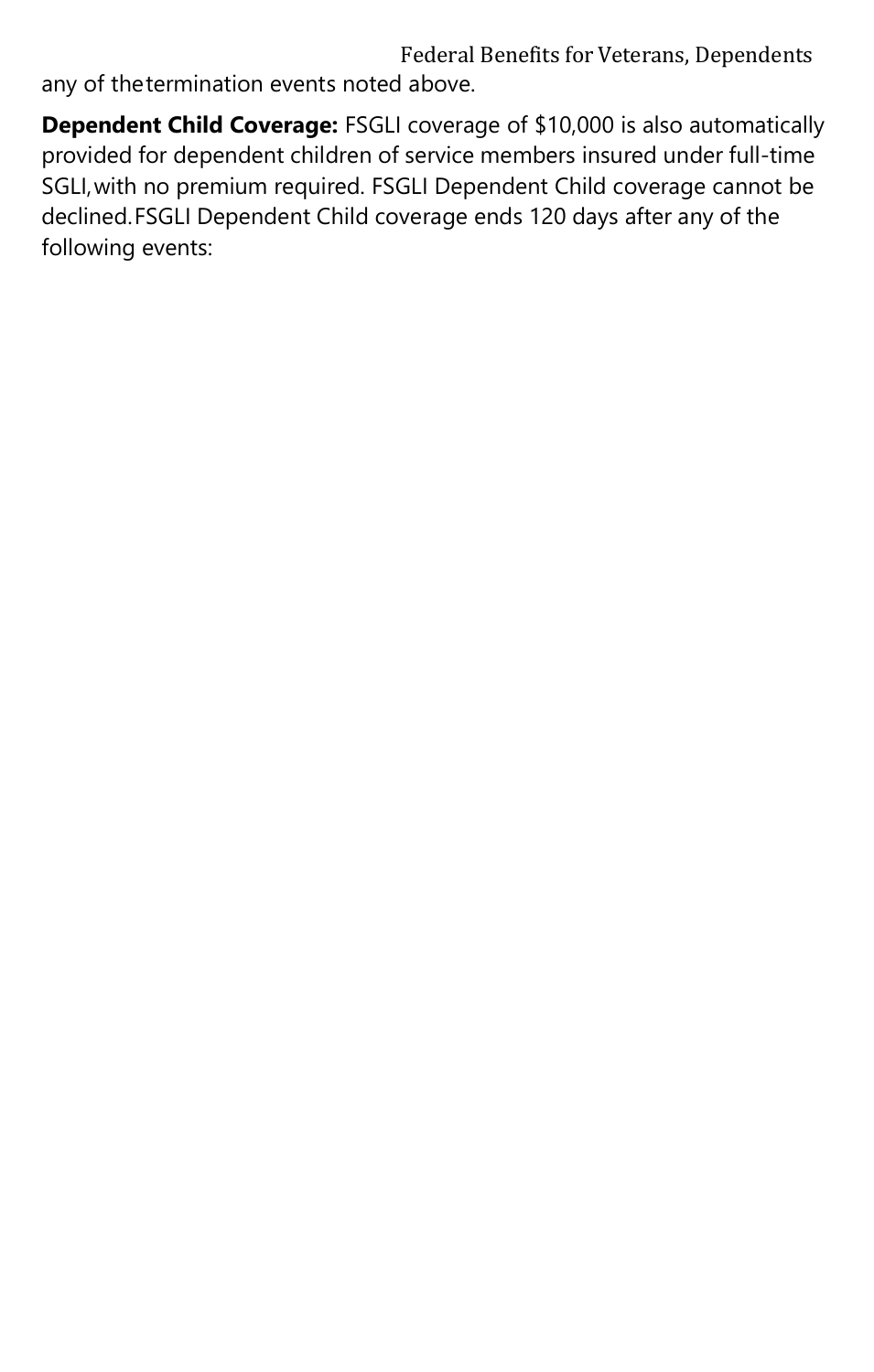Federal Benefits for Veterans, Dependents any of thetermination events noted above.

**Dependent Child Coverage:** FSGLI coverage of \$10,000 is also automatically provided for dependent children of service members insured under full-time SGLI,with no premium required. FSGLI Dependent Child coverage cannot be declined.FSGLI Dependent Child coverage ends 120 days after any of the following events: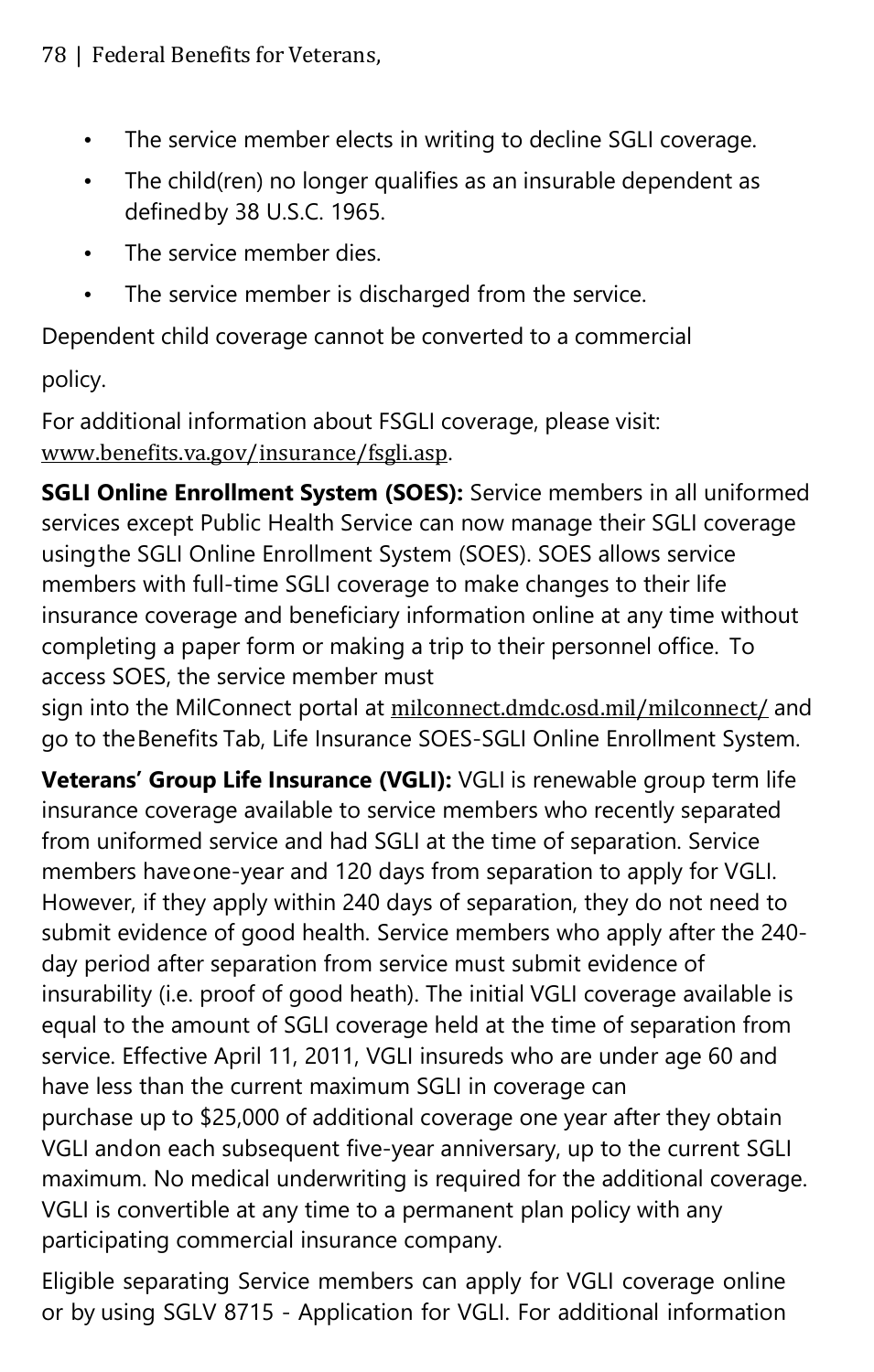- The service member elects in writing to decline SGLI coverage.
- The child(ren) no longer qualifies as an insurable dependent as definedby 38 U.S.C. 1965.
- The service member dies.
- The service member is discharged from the service.

Dependent child coverage cannot be converted to a commercial

policy.

For additional information about FSGLI coverage, please visit: www.benefits.va.gov/insurance/fsgli.asp.

**SGLI Online Enrollment System (SOES):** Service members in all uniformed services except Public Health Service can now manage their SGLI coverage usingthe SGLI Online Enrollment System (SOES). SOES allows service members with full-time SGLI coverage to make changes to their life insurance coverage and beneficiary information online at any time without completing a paper form or making a trip to their personnel office. To access SOES, the service member must

sign into the MilConnect portal at milconnect.dmdc.osd.mil/milconnect/ and go to theBenefits Tab, Life Insurance SOES-SGLI Online Enrollment System.

**Veterans' Group Life Insurance (VGLI):** VGLI is renewable group term life insurance coverage available to service members who recently separated from uniformed service and had SGLI at the time of separation. Service members haveone-year and 120 days from separation to apply for VGLI. However, if they apply within 240 days of separation, they do not need to submit evidence of good health. Service members who apply after the 240 day period after separation from service must submit evidence of insurability (i.e. proof of good heath). The initial VGLI coverage available is equal to the amount of SGLI coverage held at the time of separation from service. Effective April 11, 2011, VGLI insureds who are under age 60 and have less than the current maximum SGLI in coverage can purchase up to \$25,000 of additional coverage one year after they obtain VGLI andon each subsequent five-year anniversary, up to the current SGLI maximum. No medical underwriting is required for the additional coverage. VGLI is convertible at any time to a permanent plan policy with any participating commercial insurance company.

Eligible separating Service members can apply for VGLI coverage online or by using SGLV 8715 - Application for VGLI. For additional information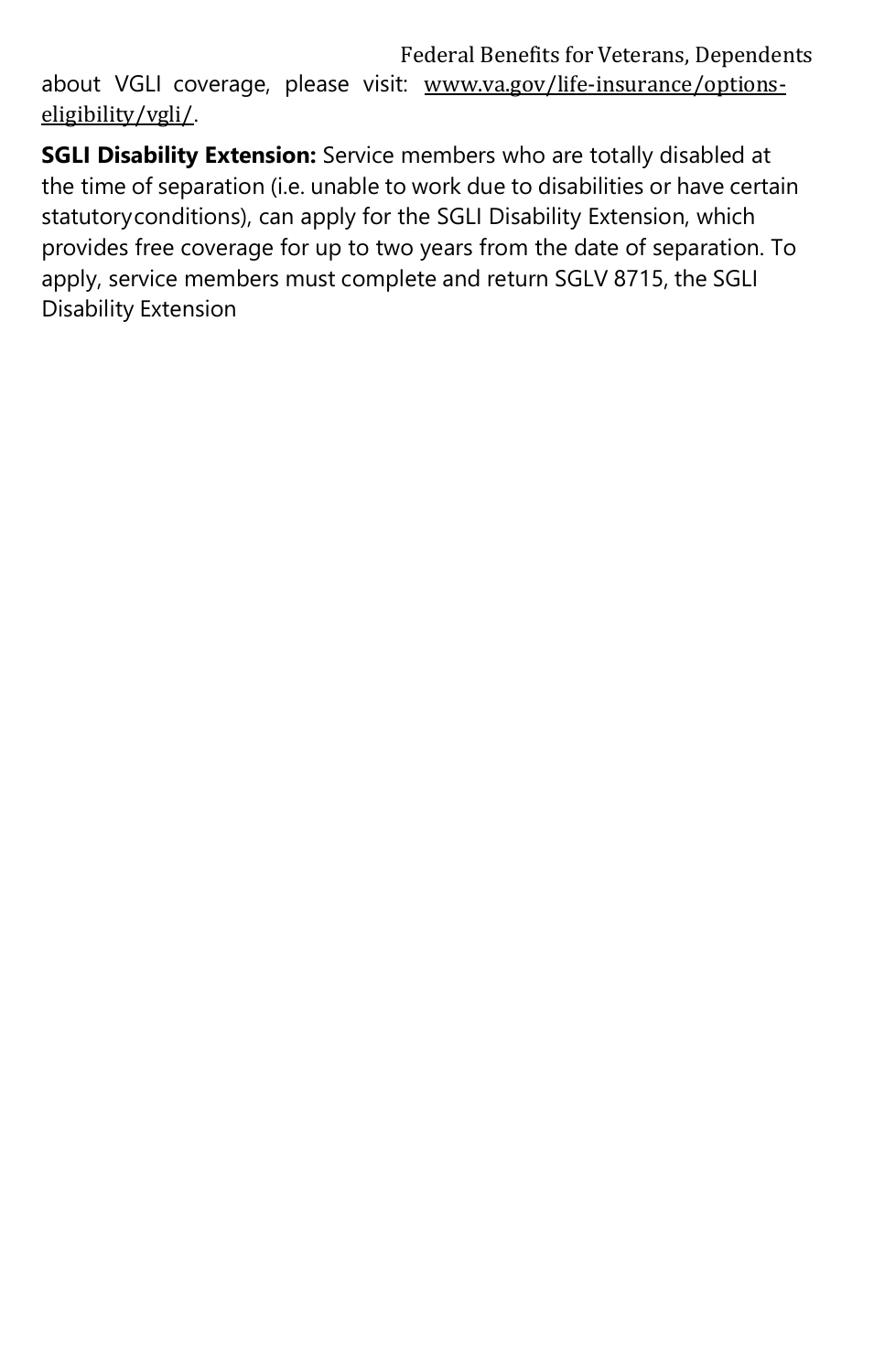about VGLI coverage, please visit: www.va.gov/life-insurance/optionseligibility/vgli/.

**SGLI Disability Extension:** Service members who are totally disabled at the time of separation (i.e. unable to work due to disabilities or have certain statutoryconditions), can apply for the SGLI Disability Extension, which provides free coverage for up to two years from the date of separation. To apply, service members must complete and return SGLV 8715, the SGLI Disability Extension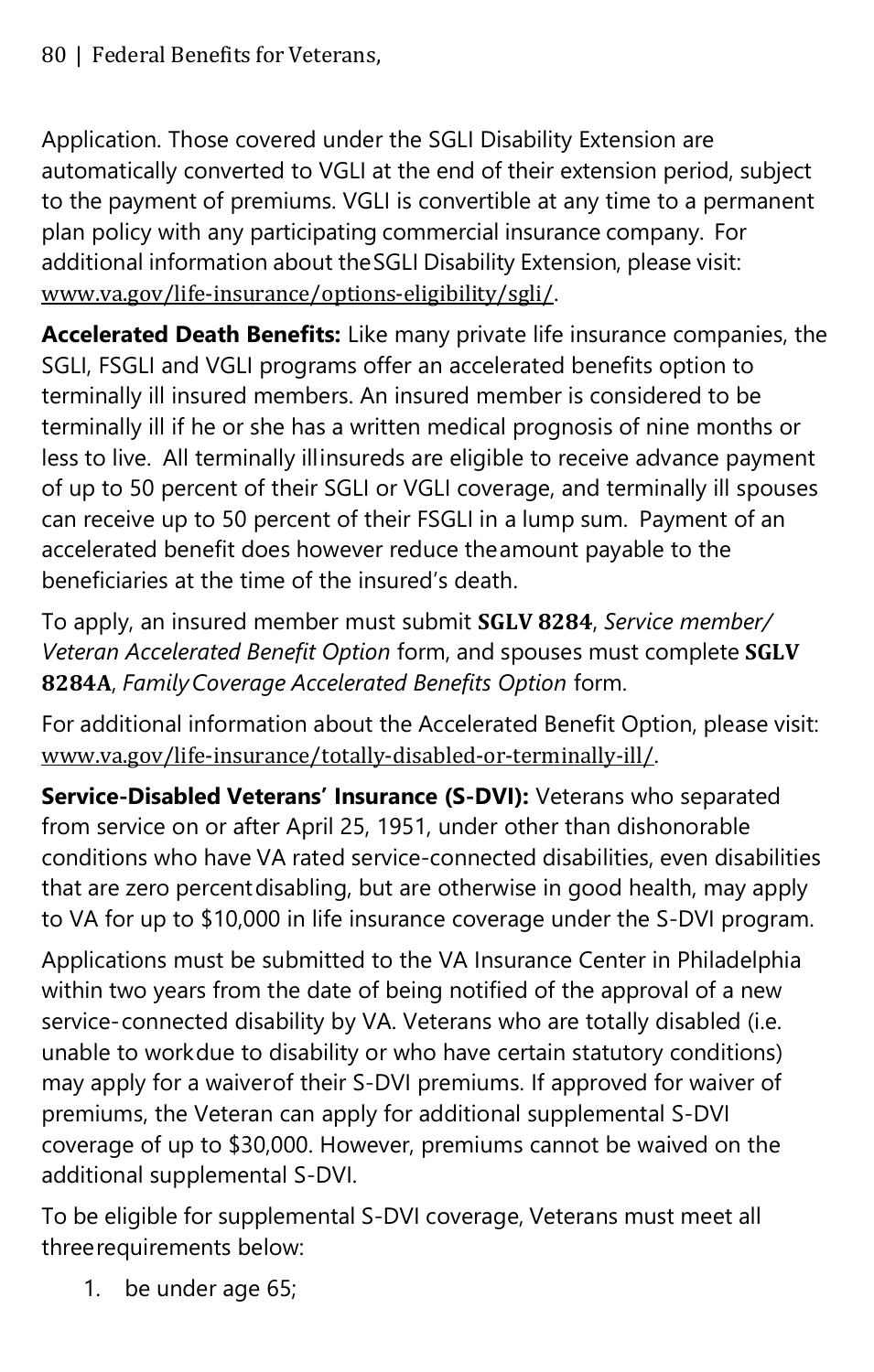Application. Those covered under the SGLI Disability Extension are automatically converted to VGLI at the end of their extension period, subject to the payment of premiums. VGLI is convertible at any time to a permanent plan policy with any participating commercial insurance company. For additional information about theSGLI Disability Extension, please visit: www.va.gov/life-insurance/options-eligibility/sgli/.

**Accelerated Death Benefits:** Like many private life insurance companies, the SGLI, FSGLI and VGLI programs offer an accelerated benefits option to terminally ill insured members. An insured member is considered to be terminally ill if he or she has a written medical prognosis of nine months or less to live. All terminally illinsureds are eligible to receive advance payment of up to 50 percent of their SGLI or VGLI coverage, and terminally ill spouses can receive up to 50 percent of their FSGLI in a lump sum. Payment of an accelerated benefit does however reduce theamount payable to the beneficiaries at the time of the insured's death.

To apply, an insured member must submit **SGLV 8284**, *Service member/ Veteran Accelerated Benefit Option* form, and spouses must complete **SGLV 8284A**, *FamilyCoverage Accelerated Benefits Option* form.

For additional information about the Accelerated Benefit Option, please visit: www.va.gov/life-insurance/totally-disabled-or-terminally-ill/.

**Service-Disabled Veterans' Insurance (S-DVI):** Veterans who separated from service on or after April 25, 1951, under other than dishonorable conditions who have VA rated service-connected disabilities, even disabilities that are zero percentdisabling, but are otherwise in good health, may apply to VA for up to \$10,000 in life insurance coverage under the S-DVI program.

Applications must be submitted to the VA Insurance Center in Philadelphia within two years from the date of being notified of the approval of a new service-connected disability by VA. Veterans who are totally disabled (i.e. unable to workdue to disability or who have certain statutory conditions) may apply for a waiverof their S-DVI premiums. If approved for waiver of premiums, the Veteran can apply for additional supplemental S-DVI coverage of up to \$30,000. However, premiums cannot be waived on the additional supplemental S-DVI.

To be eligible for supplemental S-DVI coverage, Veterans must meet all threerequirements below:

1. be under age 65;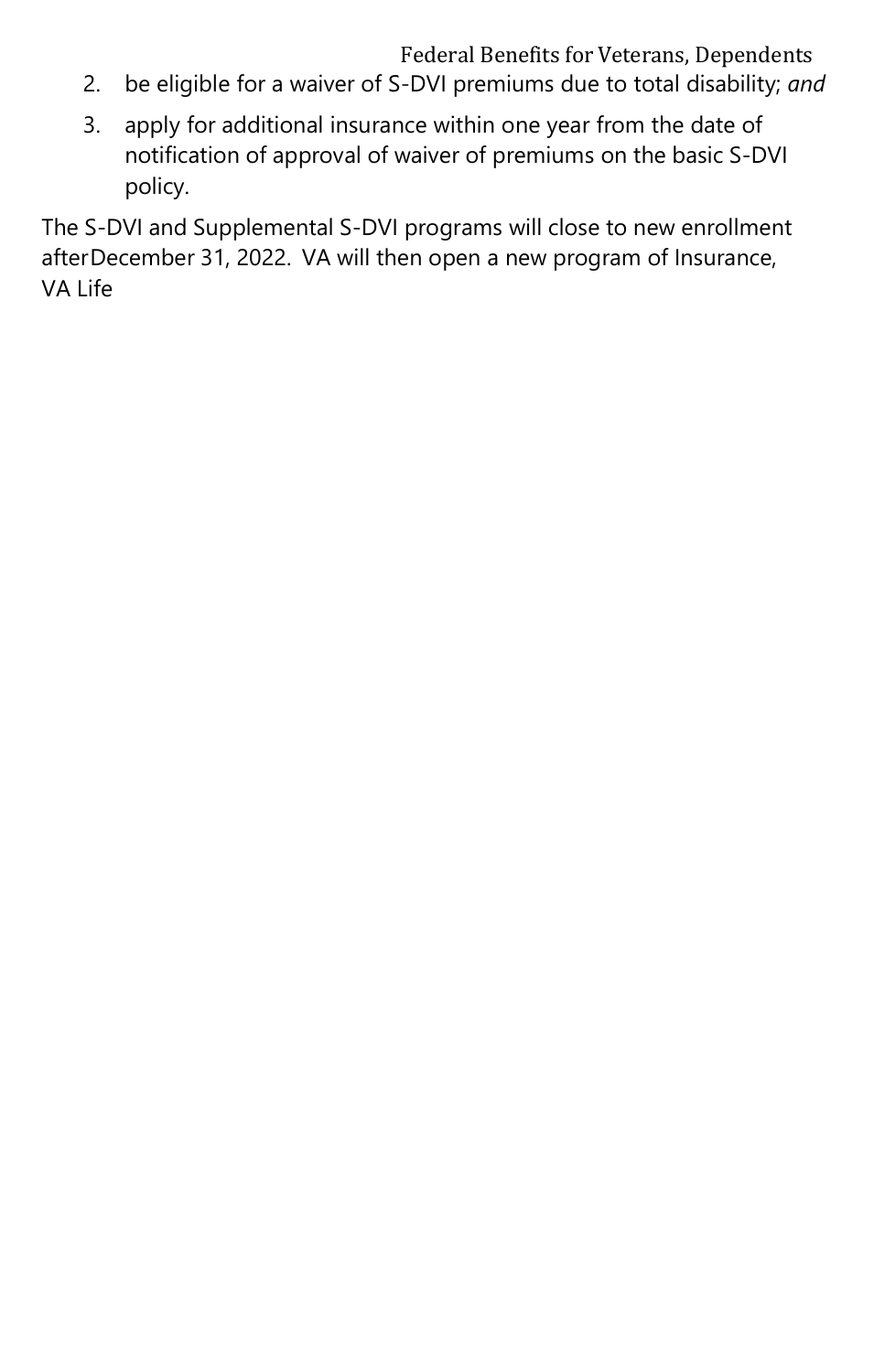Federal Benefits for Veterans, Dependents

- 2. be eligible for a waiver of S-DVI premiums due to total disability; *and*
- 3. apply for additional insurance within one year from the date of notification of approval of waiver of premiums on the basic S-DVI policy.

The S-DVI and Supplemental S-DVI programs will close to new enrollment afterDecember 31, 2022. VA will then open a new program of Insurance, VA Life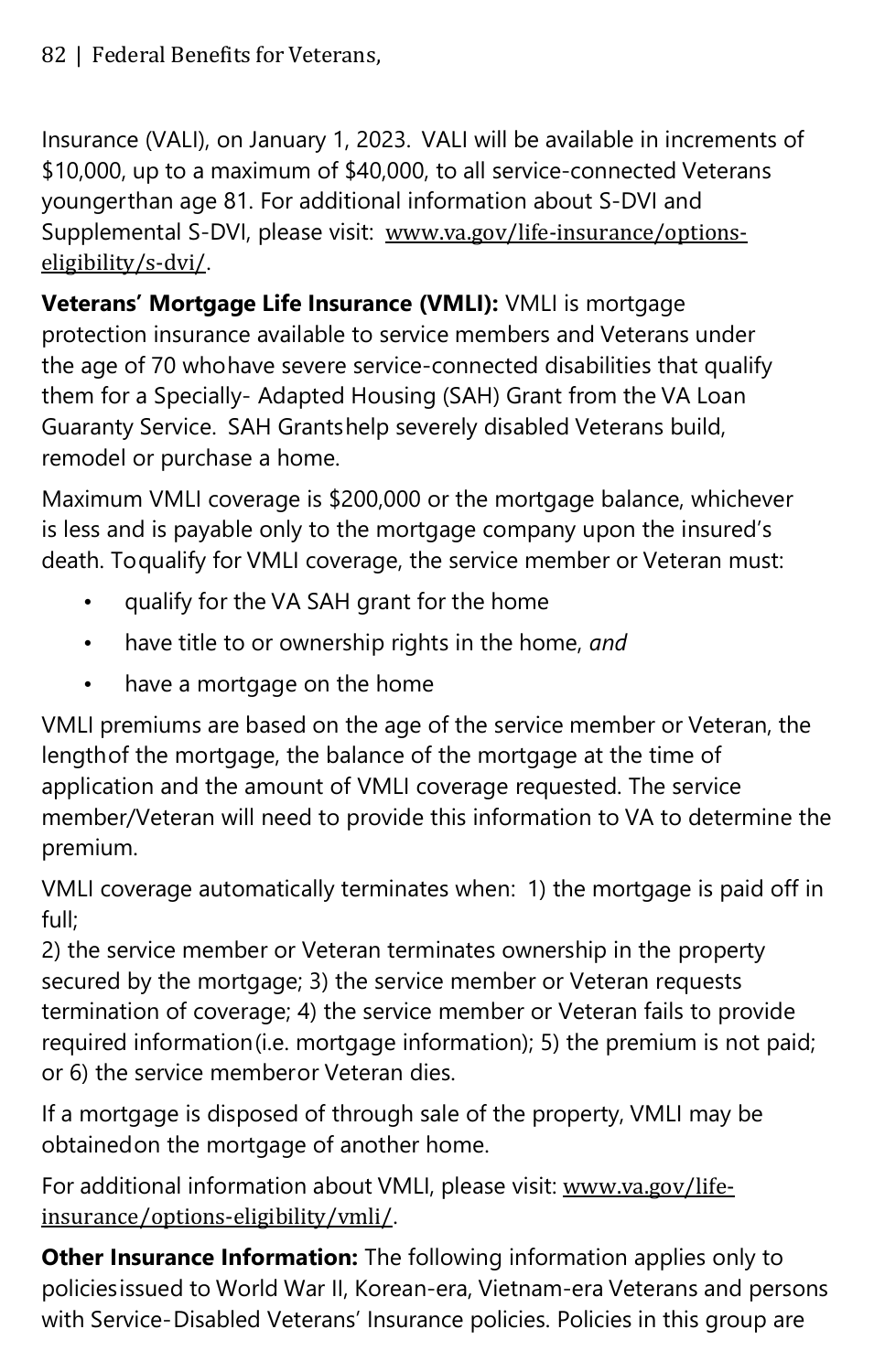### 82 | Federal Benefits for Veterans,

Insurance (VALI), on January 1, 2023. VALI will be available in increments of \$10,000, up to a maximum of \$40,000, to all service-connected Veterans youngerthan age 81. For additional information about S-DVI and Supplemental S-DVI, please visit: www.va.gov/life-insurance/optionseligibility/s-dvi/.

**Veterans' Mortgage Life Insurance (VMLI):** VMLI is mortgage protection insurance available to service members and Veterans under the age of 70 whohave severe service-connected disabilities that qualify them for a Specially- Adapted Housing (SAH) Grant from the VA Loan Guaranty Service. SAH Grantshelp severely disabled Veterans build, remodel or purchase a home.

Maximum VMLI coverage is \$200,000 or the mortgage balance, whichever is less and is payable only to the mortgage company upon the insured's death. Toqualify for VMLI coverage, the service member or Veteran must:

- qualify for the VA SAH grant for the home
- have title to or ownership rights in the home, *and*
- have a mortgage on the home

VMLI premiums are based on the age of the service member or Veteran, the lengthof the mortgage, the balance of the mortgage at the time of application and the amount of VMLI coverage requested. The service member/Veteran will need to provide this information to VA to determine the premium.

VMLI coverage automatically terminates when: 1) the mortgage is paid off in full;

2) the service member or Veteran terminates ownership in the property secured by the mortgage; 3) the service member or Veteran requests termination of coverage; 4) the service member or Veteran fails to provide required information(i.e. mortgage information); 5) the premium is not paid; or 6) the service memberor Veteran dies.

If a mortgage is disposed of through sale of the property, VMLI may be obtainedon the mortgage of another home.

For additional information about VMLI, please visit: www.va.gov/lifeinsurance/options-eligibility/vmli/.

**Other Insurance Information:** The following information applies only to policiesissued to World War II, Korean-era, Vietnam-era Veterans and persons with Service-Disabled Veterans' Insurance policies. Policies in this group are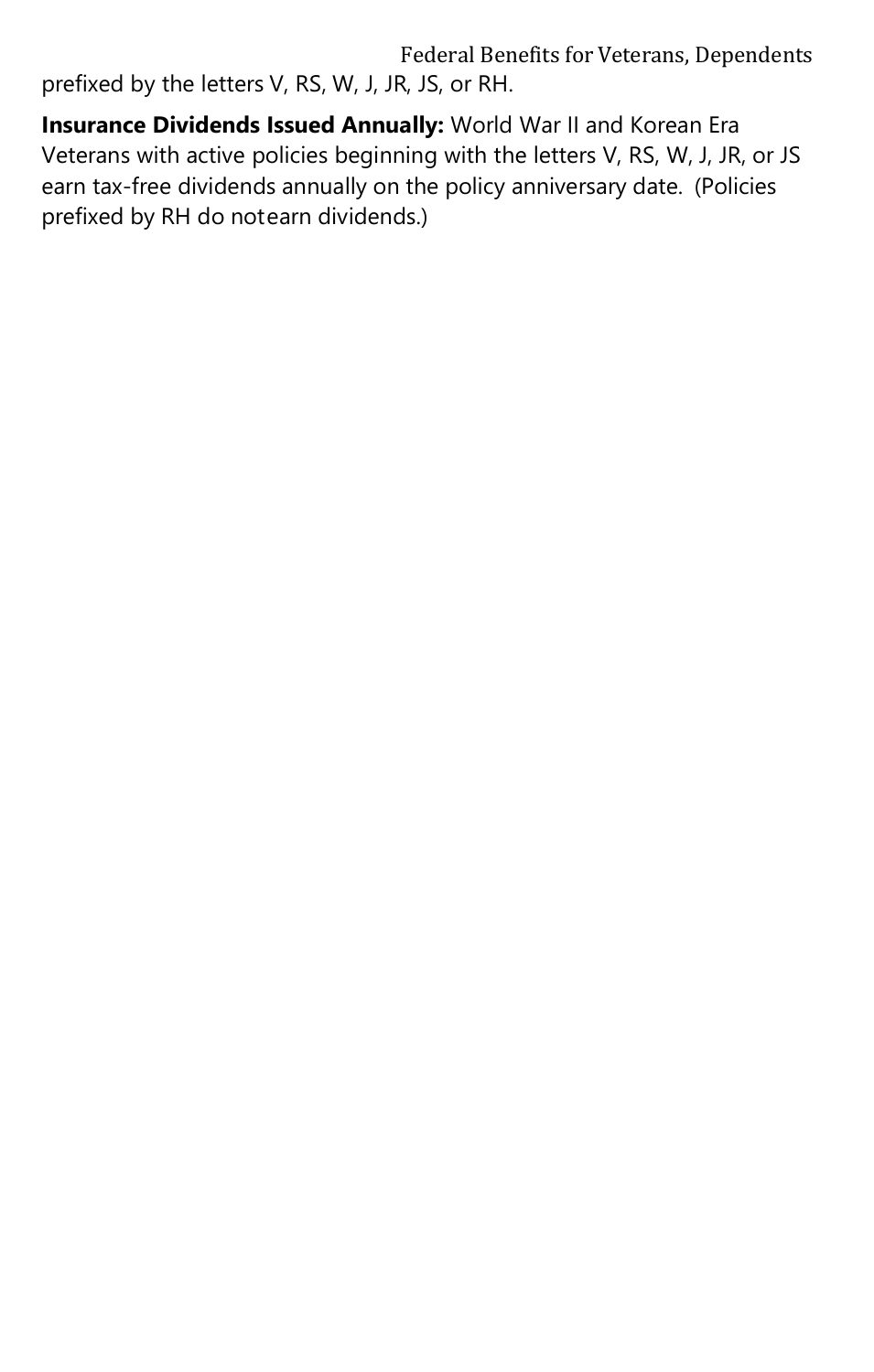Federal Benefits for Veterans, Dependents prefixed by the letters V, RS, W, J, JR, JS, or RH.

**Insurance Dividends Issued Annually:** World War II and Korean Era Veterans with active policies beginning with the letters V, RS, W, J, JR, or JS earn tax-free dividends annually on the policy anniversary date. (Policies prefixed by RH do notearn dividends.)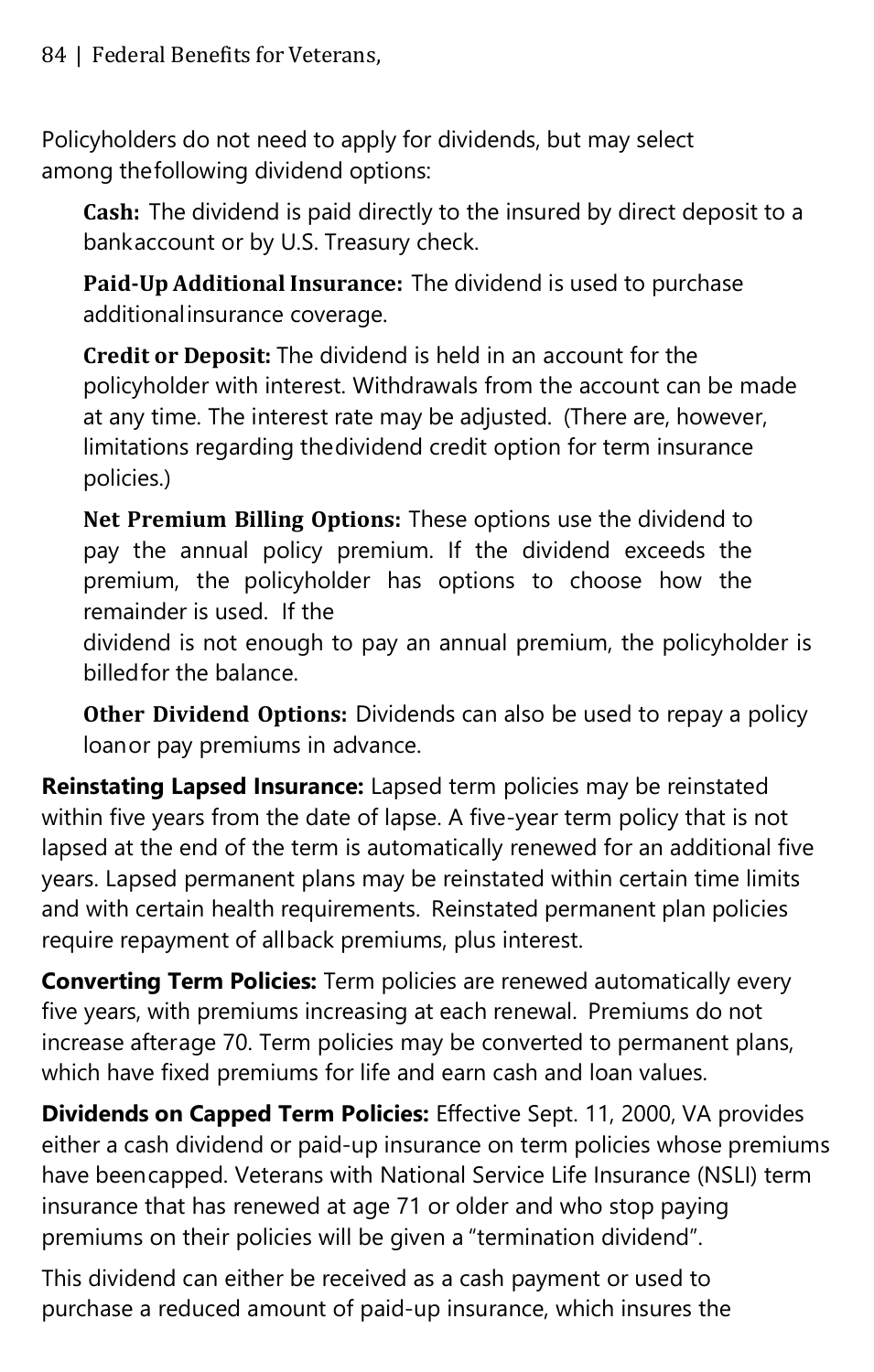84 | Federal Benefits for Veterans,

Policyholders do not need to apply for dividends, but may select among thefollowing dividend options:

**Cash:** The dividend is paid directly to the insured by direct deposit to a bankaccount or by U.S. Treasury check.

**Paid-Up Additional Insurance:** The dividend is used to purchase additionalinsurance coverage.

**Credit or Deposit:** The dividend is held in an account for the policyholder with interest. Withdrawals from the account can be made at any time. The interest rate may be adjusted. (There are, however, limitations regarding thedividend credit option for term insurance policies.)

**Net Premium Billing Options:** These options use the dividend to pay the annual policy premium. If the dividend exceeds the premium, the policyholder has options to choose how the remainder is used. If the

dividend is not enough to pay an annual premium, the policyholder is billedfor the balance.

**Other Dividend Options:** Dividends can also be used to repay a policy loanor pay premiums in advance.

**Reinstating Lapsed Insurance:** Lapsed term policies may be reinstated within five years from the date of lapse. A five-year term policy that is not lapsed at the end of the term is automatically renewed for an additional five years. Lapsed permanent plans may be reinstated within certain time limits and with certain health requirements. Reinstated permanent plan policies require repayment of allback premiums, plus interest.

**Converting Term Policies:** Term policies are renewed automatically every five years, with premiums increasing at each renewal. Premiums do not increase afterage 70. Term policies may be converted to permanent plans, which have fixed premiums for life and earn cash and loan values.

**Dividends on Capped Term Policies:** Effective Sept. 11, 2000, VA provides either a cash dividend or paid-up insurance on term policies whose premiums have beencapped. Veterans with National Service Life Insurance (NSLI) term insurance that has renewed at age 71 or older and who stop paying premiums on their policies will be given a "termination dividend".

This dividend can either be received as a cash payment or used to purchase a reduced amount of paid-up insurance, which insures the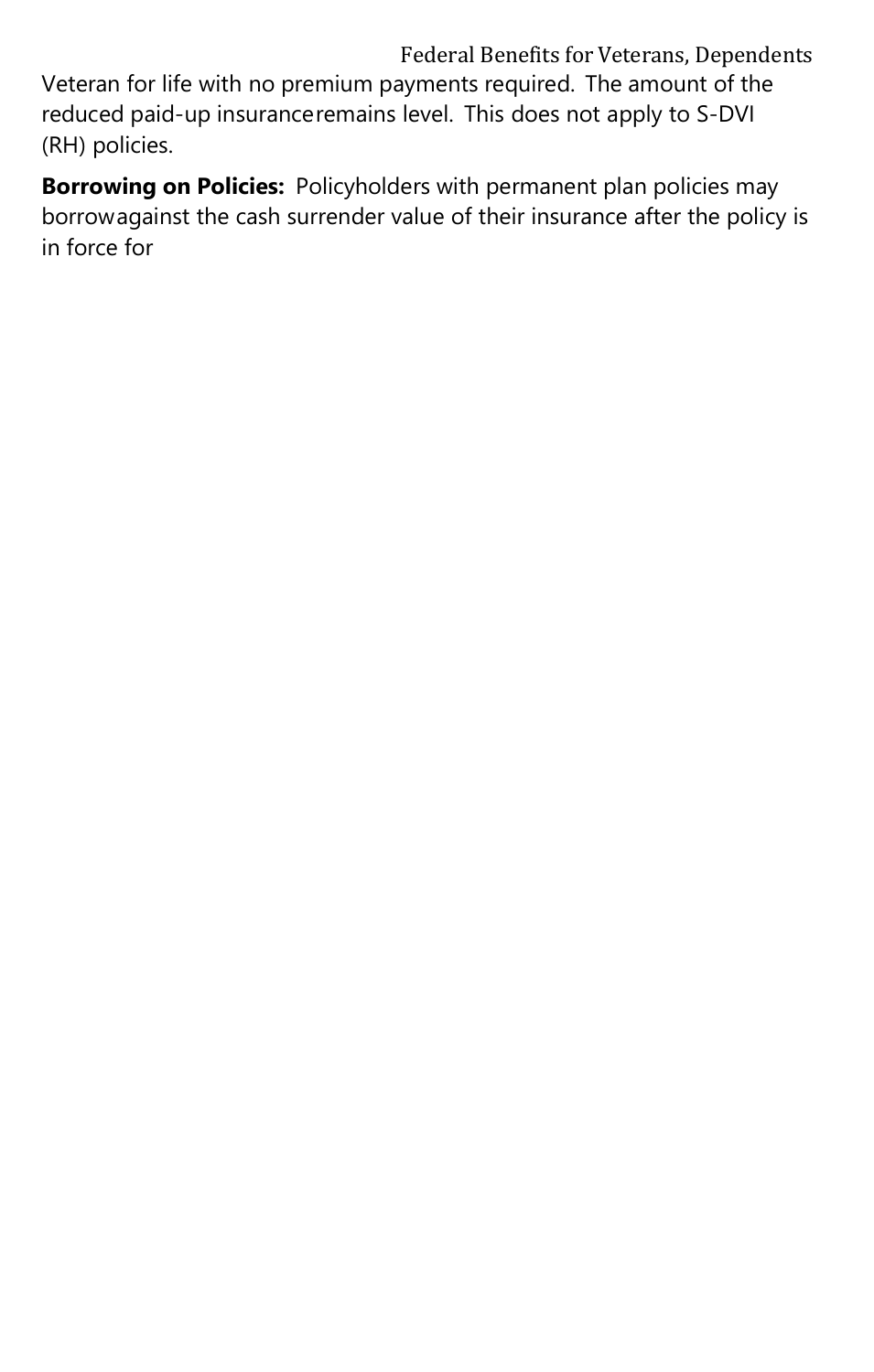Federal Benefits for Veterans, Dependents Veteran for life with no premium payments required. The amount of the reduced paid-up insuranceremains level. This does not apply to S-DVI (RH) policies.

**Borrowing on Policies:** Policyholders with permanent plan policies may borrowagainst the cash surrender value of their insurance after the policy is in force for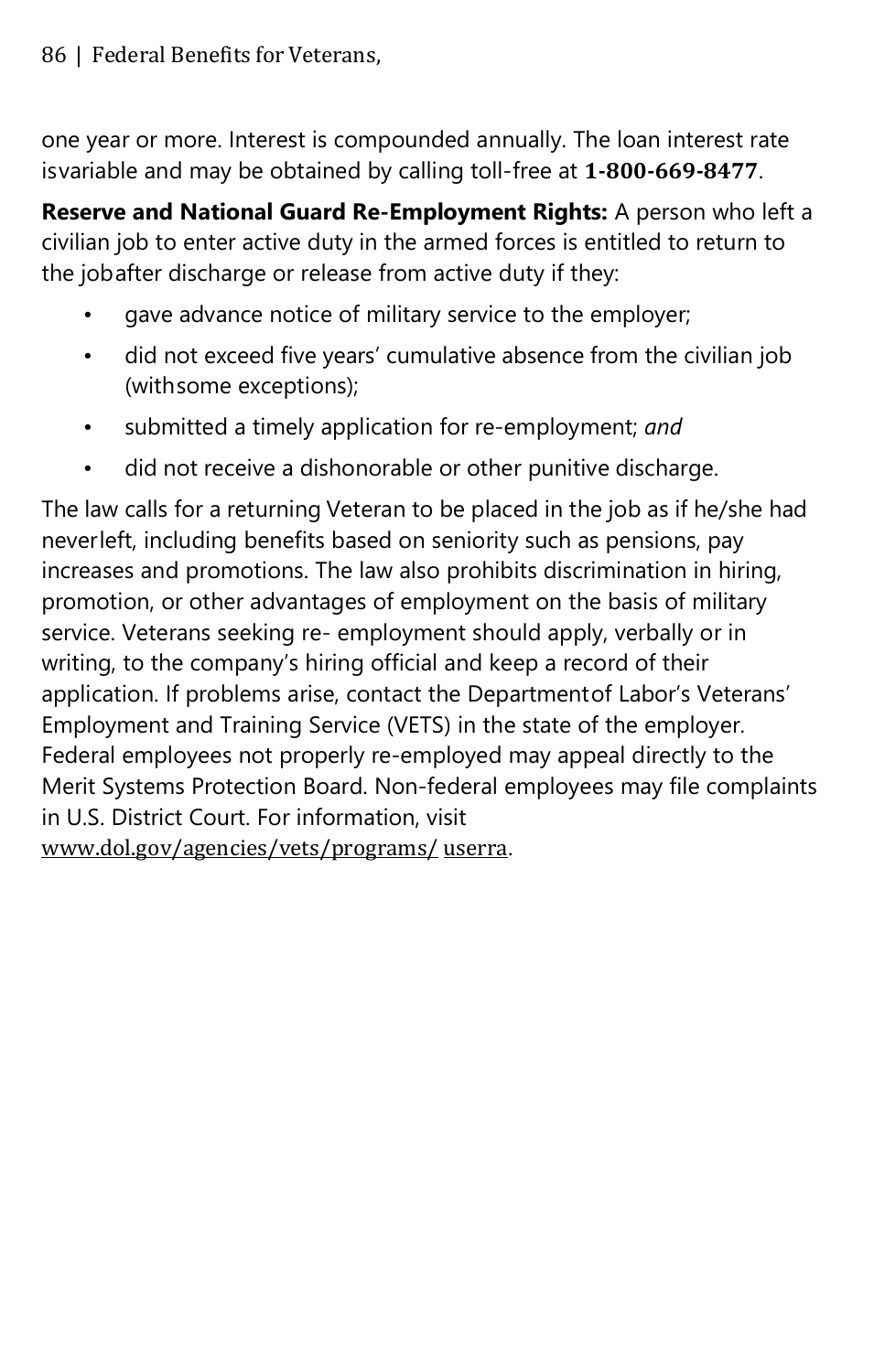one year or more. Interest is compounded annually. The loan interest rate isvariable and may be obtained by calling toll-free at **1-800-669-8477**.

**Reserve and National Guard Re-Employment Rights:** A person who left a civilian job to enter active duty in the armed forces is entitled to return to the jobafter discharge or release from active duty if they:

- gave advance notice of military service to the employer;
- did not exceed five years' cumulative absence from the civilian job (withsome exceptions);
- submitted a timely application for re-employment; *and*
- did not receive a dishonorable or other punitive discharge.

The law calls for a returning Veteran to be placed in the job as if he/she had neverleft, including benefits based on seniority such as pensions, pay increases and promotions. The law also prohibits discrimination in hiring, promotion, or other advantages of employment on the basis of military service. Veterans seeking re- employment should apply, verbally or in writing, to the company's hiring official and keep a record of their application. If problems arise, contact the Departmentof Labor's Veterans' Employment and Training Service (VETS) in the state of the employer. Federal employees not properly re-employed may appeal directly to the Merit Systems Protection Board. Non-federal employees may file complaints in U.S. District Court. For information, visit

www.dol.gov/agencies/vets/programs/ userra.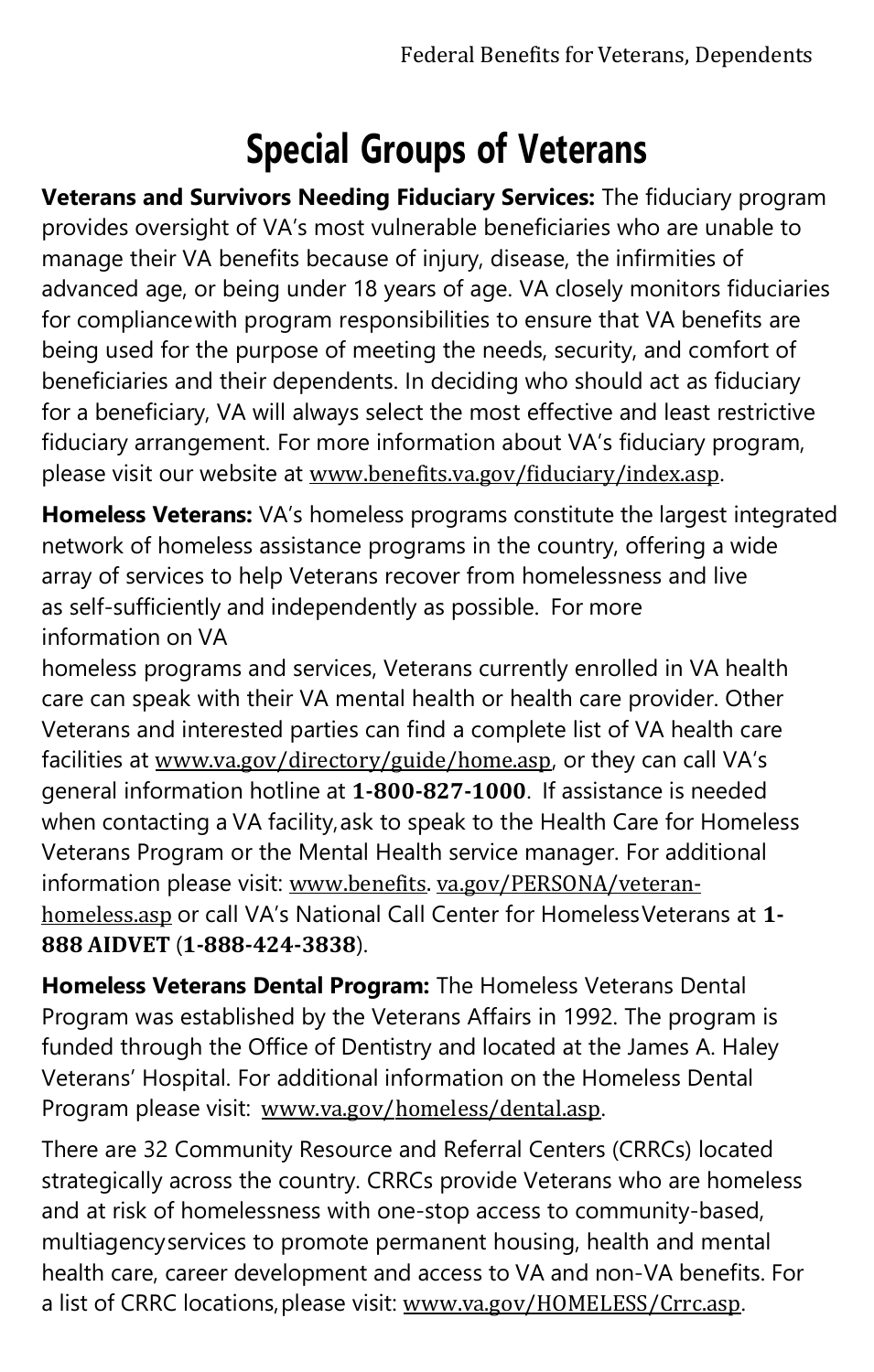# **Special Groups of Veterans**

**Veterans and Survivors Needing Fiduciary Services:** The fiduciary program provides oversight of VA's most vulnerable beneficiaries who are unable to manage their VA benefits because of injury, disease, the infirmities of advanced age, or being under 18 years of age. VA closely monitors fiduciaries for compliancewith program responsibilities to ensure that VA benefits are being used for the purpose of meeting the needs, security, and comfort of beneficiaries and their dependents. In deciding who should act as fiduciary for a beneficiary, VA will always select the most effective and least restrictive fiduciary arrangement. For more information about VA's fiduciary program, please visit our website at www.benefits.va.gov/fiduciary/index.asp.

**Homeless Veterans:** VA's homeless programs constitute the largest integrated network of homeless assistance programs in the country, offering a wide array of services to help Veterans recover from homelessness and live as self-sufficiently and independently as possible. For more information on VA

homeless programs and services, Veterans currently enrolled in VA health care can speak with their VA mental health or health care provider. Other Veterans and interested parties can find a complete list of VA health care facilities at www.va.gov/directory/guide/home.asp, or they can call VA's general information hotline at **1-800-827-1000**. If assistance is needed when contacting a VA facility, ask to speak to the Health Care for Homeless Veterans Program or the Mental Health service manager. For additional information please visit: www.benefits. va.gov/PERSONA/veteranhomeless.asp or call VA's National Call Center for HomelessVeterans at **1- 888 AIDVET** (**1-888-424-3838**).

**Homeless Veterans Dental Program:** The Homeless Veterans Dental Program was established by the Veterans Affairs in 1992. The program is funded through the Office of Dentistry and located at the James A. Haley Veterans' Hospital. For additional information on the Homeless Dental Program please visit: www.va.gov/homeless/dental.asp.

There are 32 Community Resource and Referral Centers (CRRCs) located strategically across the country. CRRCs provide Veterans who are homeless and at risk of homelessness with one-stop access to community-based, multiagencyservices to promote permanent housing, health and mental health care, career development and access to VA and non-VA benefits. For a list of CRRC locations, please visit: www.va.gov/HOMELESS/Crrc.asp.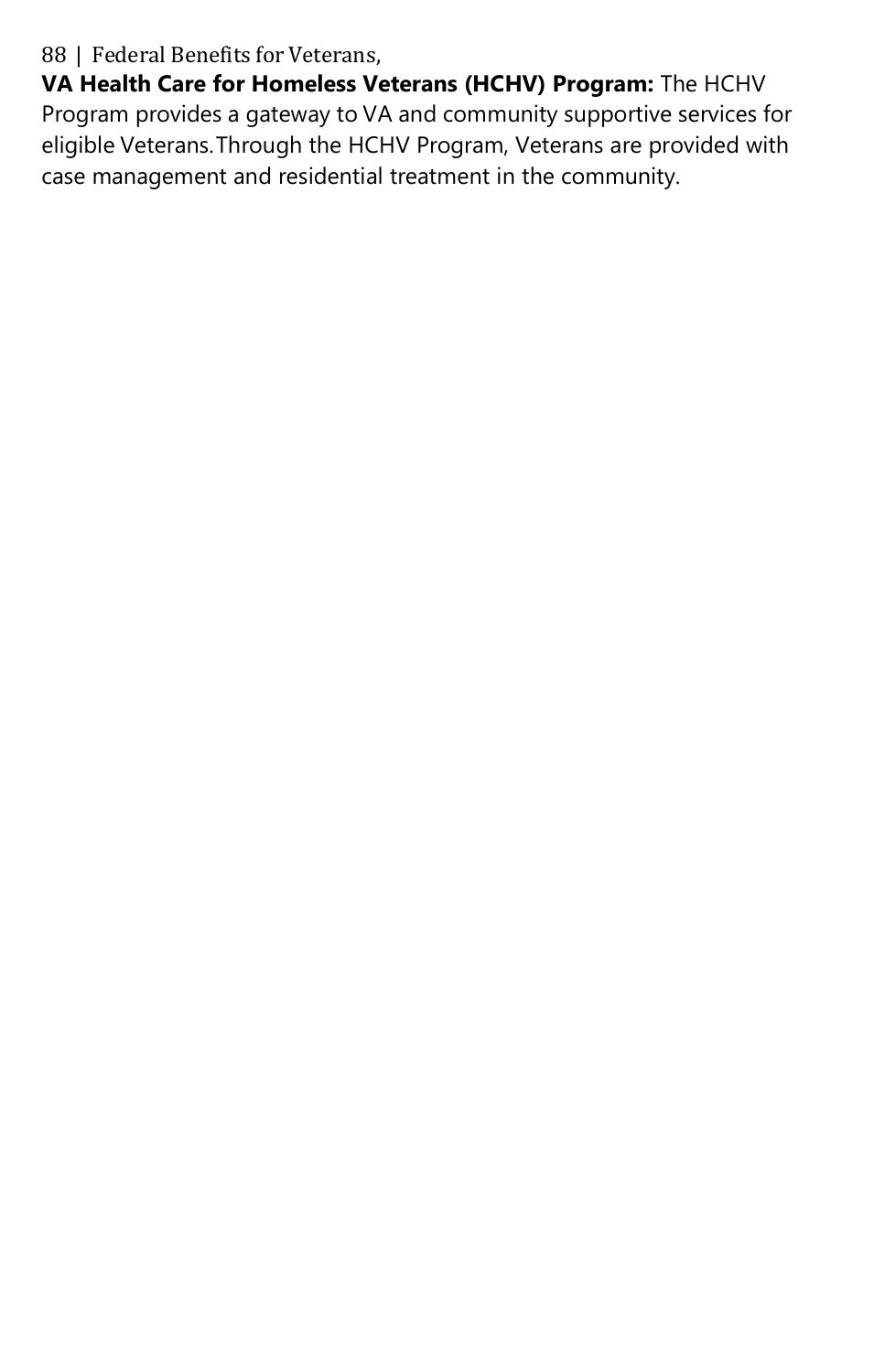88 | Federal Benefits for Veterans,

**VA Health Care for Homeless Veterans (HCHV) Program:** The HCHV Program provides a gateway to VA and community supportive services for eligible Veterans.Through the HCHV Program, Veterans are provided with case management and residential treatment in the community.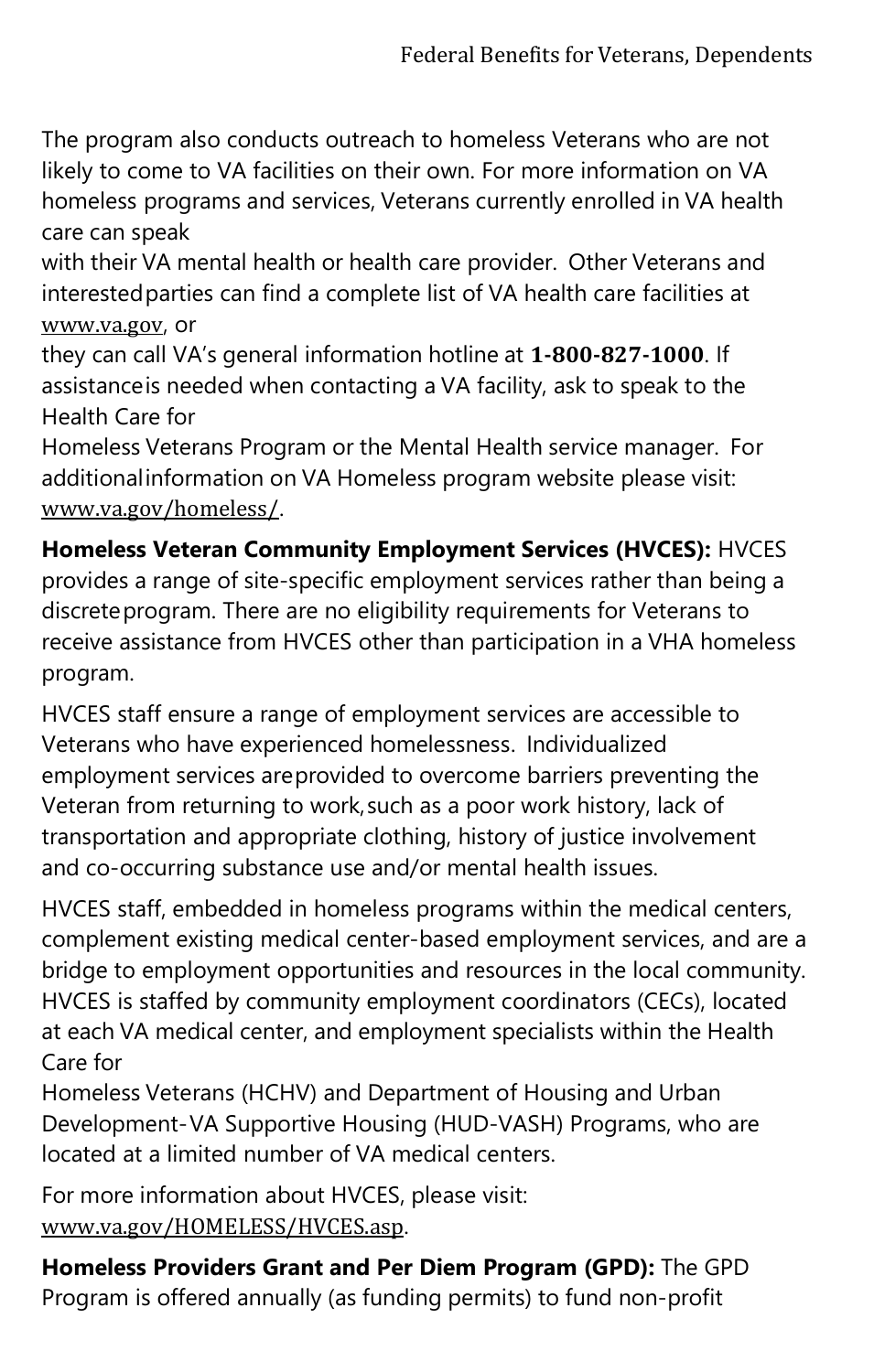The program also conducts outreach to homeless Veterans who are not likely to come to VA facilities on their own. For more information on VA homeless programs and services, Veterans currently enrolled in VA health care can speak

with their VA mental health or health care provider. Other Veterans and interestedparties can find a complete list of VA health care facilities at www.va.gov, or

they can call VA's general information hotline at **1-800-827-1000**. If assistanceis needed when contacting a VA facility, ask to speak to the Health Care for

Homeless Veterans Program or the Mental Health service manager. For additionalinformation on VA Homeless program website please visit: www.va.gov/homeless/.

**Homeless Veteran Community Employment Services (HVCES):** HVCES provides a range of site-specific employment services rather than being a discreteprogram. There are no eligibility requirements for Veterans to receive assistance from HVCES other than participation in a VHA homeless program.

HVCES staff ensure a range of employment services are accessible to Veterans who have experienced homelessness. Individualized employment services areprovided to overcome barriers preventing the Veteran from returning to work,such as a poor work history, lack of transportation and appropriate clothing, history of justice involvement and co-occurring substance use and/or mental health issues.

HVCES staff, embedded in homeless programs within the medical centers, complement existing medical center-based employment services, and are a bridge to employment opportunities and resources in the local community. HVCES is staffed by community employment coordinators (CECs), located at each VA medical center, and employment specialists within the Health Care for

Homeless Veterans (HCHV) and Department of Housing and Urban Development-VA Supportive Housing (HUD-VASH) Programs, who are located at a limited number of VA medical centers.

For more information about HVCES, please visit: www.va.gov/HOMELESS/HVCES.asp.

**Homeless Providers Grant and Per Diem Program (GPD):** The GPD Program is offered annually (as funding permits) to fund non-profit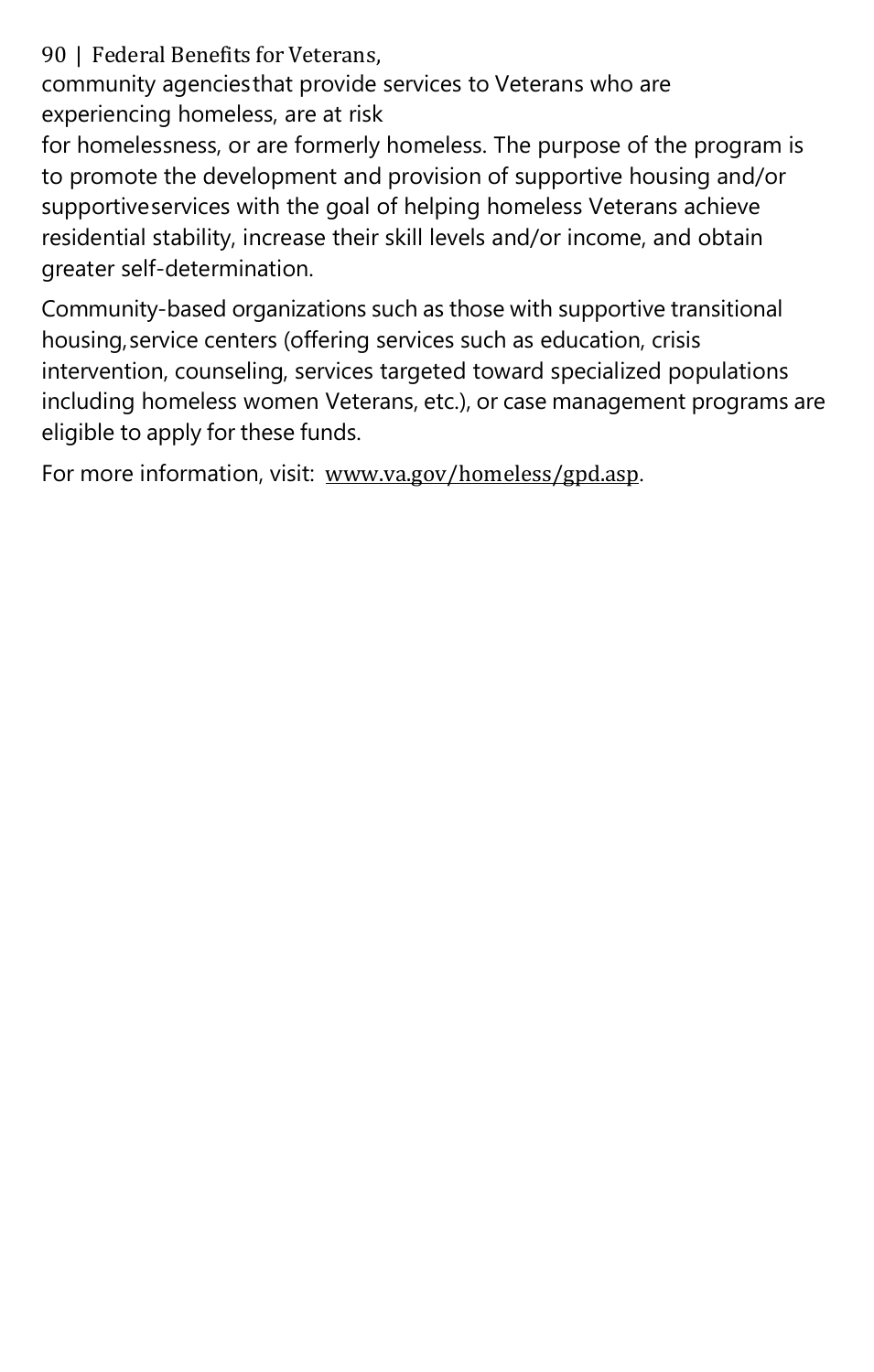90 | Federal Benefits for Veterans,

community agenciesthat provide services to Veterans who are experiencing homeless, are at risk

for homelessness, or are formerly homeless. The purpose of the program is to promote the development and provision of supportive housing and/or supportiveservices with the goal of helping homeless Veterans achieve residential stability, increase their skill levels and/or income, and obtain greater self-determination.

Community-based organizations such as those with supportive transitional housing,service centers (offering services such as education, crisis intervention, counseling, services targeted toward specialized populations including homeless women Veterans, etc.), or case management programs are eligible to apply for these funds.

For more information, visit: www.va.gov/homeless/gpd.asp.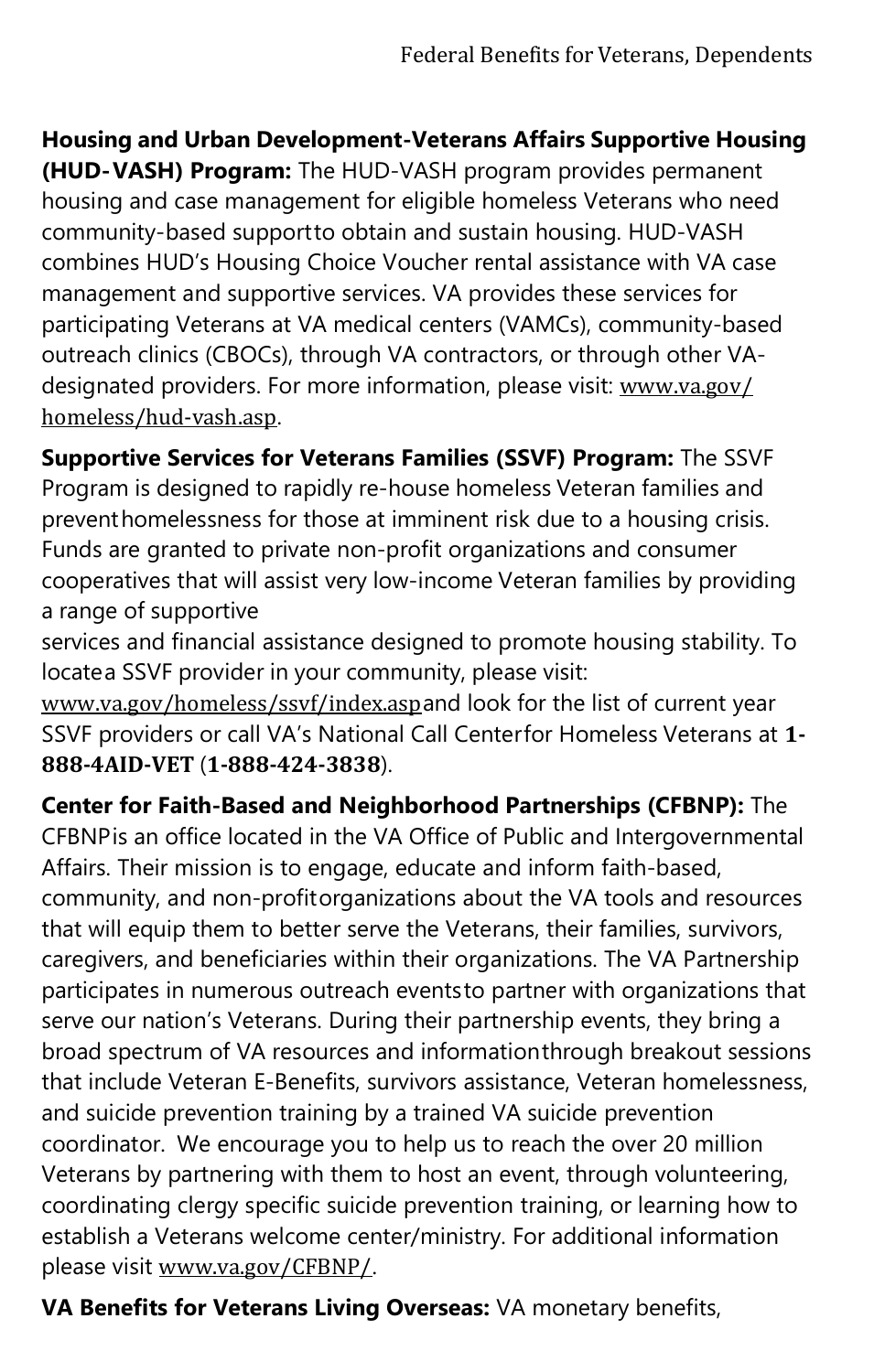**Housing and Urban Development-Veterans Affairs Supportive Housing**

**(HUD-VASH) Program:** The HUD-VASH program provides permanent housing and case management for eligible homeless Veterans who need community-based supportto obtain and sustain housing. HUD-VASH combines HUD's Housing Choice Voucher rental assistance with VA case management and supportive services. VA provides these services for participating Veterans at VA medical centers (VAMCs), community-based outreach clinics (CBOCs), through VA contractors, or through other VAdesignated providers. For more information, please visit: www.va.gov/ homeless/hud-vash.asp.

**Supportive Services for Veterans Families (SSVF) Program:** The SSVF Program is designed to rapidly re-house homeless Veteran families and preventhomelessness for those at imminent risk due to a housing crisis. Funds are granted to private non-profit organizations and consumer cooperatives that will assist very low-income Veteran families by providing a range of supportive

services and financial assistance designed to promote housing stability. To locatea SSVF provider in your community, please visit:

www.va.gov/homeless/ssvf/index.aspand look for the list of current year SSVF providers or call VA's National Call Centerfor Homeless Veterans at **1- 888-4AID-VET** (**1-888-424-3838**).

**Center for Faith-Based and Neighborhood Partnerships (CFBNP):** The CFBNPis an office located in the VA Office of Public and Intergovernmental Affairs. Their mission is to engage, educate and inform faith-based, community, and non-profitorganizations about the VA tools and resources that will equip them to better serve the Veterans, their families, survivors, caregivers, and beneficiaries within their organizations. The VA Partnership participates in numerous outreach eventsto partner with organizations that serve our nation's Veterans. During their partnership events, they bring a broad spectrum of VA resources and informationthrough breakout sessions that include Veteran E-Benefits, survivors assistance, Veteran homelessness, and suicide prevention training by a trained VA suicide prevention coordinator. We encourage you to help us to reach the over 20 million Veterans by partnering with them to host an event, through volunteering, coordinating clergy specific suicide prevention training, or learning how to establish a Veterans welcome center/ministry. For additional information please visit www.va.gov/CFBNP/.

**VA Benefits for Veterans Living Overseas:** VA monetary benefits,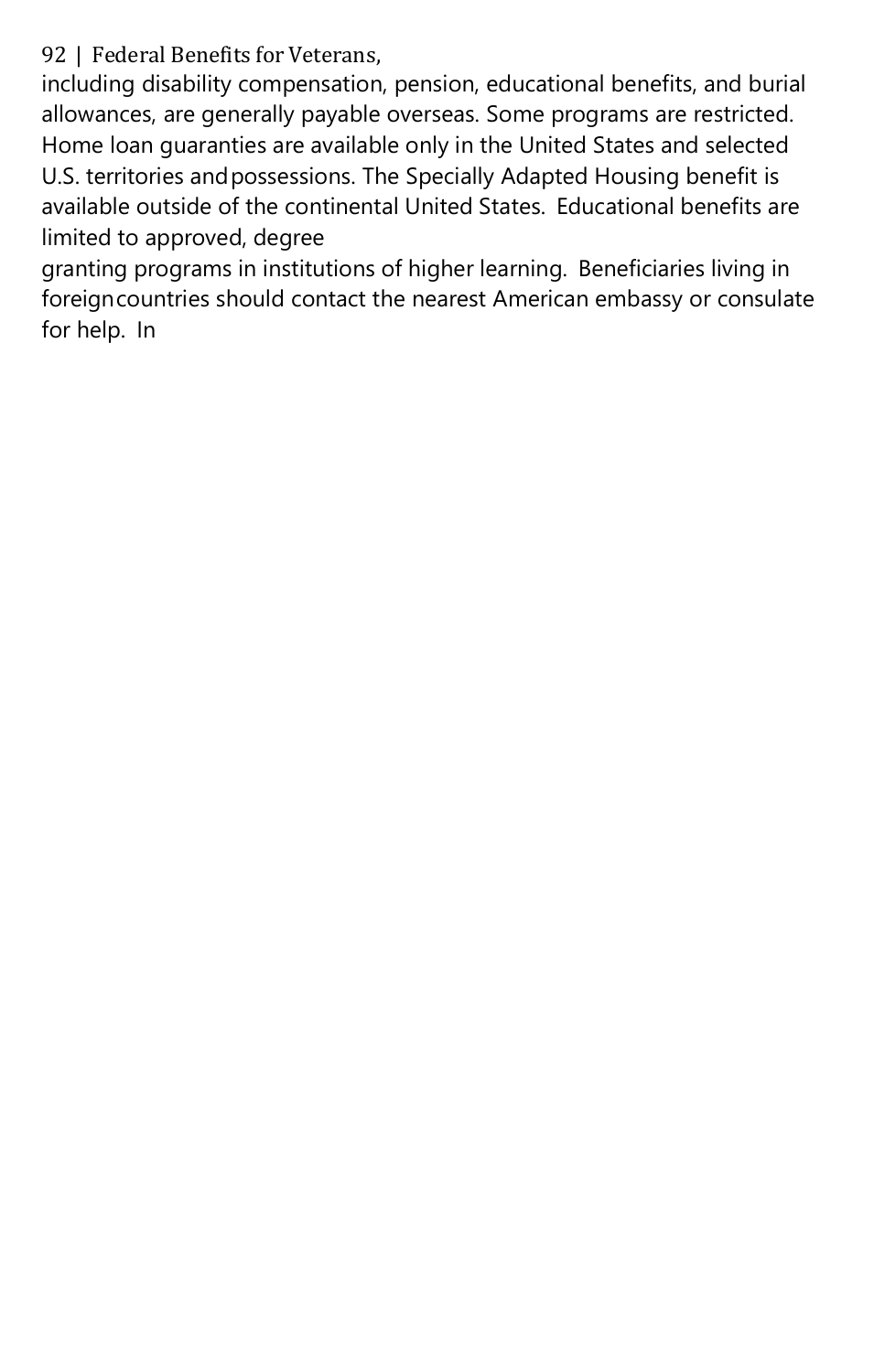92 | Federal Benefits for Veterans,

including disability compensation, pension, educational benefits, and burial allowances, are generally payable overseas. Some programs are restricted. Home loan guaranties are available only in the United States and selected U.S. territories andpossessions. The Specially Adapted Housing benefit is available outside of the continental United States. Educational benefits are limited to approved, degree

granting programs in institutions of higher learning. Beneficiaries living in foreigncountries should contact the nearest American embassy or consulate for help. In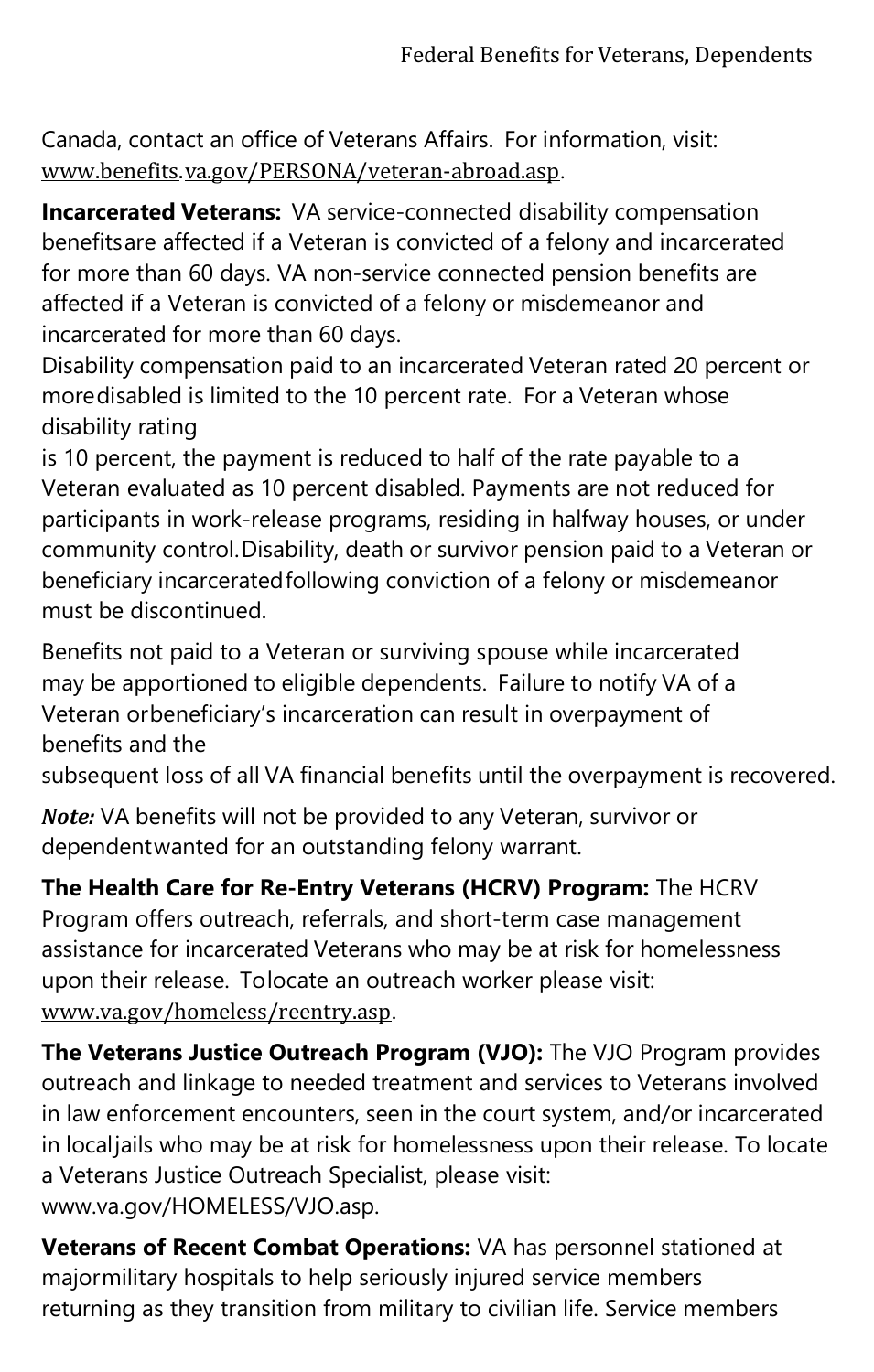Canada, contact an office of Veterans Affairs. For information, visit: www.benefits.va.gov/PERSONA/veteran-abroad.asp.

**Incarcerated Veterans:** VA service-connected disability compensation benefitsare affected if a Veteran is convicted of a felony and incarcerated for more than 60 days. VA non-service connected pension benefits are affected if a Veteran is convicted of a felony or misdemeanor and incarcerated for more than 60 days.

Disability compensation paid to an incarcerated Veteran rated 20 percent or moredisabled is limited to the 10 percent rate. For a Veteran whose disability rating

is 10 percent, the payment is reduced to half of the rate payable to a Veteran evaluated as 10 percent disabled. Payments are not reduced for participants in work-release programs, residing in halfway houses, or under community control.Disability, death or survivor pension paid to a Veteran or beneficiary incarceratedfollowing conviction of a felony or misdemeanor must be discontinued.

Benefits not paid to a Veteran or surviving spouse while incarcerated may be apportioned to eligible dependents. Failure to notify VA of a Veteran orbeneficiary's incarceration can result in overpayment of benefits and the

subsequent loss of all VA financial benefits until the overpayment is recovered.

*Note:* VA benefits will not be provided to any Veteran, survivor or dependentwanted for an outstanding felony warrant.

**The Health Care for Re-Entry Veterans (HCRV) Program:** The HCRV Program offers outreach, referrals, and short-term case management assistance for incarcerated Veterans who may be at risk for homelessness upon their release. Tolocate an outreach worker please visit: www.va.gov/homeless/reentry.asp.

**The Veterans Justice Outreach Program (VJO):** The VJO Program provides outreach and linkage to needed treatment and services to Veterans involved in law enforcement encounters, seen in the court system, and/or incarcerated in localjails who may be at risk for homelessness upon their release. To locate a Veterans Justice Outreach Specialist, please visit: www.va.gov/HOMELESS/VJO.asp.

**Veterans of Recent Combat Operations:** VA has personnel stationed at majormilitary hospitals to help seriously injured service members returning as they transition from military to civilian life. Service members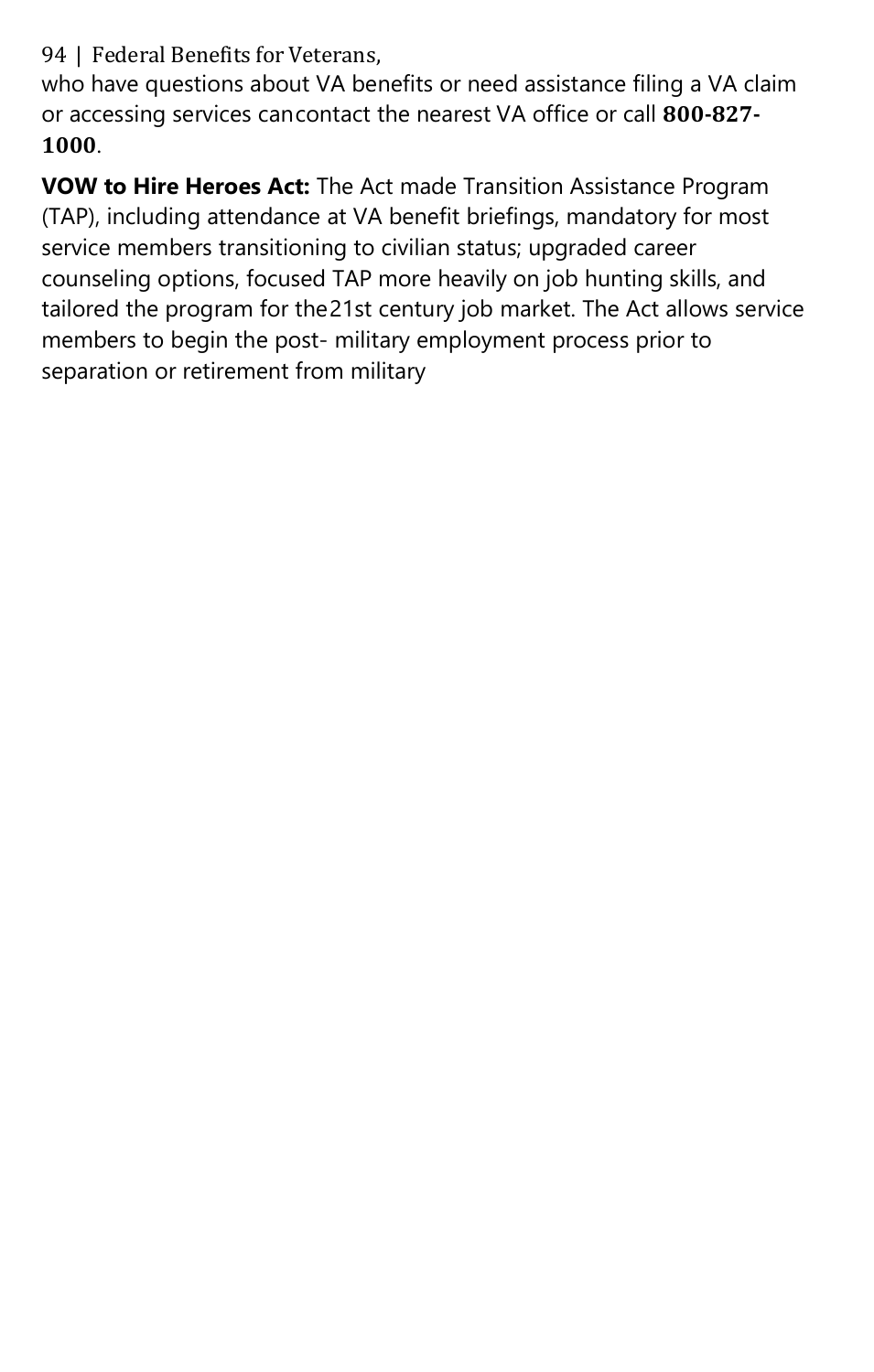94 | Federal Benefits for Veterans,

who have questions about VA benefits or need assistance filing a VA claim or accessing services cancontact the nearest VA office or call **800-827- 1000**.

**VOW to Hire Heroes Act:** The Act made Transition Assistance Program (TAP), including attendance at VA benefit briefings, mandatory for most service members transitioning to civilian status; upgraded career counseling options, focused TAP more heavily on job hunting skills, and tailored the program for the21st century job market. The Act allows service members to begin the post- military employment process prior to separation or retirement from military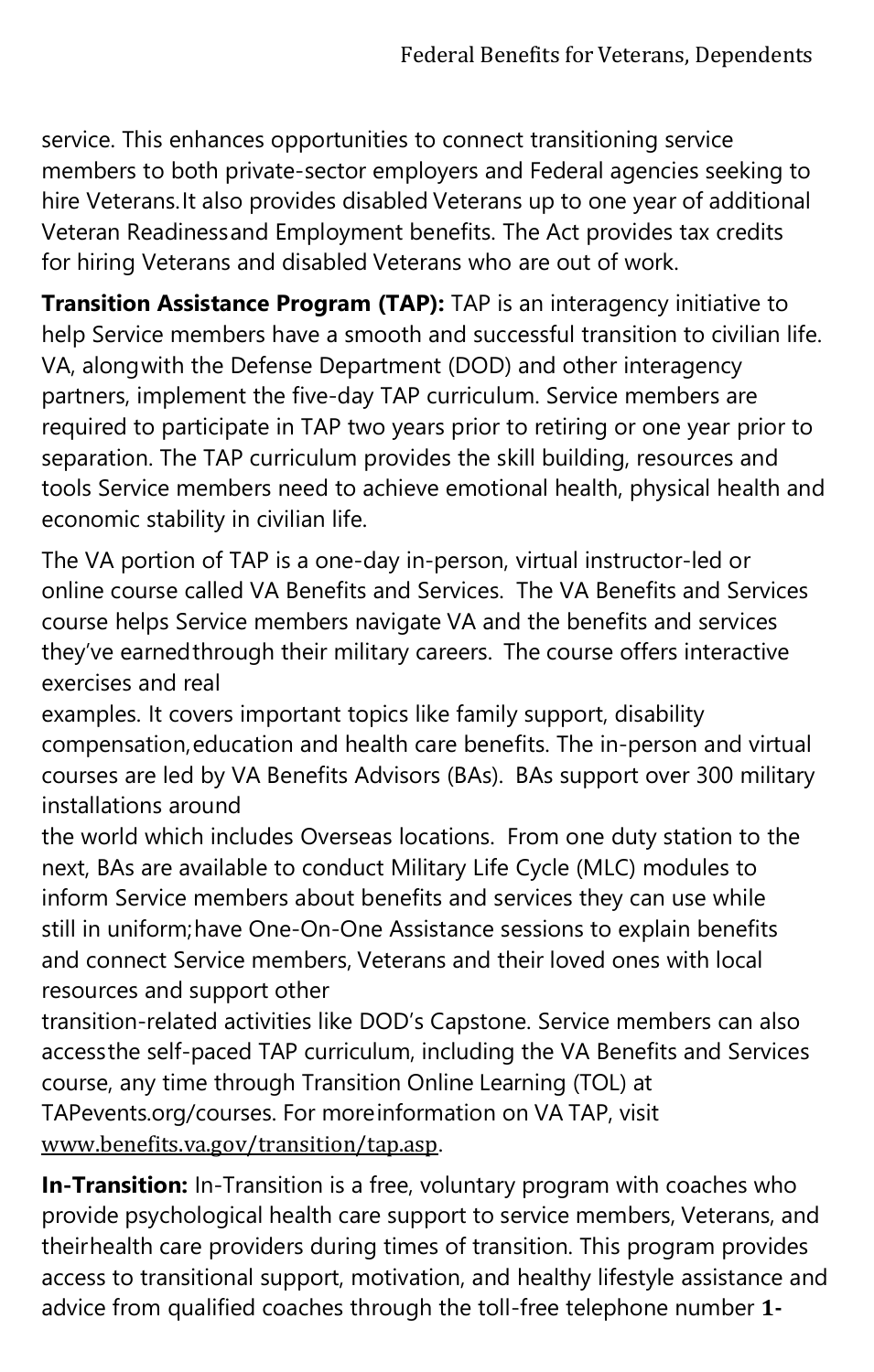service. This enhances opportunities to connect transitioning service members to both private-sector employers and Federal agencies seeking to hire Veterans.It also provides disabled Veterans up to one year of additional Veteran Readinessand Employment benefits. The Act provides tax credits for hiring Veterans and disabled Veterans who are out of work.

**Transition Assistance Program (TAP):** TAP is an interagency initiative to help Service members have a smooth and successful transition to civilian life. VA, alongwith the Defense Department (DOD) and other interagency partners, implement the five-day TAP curriculum. Service members are required to participate in TAP two years prior to retiring or one year prior to separation. The TAP curriculum provides the skill building, resources and tools Service members need to achieve emotional health, physical health and economic stability in civilian life.

The VA portion of TAP is a one-day in-person, virtual instructor-led or online course called VA Benefits and Services. The VA Benefits and Services course helps Service members navigate VA and the benefits and services they've earnedthrough their military careers. The course offers interactive exercises and real

examples. It covers important topics like family support, disability compensation,education and health care benefits. The in-person and virtual courses are led by VA Benefits Advisors (BAs). BAs support over 300 military installations around

the world which includes Overseas locations. From one duty station to the next, BAs are available to conduct Military Life Cycle (MLC) modules to inform Service members about benefits and services they can use while still in uniform;have One-On-One Assistance sessions to explain benefits and connect Service members, Veterans and their loved ones with local resources and support other

transition-related activities like DOD's Capstone. Service members can also accessthe self-paced TAP curriculum, including the VA Benefits and Services course, any time through Transition Online Learning (TOL) at TAPevents.org/courses. For moreinformation on VA TAP, visit www.benefits.va.gov/transition/tap.asp.

**In-Transition:** In-Transition is a free, voluntary program with coaches who provide psychological health care support to service members, Veterans, and theirhealth care providers during times of transition. This program provides access to transitional support, motivation, and healthy lifestyle assistance and advice from qualified coaches through the toll-free telephone number **1-**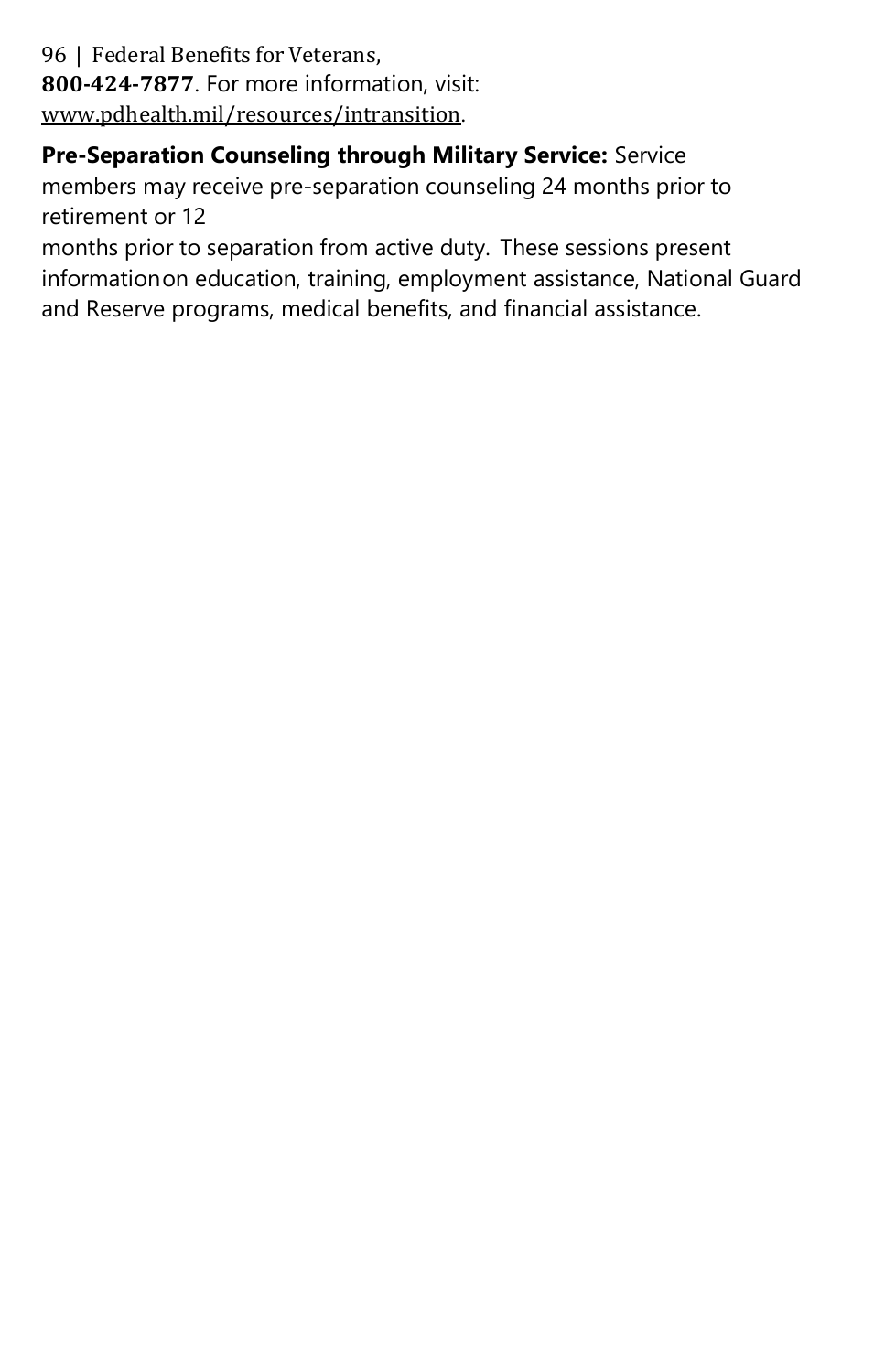96 | Federal Benefits for Veterans, **800-424-7877** . For more information, visit: www.pdhealth.mil/resources/intransition.

**Pre-Separation Counseling through Military Service:** Service members may receive pre-separation counseling 24 months prior to retirement or 12

months prior to separation from active duty. These sessions present informationon education, training, employment assistance, National Guard and Reserve programs, medical benefits, and financial assistance.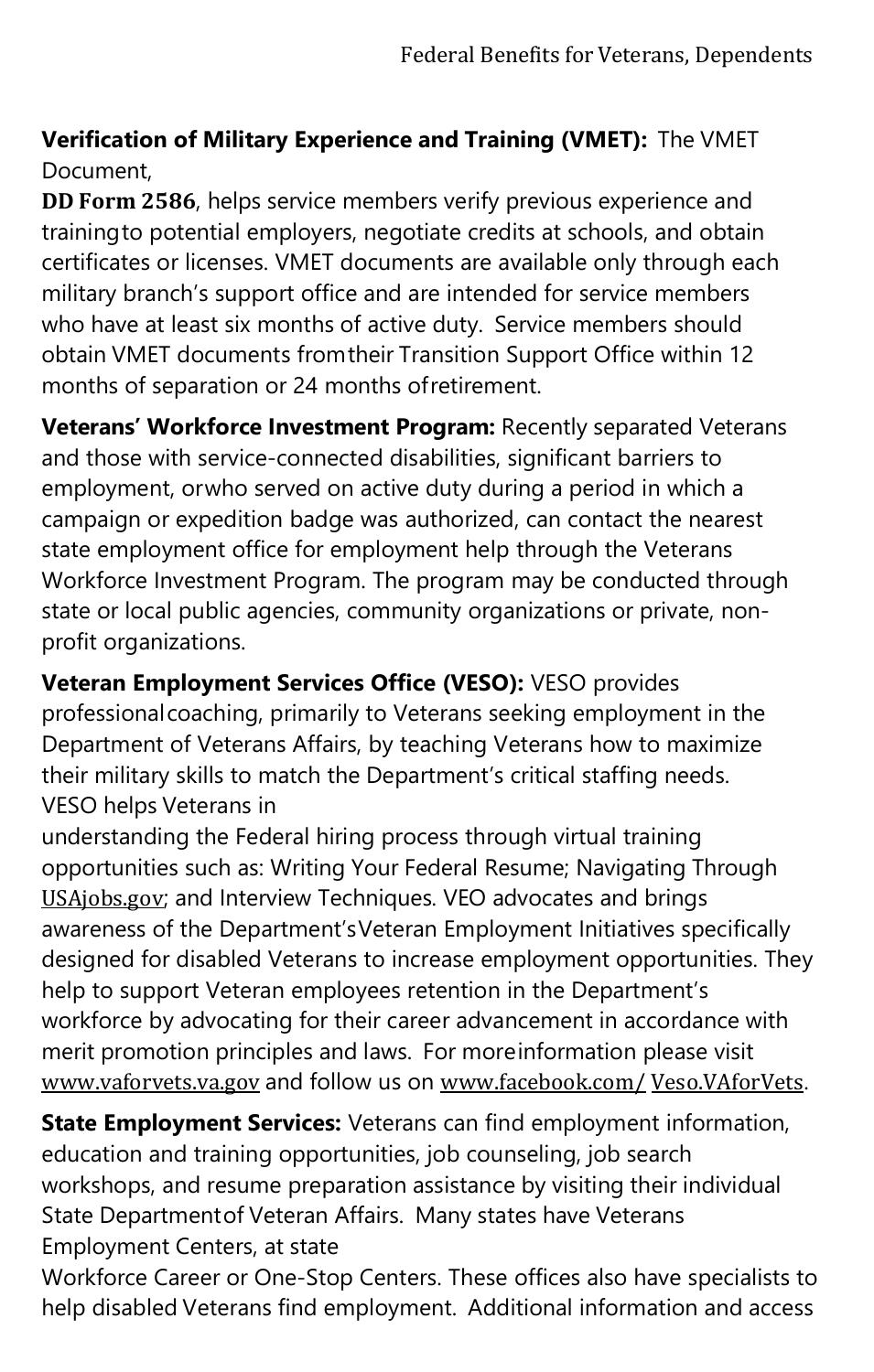## **Verification of Military Experience and Training (VMET):** The VMET Document,

**DD Form 2586**, helps service members verify previous experience and trainingto potential employers, negotiate credits at schools, and obtain certificates or licenses. VMET documents are available only through each military branch's support office and are intended for service members who have at least six months of active duty. Service members should obtain VMET documents fromtheir Transition Support Office within 12 months of separation or 24 months ofretirement.

**Veterans' Workforce Investment Program:** Recently separated Veterans and those with service-connected disabilities, significant barriers to employment, orwho served on active duty during a period in which a campaign or expedition badge was authorized, can contact the nearest state employment office for employment help through the Veterans Workforce Investment Program. The program may be conducted through state or local public agencies, community organizations or private, nonprofit organizations.

**Veteran Employment Services Office (VESO):** VESO provides professionalcoaching, primarily to Veterans seeking employment in the Department of Veterans Affairs, by teaching Veterans how to maximize their military skills to match the Department's critical staffing needs. VESO helps Veterans in

understanding the Federal hiring process through virtual training opportunities such as: Writing Your Federal Resume; Navigating Through USAjobs.gov; and Interview Techniques. VEO advocates and brings awareness of the Department'sVeteran Employment Initiatives specifically designed for disabled Veterans to increase employment opportunities. They help to support Veteran employees retention in the Department's workforce by advocating for their career advancement in accordance with merit promotion principles and laws. For moreinformation please visit www.vaforvets.va.gov and follow us on www.facebook.com/ Veso.VAforVets.

**State Employment Services:** Veterans can find employment information, education and training opportunities, job counseling, job search workshops, and resume preparation assistance by visiting their individual State Departmentof Veteran Affairs. Many states have Veterans Employment Centers, at state

Workforce Career or One-Stop Centers. These offices also have specialists to help disabled Veterans find employment. Additional information and access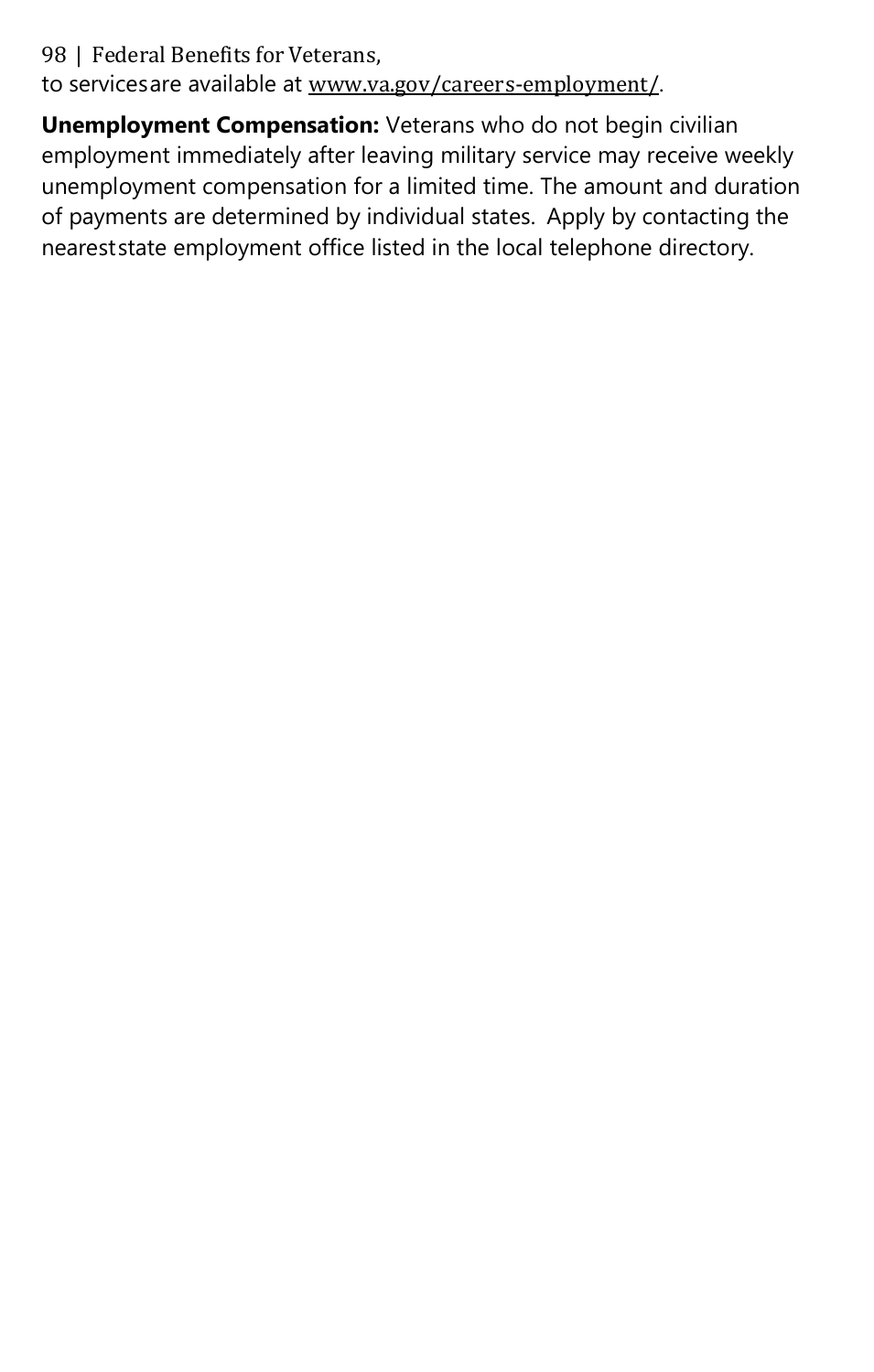98 | Federal Benefits for Veterans, to servicesare available at www.va.gov/careers-employment/.

**Unemployment Compensation:** Veterans who do not begin civilian employment immediately after leaving military service may receive weekly unemployment compensation for a limited time. The amount and duration of payments are determined by individual states. Apply by contacting the neareststate employment office listed in the local telephone directory.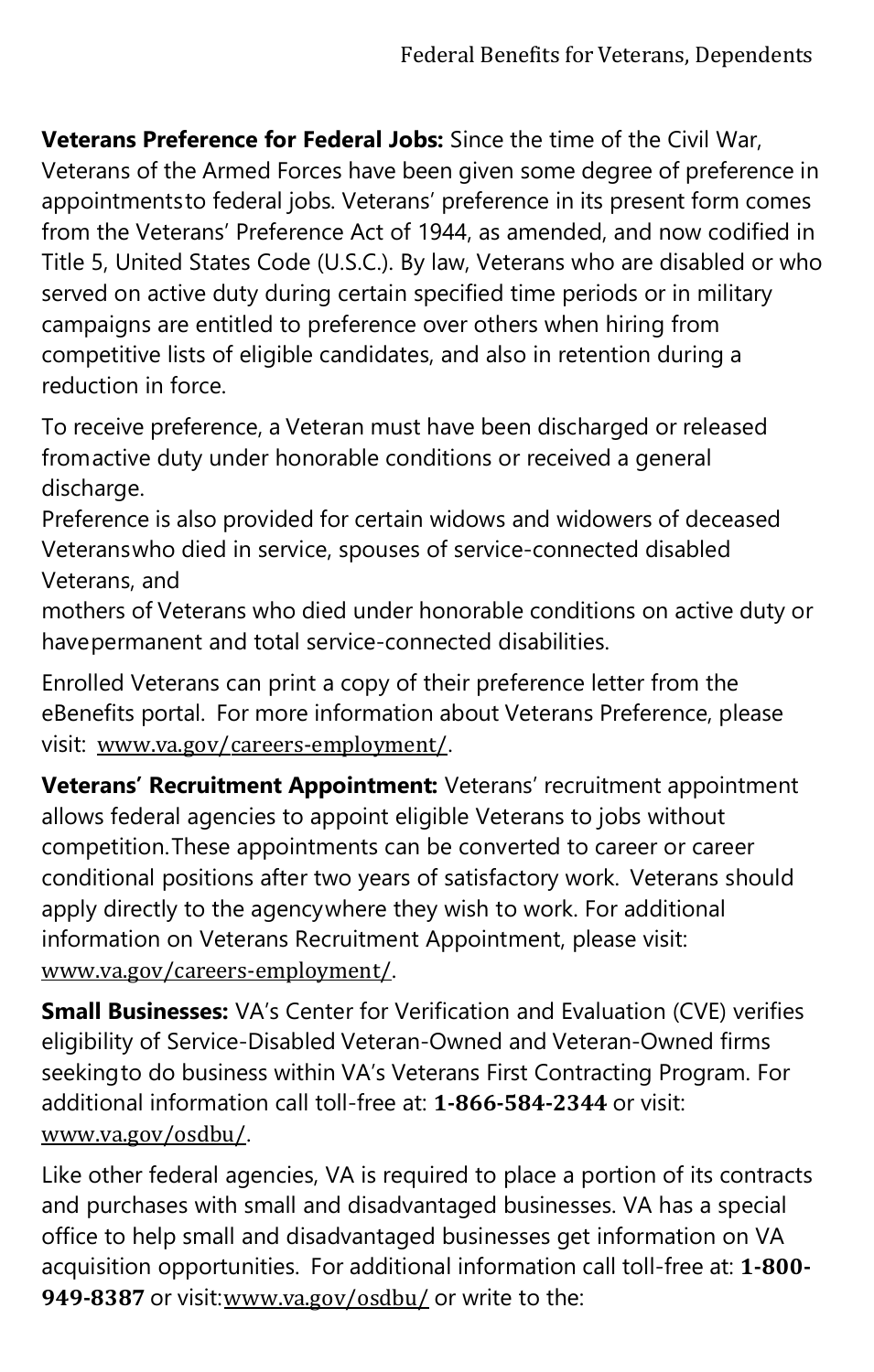**Veterans Preference for Federal Jobs:** Since the time of the Civil War, Veterans of the Armed Forces have been given some degree of preference in appointmentsto federal jobs. Veterans' preference in its present form comes from the Veterans' Preference Act of 1944, as amended, and now codified in Title 5, United States Code (U.S.C.). By law, Veterans who are disabled or who served on active duty during certain specified time periods or in military campaigns are entitled to preference over others when hiring from competitive lists of eligible candidates, and also in retention during a reduction in force.

To receive preference, a Veteran must have been discharged or released fromactive duty under honorable conditions or received a general discharge.

Preference is also provided for certain widows and widowers of deceased Veteranswho died in service, spouses of service-connected disabled Veterans, and

mothers of Veterans who died under honorable conditions on active duty or havepermanent and total service-connected disabilities.

Enrolled Veterans can print a copy of their preference letter from the eBenefits portal. For more information about Veterans Preference, please visit: www.va.gov/careers-employment/.

**Veterans' Recruitment Appointment:** Veterans' recruitment appointment allows federal agencies to appoint eligible Veterans to jobs without competition.These appointments can be converted to career or career conditional positions after two years of satisfactory work. Veterans should apply directly to the agencywhere they wish to work. For additional information on Veterans Recruitment Appointment, please visit: www.va.gov/careers-employment/.

**Small Businesses:** VA's Center for Verification and Evaluation (CVE) verifies eligibility of Service-Disabled Veteran-Owned and Veteran-Owned firms seekingto do business within VA's Veterans First Contracting Program. For additional information call toll-free at: **1-866-584-2344** or visit: www.va.gov/osdbu/.

Like other federal agencies, VA is required to place a portion of its contracts and purchases with small and disadvantaged businesses. VA has a special office to help small and disadvantaged businesses get information on VA acquisition opportunities. For additional information call toll-free at: **1-800-** 949-8387 or visit: www.va.gov/osdbu/ or write to the: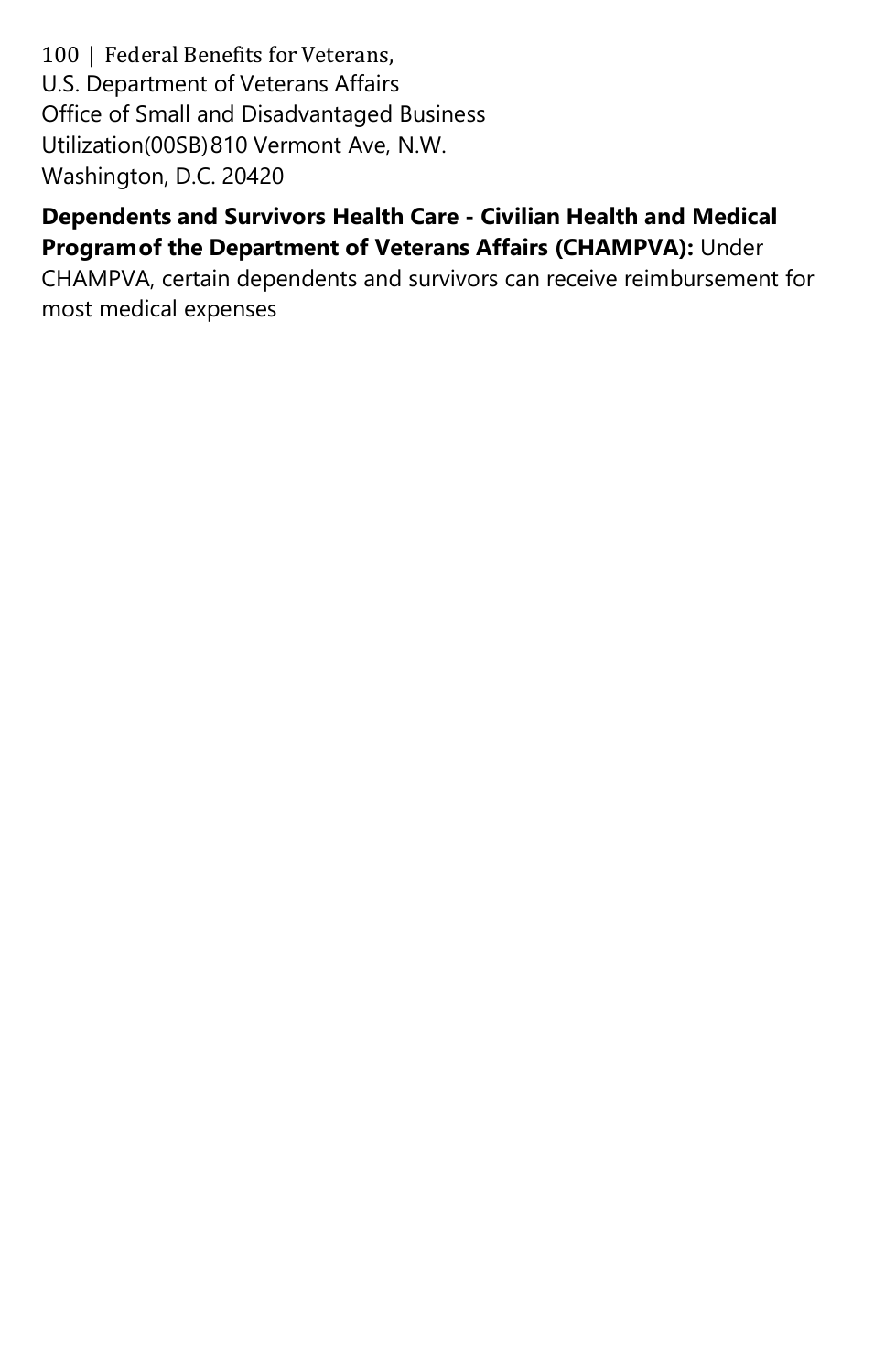100 | Federal Benefits for Veterans, U.S. Department of Veterans Affairs Office of Small and Disadvantaged Business Utilization(00SB)810 Vermont Ave, N.W. Washington, D.C. 20420

#### **Dependents and Survivors Health Care - Civilian Health and Medical Programof the Department of Veterans Affairs (CHAMPVA):** Under

CHAMPVA, certain dependents and survivors can receive reimbursement for most medical expenses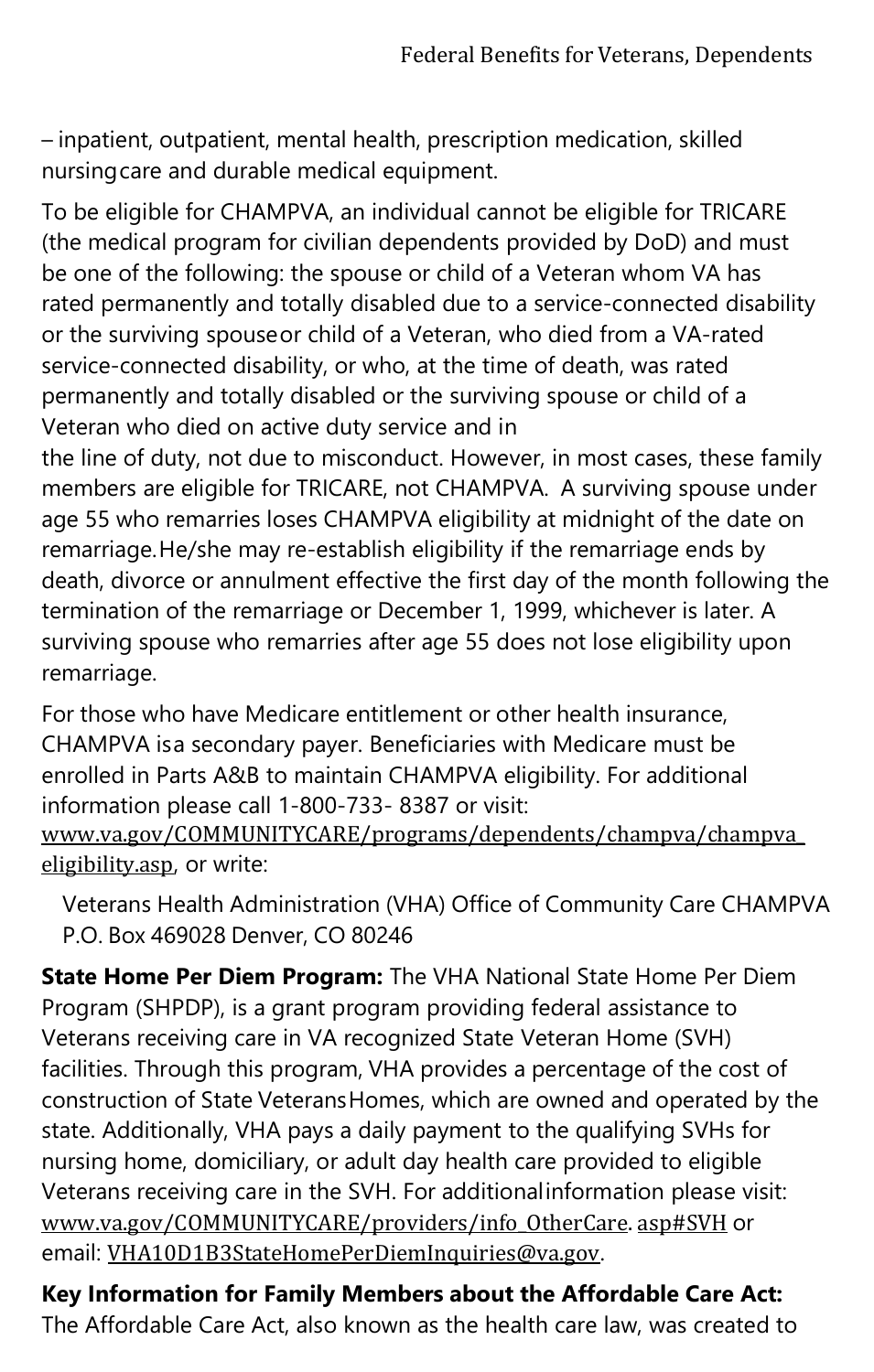– inpatient, outpatient, mental health, prescription medication, skilled nursingcare and durable medical equipment.

To be eligible for CHAMPVA, an individual cannot be eligible for TRICARE (the medical program for civilian dependents provided by DoD) and must be one of the following: the spouse or child of a Veteran whom VA has rated permanently and totally disabled due to a service-connected disability or the surviving spouseor child of a Veteran, who died from a VA-rated service-connected disability, or who, at the time of death, was rated permanently and totally disabled or the surviving spouse or child of a Veteran who died on active duty service and in

the line of duty, not due to misconduct. However, in most cases, these family members are eligible for TRICARE, not CHAMPVA. A surviving spouse under age 55 who remarries loses CHAMPVA eligibility at midnight of the date on remarriage.He/she may re-establish eligibility if the remarriage ends by death, divorce or annulment effective the first day of the month following the termination of the remarriage or December 1, 1999, whichever is later. A surviving spouse who remarries after age 55 does not lose eligibility upon remarriage.

For those who have Medicare entitlement or other health insurance, CHAMPVA isa secondary payer. Beneficiaries with Medicare must be enrolled in Parts A&B to maintain CHAMPVA eligibility. For additional information please call 1-800-733- 8387 or visit: www.va.gov/COMMUNITYCARE/programs/dependents/champva/champva\_ eligibility.asp, or write:

Veterans Health Administration (VHA) Office of Community Care CHAMPVA P.O. Box 469028 Denver, CO 80246

**State Home Per Diem Program:** The VHA National State Home Per Diem Program (SHPDP), is a grant program providing federal assistance to Veterans receiving care in VA recognized State Veteran Home (SVH) facilities. Through this program, VHA provides a percentage of the cost of construction of State VeteransHomes, which are owned and operated by the state. Additionally, VHA pays a daily payment to the qualifying SVHs for nursing home, domiciliary, or adult day health care provided to eligible Veterans receiving care in the SVH. For additionalinformation please visit: www.va.gov/COMMUNITYCARE/providers/info\_OtherCare. asp#SVH or email: VHA10D1B3StateHomePerDiemInquiries@va.gov.

**Key Information for Family Members about the Affordable Care Act:** The Affordable Care Act, also known as the health care law, was created to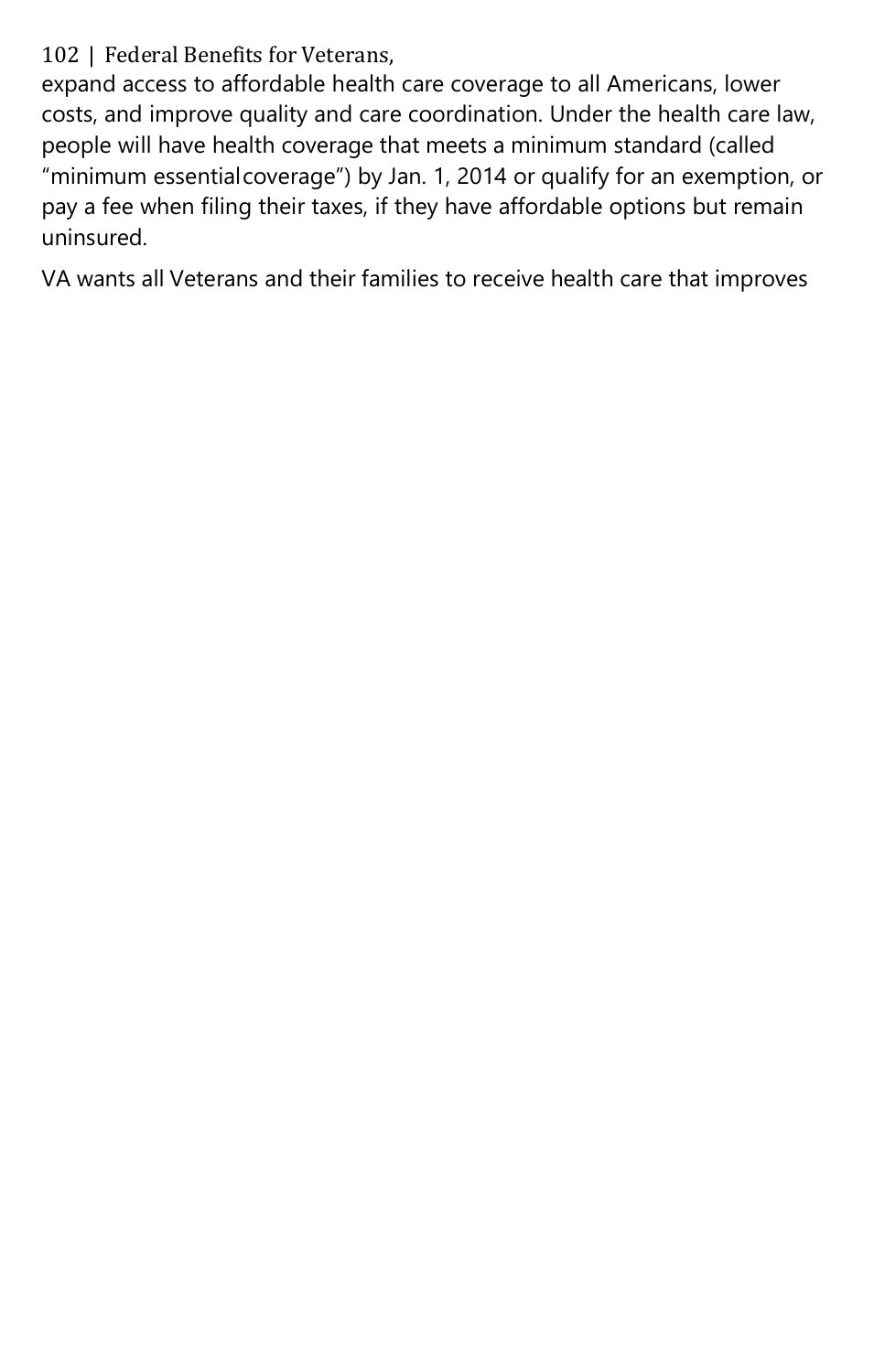expand access to affordable health care coverage to all Americans, lower costs, and improve quality and care coordination. Under the health care law, people will have health coverage that meets a minimum standard (called "minimum essentialcoverage") by Jan. 1, 2014 or qualify for an exemption, or pay a fee when filing their taxes, if they have affordable options but remain uninsured.

VA wants all Veterans and their families to receive health care that improves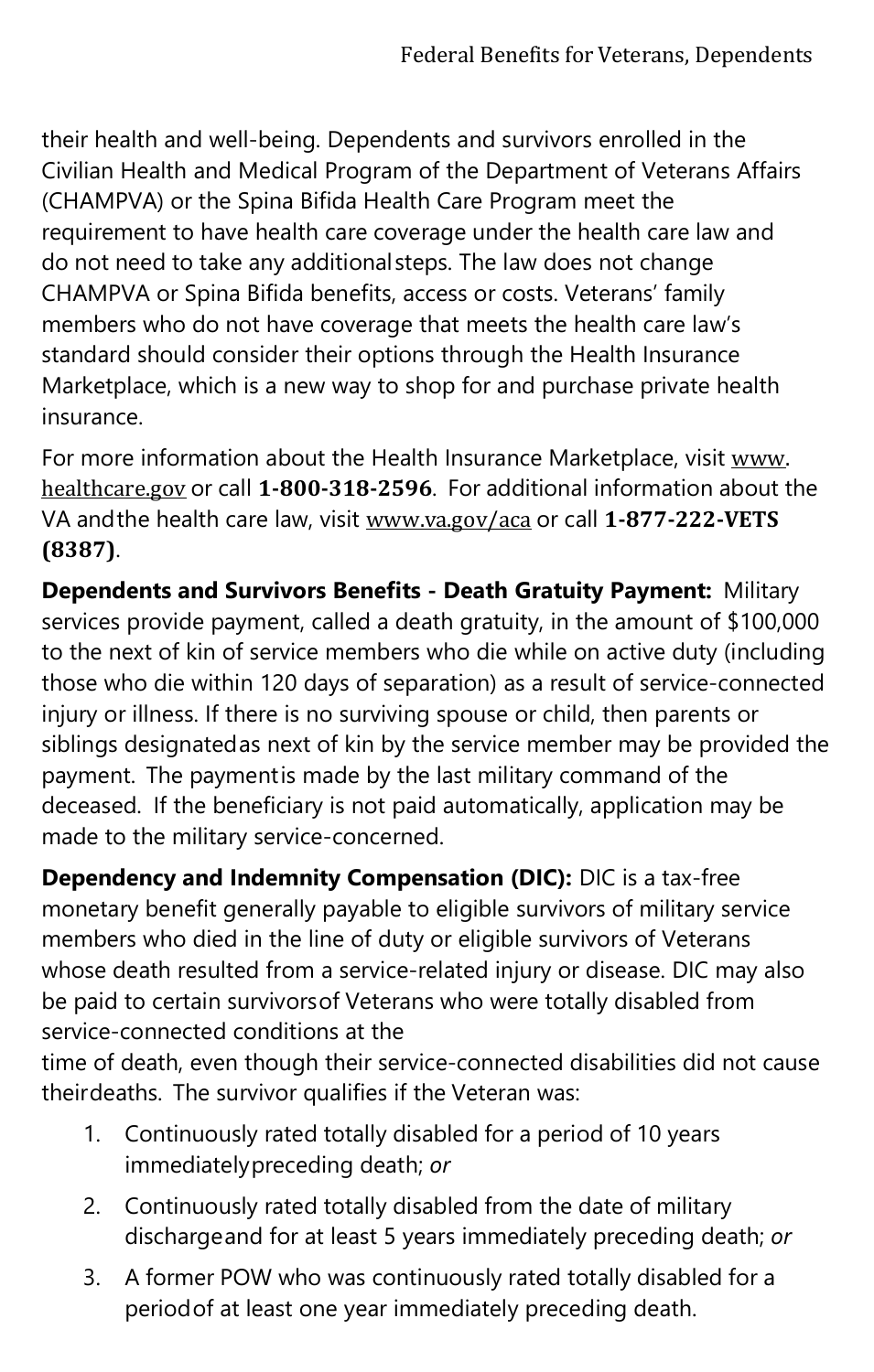their health and well-being. Dependents and survivors enrolled in the Civilian Health and Medical Program of the Department of Veterans Affairs (CHAMPVA) or the Spina Bifida Health Care Program meet the requirement to have health care coverage under the health care law and do not need to take any additionalsteps. The law does not change CHAMPVA or Spina Bifida benefits, access or costs. Veterans' family members who do not have coverage that meets the health care law's standard should consider their options through the Health Insurance Marketplace, which is a new way to shop for and purchase private health insurance.

For more information about the Health Insurance Marketplace, visit www. healthcare.gov or call **1-800-318-2596**. For additional information about the VA andthe health care law, visit www.va.gov/aca or call **1-877-222-VETS (8387)**.

**Dependents and Survivors Benefits - Death Gratuity Payment:** Military services provide payment, called a death gratuity, in the amount of \$100,000 to the next of kin of service members who die while on active duty (including those who die within 120 days of separation) as a result of service-connected injury or illness. If there is no surviving spouse or child, then parents or siblings designatedas next of kin by the service member may be provided the payment. The paymentis made by the last military command of the deceased. If the beneficiary is not paid automatically, application may be made to the military service-concerned.

**Dependency and Indemnity Compensation (DIC):** DIC is a tax-free monetary benefit generally payable to eligible survivors of military service members who died in the line of duty or eligible survivors of Veterans whose death resulted from a service-related injury or disease. DIC may also be paid to certain survivorsof Veterans who were totally disabled from service-connected conditions at the

time of death, even though their service-connected disabilities did not cause theirdeaths. The survivor qualifies if the Veteran was:

- 1. Continuously rated totally disabled for a period of 10 years immediatelypreceding death; *or*
- 2. Continuously rated totally disabled from the date of military dischargeand for at least 5 years immediately preceding death; *or*
- 3. A former POW who was continuously rated totally disabled for a periodof at least one year immediately preceding death.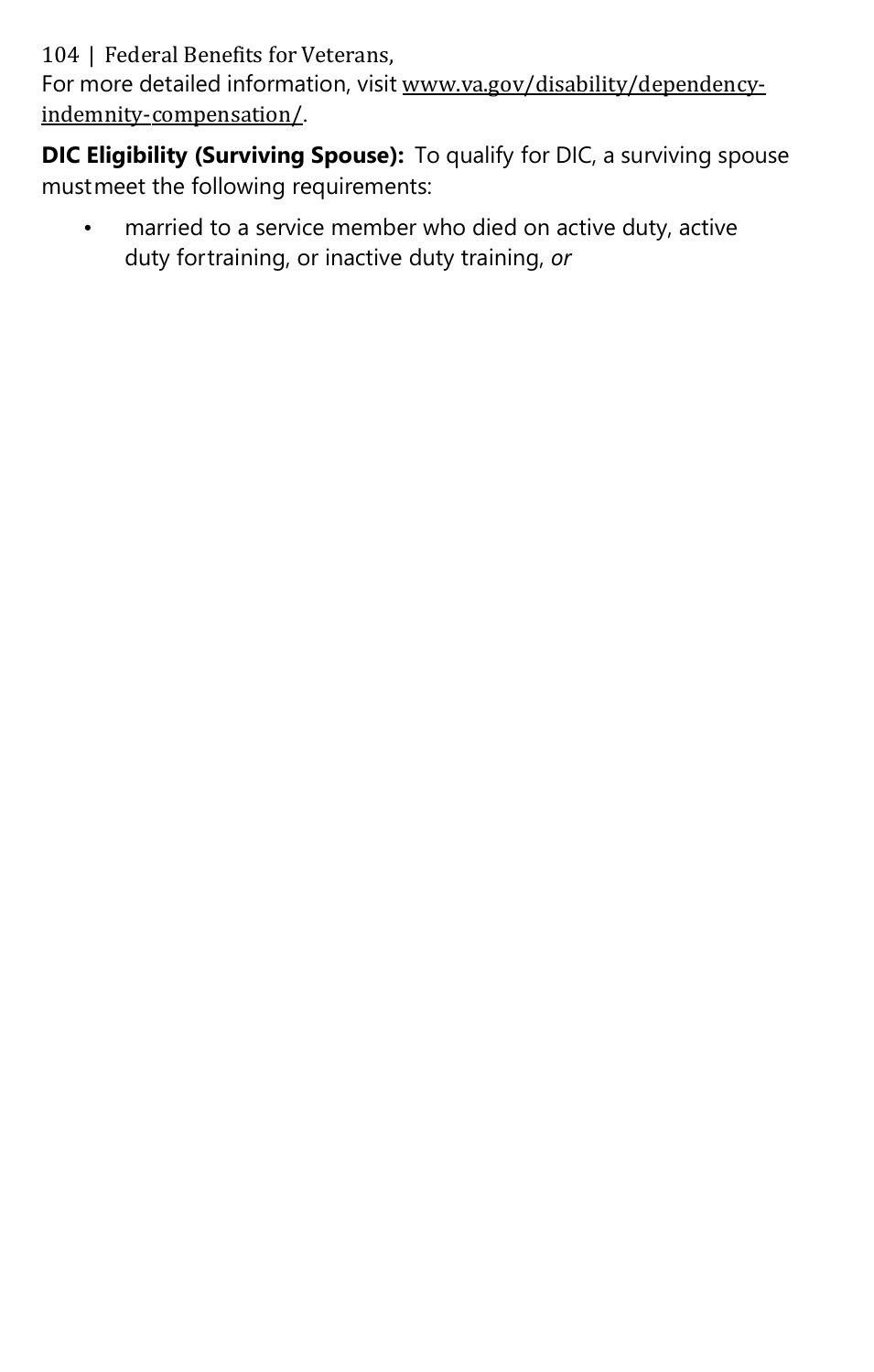For more detailed information, visit www.va.gov/disability/dependencyindemnity-compensation/.

**DIC Eligibility (Surviving Spouse):** To qualify for DIC, a surviving spouse mustmeet the following requirements:

• married to a service member who died on active duty, active duty fortraining, or inactive duty training, *or*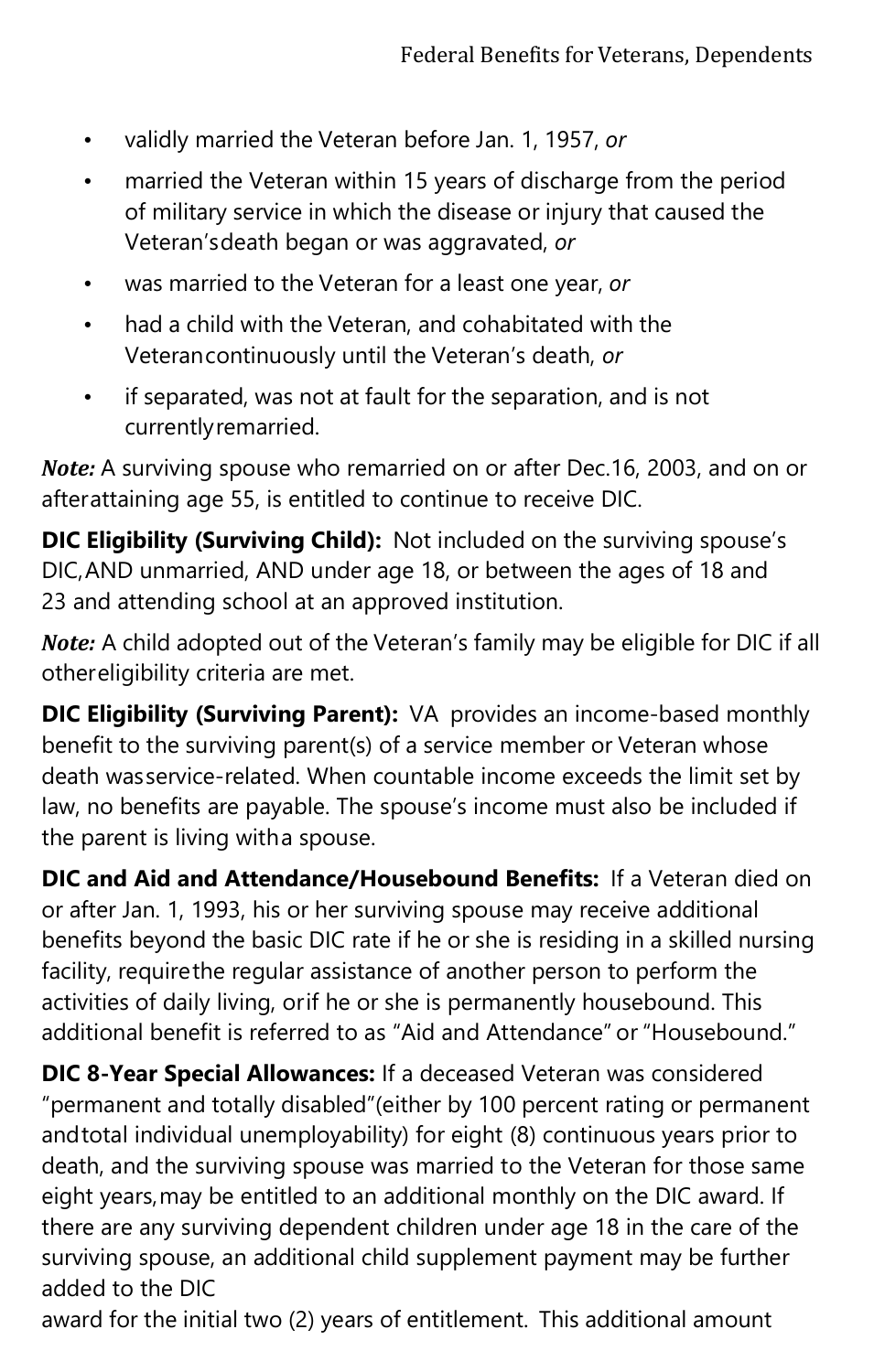- validly married the Veteran before Jan. 1, 1957, *or*
- married the Veteran within 15 years of discharge from the period of military service in which the disease or injury that caused the Veteran'sdeath began or was aggravated, *or*
- was married to the Veteran for a least one year, *or*
- had a child with the Veteran, and cohabitated with the Veterancontinuously until the Veteran's death, *or*
- if separated, was not at fault for the separation, and is not currentlyremarried.

*Note:* A surviving spouse who remarried on or after Dec.16, 2003, and on or afterattaining age 55, is entitled to continue to receive DIC.

**DIC Eligibility (Surviving Child):** Not included on the surviving spouse's DIC,AND unmarried, AND under age 18, or between the ages of 18 and 23 and attending school at an approved institution.

*Note:* A child adopted out of the Veteran's family may be eligible for DIC if all othereligibility criteria are met.

**DIC Eligibility (Surviving Parent):** VA provides an income-based monthly benefit to the surviving parent(s) of a service member or Veteran whose death wasservice-related. When countable income exceeds the limit set by law, no benefits are payable. The spouse's income must also be included if the parent is living witha spouse.

**DIC and Aid and Attendance/Housebound Benefits:** If a Veteran died on or after Jan. 1, 1993, his or her surviving spouse may receive additional benefits beyond the basic DIC rate if he or she is residing in a skilled nursing facility, requirethe regular assistance of another person to perform the activities of daily living, orif he or she is permanently housebound. This additional benefit is referred to as "Aid and Attendance" or "Housebound."

**DIC 8-Year Special Allowances:** If a deceased Veteran was considered "permanent and totally disabled"(either by 100 percent rating or permanent andtotal individual unemployability) for eight (8) continuous years prior to death, and the surviving spouse was married to the Veteran for those same eight years,may be entitled to an additional monthly on the DIC award. If there are any surviving dependent children under age 18 in the care of the surviving spouse, an additional child supplement payment may be further added to the DIC

award for the initial two (2) years of entitlement. This additional amount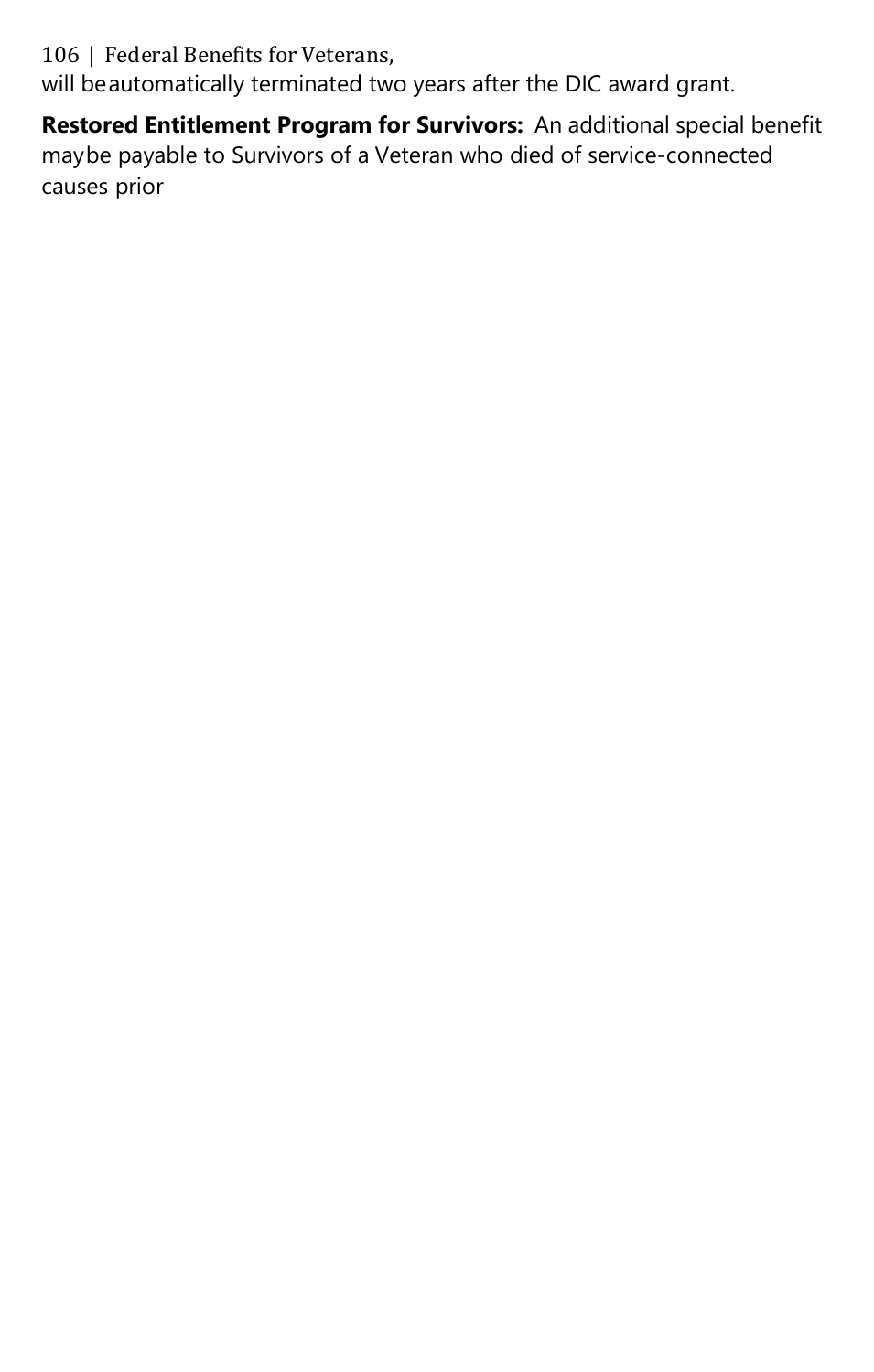will beautomatically terminated two years after the DIC award grant.

**Restored Entitlement Program for Survivors:** An additional special benefit maybe payable to Survivors of a Veteran who died of service-connected causes prior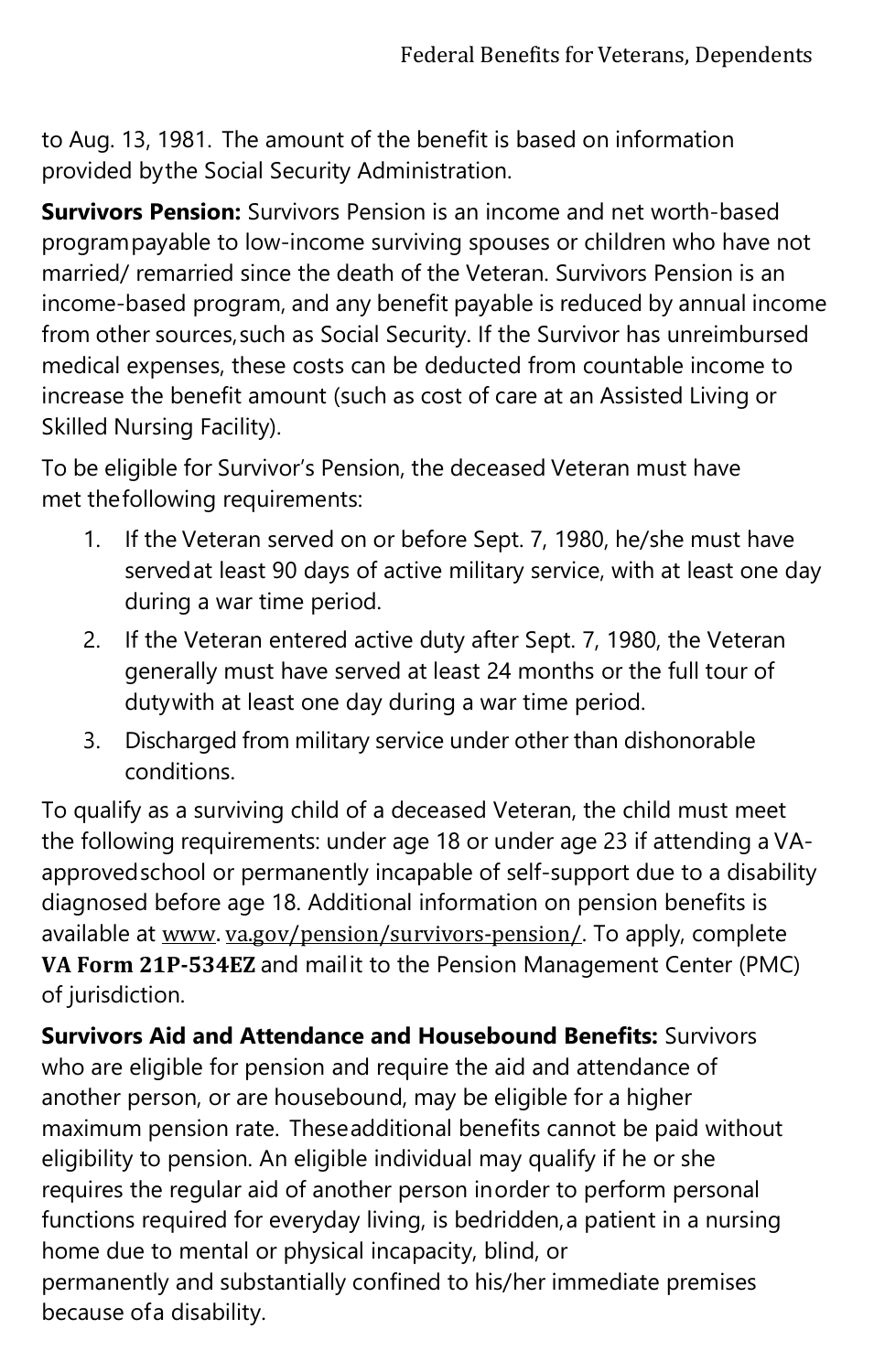to Aug. 13, 1981. The amount of the benefit is based on information provided bythe Social Security Administration.

**Survivors Pension:** Survivors Pension is an income and net worth-based programpayable to low-income surviving spouses or children who have not married/ remarried since the death of the Veteran. Survivors Pension is an income-based program, and any benefit payable is reduced by annual income from other sources, such as Social Security. If the Survivor has unreimbursed medical expenses, these costs can be deducted from countable income to increase the benefit amount (such as cost of care at an Assisted Living or Skilled Nursing Facility).

To be eligible for Survivor's Pension, the deceased Veteran must have met thefollowing requirements:

- 1. If the Veteran served on or before Sept. 7, 1980, he/she must have servedat least 90 days of active military service, with at least one day during a war time period.
- 2. If the Veteran entered active duty after Sept. 7, 1980, the Veteran generally must have served at least 24 months or the full tour of dutywith at least one day during a war time period.
- 3. Discharged from military service under other than dishonorable conditions.

To qualify as a surviving child of a deceased Veteran, the child must meet the following requirements: under age 18 or under age 23 if attending a VAapprovedschool or permanently incapable of self-support due to a disability diagnosed before age 18. Additional information on pension benefits is available at www. va.gov/pension/survivors-pension/. To apply, complete **VA Form 21P-534EZ** and mailit to the Pension Management Center (PMC) of jurisdiction.

**Survivors Aid and Attendance and Housebound Benefits:** Survivors who are eligible for pension and require the aid and attendance of another person, or are housebound, may be eligible for a higher maximum pension rate. Theseadditional benefits cannot be paid without eligibility to pension. An eligible individual may qualify if he or she requires the regular aid of another person inorder to perform personal functions required for everyday living, is bedridden,a patient in a nursing home due to mental or physical incapacity, blind, or permanently and substantially confined to his/her immediate premises because ofa disability.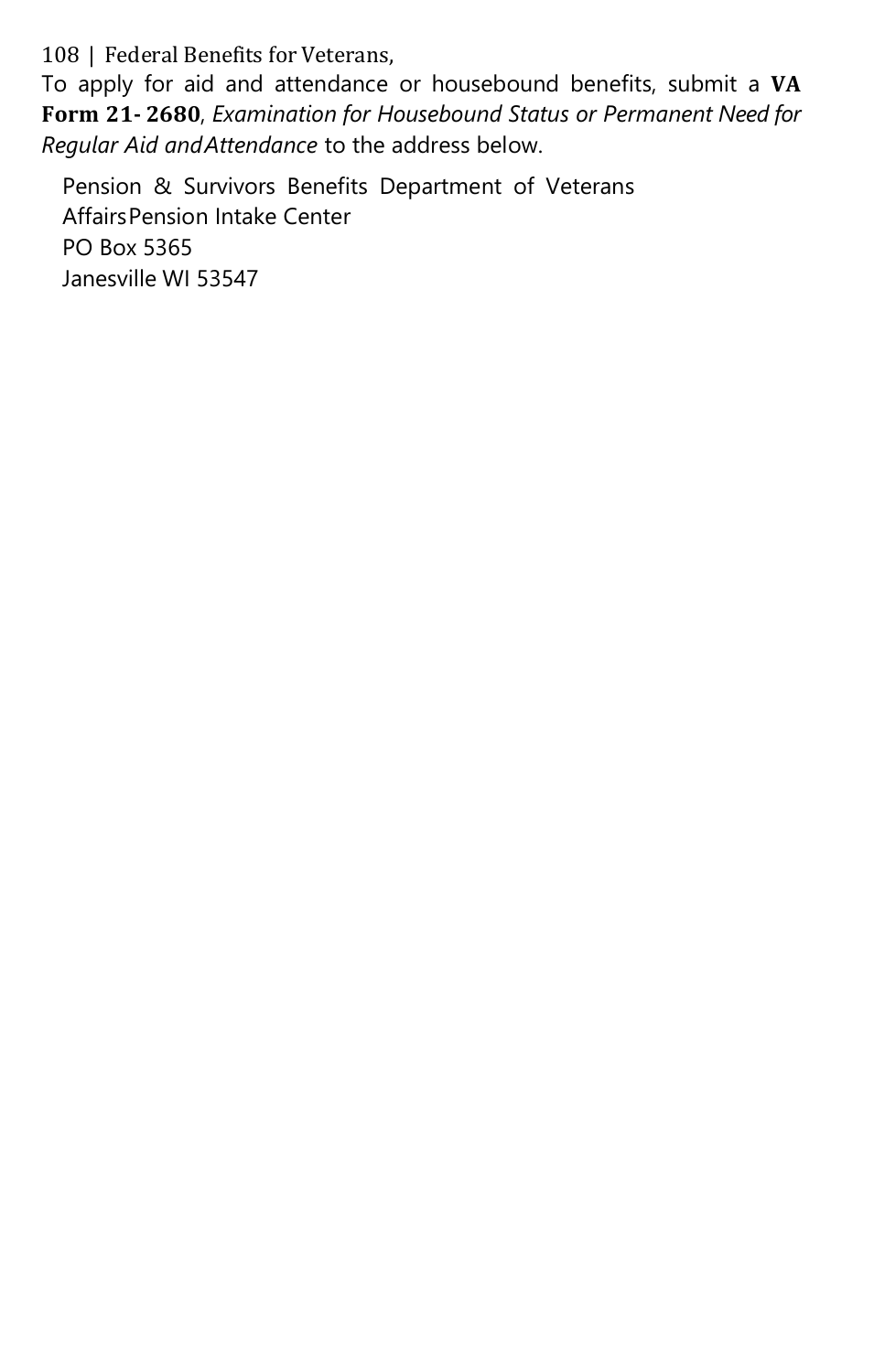To apply for aid and attendance or housebound benefits, submit a **VA Form 21- 2680**, *Examination for Housebound Status or Permanent Need for Regular Aid andAttendance* to the address below.

Pension & Survivors Benefits Department of Veterans AffairsPension Intake Center PO Box 5365 Janesville WI 53547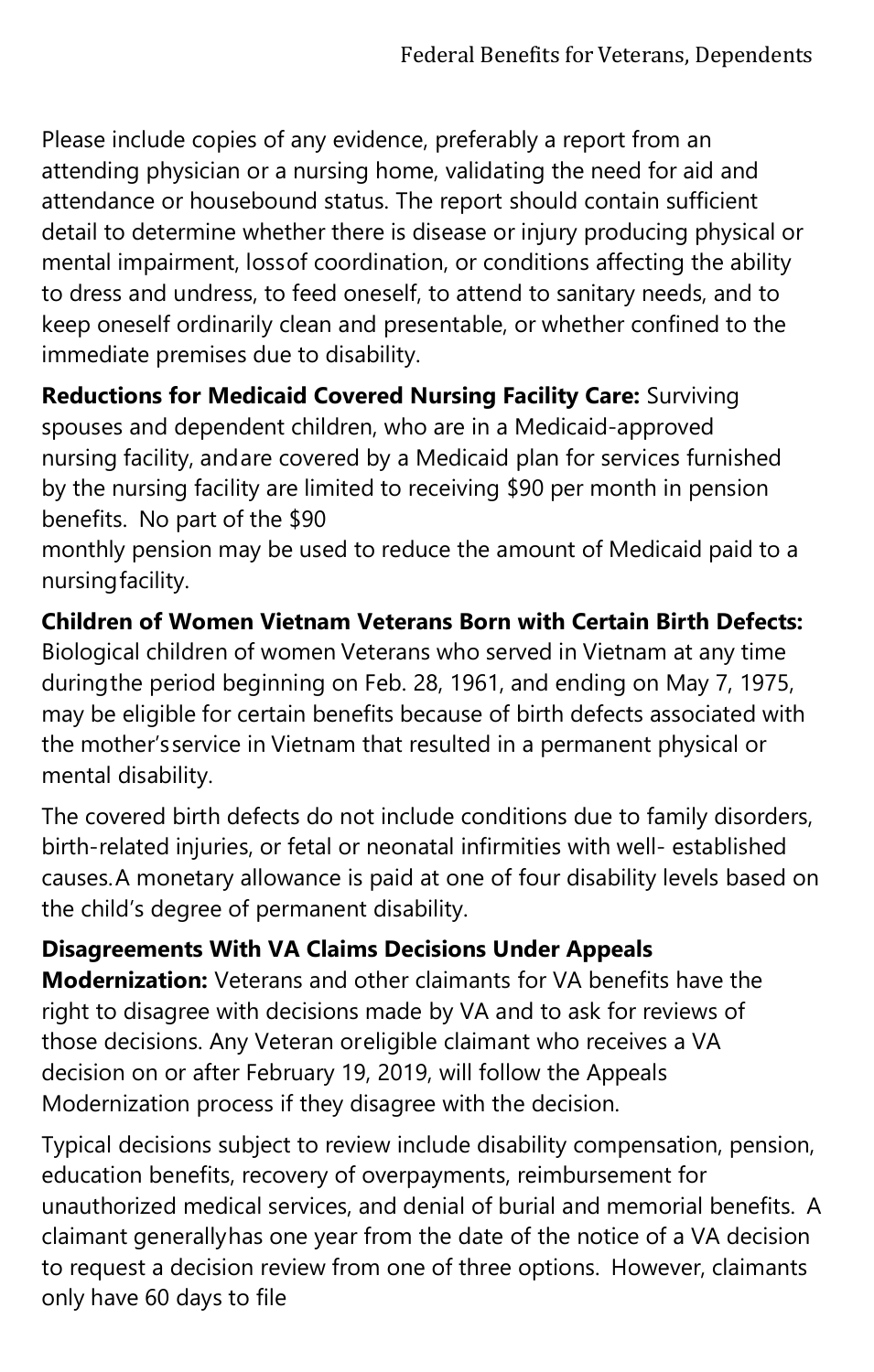Please include copies of any evidence, preferably a report from an attending physician or a nursing home, validating the need for aid and attendance or housebound status. The report should contain sufficient detail to determine whether there is disease or injury producing physical or mental impairment, lossof coordination, or conditions affecting the ability to dress and undress, to feed oneself, to attend to sanitary needs, and to keep oneself ordinarily clean and presentable, or whether confined to the immediate premises due to disability.

**Reductions for Medicaid Covered Nursing Facility Care:** Surviving spouses and dependent children, who are in a Medicaid-approved nursing facility, andare covered by a Medicaid plan for services furnished by the nursing facility are limited to receiving \$90 per month in pension benefits. No part of the \$90

monthly pension may be used to reduce the amount of Medicaid paid to a nursingfacility.

**Children of Women Vietnam Veterans Born with Certain Birth Defects:** Biological children of women Veterans who served in Vietnam at any time duringthe period beginning on Feb. 28, 1961, and ending on May 7, 1975, may be eligible for certain benefits because of birth defects associated with the mother'sservice in Vietnam that resulted in a permanent physical or mental disability.

The covered birth defects do not include conditions due to family disorders, birth-related injuries, or fetal or neonatal infirmities with well- established causes.A monetary allowance is paid at one of four disability levels based on the child's degree of permanent disability.

## **Disagreements With VA Claims Decisions Under Appeals**

**Modernization:** Veterans and other claimants for VA benefits have the right to disagree with decisions made by VA and to ask for reviews of those decisions. Any Veteran oreligible claimant who receives a VA decision on or after February 19, 2019, will follow the Appeals Modernization process if they disagree with the decision.

Typical decisions subject to review include disability compensation, pension, education benefits, recovery of overpayments, reimbursement for unauthorized medical services, and denial of burial and memorial benefits. A claimant generallyhas one year from the date of the notice of a VA decision to request a decision review from one of three options. However, claimants only have 60 days to file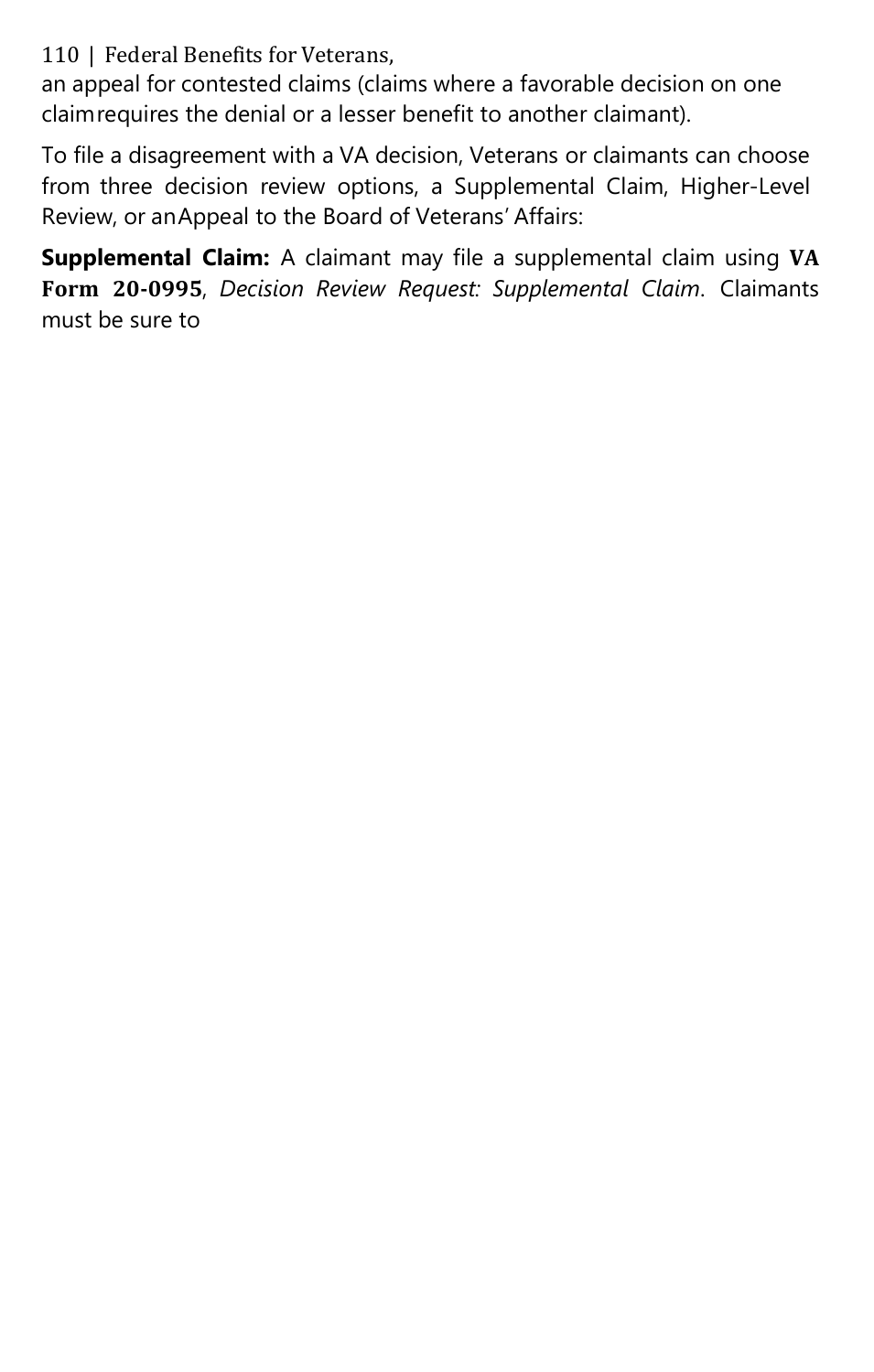an appeal for contested claims (claims where a favorable decision on one claimrequires the denial or a lesser benefit to another claimant).

To file a disagreement with a VA decision, Veterans or claimants can choose from three decision review options, a Supplemental Claim, Higher-Level Review, or anAppeal to the Board of Veterans' Affairs:

**Supplemental Claim:** A claimant may file a supplemental claim using **VA Form 20-0995**, *Decision Review Request: Supplemental Claim*. Claimants must be sure to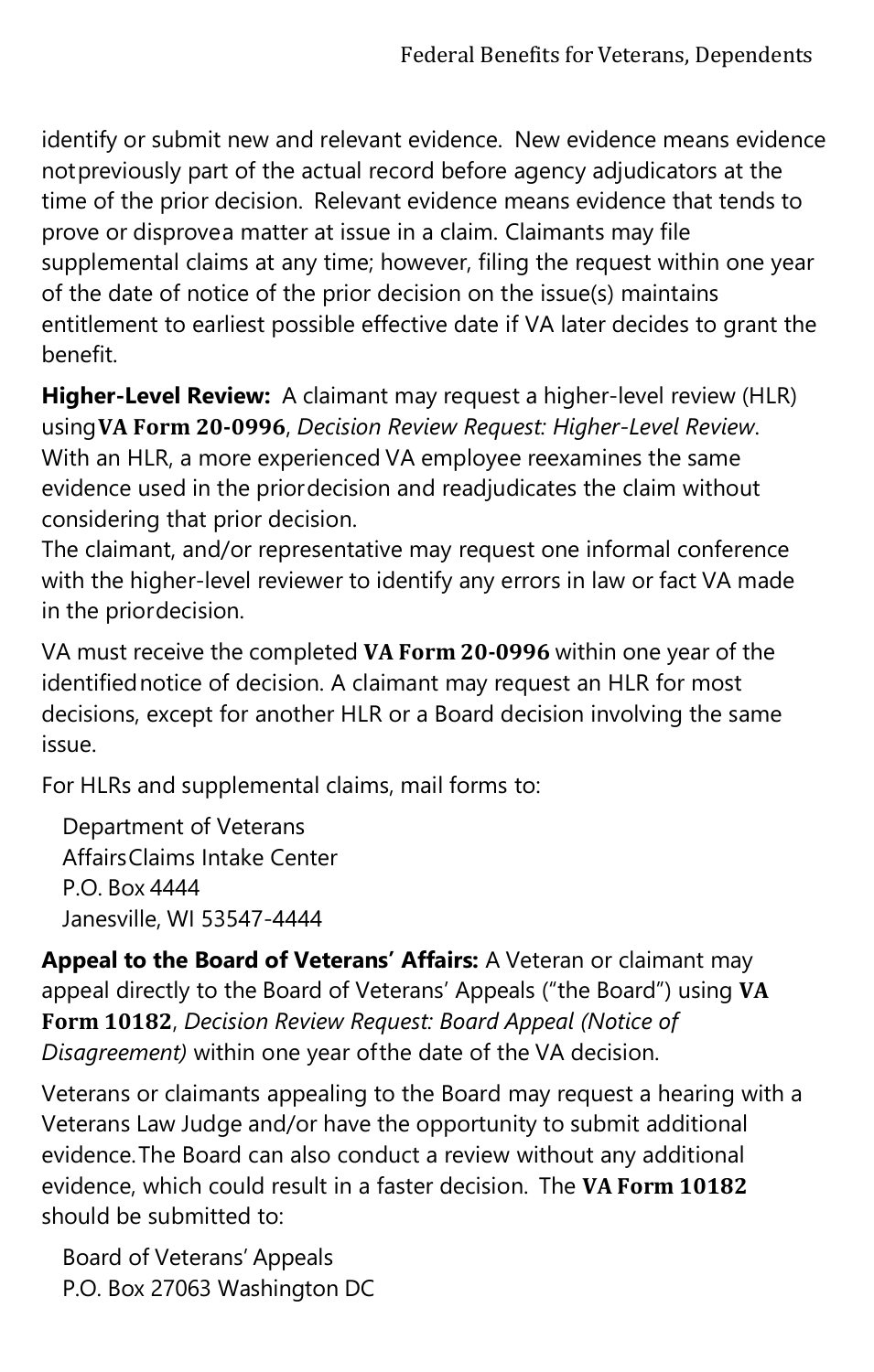identify or submit new and relevant evidence. New evidence means evidence notpreviously part of the actual record before agency adjudicators at the time of the prior decision. Relevant evidence means evidence that tends to prove or disprovea matter at issue in a claim. Claimants may file supplemental claims at any time; however, filing the request within one year of the date of notice of the prior decision on the issue(s) maintains entitlement to earliest possible effective date if VA later decides to grant the benefit.

**Higher-Level Review:** A claimant may request a higher-level review (HLR) using**VA Form 20-0996**, *Decision Review Request: Higher-Level Review*. With an HLR, a more experienced VA employee reexamines the same evidence used in the priordecision and readjudicates the claim without considering that prior decision.

The claimant, and/or representative may request one informal conference with the higher-level reviewer to identify any errors in law or fact VA made in the priordecision.

VA must receive the completed **VA Form 20-0996** within one year of the identifiednotice of decision. A claimant may request an HLR for most decisions, except for another HLR or a Board decision involving the same issue.

For HLRs and supplemental claims, mail forms to:

Department of Veterans AffairsClaims Intake Center P.O. Box 4444 Janesville, WI 53547-4444

**Appeal to the Board of Veterans' Affairs:** A Veteran or claimant may appeal directly to the Board of Veterans' Appeals ("the Board") using **VA Form 10182**, *Decision Review Request: Board Appeal (Notice of Disagreement)* within one year ofthe date of the VA decision.

Veterans or claimants appealing to the Board may request a hearing with a Veterans Law Judge and/or have the opportunity to submit additional evidence.The Board can also conduct a review without any additional evidence, which could result in a faster decision. The **VA Form 10182** should be submitted to:

Board of Veterans' Appeals P.O. Box 27063 Washington DC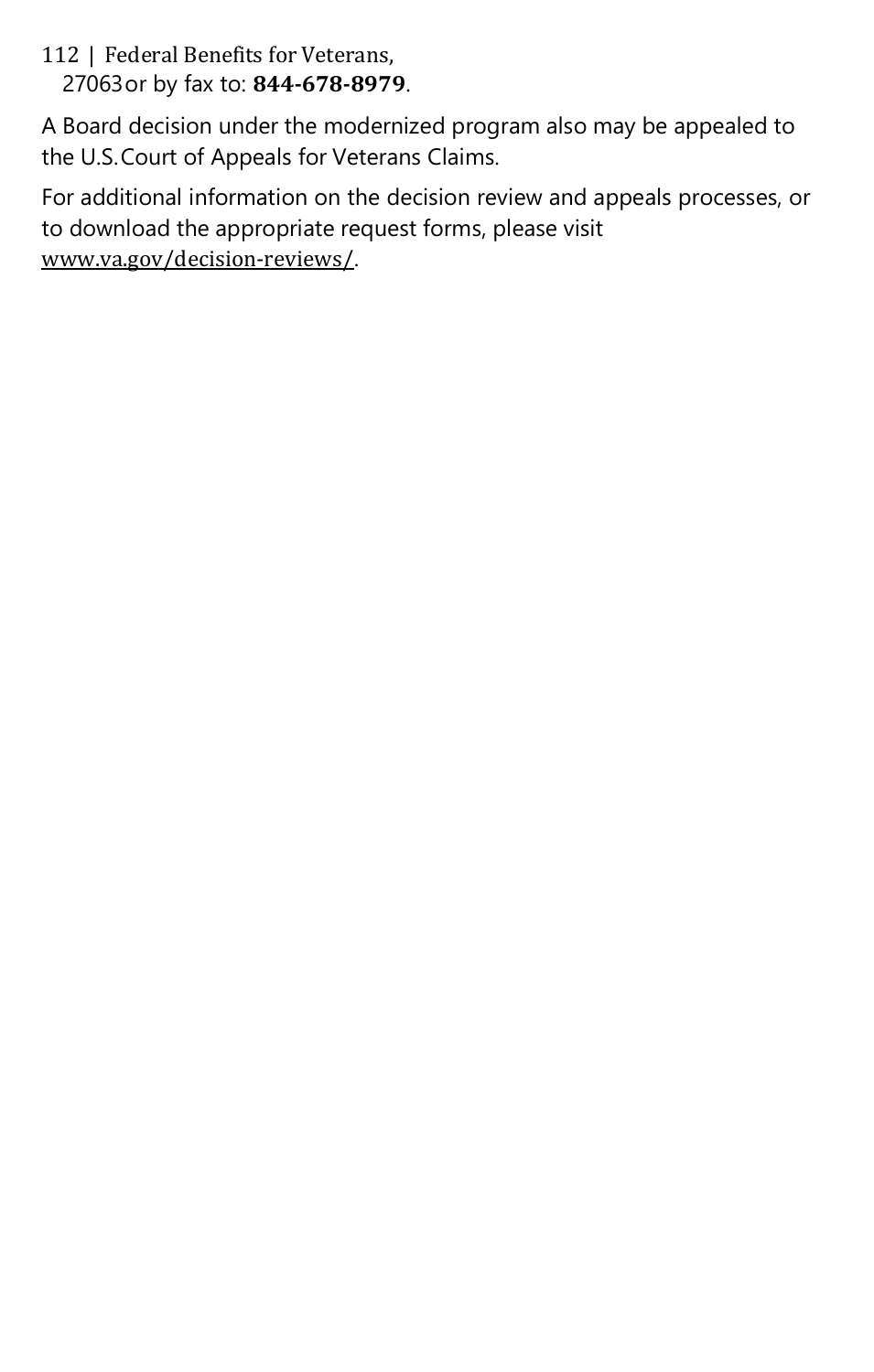112 | Federal Benefits for Veterans, 27063or by fax to: **844-678-8979**.

A Board decision under the modernized program also may be appealed to the U.S.Court of Appeals for Veterans Claims.

For additional information on the decision review and appeals processes, or to download the appropriate request forms, please visit

www.va.gov/decision-reviews/.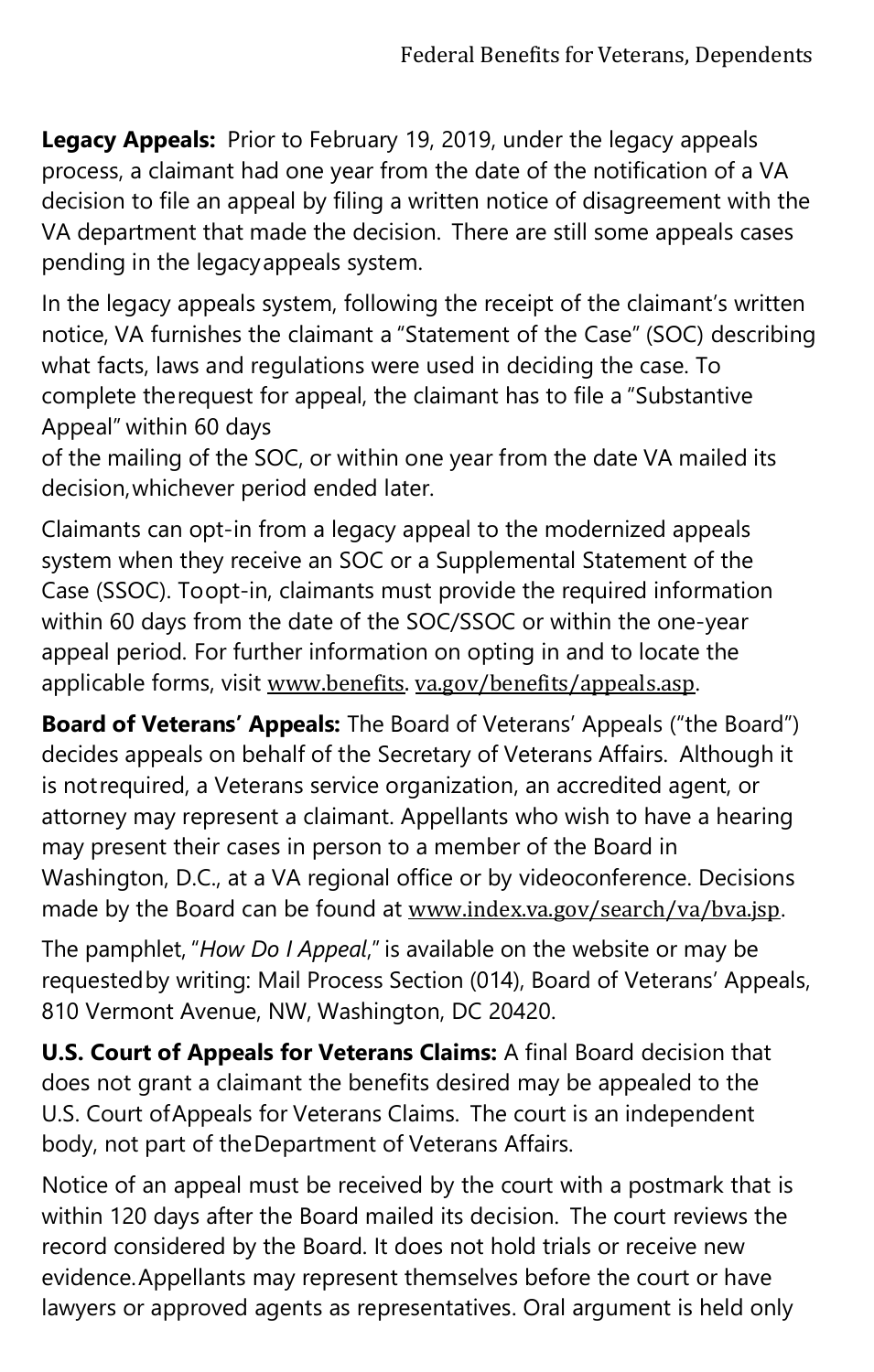**Legacy Appeals:** Prior to February 19, 2019, under the legacy appeals process, a claimant had one year from the date of the notification of a VA decision to file an appeal by filing a written notice of disagreement with the VA department that made the decision. There are still some appeals cases pending in the legacyappeals system.

In the legacy appeals system, following the receipt of the claimant's written notice, VA furnishes the claimant a "Statement of the Case" (SOC) describing what facts, laws and regulations were used in deciding the case. To complete therequest for appeal, the claimant has to file a "Substantive Appeal" within 60 days

of the mailing of the SOC, or within one year from the date VA mailed its decision,whichever period ended later.

Claimants can opt-in from a legacy appeal to the modernized appeals system when they receive an SOC or a Supplemental Statement of the Case (SSOC). Toopt-in, claimants must provide the required information within 60 days from the date of the SOC/SSOC or within the one-year appeal period. For further information on opting in and to locate the applicable forms, visit www.benefits. va.gov/benefits/appeals.asp.

**Board of Veterans' Appeals:** The Board of Veterans' Appeals ("the Board") decides appeals on behalf of the Secretary of Veterans Affairs. Although it is notrequired, a Veterans service organization, an accredited agent, or attorney may represent a claimant. Appellants who wish to have a hearing may present their cases in person to a member of the Board in Washington, D.C., at a VA regional office or by videoconference. Decisions made by the Board can be found at www.index.va.gov/search/va/bva.jsp.

The pamphlet,"*How Do I Appeal*,"is available on the website or may be requestedby writing: Mail Process Section (014), Board of Veterans' Appeals, 810 Vermont Avenue, NW, Washington, DC 20420.

**U.S. Court of Appeals for Veterans Claims:** A final Board decision that does not grant a claimant the benefits desired may be appealed to the U.S. Court ofAppeals for Veterans Claims. The court is an independent body, not part of theDepartment of Veterans Affairs.

Notice of an appeal must be received by the court with a postmark that is within 120 days after the Board mailed its decision. The court reviews the record considered by the Board. It does not hold trials or receive new evidence.Appellants may represent themselves before the court or have lawyers or approved agents as representatives. Oral argument is held only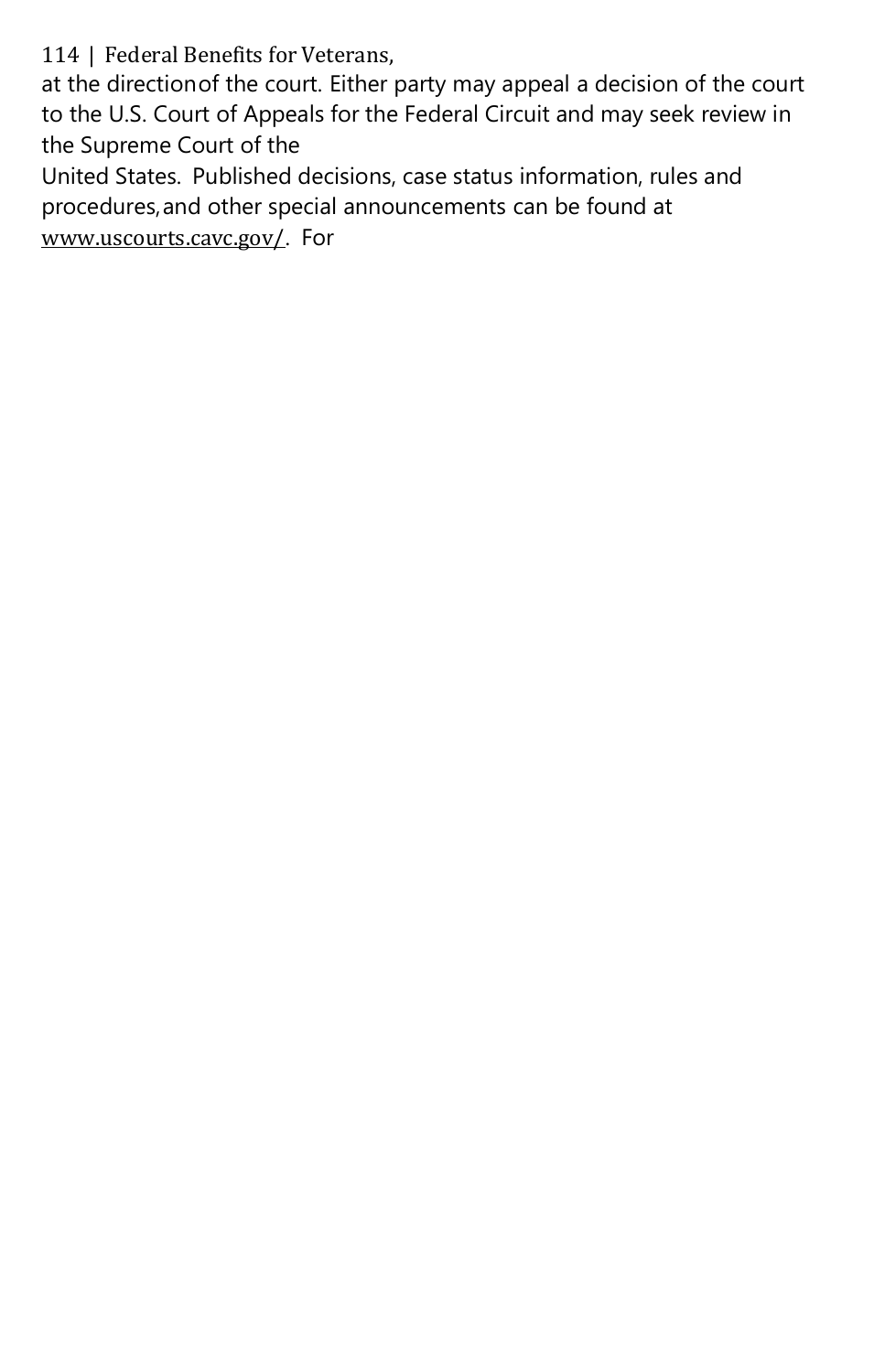at the direction of the court. Either party may appeal a decision of the court to the U.S. Court of Appeals for the Federal Circuit and may seek review in the Supreme Court of the

United States. Published decisions, case status information, rules and procedures,and other special announcements can be found at www.uscourts.cavc.gov/. For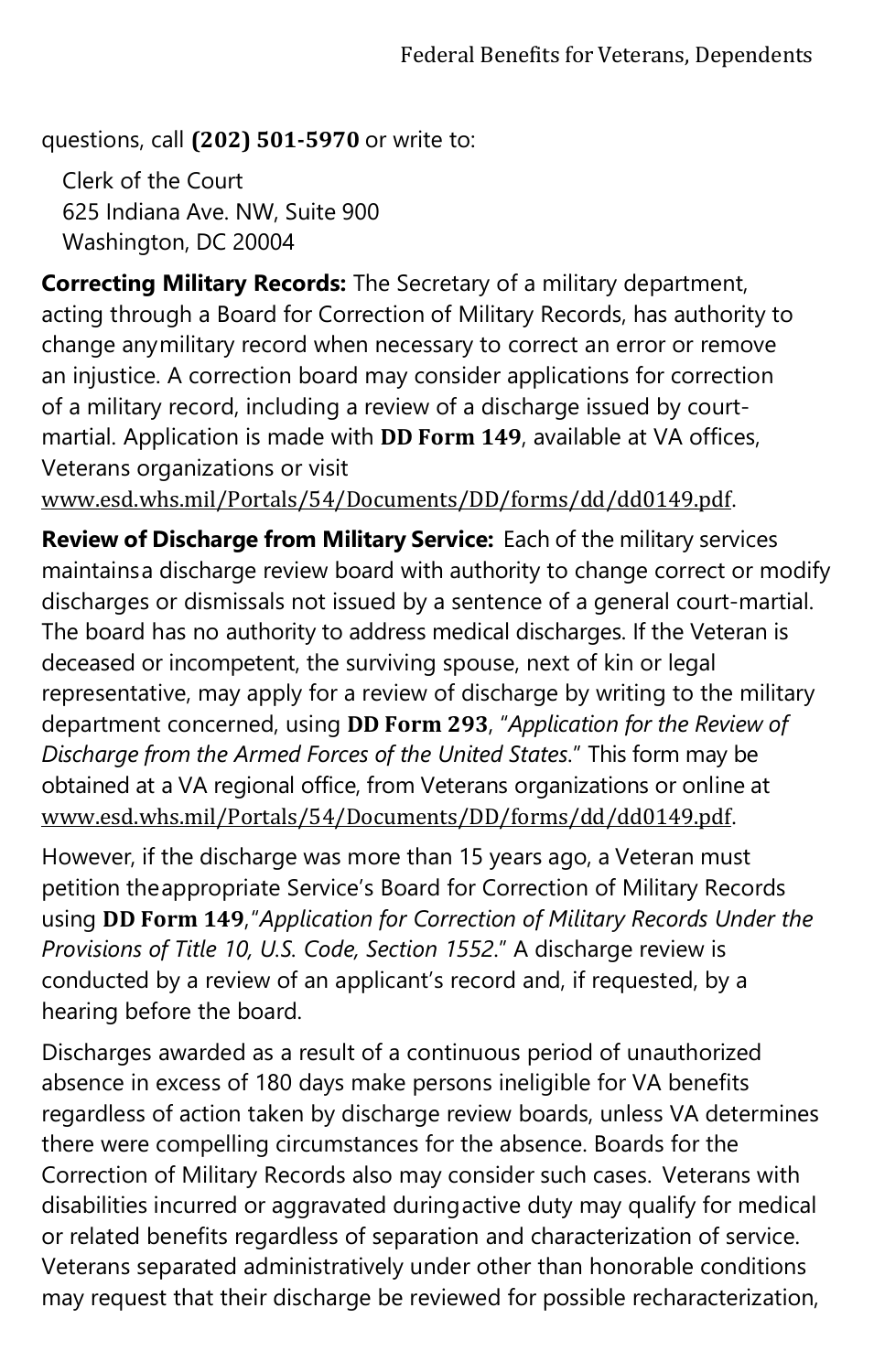questions, call **(202) 501-5970** or write to:

Clerk of the Court 625 Indiana Ave. NW, Suite 900 Washington, DC 20004

**Correcting Military Records:** The Secretary of a military department, acting through a Board for Correction of Military Records, has authority to change anymilitary record when necessary to correct an error or remove an injustice. A correction board may consider applications for correction of a military record, including a review of a discharge issued by courtmartial. Application is made with **DD Form 149**, available at VA offices, Veterans organizations or visit

www.esd.whs.mil/Portals/54/Documents/DD/forms/dd/dd0149.pdf.

**Review of Discharge from Military Service:** Each of the military services maintainsa discharge review board with authority to change correct or modify discharges or dismissals not issued by a sentence of a general court-martial. The board has no authority to address medical discharges. If the Veteran is deceased or incompetent, the surviving spouse, next of kin or legal representative, may apply for a review of discharge by writing to the military department concerned, using **DD Form 293**, "*Application for the Review of Discharge from the Armed Forces of the United States*." This form may be obtained at a VA regional office, from Veterans organizations or online at www.esd.whs.mil/Portals/54/Documents/DD/forms/dd/dd0149.pdf.

However, if the discharge was more than 15 years ago, a Veteran must petition theappropriate Service's Board for Correction of Military Records using **DD Form 149**,"*Application for Correction of Military Records Under the Provisions of Title 10, U.S. Code, Section 1552*." A discharge review is conducted by a review of an applicant's record and, if requested, by a hearing before the board.

Discharges awarded as a result of a continuous period of unauthorized absence in excess of 180 days make persons ineligible for VA benefits regardless of action taken by discharge review boards, unless VA determines there were compelling circumstances for the absence. Boards for the Correction of Military Records also may consider such cases. Veterans with disabilities incurred or aggravated duringactive duty may qualify for medical or related benefits regardless of separation and characterization of service. Veterans separated administratively under other than honorable conditions may request that their discharge be reviewed for possible recharacterization,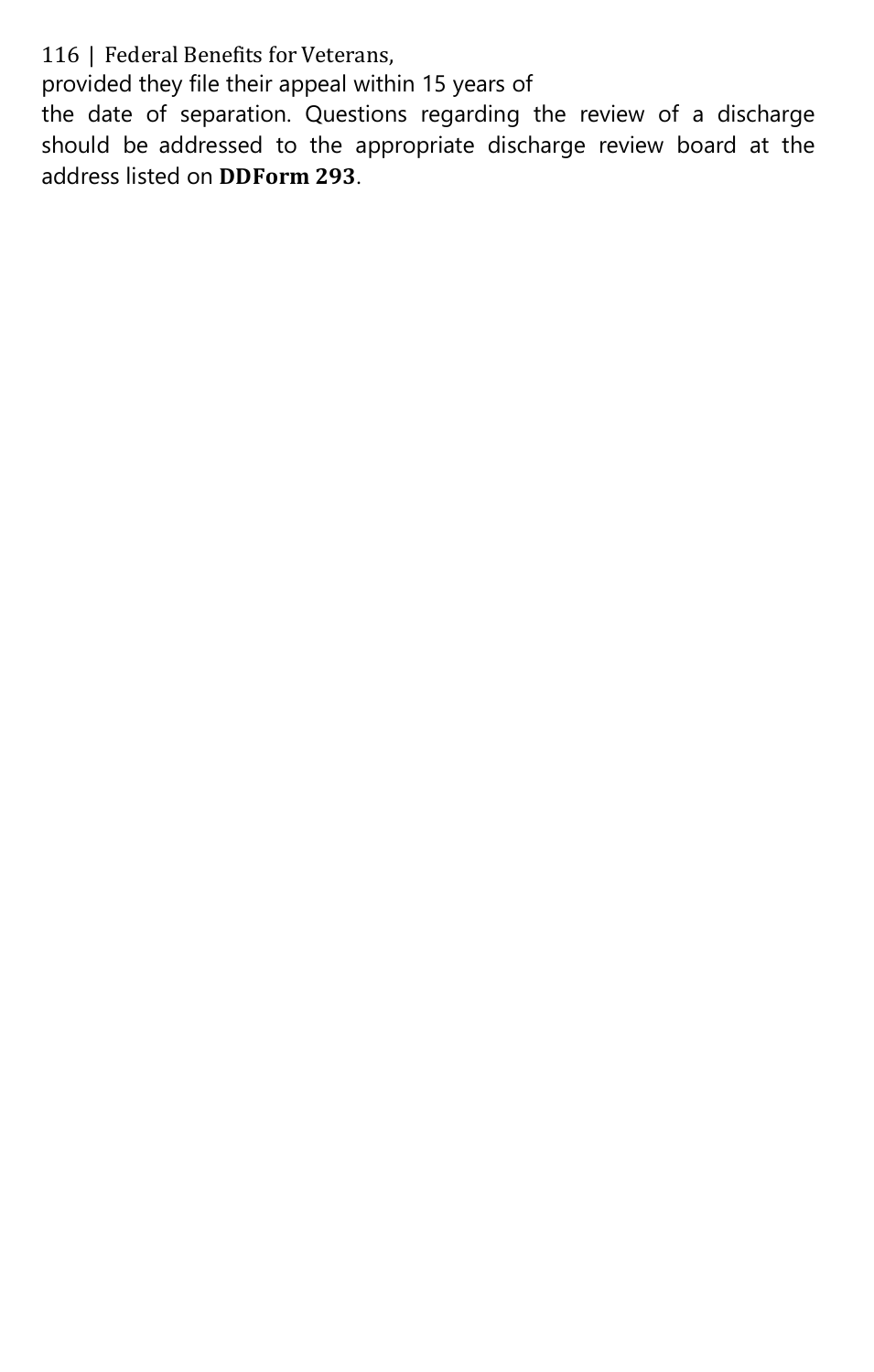provided they file their appeal within 15 years of

the date of separation. Questions regarding the review of a discharge should be addressed to the appropriate discharge review board at the address listed on **DDForm 293**.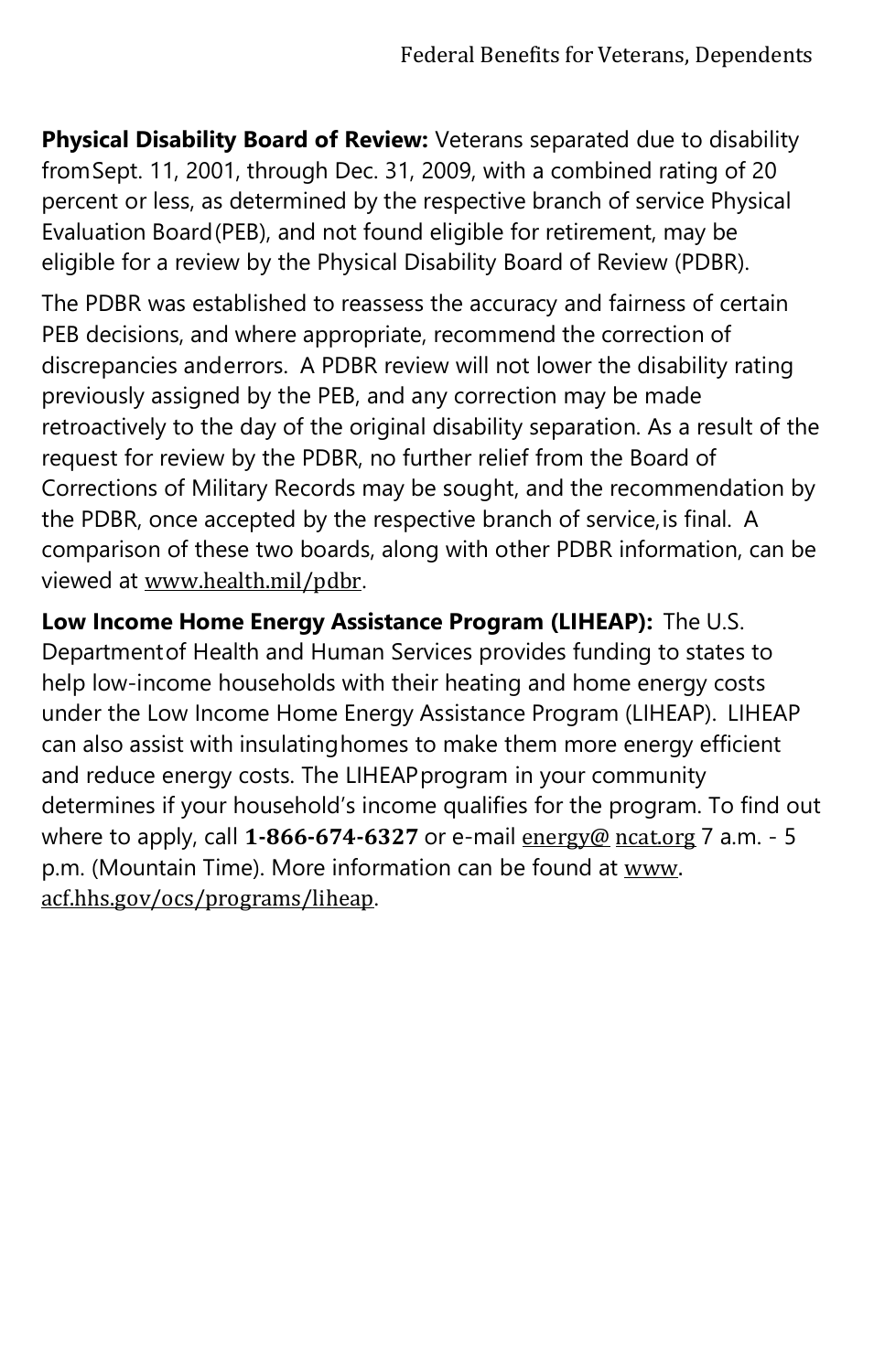**Physical Disability Board of Review:** Veterans separated due to disability fromSept. 11, 2001, through Dec. 31, 2009, with a combined rating of 20 percent or less, as determined by the respective branch of service Physical Evaluation Board(PEB), and not found eligible for retirement, may be eligible for a review by the Physical Disability Board of Review (PDBR).

The PDBR was established to reassess the accuracy and fairness of certain PEB decisions, and where appropriate, recommend the correction of discrepancies anderrors. A PDBR review will not lower the disability rating previously assigned by the PEB, and any correction may be made retroactively to the day of the original disability separation. As a result of the request for review by the PDBR, no further relief from the Board of Corrections of Military Records may be sought, and the recommendation by the PDBR, once accepted by the respective branch of service, is final. A comparison of these two boards, along with other PDBR information, can be viewed at www.health.mil/pdbr.

**Low Income Home Energy Assistance Program (LIHEAP):** The U.S. Departmentof Health and Human Services provides funding to states to help low-income households with their heating and home energy costs under the Low Income Home Energy Assistance Program (LIHEAP). LIHEAP can also assist with insulatinghomes to make them more energy efficient and reduce energy costs. The LIHEAPprogram in your community determines if your household's income qualifies for the program. To find out where to apply, call **1-866-674-6327** or e-mail energy@ ncat.org 7 a.m. - 5 p.m. (Mountain Time). More information can be found at www. acf.hhs.gov/ocs/programs/liheap.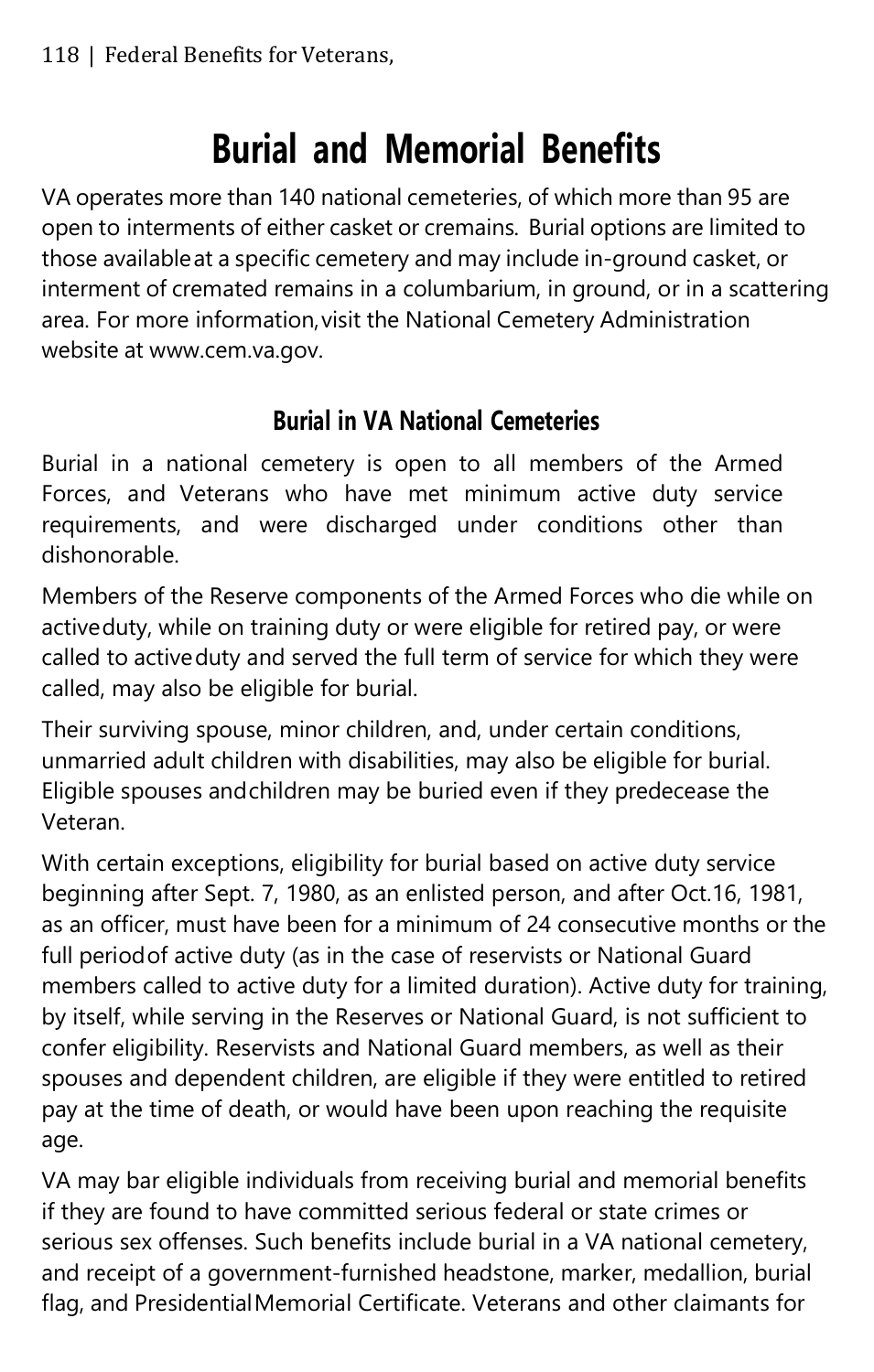# **Burial and Memorial Benefits**

VA operates more than 140 national cemeteries, of which more than 95 are open to interments of either casket or cremains. Burial options are limited to those availableat a specific cemetery and may include in-ground casket, or interment of cremated remains in a columbarium, in ground, or in a scattering area. For more information,visit the National Cemetery Administration website at www.cem.va.gov.

# **Burial in VA National Cemeteries**

Burial in a national cemetery is open to all members of the Armed Forces, and Veterans who have met minimum active duty service requirements, and were discharged under conditions other than dishonorable.

Members of the Reserve components of the Armed Forces who die while on activeduty, while on training duty or were eligible for retired pay, or were called to activeduty and served the full term of service for which they were called, may also be eligible for burial.

Their surviving spouse, minor children, and, under certain conditions, unmarried adult children with disabilities, may also be eligible for burial. Eligible spouses andchildren may be buried even if they predecease the Veteran.

With certain exceptions, eligibility for burial based on active duty service beginning after Sept. 7, 1980, as an enlisted person, and after Oct.16, 1981, as an officer, must have been for a minimum of 24 consecutive months or the full periodof active duty (as in the case of reservists or National Guard members called to active duty for a limited duration). Active duty for training, by itself, while serving in the Reserves or National Guard, is not sufficient to confer eligibility. Reservists and National Guard members, as well as their spouses and dependent children, are eligible if they were entitled to retired pay at the time of death, or would have been upon reaching the requisite age.

VA may bar eligible individuals from receiving burial and memorial benefits if they are found to have committed serious federal or state crimes or serious sex offenses. Such benefits include burial in a VA national cemetery, and receipt of a government-furnished headstone, marker, medallion, burial flag, and PresidentialMemorial Certificate. Veterans and other claimants for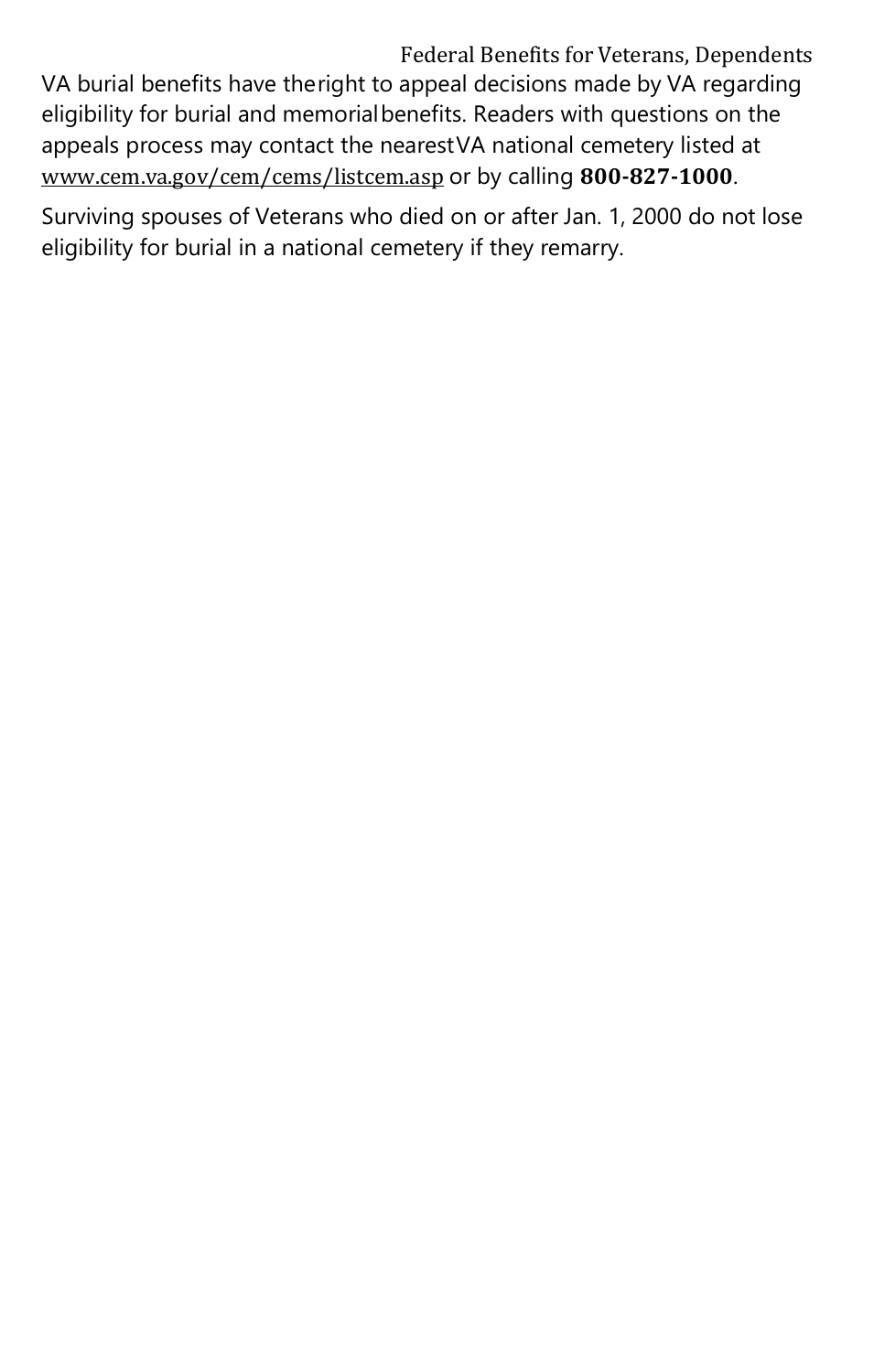Federal Benefits for Veterans, Dependents VA burial benefits have theright to appeal decisions made by VA regarding eligibility for burial and memorialbenefits. Readers with questions on the appeals process may contact the nearestVA national cemetery listed at www.cem.va.gov/cem/cems/listcem.asp or by calling **800-827-1000**.

Surviving spouses of Veterans who died on or after Jan. 1, 2000 do not lose eligibility for burial in a national cemetery if they remarry.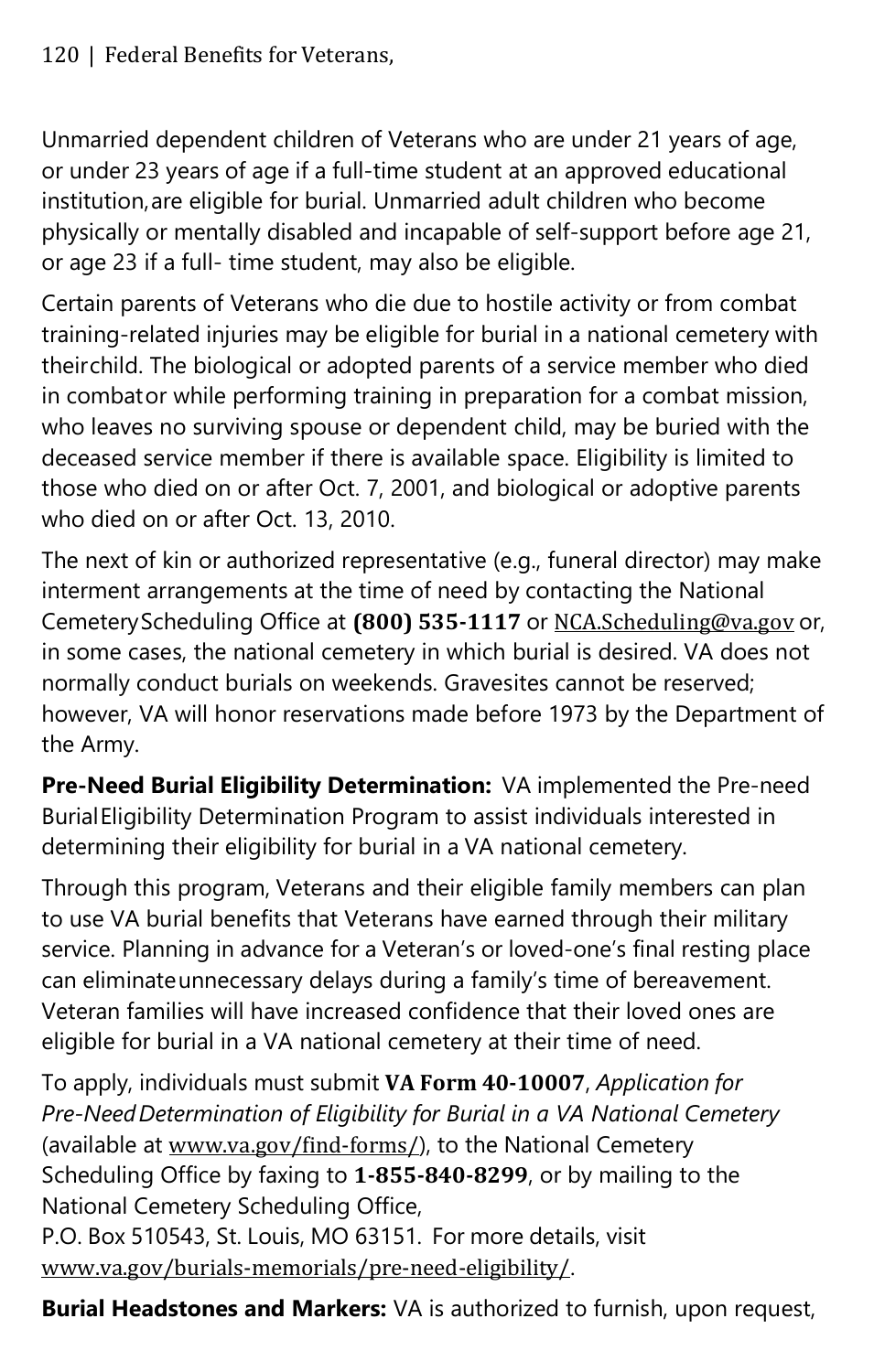Unmarried dependent children of Veterans who are under 21 years of age, or under 23 years of age if a full-time student at an approved educational institution,are eligible for burial. Unmarried adult children who become physically or mentally disabled and incapable of self-support before age 21, or age 23 if a full- time student, may also be eligible.

Certain parents of Veterans who die due to hostile activity or from combat training-related injuries may be eligible for burial in a national cemetery with theirchild. The biological or adopted parents of a service member who died in combator while performing training in preparation for a combat mission, who leaves no surviving spouse or dependent child, may be buried with the deceased service member if there is available space. Eligibility is limited to those who died on or after Oct. 7, 2001, and biological or adoptive parents who died on or after Oct. 13, 2010.

The next of kin or authorized representative (e.g., funeral director) may make interment arrangements at the time of need by contacting the National CemeteryScheduling Office at **(800) 535-1117** or NCA.Scheduling@va.gov or, in some cases, the national cemetery in which burial is desired. VA does not normally conduct burials on weekends. Gravesites cannot be reserved; however, VA will honor reservations made before 1973 by the Department of the Army.

**Pre-Need Burial Eligibility Determination:** VA implemented the Pre-need BurialEligibility Determination Program to assist individuals interested in determining their eligibility for burial in a VA national cemetery.

Through this program, Veterans and their eligible family members can plan to use VA burial benefits that Veterans have earned through their military service. Planning in advance for a Veteran's or loved-one's final resting place can eliminateunnecessary delays during a family's time of bereavement. Veteran families will have increased confidence that their loved ones are eligible for burial in a VA national cemetery at their time of need.

To apply, individuals must submit **VA Form 40-10007**, *Application for Pre-NeedDetermination of Eligibility for Burial in a VA National Cemetery* (available at www.va.gov/find-forms/), to the National Cemetery Scheduling Office by faxing to **1-855-840-8299**, or by mailing to the National Cemetery Scheduling Office,

P.O. Box 510543, St. Louis, MO 63151. For more details, visit www.va.gov/burials-memorials/pre-need-eligibility/.

**Burial Headstones and Markers:** VA is authorized to furnish, upon request,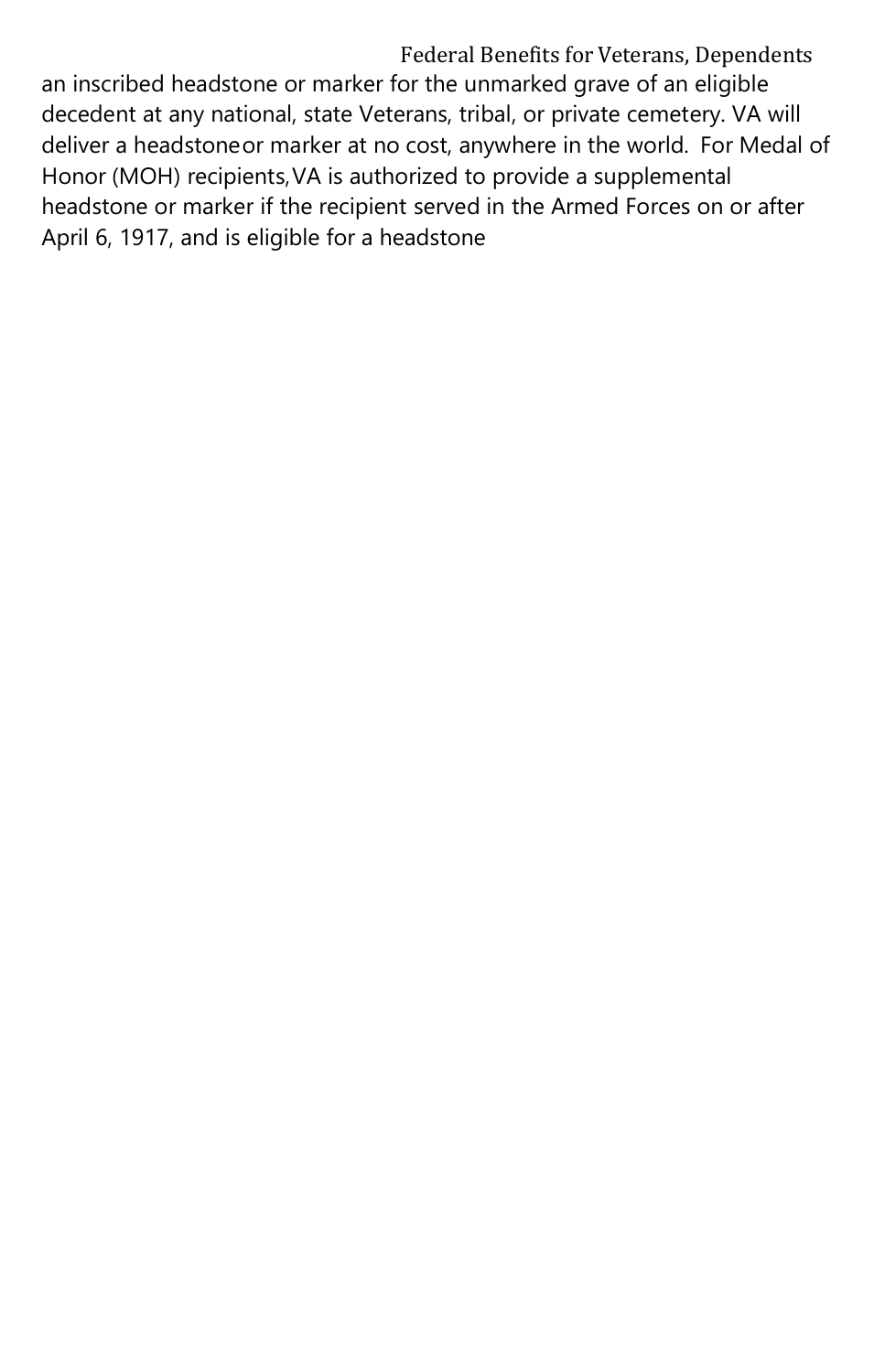Federal Benefits for Veterans, Dependents an inscribed headstone or marker for the unmarked grave of an eligible decedent at any national, state Veterans, tribal, or private cemetery. VA will deliver a headstoneor marker at no cost, anywhere in the world. For Medal of Honor (MOH) recipients,VA is authorized to provide a supplemental headstone or marker if the recipient served in the Armed Forces on or after April 6, 1917, and is eligible for a headstone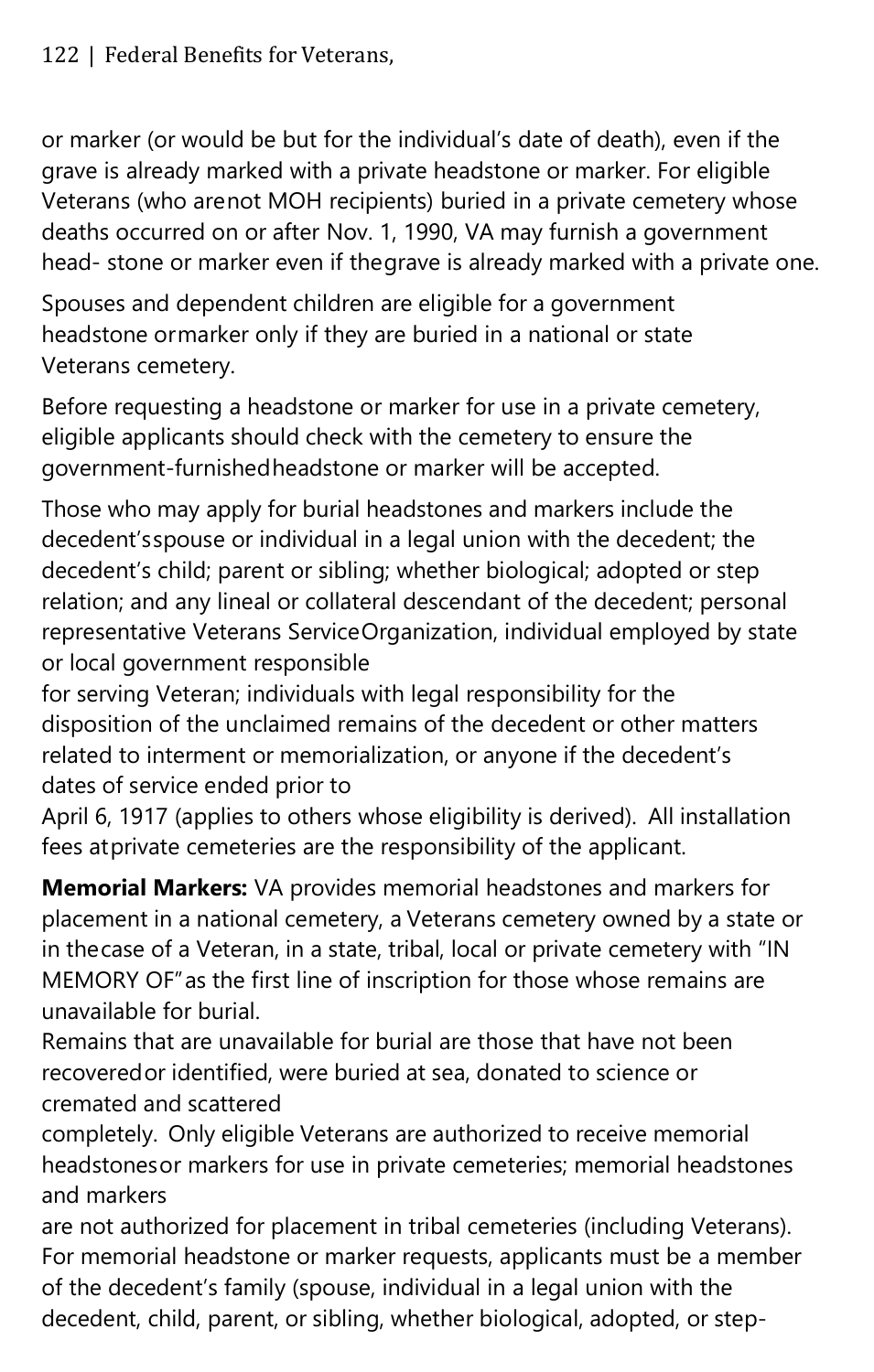or marker (or would be but for the individual's date of death), even if the grave is already marked with a private headstone or marker. For eligible Veterans (who arenot MOH recipients) buried in a private cemetery whose deaths occurred on or after Nov. 1, 1990, VA may furnish a government head- stone or marker even if thegrave is already marked with a private one.

Spouses and dependent children are eligible for a government headstone ormarker only if they are buried in a national or state Veterans cemetery.

Before requesting a headstone or marker for use in a private cemetery, eligible applicants should check with the cemetery to ensure the government-furnishedheadstone or marker will be accepted.

Those who may apply for burial headstones and markers include the decedent'sspouse or individual in a legal union with the decedent; the decedent's child; parent or sibling; whether biological; adopted or step relation; and any lineal or collateral descendant of the decedent; personal representative Veterans ServiceOrganization, individual employed by state or local government responsible

for serving Veteran; individuals with legal responsibility for the disposition of the unclaimed remains of the decedent or other matters related to interment or memorialization, or anyone if the decedent's dates of service ended prior to

April 6, 1917 (applies to others whose eligibility is derived). All installation fees atprivate cemeteries are the responsibility of the applicant.

**Memorial Markers:** VA provides memorial headstones and markers for placement in a national cemetery, a Veterans cemetery owned by a state or in thecase of a Veteran, in a state, tribal, local or private cemetery with "IN MEMORY OF"as the first line of inscription for those whose remains are unavailable for burial.

Remains that are unavailable for burial are those that have not been recoveredor identified, were buried at sea, donated to science or cremated and scattered

completely. Only eligible Veterans are authorized to receive memorial headstonesor markers for use in private cemeteries; memorial headstones and markers

are not authorized for placement in tribal cemeteries (including Veterans). For memorial headstone or marker requests, applicants must be a member of the decedent's family (spouse, individual in a legal union with the decedent, child, parent, or sibling, whether biological, adopted, or step-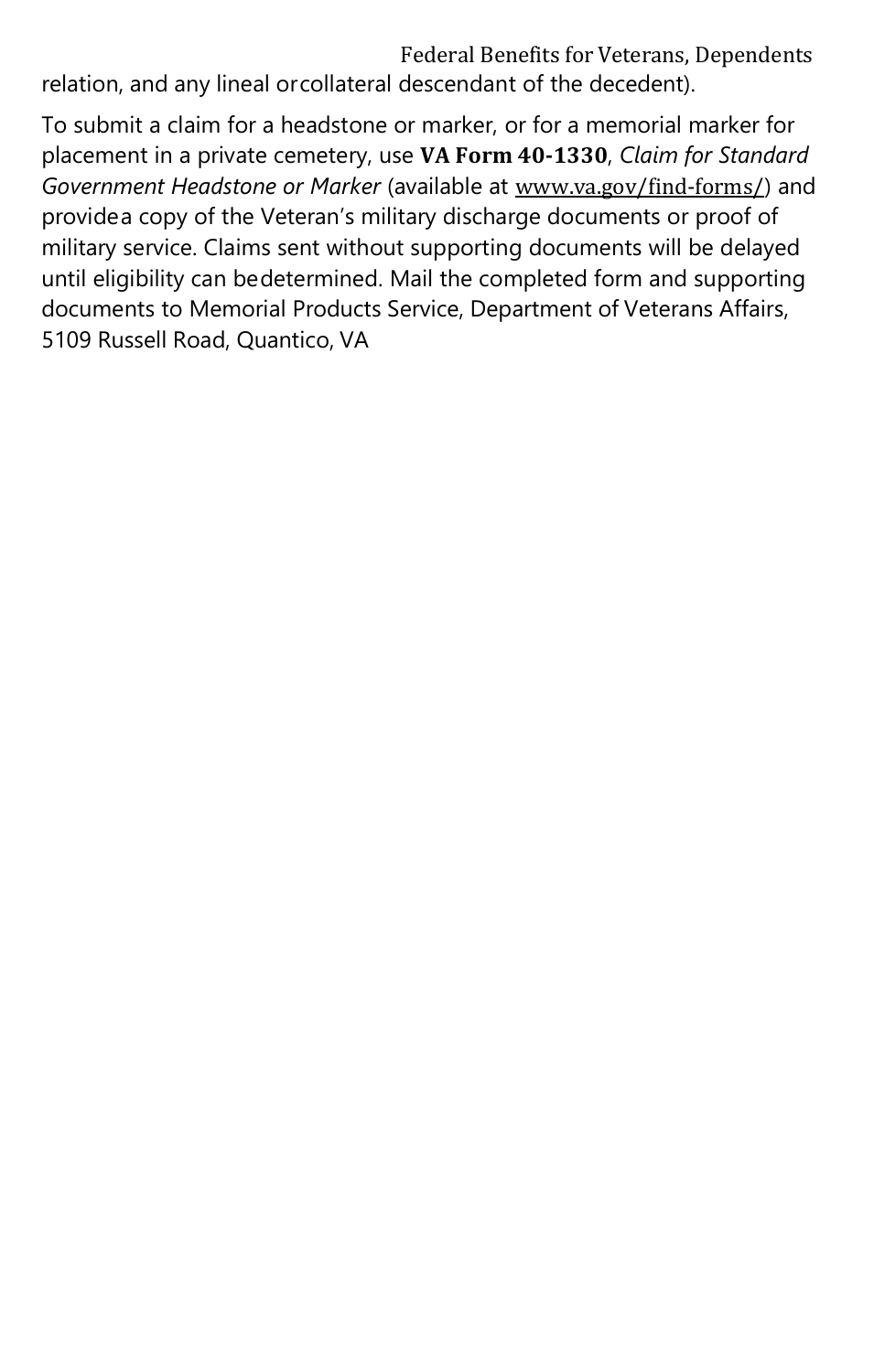Federal Benefits for Veterans, Dependents relation, and any lineal orcollateral descendant of the decedent).

To submit a claim for a headstone or marker, or for a memorial marker for placement in a private cemetery, use **VA Form 40-1330**, *Claim for Standard Government Headstone or Marker* (available at www.va.gov/find-forms/) and providea copy of the Veteran's military discharge documents or proof of military service. Claims sent without supporting documents will be delayed until eligibility can bedetermined. Mail the completed form and supporting documents to Memorial Products Service, Department of Veterans Affairs, 5109 Russell Road, Quantico, VA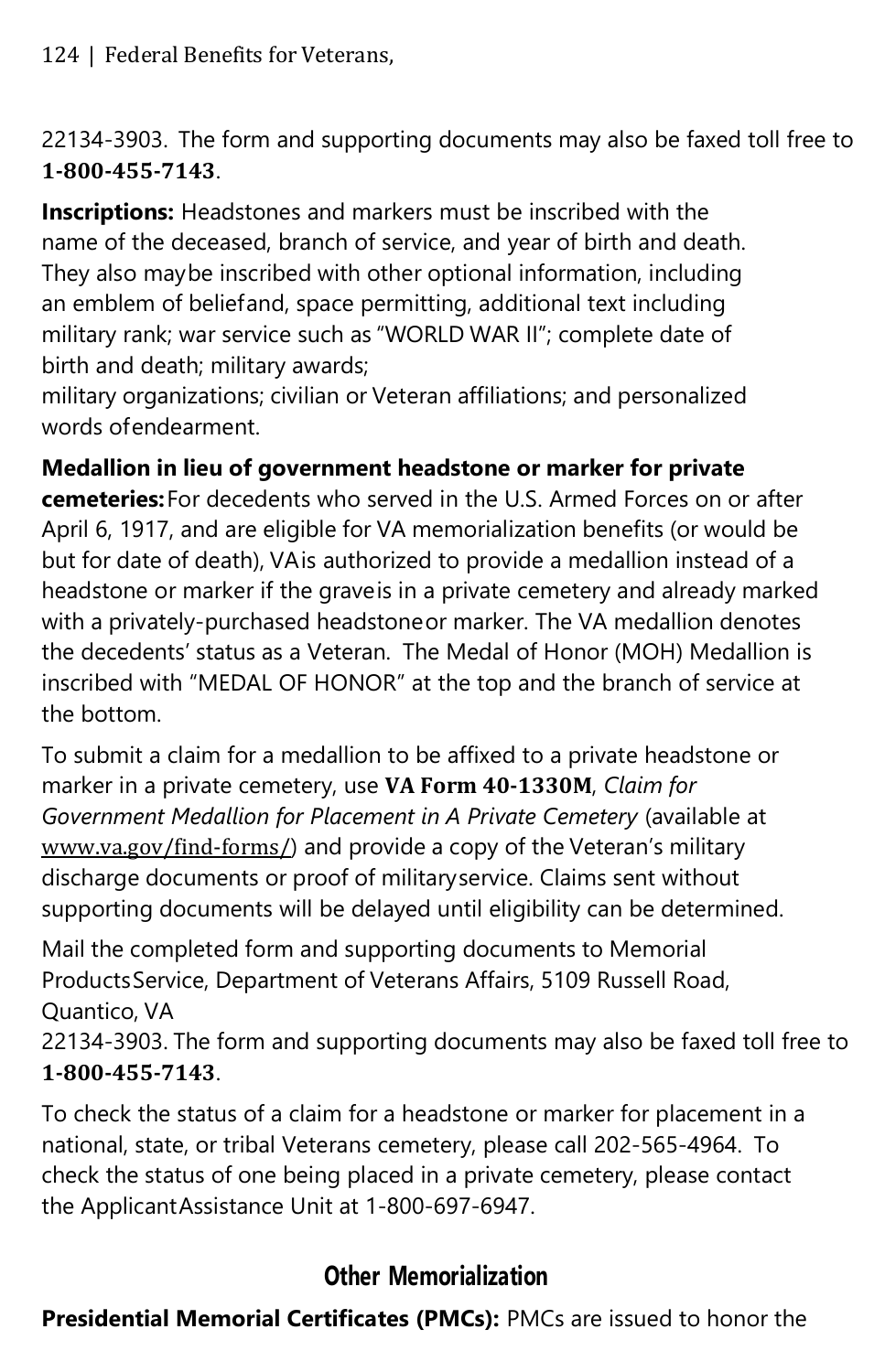22134-3903. The form and supporting documents may also be faxed toll free to **1-800-455-7143**.

**Inscriptions:** Headstones and markers must be inscribed with the name of the deceased, branch of service, and year of birth and death. They also maybe inscribed with other optional information, including an emblem of beliefand, space permitting, additional text including military rank; war service such as "WORLD WAR II"; complete date of birth and death; military awards;

military organizations; civilian or Veteran affiliations; and personalized words ofendearment.

**Medallion in lieu of government headstone or marker for private cemeteries:**For decedents who served in the U.S. Armed Forces on or after April 6, 1917, and are eligible for VA memorialization benefits (or would be but for date of death), VAis authorized to provide a medallion instead of a headstone or marker if the graveis in a private cemetery and already marked with a privately-purchased headstoneor marker. The VA medallion denotes the decedents' status as a Veteran. The Medal of Honor (MOH) Medallion is inscribed with "MEDAL OF HONOR" at the top and the branch of service at the bottom.

To submit a claim for a medallion to be affixed to a private headstone or marker in a private cemetery, use **VA Form 40-1330M**, *Claim for Government Medallion for Placement in A Private Cemetery* (available at www.va.gov/find-forms/) and provide a copy of the Veteran's military discharge documents or proof of militaryservice. Claims sent without supporting documents will be delayed until eligibility can be determined.

Mail the completed form and supporting documents to Memorial ProductsService, Department of Veterans Affairs, 5109 Russell Road, Quantico, VA

22134-3903. The form and supporting documents may also be faxed toll free to **1-800-455-7143**.

To check the status of a claim for a headstone or marker for placement in a national, state, or tribal Veterans cemetery, please call 202-565-4964. To check the status of one being placed in a private cemetery, please contact the ApplicantAssistance Unit at 1-800-697-6947.

## **Other Memorialization**

**Presidential Memorial Certificates (PMCs):** PMCs are issued to honor the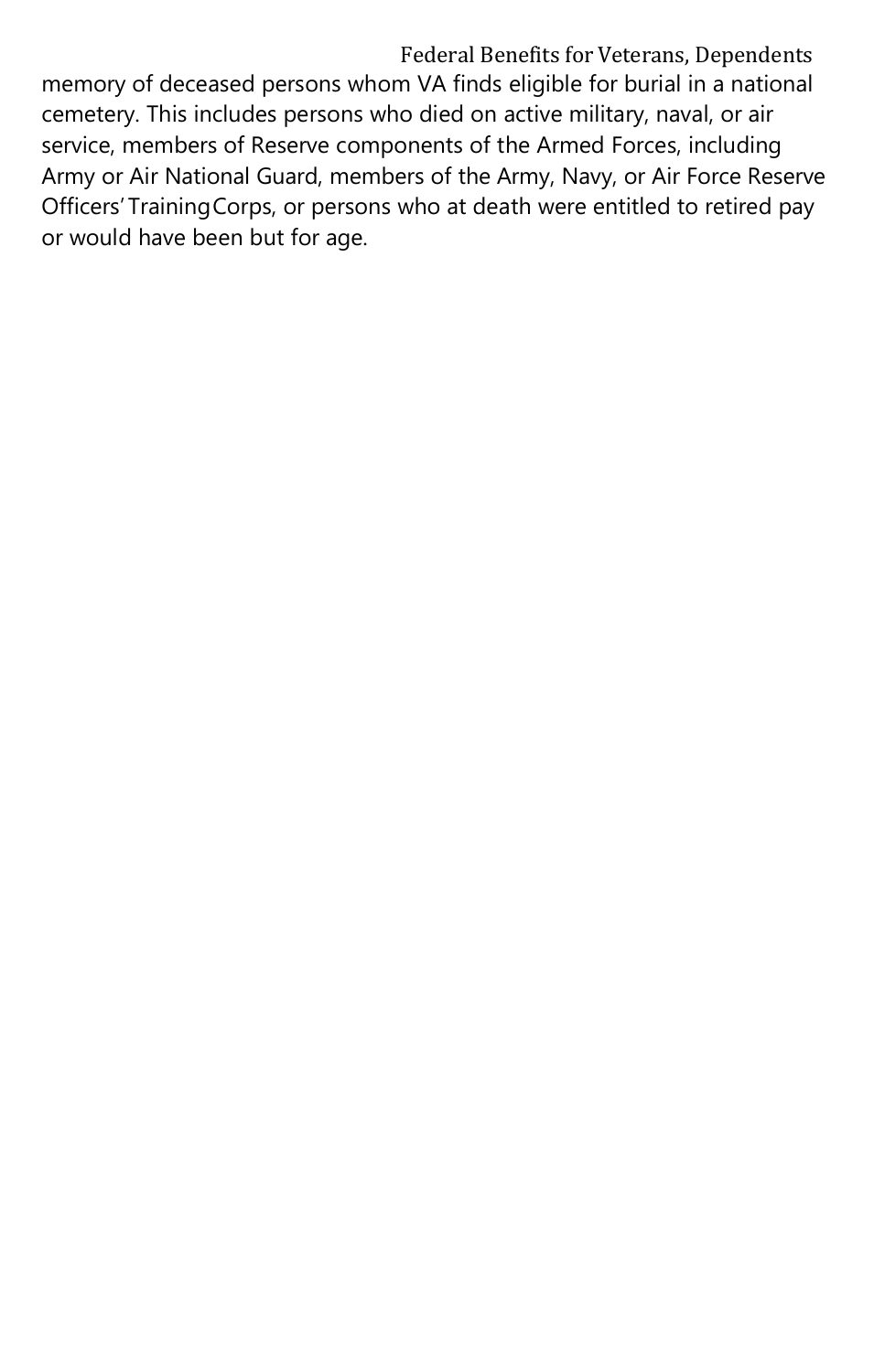Federal Benefits for Veterans, Dependents memory of deceased persons whom VA finds eligible for burial in a national cemetery. This includes persons who died on active military, naval, or air service, members of Reserve components of the Armed Forces, including Army or Air National Guard, members of the Army, Navy, or Air Force Reserve Officers' TrainingCorps, or persons who at death were entitled to retired pay or would have been but for age.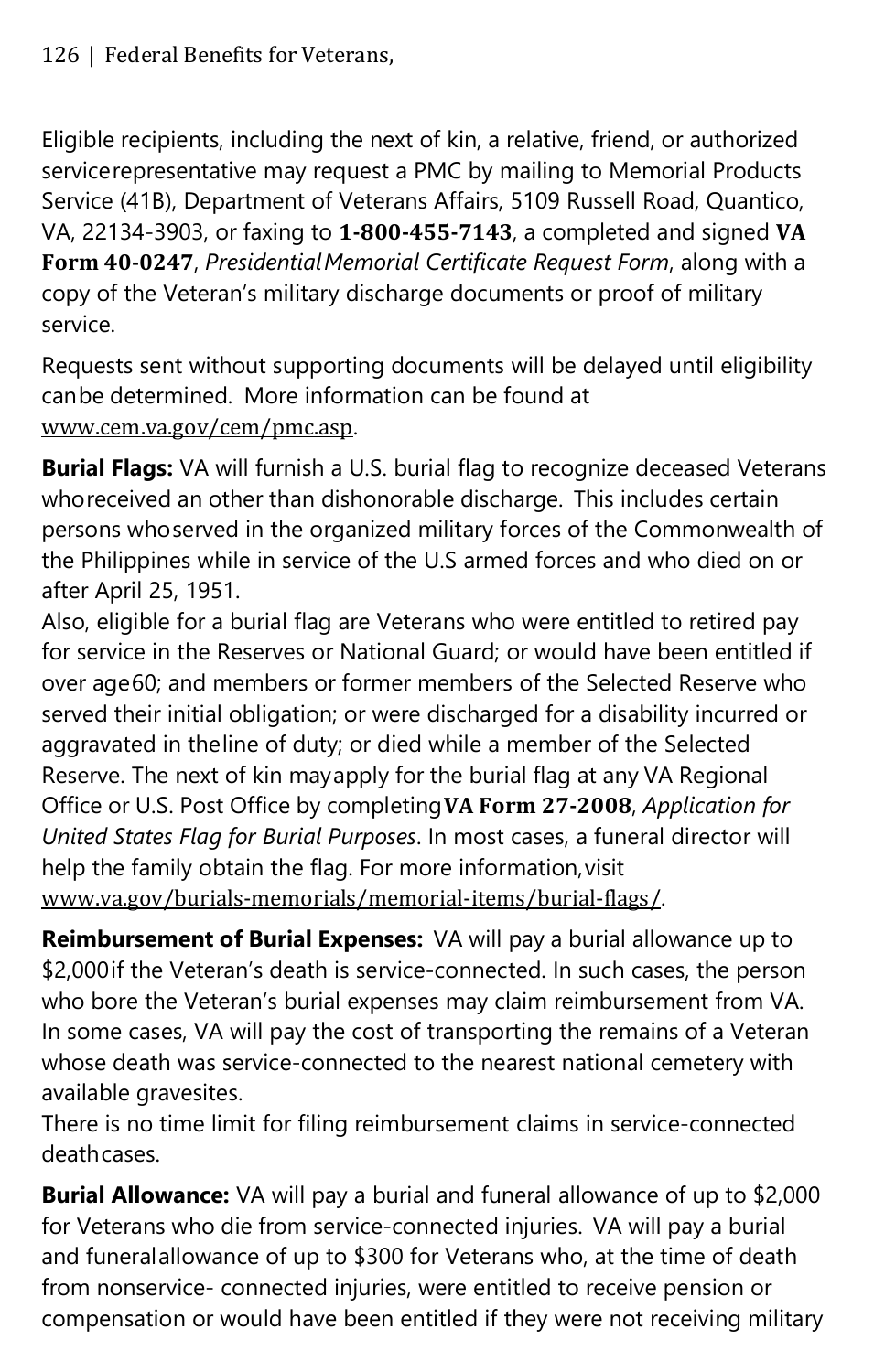Eligible recipients, including the next of kin, a relative, friend, or authorized servicerepresentative may request a PMC by mailing to Memorial Products Service (41B), Department of Veterans Affairs, 5109 Russell Road, Quantico, VA, 22134-3903, or faxing to **1-800-455-7143**, a completed and signed **VA Form 40-0247**, *PresidentialMemorial Certificate Request Form*, along with a copy of the Veteran's military discharge documents or proof of military service.

Requests sent without supporting documents will be delayed until eligibility canbe determined. More information can be found at www.cem.va.gov/cem/pmc.asp.

**Burial Flags:** VA will furnish a U.S. burial flag to recognize deceased Veterans whoreceived an other than dishonorable discharge. This includes certain persons whoserved in the organized military forces of the Commonwealth of the Philippines while in service of the U.S armed forces and who died on or after April 25, 1951.

Also, eligible for a burial flag are Veterans who were entitled to retired pay for service in the Reserves or National Guard; or would have been entitled if over age60; and members or former members of the Selected Reserve who served their initial obligation; or were discharged for a disability incurred or aggravated in theline of duty; or died while a member of the Selected Reserve. The next of kin mayapply for the burial flag at any VA Regional Office or U.S. Post Office by completing**VA Form 27-2008**, *Application for United States Flag for Burial Purposes*. In most cases, a funeral director will help the family obtain the flag. For more information, visit www.va.gov/burials-memorials/memorial-items/burial-flags/.

**Reimbursement of Burial Expenses:** VA will pay a burial allowance up to \$2,000if the Veteran's death is service-connected. In such cases, the person who bore the Veteran's burial expenses may claim reimbursement from VA. In some cases, VA will pay the cost of transporting the remains of a Veteran whose death was service-connected to the nearest national cemetery with available gravesites.

There is no time limit for filing reimbursement claims in service-connected deathcases.

**Burial Allowance:** VA will pay a burial and funeral allowance of up to \$2,000 for Veterans who die from service-connected injuries. VA will pay a burial and funeralallowance of up to \$300 for Veterans who, at the time of death from nonservice- connected injuries, were entitled to receive pension or compensation or would have been entitled if they were not receiving military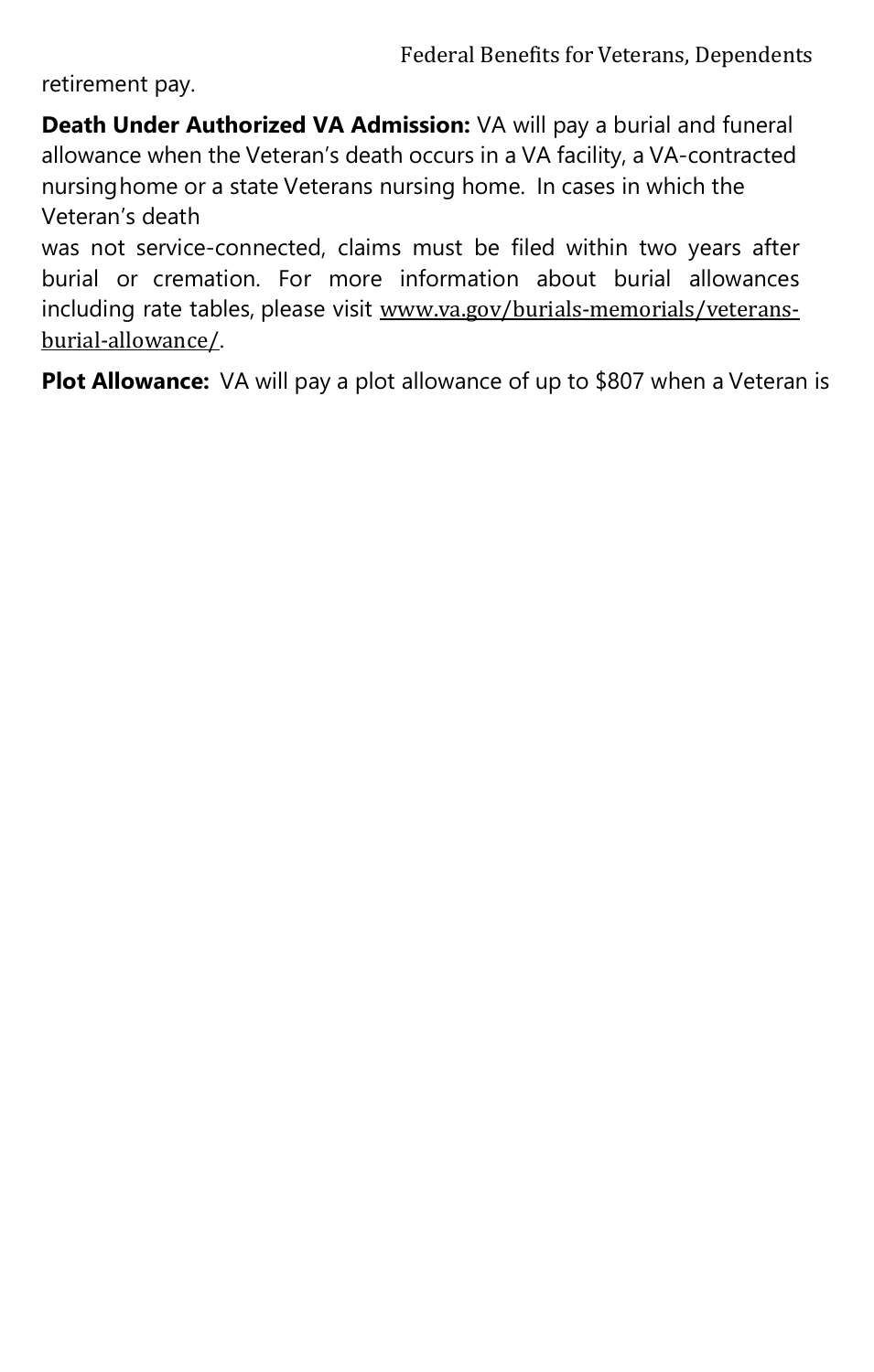retirement pay.

**Death Under Authorized VA Admission:** VA will pay a burial and funeral allowance when the Veteran's death occurs in a VA facility, a VA-contracted nursinghome or a state Veterans nursing home. In cases in which the Veteran's death

was not service-connected, claims must be filed within two years after burial or cremation. For more information about burial allowances including rate tables, please visit www.va.gov/burials-memorials/veteransburial-allowance/.

**Plot Allowance:** VA will pay a plot allowance of up to \$807 when a Veteran is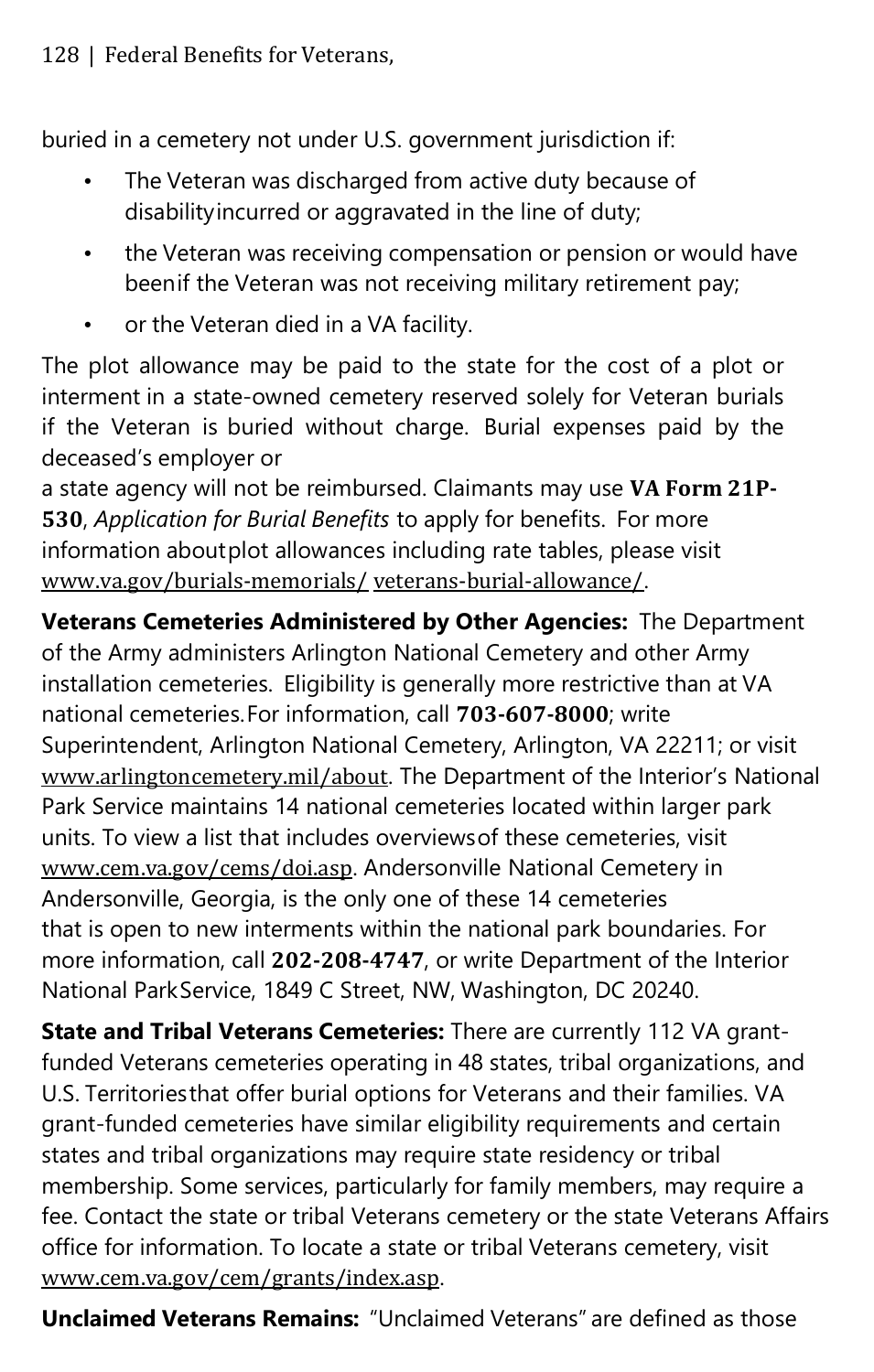buried in a cemetery not under U.S. government jurisdiction if:

- The Veteran was discharged from active duty because of disabilityincurred or aggravated in the line of duty;
- the Veteran was receiving compensation or pension or would have beenif the Veteran was not receiving military retirement pay;
- or the Veteran died in a VA facility.

The plot allowance may be paid to the state for the cost of a plot or interment in a state-owned cemetery reserved solely for Veteran burials if the Veteran is buried without charge. Burial expenses paid by the deceased's employer or

a state agency will not be reimbursed. Claimants may use **VA Form 21P-530**, *Application for Burial Benefits* to apply for benefits. For more information aboutplot allowances including rate tables, please visit www.va.gov/burials-memorials/ veterans-burial-allowance/.

**Veterans Cemeteries Administered by Other Agencies:** The Department of the Army administers Arlington National Cemetery and other Army installation cemeteries. Eligibility is generally more restrictive than at VA national cemeteries.For information, call **703-607-8000**; write Superintendent, Arlington National Cemetery, Arlington, VA 22211; or visit www.arlingtoncemetery.mil/about. The Department of the Interior's National Park Service maintains 14 national cemeteries located within larger park units. To view a list that includes overviewsof these cemeteries, visit www.cem.va.gov/cems/doi.asp. Andersonville National Cemetery in Andersonville, Georgia, is the only one of these 14 cemeteries that is open to new interments within the national park boundaries. For more information, call **202-208-4747**, or write Department of the Interior National ParkService, 1849 C Street, NW, Washington, DC 20240.

**State and Tribal Veterans Cemeteries:** There are currently 112 VA grantfunded Veterans cemeteries operating in 48 states, tribal organizations, and U.S. Territoriesthat offer burial options for Veterans and their families. VA grant-funded cemeteries have similar eligibility requirements and certain states and tribal organizations may require state residency or tribal membership. Some services, particularly for family members, may require a fee. Contact the state or tribal Veterans cemetery or the state Veterans Affairs office for information. To locate a state or tribal Veterans cemetery, visit www.cem.va.gov/cem/grants/index.asp.

**Unclaimed Veterans Remains:** "Unclaimed Veterans" are defined as those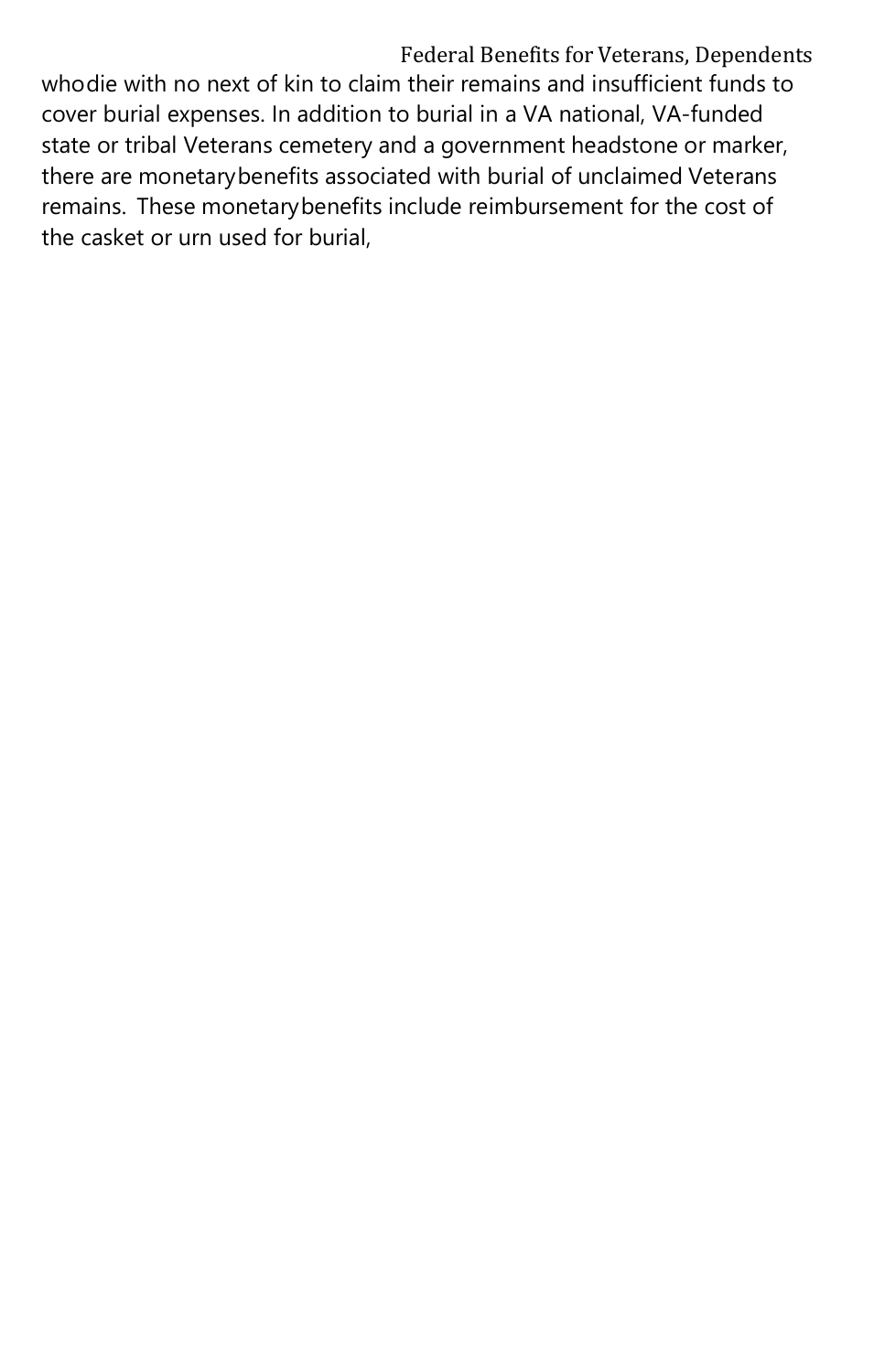Federal Benefits for Veterans, Dependents whodie with no next of kin to claim their remains and insufficient funds to cover burial expenses. In addition to burial in a VA national, VA-funded state or tribal Veterans cemetery and a government headstone or marker, there are monetarybenefits associated with burial of unclaimed Veterans remains. These monetarybenefits include reimbursement for the cost of the casket or urn used for burial,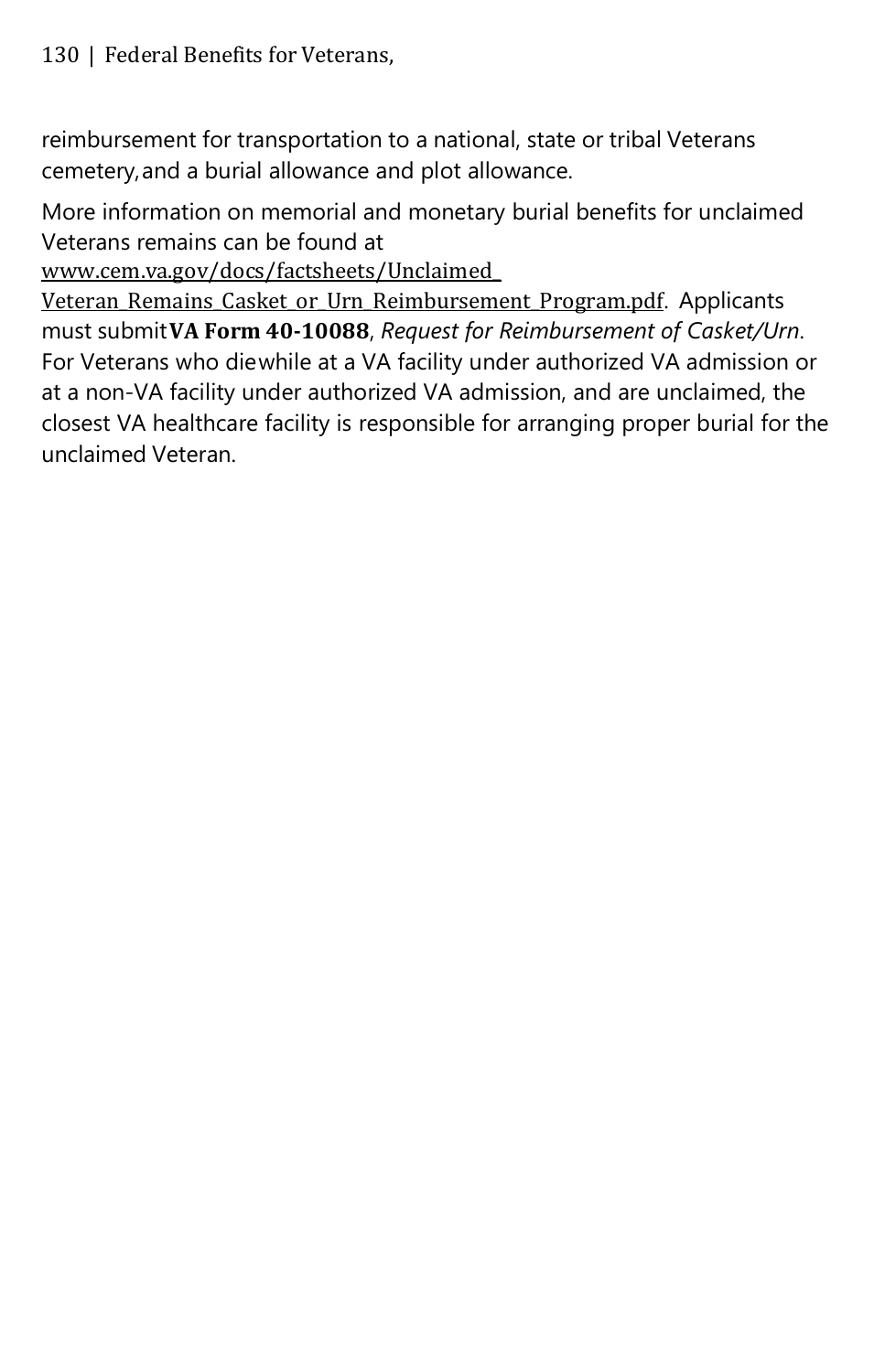reimbursement for transportation to a national, state or tribal Veterans cemetery,and a burial allowance and plot allowance.

More information on memorial and monetary burial benefits for unclaimed Veterans remains can be found at

www.cem.va.gov/docs/factsheets/Unclaimed\_

Veteran\_Remains\_Casket\_or\_Urn\_Reimbursement\_Program.pdf. Applicants must submit**VA Form 40-10088**, *Request for Reimbursement of Casket/Urn*. For Veterans who diewhile at a VA facility under authorized VA admission or at a non-VA facility under authorized VA admission, and are unclaimed, the closest VA healthcare facility is responsible for arranging proper burial for the unclaimed Veteran.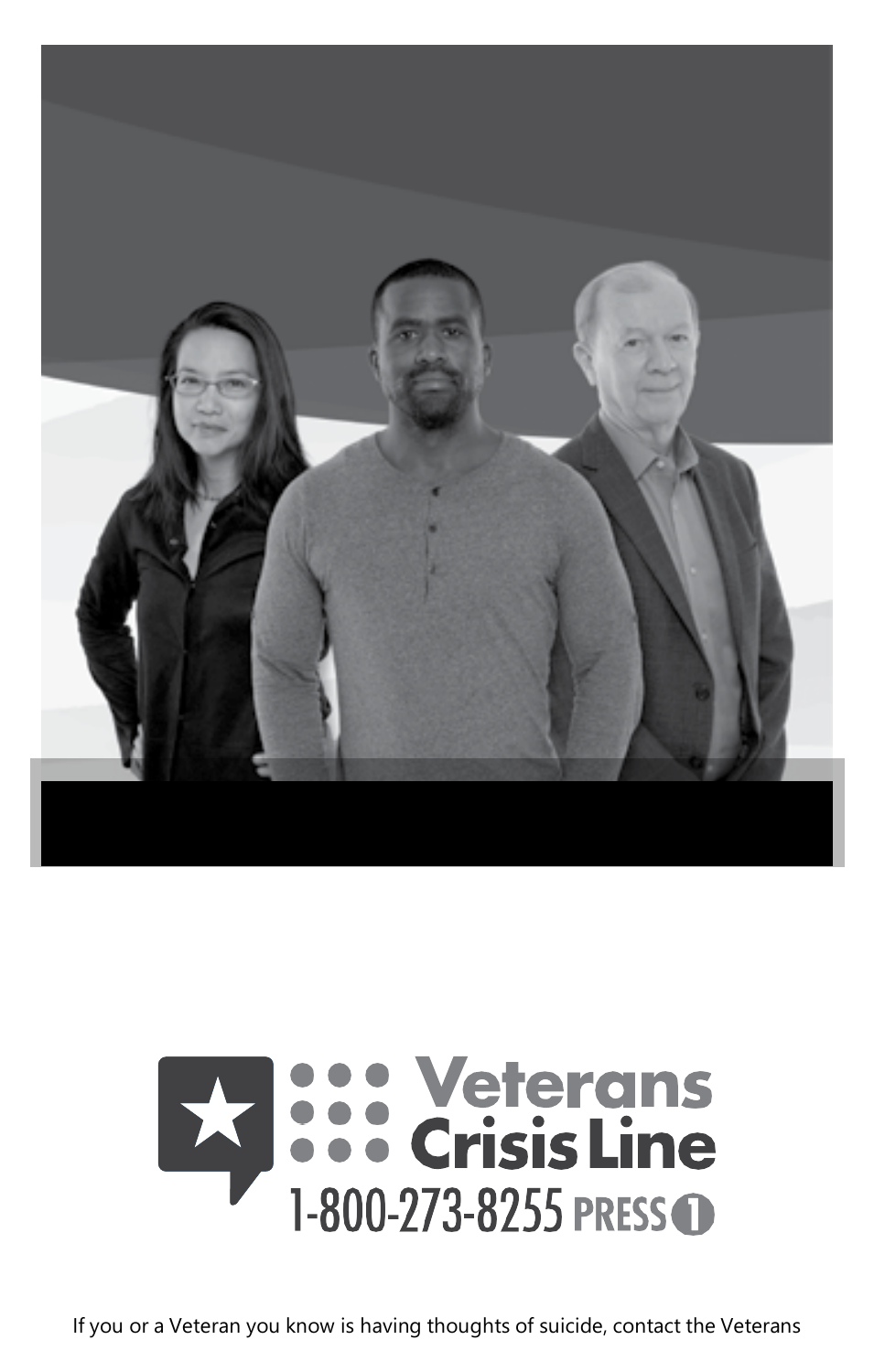



If you or a Veteran you know is having thoughts of suicide, contact the Veterans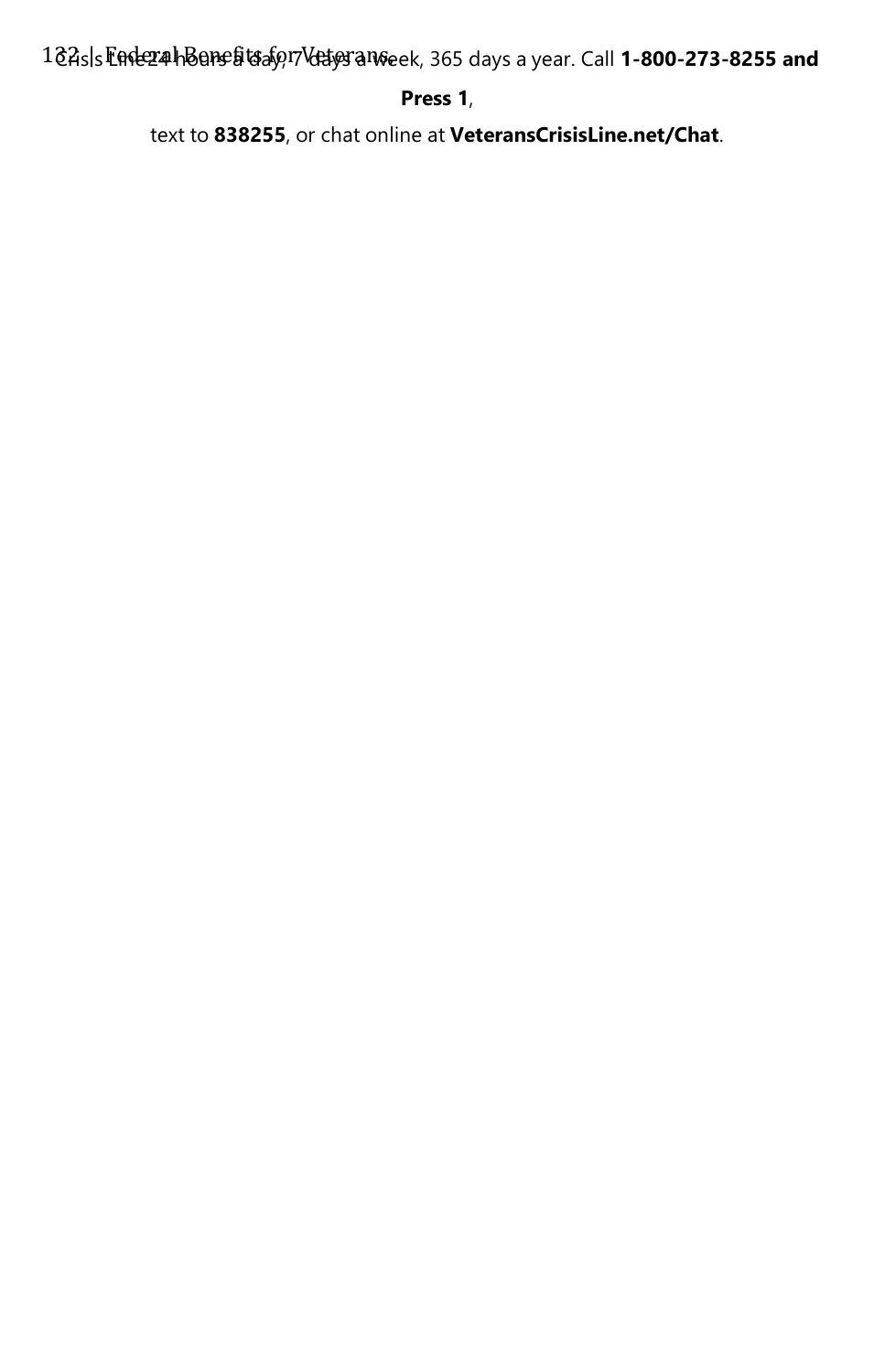132 | Federal Benefits for Veterans, Crisis Line24 hours a day, 7 days a week, 365 days a year. Call **1-800-273-8255 and**

#### **Press 1**,

text to **838255**, or chat online at **VeteransCrisisLine.net/Chat**.